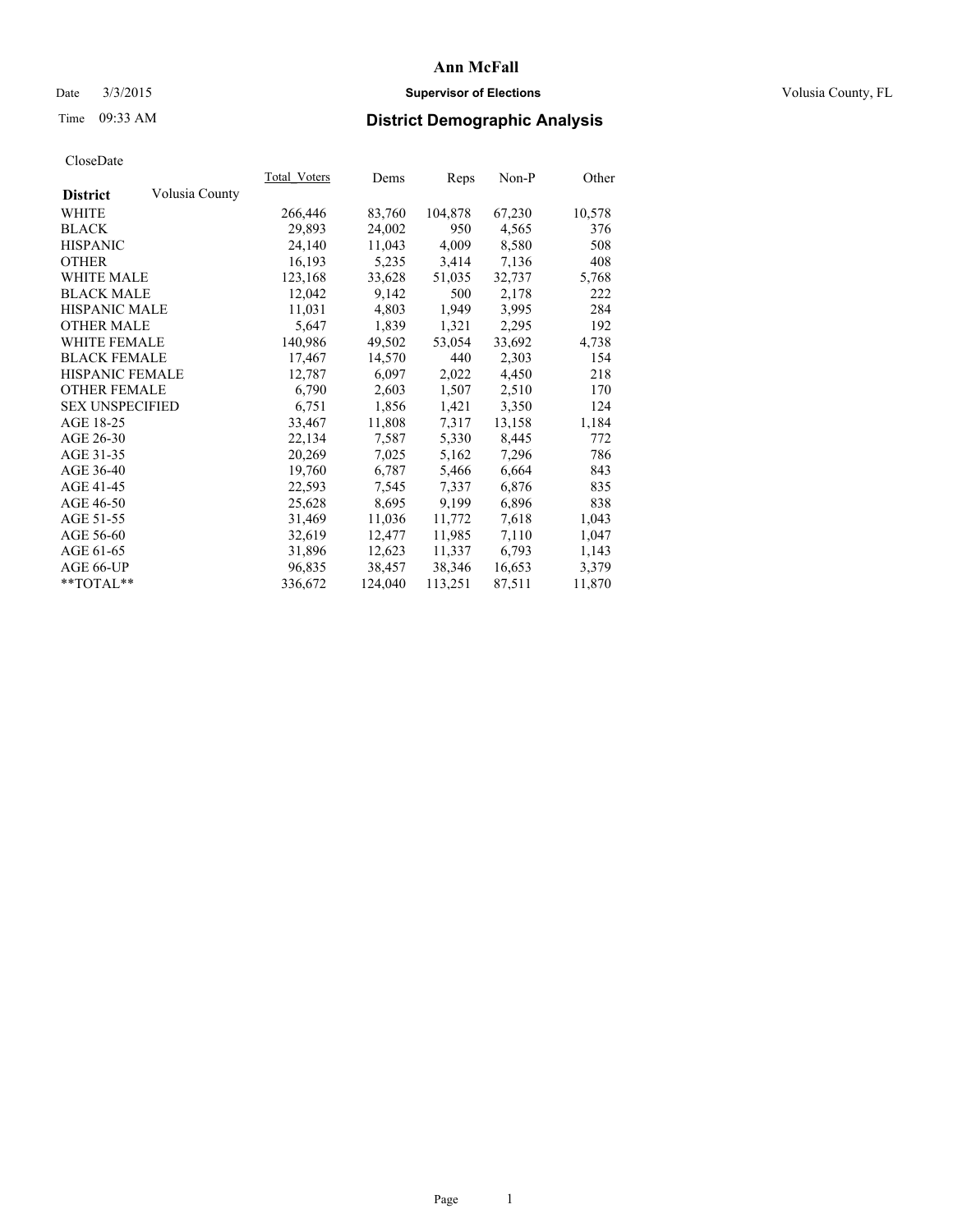## Date  $3/3/2015$  **Supervisor of Elections Supervisor of Elections** Volusia County, FL

# Time 09:33 AM **District Demographic Analysis**

|                                   | Total Voters | Dems    | Reps    | Non-P  | Other  |
|-----------------------------------|--------------|---------|---------|--------|--------|
| Volusia County<br><b>District</b> |              |         |         |        |        |
| WHITE                             | 266,446      | 83,760  | 104,878 | 67,230 | 10,578 |
| <b>BLACK</b>                      | 29,893       | 24,002  | 950     | 4,565  | 376    |
| <b>HISPANIC</b>                   | 24,140       | 11,043  | 4,009   | 8,580  | 508    |
| <b>OTHER</b>                      | 16,193       | 5,235   | 3,414   | 7,136  | 408    |
| WHITE MALE                        | 123,168      | 33,628  | 51,035  | 32,737 | 5,768  |
| <b>BLACK MALE</b>                 | 12,042       | 9,142   | 500     | 2,178  | 222    |
| <b>HISPANIC MALE</b>              | 11,031       | 4,803   | 1,949   | 3,995  | 284    |
| <b>OTHER MALE</b>                 | 5,647        | 1,839   | 1,321   | 2,295  | 192    |
| <b>WHITE FEMALE</b>               | 140,986      | 49,502  | 53,054  | 33,692 | 4,738  |
| <b>BLACK FEMALE</b>               | 17,467       | 14,570  | 440     | 2,303  | 154    |
| <b>HISPANIC FEMALE</b>            | 12,787       | 6,097   | 2,022   | 4,450  | 218    |
| <b>OTHER FEMALE</b>               | 6,790        | 2,603   | 1,507   | 2,510  | 170    |
| <b>SEX UNSPECIFIED</b>            | 6,751        | 1,856   | 1,421   | 3,350  | 124    |
| AGE 18-25                         | 33,467       | 11,808  | 7,317   | 13,158 | 1,184  |
| AGE 26-30                         | 22,134       | 7,587   | 5,330   | 8,445  | 772    |
| AGE 31-35                         | 20,269       | 7,025   | 5,162   | 7,296  | 786    |
| AGE 36-40                         | 19,760       | 6,787   | 5,466   | 6,664  | 843    |
| AGE 41-45                         | 22,593       | 7,545   | 7,337   | 6,876  | 835    |
| AGE 46-50                         | 25,628       | 8,695   | 9,199   | 6,896  | 838    |
| AGE 51-55                         | 31,469       | 11,036  | 11,772  | 7,618  | 1,043  |
| AGE 56-60                         | 32,619       | 12,477  | 11,985  | 7,110  | 1,047  |
| AGE 61-65                         | 31,896       | 12,623  | 11,337  | 6,793  | 1,143  |
| AGE 66-UP                         | 96,835       | 38,457  | 38,346  | 16,653 | 3,379  |
| $*$ TOTAL $*$                     | 336,672      | 124,040 | 113,251 | 87,511 | 11,870 |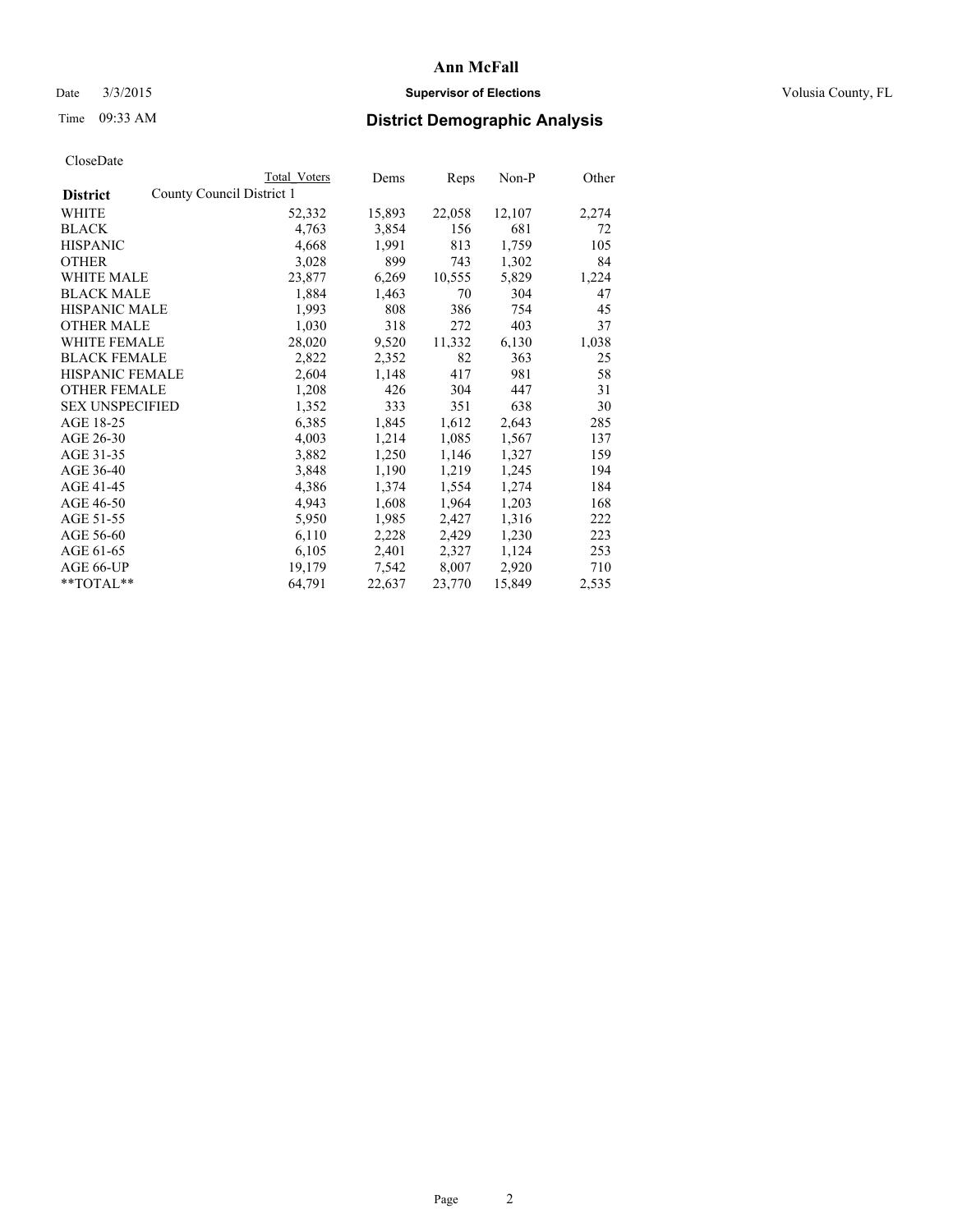## Date  $3/3/2015$  **Supervisor of Elections Supervisor of Elections** Volusia County, FL

# Time 09:33 AM **District Demographic Analysis**

|                                              | <b>Total Voters</b> | Dems   | Reps   | Non-P  | Other |
|----------------------------------------------|---------------------|--------|--------|--------|-------|
| County Council District 1<br><b>District</b> |                     |        |        |        |       |
| WHITE                                        | 52,332              | 15,893 | 22,058 | 12,107 | 2,274 |
| <b>BLACK</b>                                 | 4,763               | 3,854  | 156    | 681    | 72    |
| <b>HISPANIC</b>                              | 4,668               | 1,991  | 813    | 1,759  | 105   |
| <b>OTHER</b>                                 | 3,028               | 899    | 743    | 1,302  | 84    |
| <b>WHITE MALE</b>                            | 23,877              | 6,269  | 10,555 | 5,829  | 1,224 |
| <b>BLACK MALE</b>                            | 1,884               | 1,463  | 70     | 304    | 47    |
| <b>HISPANIC MALE</b>                         | 1,993               | 808    | 386    | 754    | 45    |
| OTHER MALE                                   | 1,030               | 318    | 272    | 403    | 37    |
| <b>WHITE FEMALE</b>                          | 28,020              | 9,520  | 11,332 | 6,130  | 1,038 |
| <b>BLACK FEMALE</b>                          | 2,822               | 2,352  | 82     | 363    | 25    |
| HISPANIC FEMALE                              | 2,604               | 1,148  | 417    | 981    | 58    |
| <b>OTHER FEMALE</b>                          | 1,208               | 426    | 304    | 447    | 31    |
| <b>SEX UNSPECIFIED</b>                       | 1,352               | 333    | 351    | 638    | 30    |
| AGE 18-25                                    | 6,385               | 1,845  | 1,612  | 2,643  | 285   |
| AGE 26-30                                    | 4,003               | 1,214  | 1,085  | 1,567  | 137   |
| AGE 31-35                                    | 3,882               | 1,250  | 1,146  | 1,327  | 159   |
| AGE 36-40                                    | 3,848               | 1,190  | 1,219  | 1,245  | 194   |
| AGE 41-45                                    | 4,386               | 1,374  | 1,554  | 1,274  | 184   |
| AGE 46-50                                    | 4,943               | 1,608  | 1,964  | 1,203  | 168   |
| AGE 51-55                                    | 5,950               | 1,985  | 2,427  | 1,316  | 222   |
| AGE 56-60                                    | 6,110               | 2,228  | 2,429  | 1,230  | 223   |
| AGE 61-65                                    | 6,105               | 2,401  | 2,327  | 1,124  | 253   |
| AGE 66-UP                                    | 19,179              | 7,542  | 8,007  | 2,920  | 710   |
| $*$ $TOTAL**$                                | 64,791              | 22,637 | 23,770 | 15,849 | 2,535 |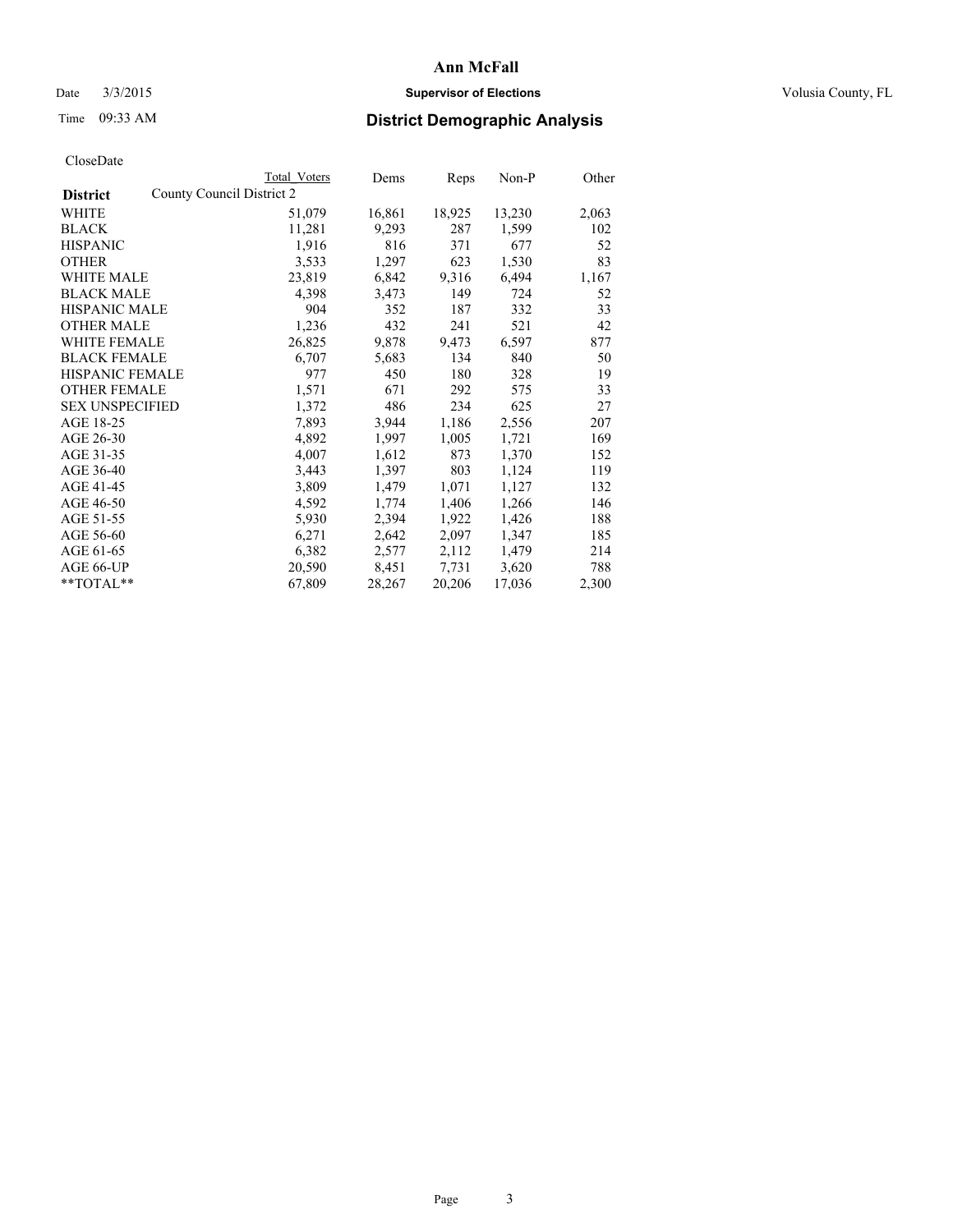## Date  $3/3/2015$  **Supervisor of Elections Supervisor of Elections** Volusia County, FL

|                                              | Total Voters | Dems   | Reps   | $Non-P$ | Other |
|----------------------------------------------|--------------|--------|--------|---------|-------|
| County Council District 2<br><b>District</b> |              |        |        |         |       |
| WHITE                                        | 51,079       | 16,861 | 18,925 | 13,230  | 2,063 |
| <b>BLACK</b>                                 | 11,281       | 9,293  | 287    | 1,599   | 102   |
| <b>HISPANIC</b>                              | 1,916        | 816    | 371    | 677     | 52    |
| <b>OTHER</b>                                 | 3,533        | 1,297  | 623    | 1,530   | 83    |
| WHITE MALE                                   | 23,819       | 6,842  | 9,316  | 6,494   | 1,167 |
| <b>BLACK MALE</b>                            | 4,398        | 3,473  | 149    | 724     | 52    |
| <b>HISPANIC MALE</b>                         | 904          | 352    | 187    | 332     | 33    |
| <b>OTHER MALE</b>                            | 1,236        | 432    | 241    | 521     | 42    |
| <b>WHITE FEMALE</b>                          | 26,825       | 9,878  | 9,473  | 6,597   | 877   |
| <b>BLACK FEMALE</b>                          | 6,707        | 5,683  | 134    | 840     | 50    |
| HISPANIC FEMALE                              | 977          | 450    | 180    | 328     | 19    |
| <b>OTHER FEMALE</b>                          | 1,571        | 671    | 292    | 575     | 33    |
| <b>SEX UNSPECIFIED</b>                       | 1,372        | 486    | 234    | 625     | 27    |
| AGE 18-25                                    | 7,893        | 3,944  | 1,186  | 2,556   | 207   |
| AGE 26-30                                    | 4,892        | 1,997  | 1,005  | 1,721   | 169   |
| AGE 31-35                                    | 4,007        | 1,612  | 873    | 1,370   | 152   |
| AGE 36-40                                    | 3,443        | 1,397  | 803    | 1,124   | 119   |
| AGE 41-45                                    | 3,809        | 1,479  | 1,071  | 1,127   | 132   |
| AGE 46-50                                    | 4,592        | 1,774  | 1,406  | 1,266   | 146   |
| AGE 51-55                                    | 5,930        | 2,394  | 1,922  | 1,426   | 188   |
| AGE 56-60                                    | 6,271        | 2,642  | 2,097  | 1,347   | 185   |
| AGE 61-65                                    | 6,382        | 2,577  | 2,112  | 1,479   | 214   |
| AGE 66-UP                                    | 20,590       | 8,451  | 7.731  | 3,620   | 788   |
| $*$ TOTAL $*$                                | 67,809       | 28,267 | 20,206 | 17,036  | 2,300 |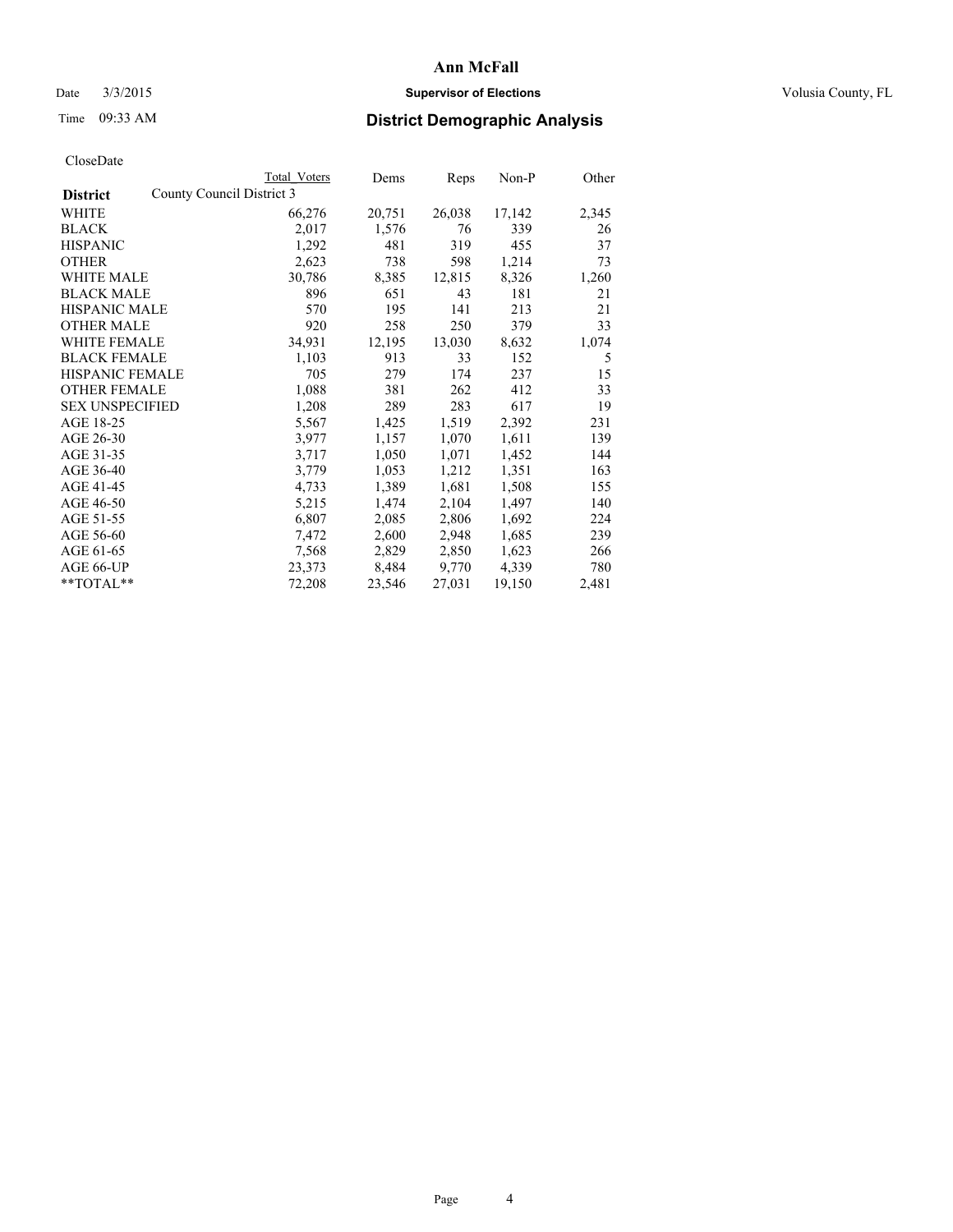## Date  $3/3/2015$  **Supervisor of Elections Supervisor of Elections** Volusia County, FL

|                        |                           | Total Voters | Dems   | Reps   | Non-P  | Other |
|------------------------|---------------------------|--------------|--------|--------|--------|-------|
| <b>District</b>        | County Council District 3 |              |        |        |        |       |
| WHITE                  |                           | 66,276       | 20,751 | 26,038 | 17,142 | 2,345 |
| <b>BLACK</b>           |                           | 2,017        | 1,576  | 76     | 339    | 26    |
| <b>HISPANIC</b>        |                           | 1,292        | 481    | 319    | 455    | 37    |
| <b>OTHER</b>           |                           | 2,623        | 738    | 598    | 1,214  | 73    |
| WHITE MALE             |                           | 30,786       | 8,385  | 12,815 | 8,326  | 1,260 |
| <b>BLACK MALE</b>      |                           | 896          | 651    | 43     | 181    | 21    |
| <b>HISPANIC MALE</b>   |                           | 570          | 195    | 141    | 213    | 21    |
| <b>OTHER MALE</b>      |                           | 920          | 258    | 250    | 379    | 33    |
| <b>WHITE FEMALE</b>    |                           | 34,931       | 12,195 | 13,030 | 8,632  | 1,074 |
| <b>BLACK FEMALE</b>    |                           | 1,103        | 913    | 33     | 152    | 5     |
| HISPANIC FEMALE        |                           | 705          | 279    | 174    | 237    | 15    |
| <b>OTHER FEMALE</b>    |                           | 1,088        | 381    | 262    | 412    | 33    |
| <b>SEX UNSPECIFIED</b> |                           | 1,208        | 289    | 283    | 617    | 19    |
| AGE 18-25              |                           | 5,567        | 1,425  | 1,519  | 2,392  | 231   |
| AGE 26-30              |                           | 3,977        | 1,157  | 1,070  | 1,611  | 139   |
| AGE 31-35              |                           | 3,717        | 1,050  | 1,071  | 1,452  | 144   |
| AGE 36-40              |                           | 3,779        | 1,053  | 1,212  | 1,351  | 163   |
| AGE 41-45              |                           | 4,733        | 1,389  | 1,681  | 1,508  | 155   |
| AGE 46-50              |                           | 5,215        | 1,474  | 2,104  | 1,497  | 140   |
| AGE 51-55              |                           | 6,807        | 2,085  | 2,806  | 1,692  | 224   |
| AGE 56-60              |                           | 7,472        | 2,600  | 2,948  | 1,685  | 239   |
| AGE 61-65              |                           | 7,568        | 2,829  | 2,850  | 1,623  | 266   |
| AGE 66-UP              |                           | 23,373       | 8,484  | 9,770  | 4,339  | 780   |
| $*$ $TOTAI.**$         |                           | 72,208       | 23,546 | 27,031 | 19,150 | 2,481 |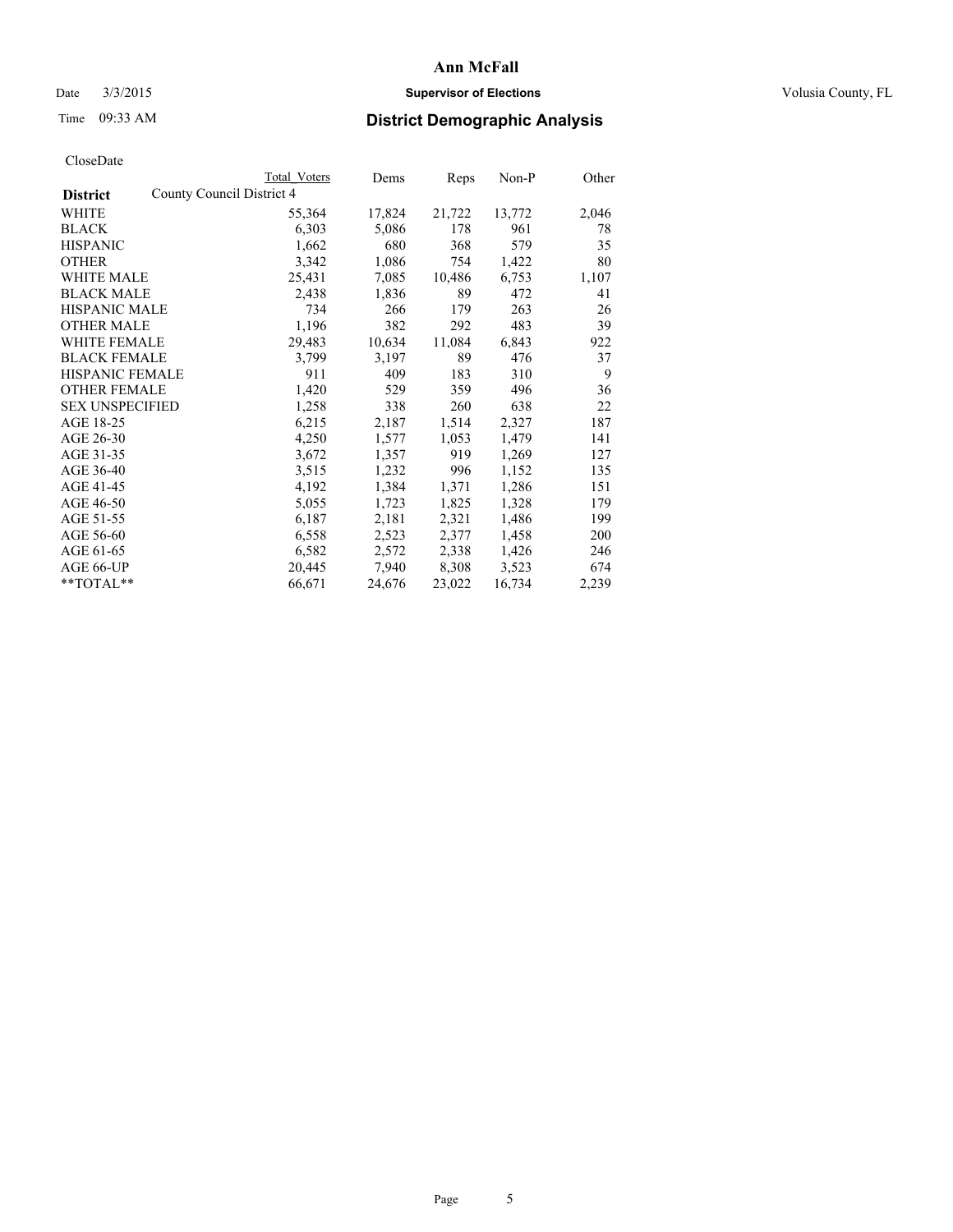## Date  $3/3/2015$  **Supervisor of Elections Supervisor of Elections** Volusia County, FL

|                                              | Total Voters | Dems   | <b>Reps</b> | $Non-P$ | Other |
|----------------------------------------------|--------------|--------|-------------|---------|-------|
| County Council District 4<br><b>District</b> |              |        |             |         |       |
| WHITE                                        | 55,364       | 17,824 | 21,722      | 13,772  | 2,046 |
| <b>BLACK</b>                                 | 6,303        | 5,086  | 178         | 961     | 78    |
| <b>HISPANIC</b>                              | 1,662        | 680    | 368         | 579     | 35    |
| <b>OTHER</b>                                 | 3,342        | 1,086  | 754         | 1,422   | 80    |
| <b>WHITE MALE</b>                            | 25,431       | 7,085  | 10,486      | 6,753   | 1,107 |
| <b>BLACK MALE</b>                            | 2,438        | 1,836  | 89          | 472     | 41    |
| <b>HISPANIC MALE</b>                         | 734          | 266    | 179         | 263     | 26    |
| <b>OTHER MALE</b>                            | 1,196        | 382    | 292         | 483     | 39    |
| WHITE FEMALE                                 | 29,483       | 10,634 | 11,084      | 6,843   | 922   |
| <b>BLACK FEMALE</b>                          | 3,799        | 3,197  | 89          | 476     | 37    |
| HISPANIC FEMALE                              | 911          | 409    | 183         | 310     | 9     |
| <b>OTHER FEMALE</b>                          | 1,420        | 529    | 359         | 496     | 36    |
| <b>SEX UNSPECIFIED</b>                       | 1,258        | 338    | 260         | 638     | 22    |
| AGE 18-25                                    | 6,215        | 2,187  | 1,514       | 2,327   | 187   |
| AGE 26-30                                    | 4,250        | 1,577  | 1,053       | 1,479   | 141   |
| AGE 31-35                                    | 3,672        | 1,357  | 919         | 1,269   | 127   |
| AGE 36-40                                    | 3,515        | 1,232  | 996         | 1,152   | 135   |
| AGE 41-45                                    | 4,192        | 1,384  | 1,371       | 1,286   | 151   |
| AGE 46-50                                    | 5,055        | 1,723  | 1,825       | 1,328   | 179   |
| AGE 51-55                                    | 6,187        | 2,181  | 2,321       | 1,486   | 199   |
| AGE 56-60                                    | 6,558        | 2,523  | 2,377       | 1,458   | 200   |
| AGE 61-65                                    | 6,582        | 2,572  | 2,338       | 1,426   | 246   |
| AGE 66-UP                                    | 20,445       | 7,940  | 8,308       | 3,523   | 674   |
| **TOTAL**                                    | 66,671       | 24,676 | 23,022      | 16,734  | 2,239 |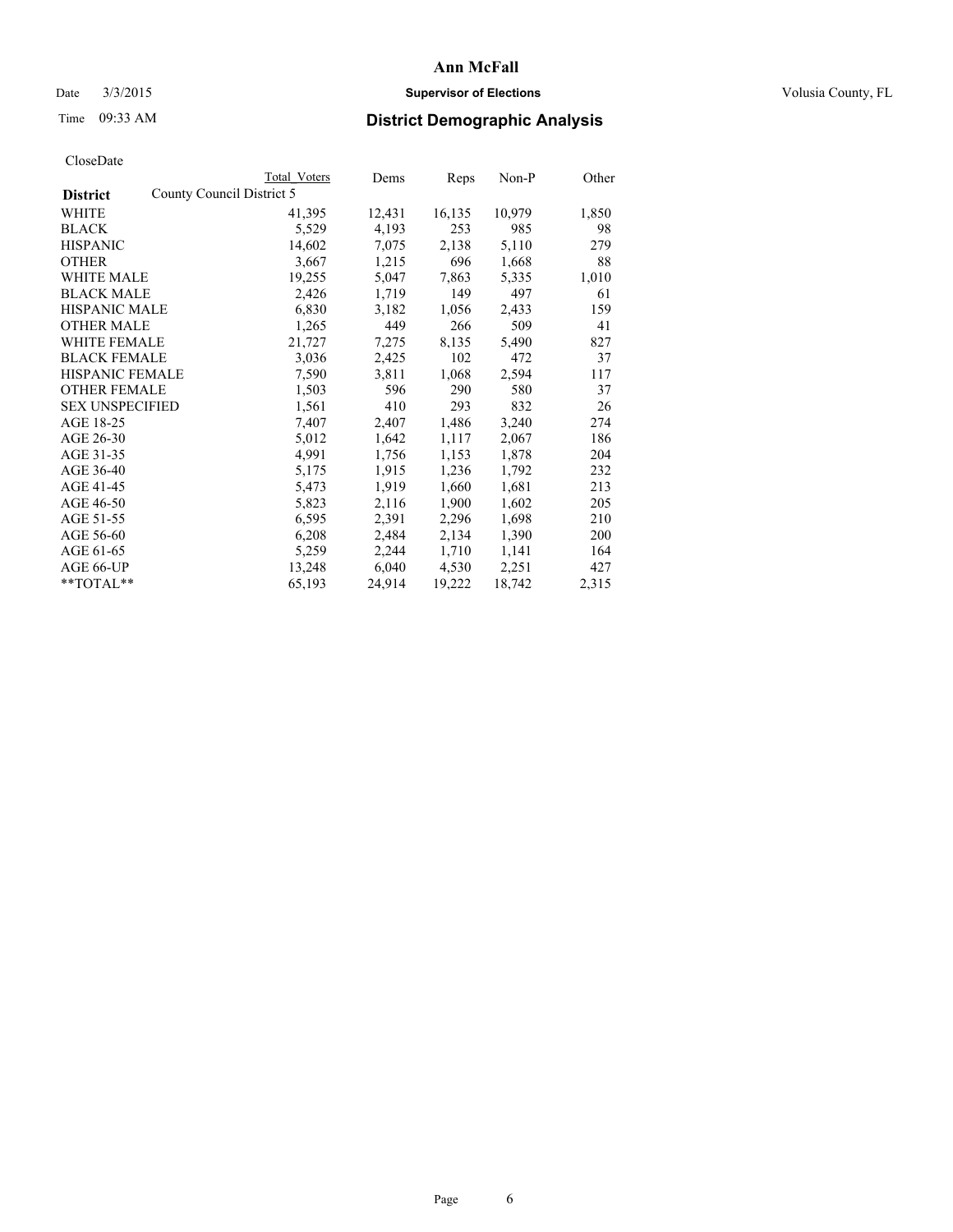## Date  $3/3/2015$  **Supervisor of Elections Supervisor of Elections** Volusia County, FL

|                                              | Total Voters | Dems   | Reps   | Non-P  | Other |
|----------------------------------------------|--------------|--------|--------|--------|-------|
| County Council District 5<br><b>District</b> |              |        |        |        |       |
| <b>WHITE</b>                                 | 41,395       | 12,431 | 16,135 | 10,979 | 1,850 |
| <b>BLACK</b>                                 | 5,529        | 4,193  | 253    | 985    | 98    |
| <b>HISPANIC</b>                              | 14,602       | 7,075  | 2,138  | 5,110  | 279   |
| <b>OTHER</b>                                 | 3,667        | 1,215  | 696    | 1,668  | 88    |
| <b>WHITE MALE</b>                            | 19,255       | 5,047  | 7,863  | 5,335  | 1,010 |
| <b>BLACK MALE</b>                            | 2,426        | 1,719  | 149    | 497    | 61    |
| <b>HISPANIC MALE</b>                         | 6,830        | 3,182  | 1,056  | 2,433  | 159   |
| <b>OTHER MALE</b>                            | 1,265        | 449    | 266    | 509    | 41    |
| WHITE FEMALE                                 | 21,727       | 7,275  | 8,135  | 5,490  | 827   |
| <b>BLACK FEMALE</b>                          | 3,036        | 2,425  | 102    | 472    | 37    |
| HISPANIC FEMALE                              | 7,590        | 3,811  | 1,068  | 2,594  | 117   |
| <b>OTHER FEMALE</b>                          | 1,503        | 596    | 290    | 580    | 37    |
| <b>SEX UNSPECIFIED</b>                       | 1,561        | 410    | 293    | 832    | 26    |
| AGE 18-25                                    | 7,407        | 2,407  | 1,486  | 3,240  | 274   |
| AGE 26-30                                    | 5,012        | 1,642  | 1,117  | 2,067  | 186   |
| AGE 31-35                                    | 4,991        | 1,756  | 1,153  | 1,878  | 204   |
| AGE 36-40                                    | 5,175        | 1,915  | 1,236  | 1,792  | 232   |
| AGE 41-45                                    | 5,473        | 1,919  | 1,660  | 1,681  | 213   |
| AGE 46-50                                    | 5,823        | 2,116  | 1,900  | 1,602  | 205   |
| AGE 51-55                                    | 6,595        | 2,391  | 2,296  | 1,698  | 210   |
| AGE 56-60                                    | 6,208        | 2,484  | 2,134  | 1,390  | 200   |
| AGE 61-65                                    | 5,259        | 2,244  | 1,710  | 1,141  | 164   |
| AGE 66-UP                                    | 13,248       | 6,040  | 4,530  | 2,251  | 427   |
| **TOTAL**                                    | 65,193       | 24,914 | 19,222 | 18,742 | 2,315 |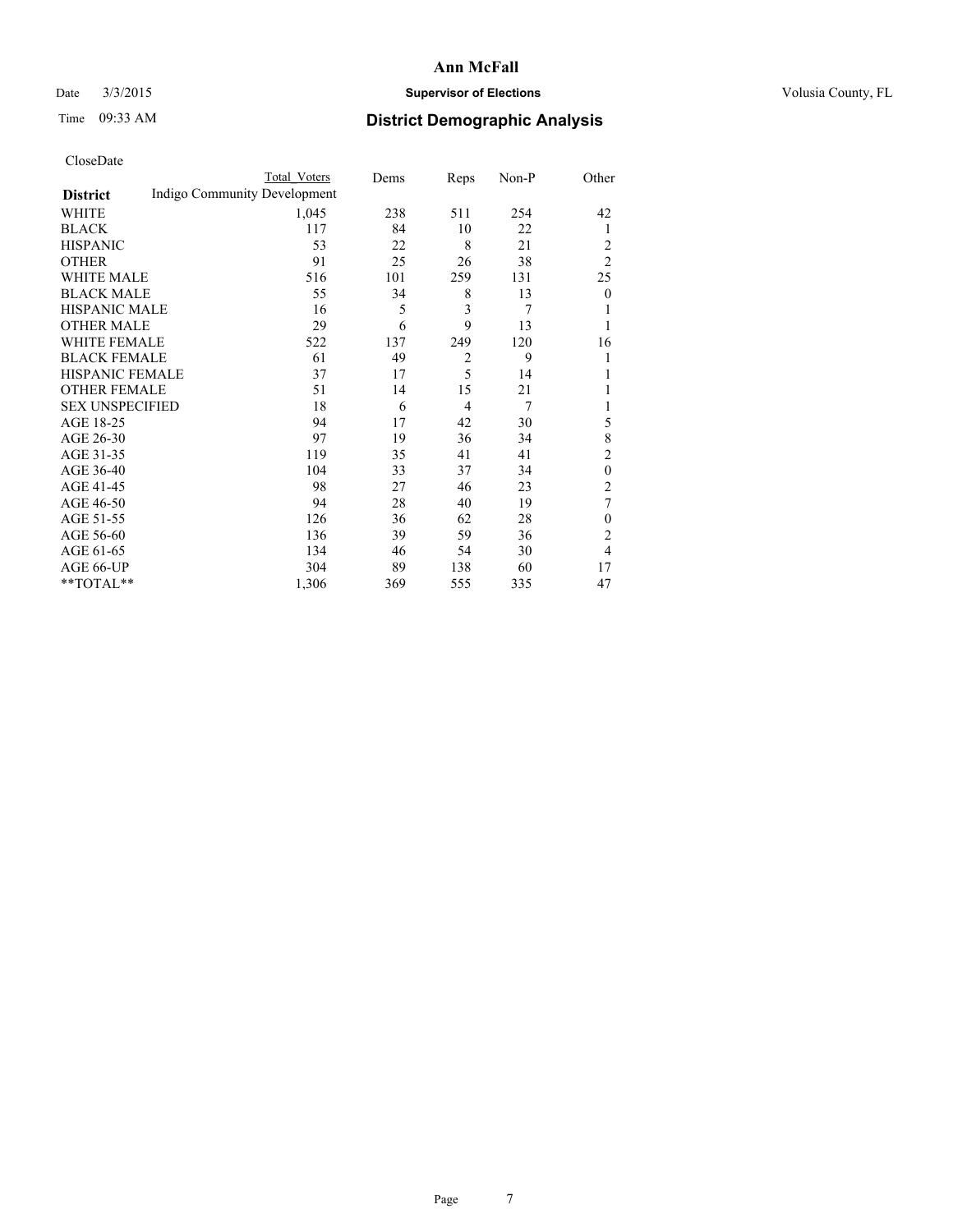## Date  $3/3/2015$  **Supervisor of Elections Supervisor of Elections** Volusia County, FL

# Time 09:33 AM **District Demographic Analysis**

|                        |                              | <b>Total Voters</b> | Dems | Reps           | Non-P | Other          |
|------------------------|------------------------------|---------------------|------|----------------|-------|----------------|
| <b>District</b>        | Indigo Community Development |                     |      |                |       |                |
| WHITE                  |                              | 1,045               | 238  | 511            | 254   | 42             |
| <b>BLACK</b>           |                              | 117                 | 84   | 10             | 22    | 1              |
| <b>HISPANIC</b>        |                              | 53                  | 22   | 8              | 21    | 2              |
| <b>OTHER</b>           |                              | 91                  | 25   | 26             | 38    | $\overline{2}$ |
| WHITE MALE             |                              | 516                 | 101  | 259            | 131   | 25             |
| <b>BLACK MALE</b>      |                              | 55                  | 34   | 8              | 13    | $\mathbf{0}$   |
| <b>HISPANIC MALE</b>   |                              | 16                  | 5    | 3              | 7     |                |
| <b>OTHER MALE</b>      |                              | 29                  | 6    | 9              | 13    | 1              |
| WHITE FEMALE           |                              | 522                 | 137  | 249            | 120   | 16             |
| <b>BLACK FEMALE</b>    |                              | 61                  | 49   | $\overline{2}$ | 9     |                |
| <b>HISPANIC FEMALE</b> |                              | 37                  | 17   | 5              | 14    |                |
| <b>OTHER FEMALE</b>    |                              | 51                  | 14   | 15             | 21    |                |
| <b>SEX UNSPECIFIED</b> |                              | 18                  | 6    | $\overline{4}$ | 7     |                |
| AGE 18-25              |                              | 94                  | 17   | 42             | 30    | 5              |
| AGE 26-30              |                              | 97                  | 19   | 36             | 34    | 8              |
| AGE 31-35              |                              | 119                 | 35   | 41             | 41    | $\overline{c}$ |
| AGE 36-40              |                              | 104                 | 33   | 37             | 34    | $\theta$       |
| AGE 41-45              |                              | 98                  | 27   | 46             | 23    | $\overline{c}$ |
| AGE 46-50              |                              | 94                  | 28   | 40             | 19    | 7              |
| AGE 51-55              |                              | 126                 | 36   | 62             | 28    | $\mathbf{0}$   |
| AGE 56-60              |                              | 136                 | 39   | 59             | 36    | $\overline{c}$ |
| AGE 61-65              |                              | 134                 | 46   | 54             | 30    | 4              |
| AGE 66-UP              |                              | 304                 | 89   | 138            | 60    | 17             |
| **TOTAL**              |                              | 1,306               | 369  | 555            | 335   | 47             |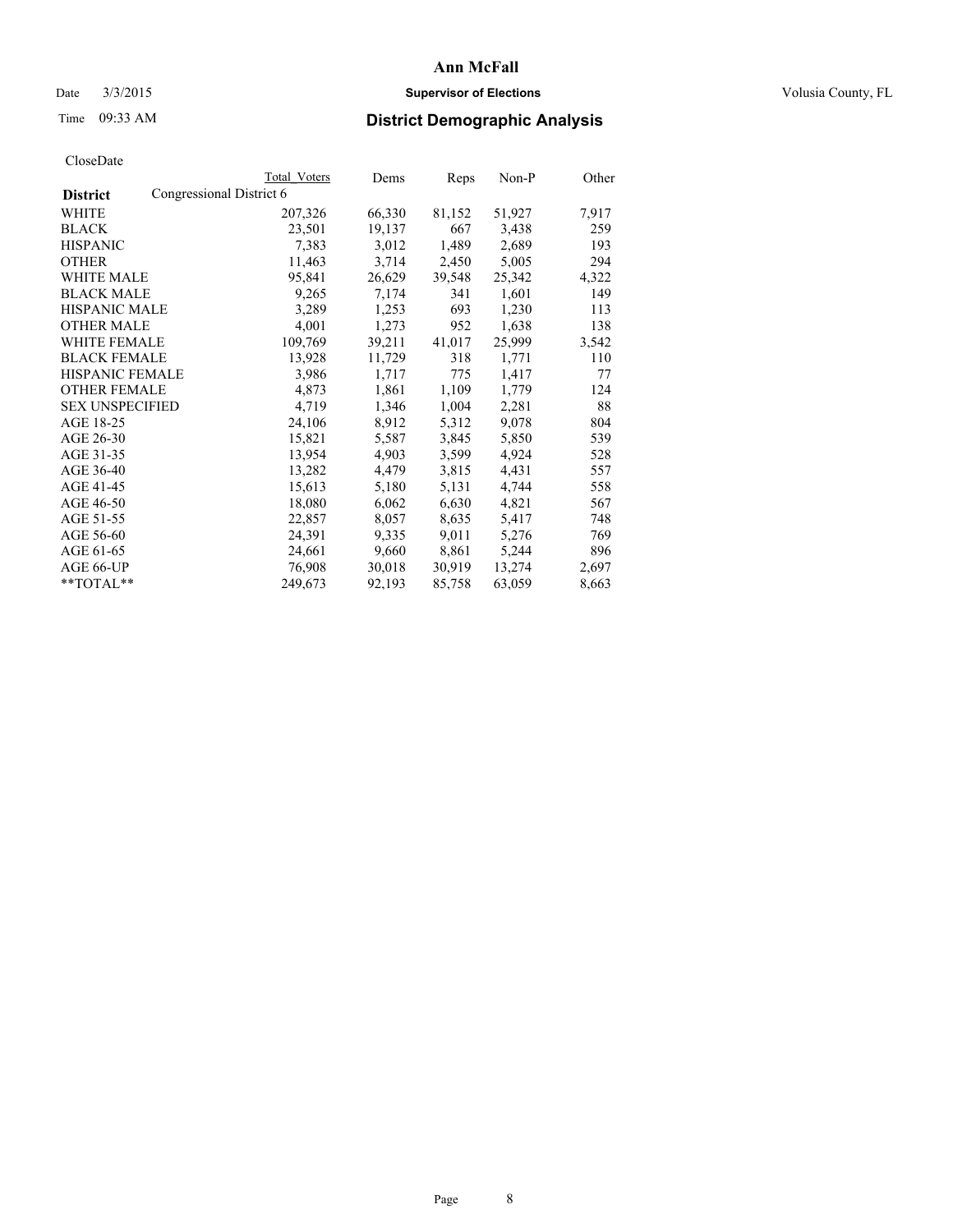## Date  $3/3/2015$  **Supervisor of Elections Supervisor of Elections** Volusia County, FL

# Time 09:33 AM **District Demographic Analysis**

|                        | Total Voters             | Dems   | Reps   | $Non-P$ | Other |
|------------------------|--------------------------|--------|--------|---------|-------|
| <b>District</b>        | Congressional District 6 |        |        |         |       |
| WHITE                  | 207,326                  | 66,330 | 81,152 | 51,927  | 7,917 |
| <b>BLACK</b>           | 23,501                   | 19,137 | 667    | 3,438   | 259   |
| <b>HISPANIC</b>        | 7.383                    | 3,012  | 1,489  | 2,689   | 193   |
| <b>OTHER</b>           | 11,463                   | 3,714  | 2,450  | 5,005   | 294   |
| <b>WHITE MALE</b>      | 95,841                   | 26,629 | 39,548 | 25,342  | 4,322 |
| <b>BLACK MALE</b>      | 9,265                    | 7,174  | 341    | 1,601   | 149   |
| <b>HISPANIC MALE</b>   | 3,289                    | 1,253  | 693    | 1,230   | 113   |
| <b>OTHER MALE</b>      | 4,001                    | 1,273  | 952    | 1,638   | 138   |
| WHITE FEMALE           | 109,769                  | 39,211 | 41,017 | 25,999  | 3,542 |
| <b>BLACK FEMALE</b>    | 13,928                   | 11,729 | 318    | 1,771   | 110   |
| <b>HISPANIC FEMALE</b> | 3,986                    | 1,717  | 775    | 1,417   | 77    |
| <b>OTHER FEMALE</b>    | 4,873                    | 1,861  | 1,109  | 1,779   | 124   |
| <b>SEX UNSPECIFIED</b> | 4,719                    | 1,346  | 1,004  | 2,281   | 88    |
| AGE 18-25              | 24,106                   | 8,912  | 5,312  | 9,078   | 804   |
| AGE 26-30              | 15,821                   | 5,587  | 3,845  | 5,850   | 539   |
| AGE 31-35              | 13,954                   | 4,903  | 3,599  | 4,924   | 528   |
| AGE 36-40              | 13,282                   | 4,479  | 3,815  | 4,431   | 557   |
| AGE 41-45              | 15,613                   | 5,180  | 5,131  | 4,744   | 558   |
| AGE 46-50              | 18,080                   | 6,062  | 6,630  | 4,821   | 567   |
| AGE 51-55              | 22,857                   | 8,057  | 8,635  | 5,417   | 748   |
| AGE 56-60              | 24,391                   | 9,335  | 9,011  | 5,276   | 769   |
| AGE 61-65              | 24,661                   | 9,660  | 8,861  | 5,244   | 896   |
| AGE 66-UP              | 76,908                   | 30,018 | 30,919 | 13,274  | 2,697 |
| **TOTAL**              | 249,673                  | 92,193 | 85,758 | 63,059  | 8,663 |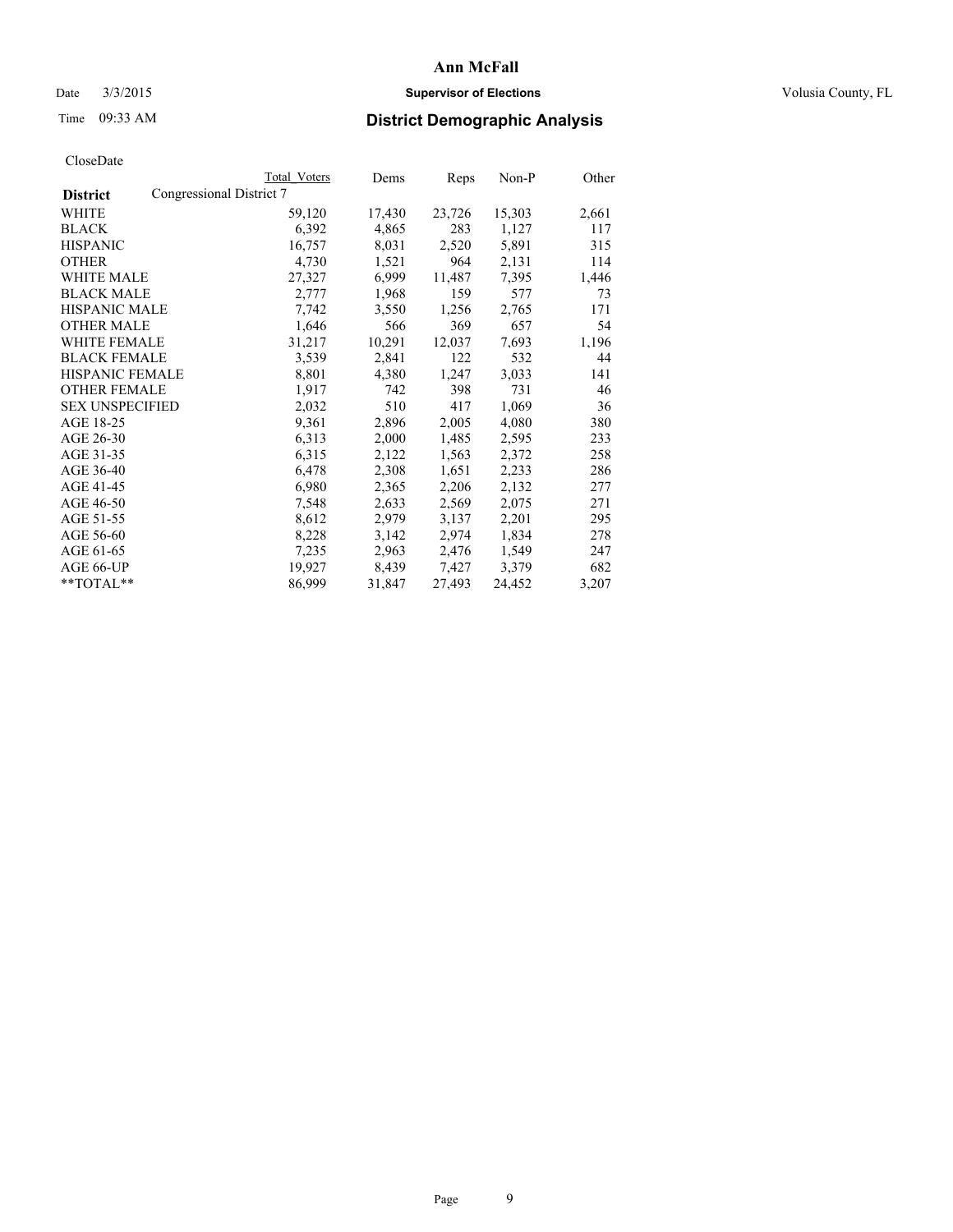## Date  $3/3/2015$  **Supervisor of Elections Supervisor of Elections** Volusia County, FL

# Time 09:33 AM **District Demographic Analysis**

|                                             | <b>Total Voters</b> | Dems   | Reps   | Non-P  | Other |
|---------------------------------------------|---------------------|--------|--------|--------|-------|
| Congressional District 7<br><b>District</b> |                     |        |        |        |       |
| WHITE                                       | 59,120              | 17,430 | 23,726 | 15,303 | 2,661 |
| <b>BLACK</b>                                | 6,392               | 4,865  | 283    | 1,127  | 117   |
| <b>HISPANIC</b>                             | 16,757              | 8,031  | 2,520  | 5,891  | 315   |
| <b>OTHER</b>                                | 4,730               | 1,521  | 964    | 2,131  | 114   |
| WHITE MALE                                  | 27,327              | 6,999  | 11,487 | 7,395  | 1,446 |
| <b>BLACK MALE</b>                           | 2,777               | 1,968  | 159    | 577    | 73    |
| <b>HISPANIC MALE</b>                        | 7,742               | 3,550  | 1,256  | 2,765  | 171   |
| <b>OTHER MALE</b>                           | 1,646               | 566    | 369    | 657    | 54    |
| <b>WHITE FEMALE</b>                         | 31,217              | 10,291 | 12,037 | 7,693  | 1,196 |
| <b>BLACK FEMALE</b>                         | 3.539               | 2,841  | 122    | 532    | 44    |
| <b>HISPANIC FEMALE</b>                      | 8,801               | 4,380  | 1,247  | 3,033  | 141   |
| <b>OTHER FEMALE</b>                         | 1,917               | 742    | 398    | 731    | 46    |
| <b>SEX UNSPECIFIED</b>                      | 2,032               | 510    | 417    | 1,069  | 36    |
| AGE 18-25                                   | 9,361               | 2,896  | 2,005  | 4,080  | 380   |
| AGE 26-30                                   | 6,313               | 2,000  | 1,485  | 2,595  | 233   |
| AGE 31-35                                   | 6,315               | 2,122  | 1,563  | 2,372  | 258   |
| AGE 36-40                                   | 6,478               | 2,308  | 1,651  | 2,233  | 286   |
| AGE 41-45                                   | 6,980               | 2,365  | 2,206  | 2,132  | 277   |
| AGE 46-50                                   | 7,548               | 2,633  | 2,569  | 2,075  | 271   |
| AGE 51-55                                   | 8,612               | 2,979  | 3,137  | 2,201  | 295   |
| AGE 56-60                                   | 8,228               | 3,142  | 2,974  | 1,834  | 278   |
| AGE 61-65                                   | 7,235               | 2,963  | 2,476  | 1,549  | 247   |
| AGE 66-UP                                   | 19,927              | 8,439  | 7,427  | 3,379  | 682   |
| **TOTAL**                                   | 86,999              | 31,847 | 27,493 | 24,452 | 3,207 |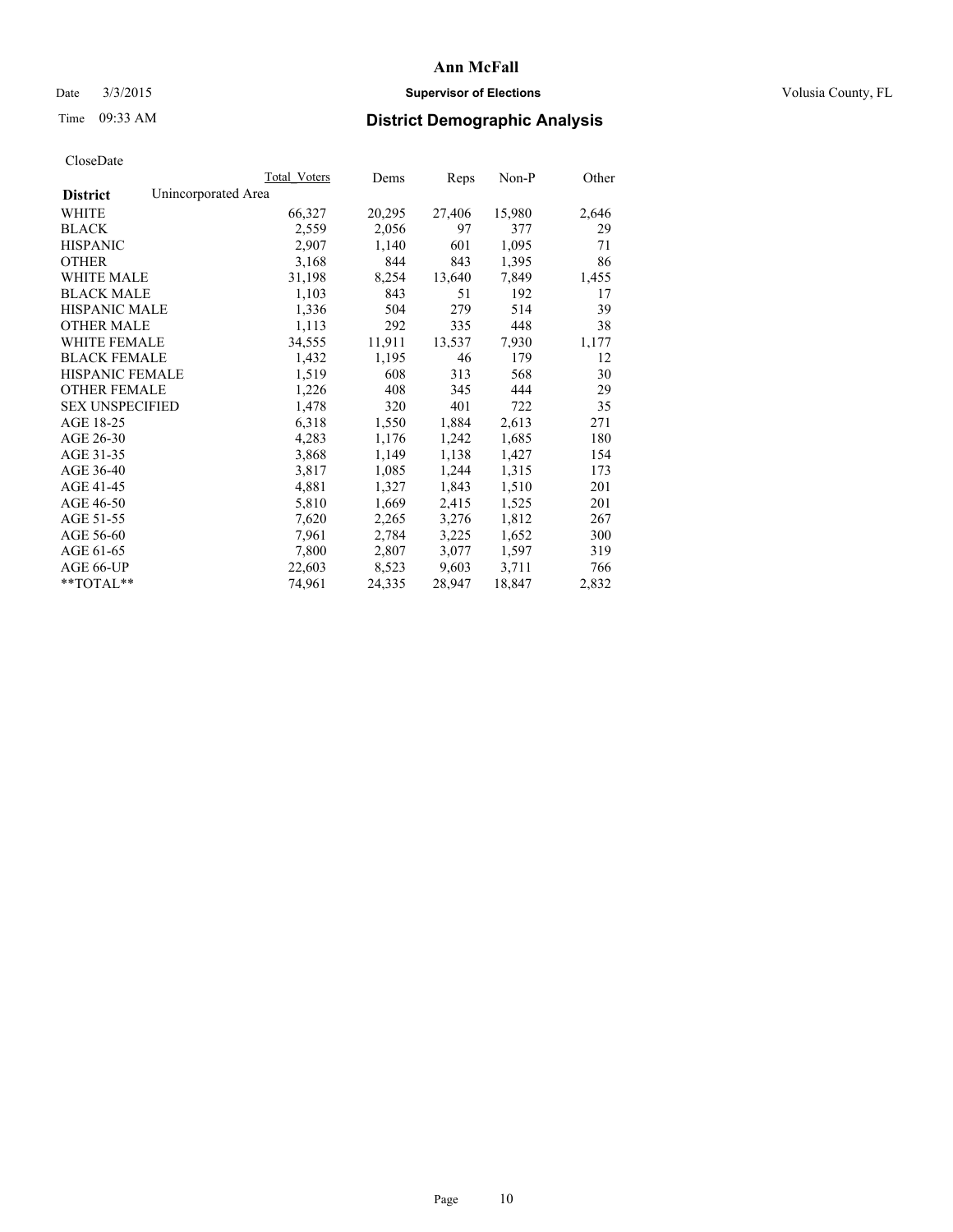## Date  $3/3/2015$  **Supervisor of Elections Supervisor of Elections** Volusia County, FL

# Time 09:33 AM **District Demographic Analysis**

|                        |                     | Total Voters | Dems   | Reps   | Non-P  | Other |
|------------------------|---------------------|--------------|--------|--------|--------|-------|
| <b>District</b>        | Unincorporated Area |              |        |        |        |       |
| WHITE                  |                     | 66,327       | 20,295 | 27,406 | 15,980 | 2,646 |
| <b>BLACK</b>           |                     | 2,559        | 2,056  | 97     | 377    | 29    |
| <b>HISPANIC</b>        |                     | 2,907        | 1,140  | 601    | 1,095  | 71    |
| <b>OTHER</b>           |                     | 3,168        | 844    | 843    | 1,395  | 86    |
| <b>WHITE MALE</b>      |                     | 31,198       | 8,254  | 13,640 | 7,849  | 1,455 |
| <b>BLACK MALE</b>      |                     | 1,103        | 843    | 51     | 192    | 17    |
| <b>HISPANIC MALE</b>   |                     | 1,336        | 504    | 279    | 514    | 39    |
| <b>OTHER MALE</b>      |                     | 1,113        | 292    | 335    | 448    | 38    |
| <b>WHITE FEMALE</b>    |                     | 34,555       | 11,911 | 13,537 | 7,930  | 1,177 |
| <b>BLACK FEMALE</b>    |                     | 1,432        | 1,195  | 46     | 179    | 12    |
| HISPANIC FEMALE        |                     | 1,519        | 608    | 313    | 568    | 30    |
| <b>OTHER FEMALE</b>    |                     | 1,226        | 408    | 345    | 444    | 29    |
| <b>SEX UNSPECIFIED</b> |                     | 1,478        | 320    | 401    | 722    | 35    |
| AGE 18-25              |                     | 6,318        | 1,550  | 1,884  | 2,613  | 271   |
| AGE 26-30              |                     | 4,283        | 1,176  | 1,242  | 1,685  | 180   |
| AGE 31-35              |                     | 3,868        | 1,149  | 1,138  | 1,427  | 154   |
| AGE 36-40              |                     | 3,817        | 1,085  | 1,244  | 1,315  | 173   |
| AGE 41-45              |                     | 4,881        | 1,327  | 1,843  | 1,510  | 201   |
| AGE 46-50              |                     | 5,810        | 1,669  | 2,415  | 1,525  | 201   |
| AGE 51-55              |                     | 7,620        | 2,265  | 3,276  | 1,812  | 267   |
| AGE 56-60              |                     | 7,961        | 2,784  | 3,225  | 1,652  | 300   |
| AGE 61-65              |                     | 7,800        | 2,807  | 3,077  | 1,597  | 319   |
| AGE 66-UP              |                     | 22,603       | 8,523  | 9,603  | 3,711  | 766   |
| $*$ $TOTAL**$          |                     | 74,961       | 24,335 | 28,947 | 18,847 | 2,832 |
|                        |                     |              |        |        |        |       |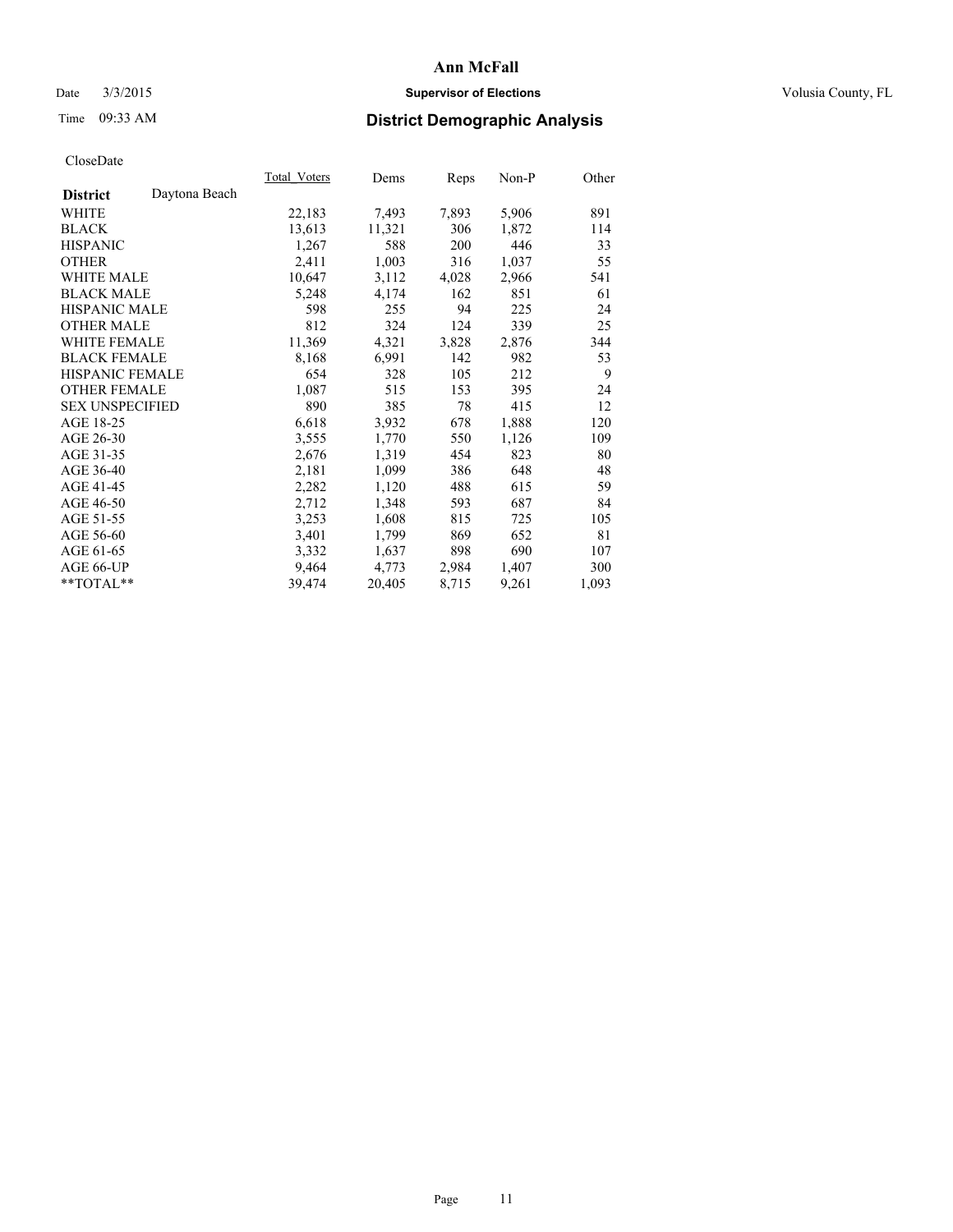## Date  $3/3/2015$  **Supervisor of Elections Supervisor of Elections** Volusia County, FL

# Time 09:33 AM **District Demographic Analysis**

|                                  | Total Voters | Dems   | Reps  | $Non-P$ | Other |
|----------------------------------|--------------|--------|-------|---------|-------|
| Daytona Beach<br><b>District</b> |              |        |       |         |       |
| WHITE                            | 22,183       | 7,493  | 7,893 | 5,906   | 891   |
| <b>BLACK</b>                     | 13,613       | 11,321 | 306   | 1,872   | 114   |
| <b>HISPANIC</b>                  | 1,267        | 588    | 200   | 446     | 33    |
| <b>OTHER</b>                     | 2,411        | 1,003  | 316   | 1,037   | 55    |
| WHITE MALE                       | 10,647       | 3,112  | 4,028 | 2,966   | 541   |
| <b>BLACK MALE</b>                | 5,248        | 4,174  | 162   | 851     | 61    |
| <b>HISPANIC MALE</b>             | 598          | 255    | 94    | 225     | 24    |
| <b>OTHER MALE</b>                | 812          | 324    | 124   | 339     | 25    |
| <b>WHITE FEMALE</b>              | 11,369       | 4,321  | 3,828 | 2,876   | 344   |
| <b>BLACK FEMALE</b>              | 8,168        | 6,991  | 142   | 982     | 53    |
| HISPANIC FEMALE                  | 654          | 328    | 105   | 212     | 9     |
| <b>OTHER FEMALE</b>              | 1,087        | 515    | 153   | 395     | 24    |
| <b>SEX UNSPECIFIED</b>           | 890          | 385    | 78    | 415     | 12    |
| AGE 18-25                        | 6,618        | 3,932  | 678   | 1,888   | 120   |
| AGE 26-30                        | 3,555        | 1,770  | 550   | 1,126   | 109   |
| AGE 31-35                        | 2,676        | 1,319  | 454   | 823     | 80    |
| AGE 36-40                        | 2,181        | 1,099  | 386   | 648     | 48    |
| AGE 41-45                        | 2,282        | 1,120  | 488   | 615     | 59    |
| AGE 46-50                        | 2,712        | 1,348  | 593   | 687     | 84    |
| AGE 51-55                        | 3,253        | 1,608  | 815   | 725     | 105   |
| AGE 56-60                        | 3,401        | 1,799  | 869   | 652     | 81    |
| AGE 61-65                        | 3,332        | 1,637  | 898   | 690     | 107   |
| AGE 66-UP                        | 9,464        | 4,773  | 2,984 | 1,407   | 300   |
| $*$ TOTAL $*$                    | 39,474       | 20,405 | 8,715 | 9,261   | 1,093 |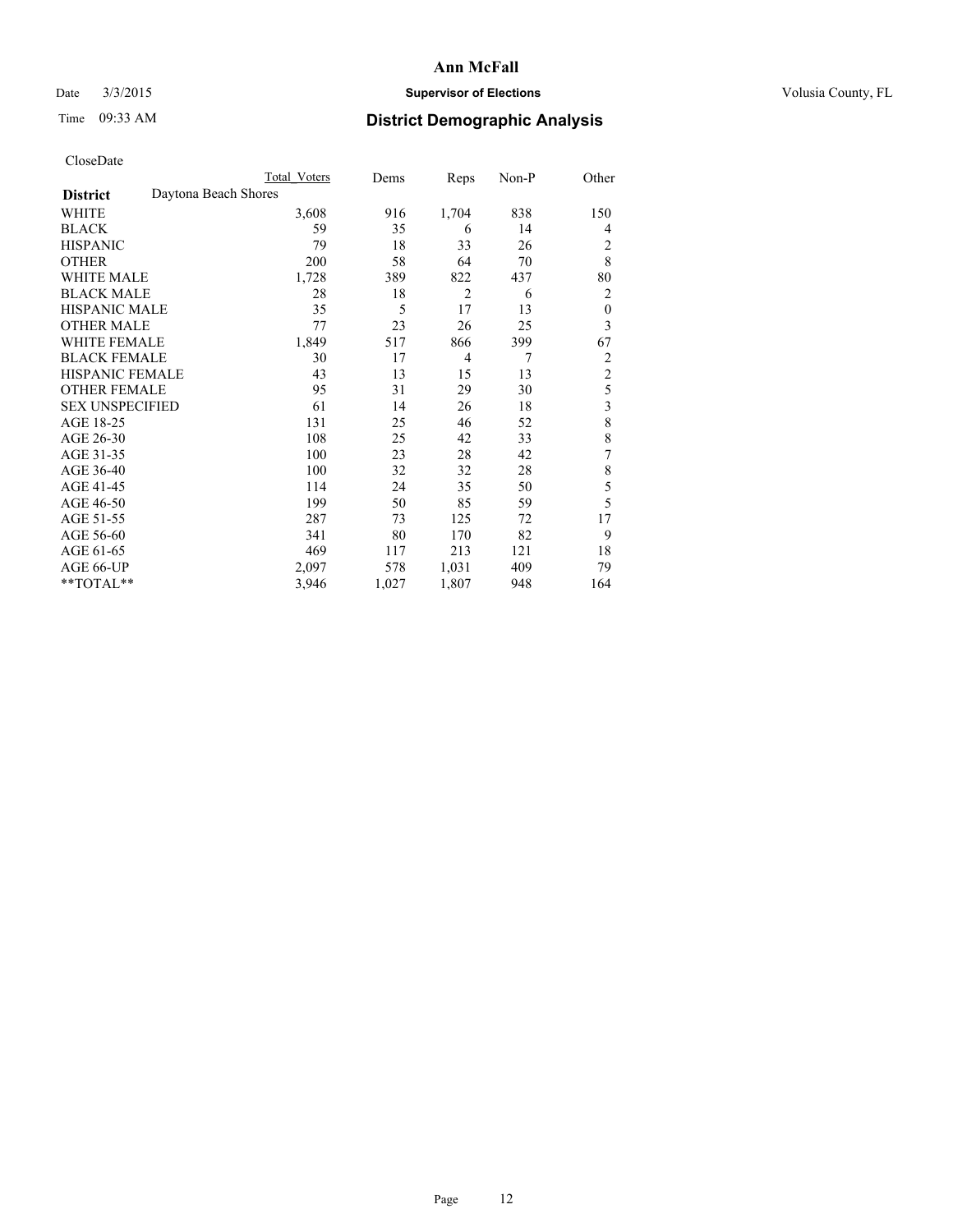## Date  $3/3/2015$  **Supervisor of Elections Supervisor of Elections** Volusia County, FL

# Time 09:33 AM **District Demographic Analysis**

|                        | Total Voters         | Dems  | Reps           | Non-P | Other            |
|------------------------|----------------------|-------|----------------|-------|------------------|
| <b>District</b>        | Daytona Beach Shores |       |                |       |                  |
| WHITE                  | 3,608                | 916   | 1,704          | 838   | 150              |
| <b>BLACK</b>           | 59                   | 35    | 6              | 14    | 4                |
| <b>HISPANIC</b>        | 79                   | 18    | 33             | 26    | 2                |
| <b>OTHER</b>           | 200                  | 58    | 64             | 70    | 8                |
| WHITE MALE             | 1,728                | 389   | 822            | 437   | 80               |
| <b>BLACK MALE</b>      | 28                   | 18    | $\overline{2}$ | 6     | 2                |
| <b>HISPANIC MALE</b>   | 35                   | 5     | 17             | 13    | $\boldsymbol{0}$ |
| <b>OTHER MALE</b>      | 77                   | 23    | 26             | 25    | 3                |
| WHITE FEMALE           | 1,849                | 517   | 866            | 399   | 67               |
| <b>BLACK FEMALE</b>    | 30                   | 17    | $\overline{4}$ | 7     | 2                |
| <b>HISPANIC FEMALE</b> | 43                   | 13    | 15             | 13    | $\overline{c}$   |
| <b>OTHER FEMALE</b>    | 95                   | 31    | 29             | 30    | 5                |
| <b>SEX UNSPECIFIED</b> | 61                   | 14    | 26             | 18    | 3                |
| AGE 18-25              | 131                  | 25    | 46             | 52    | 8                |
| AGE 26-30              | 108                  | 25    | 42             | 33    | 8                |
| AGE 31-35              | 100                  | 23    | 28             | 42    | 7                |
| AGE 36-40              | 100                  | 32    | 32             | 28    | 8                |
| AGE 41-45              | 114                  | 24    | 35             | 50    | 5                |
| AGE 46-50              | 199                  | 50    | 85             | 59    | 5                |
| AGE 51-55              | 287                  | 73    | 125            | 72    | 17               |
| AGE 56-60              | 341                  | 80    | 170            | 82    | 9                |
| AGE 61-65              | 469                  | 117   | 213            | 121   | 18               |
| AGE 66-UP              | 2,097                | 578   | 1,031          | 409   | 79               |
| **TOTAL**              | 3,946                | 1,027 | 1,807          | 948   | 164              |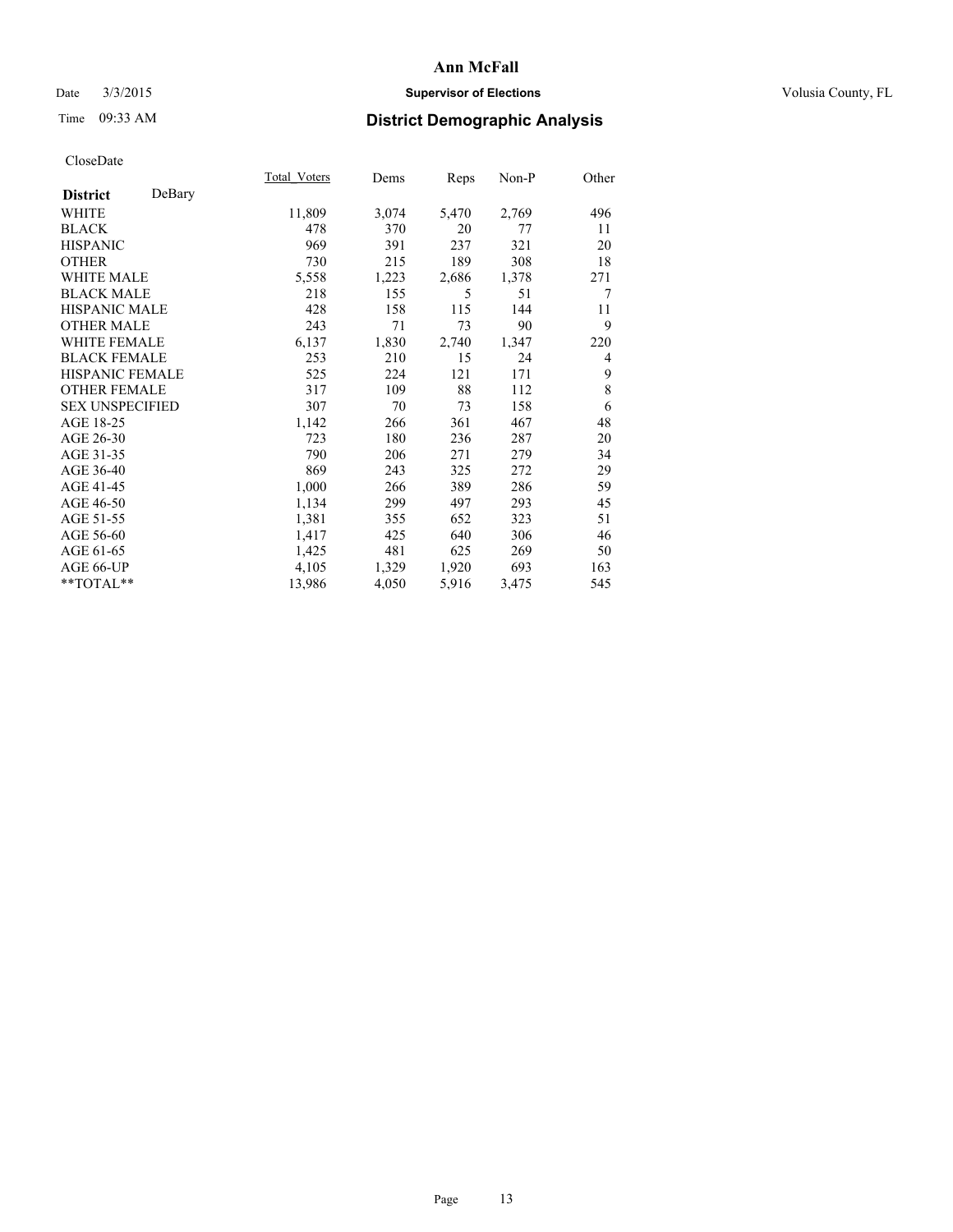## Date  $3/3/2015$  **Supervisor of Elections Supervisor of Elections** Volusia County, FL

# Time 09:33 AM **District Demographic Analysis**

|                           | Total Voters | Dems  | Reps  | Non-P | Other |
|---------------------------|--------------|-------|-------|-------|-------|
| DeBary<br><b>District</b> |              |       |       |       |       |
| WHITE                     | 11,809       | 3,074 | 5,470 | 2,769 | 496   |
| <b>BLACK</b>              | 478          | 370   | 20    | 77    | 11    |
| <b>HISPANIC</b>           | 969          | 391   | 237   | 321   | 20    |
| <b>OTHER</b>              | 730          | 215   | 189   | 308   | 18    |
| WHITE MALE                | 5,558        | 1,223 | 2,686 | 1,378 | 271   |
| <b>BLACK MALE</b>         | 218          | 155   | 5     | 51    | 7     |
| <b>HISPANIC MALE</b>      | 428          | 158   | 115   | 144   | 11    |
| <b>OTHER MALE</b>         | 243          | 71    | 73    | 90    | 9     |
| WHITE FEMALE              | 6,137        | 1,830 | 2,740 | 1,347 | 220   |
| <b>BLACK FEMALE</b>       | 253          | 210   | 15    | 24    | 4     |
| <b>HISPANIC FEMALE</b>    | 525          | 224   | 121   | 171   | 9     |
| <b>OTHER FEMALE</b>       | 317          | 109   | 88    | 112   | 8     |
| <b>SEX UNSPECIFIED</b>    | 307          | 70    | 73    | 158   | 6     |
| AGE 18-25                 | 1,142        | 266   | 361   | 467   | 48    |
| AGE 26-30                 | 723          | 180   | 236   | 287   | 20    |
| AGE 31-35                 | 790          | 206   | 271   | 279   | 34    |
| AGE 36-40                 | 869          | 243   | 325   | 272   | 29    |
| AGE 41-45                 | 1,000        | 266   | 389   | 286   | 59    |
| AGE 46-50                 | 1,134        | 299   | 497   | 293   | 45    |
| AGE 51-55                 | 1,381        | 355   | 652   | 323   | 51    |
| AGE 56-60                 | 1,417        | 425   | 640   | 306   | 46    |
| AGE 61-65                 | 1,425        | 481   | 625   | 269   | 50    |
| AGE 66-UP                 | 4,105        | 1,329 | 1,920 | 693   | 163   |
| **TOTAL**                 | 13,986       | 4,050 | 5,916 | 3,475 | 545   |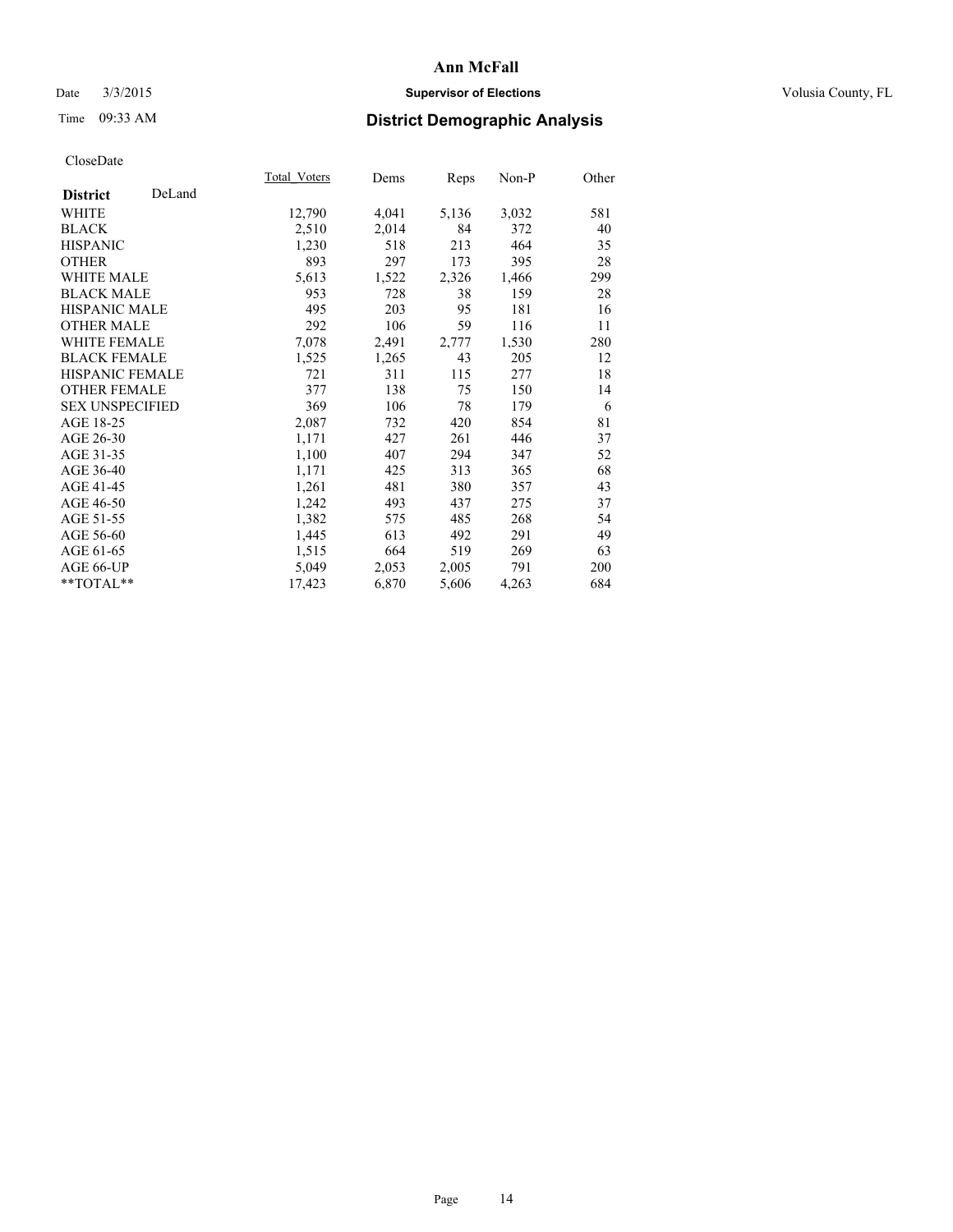## Date  $3/3/2015$  **Supervisor of Elections Supervisor of Elections** Volusia County, FL

# Time 09:33 AM **District Demographic Analysis**

|                           | Total Voters | Dems  | <b>Reps</b> | Non-P | Other |
|---------------------------|--------------|-------|-------------|-------|-------|
| DeLand<br><b>District</b> |              |       |             |       |       |
| WHITE                     | 12,790       | 4,041 | 5,136       | 3,032 | 581   |
| <b>BLACK</b>              | 2,510        | 2,014 | 84          | 372   | 40    |
| <b>HISPANIC</b>           | 1,230        | 518   | 213         | 464   | 35    |
| <b>OTHER</b>              | 893          | 297   | 173         | 395   | 28    |
| <b>WHITE MALE</b>         | 5,613        | 1,522 | 2,326       | 1,466 | 299   |
| <b>BLACK MALE</b>         | 953          | 728   | 38          | 159   | 28    |
| <b>HISPANIC MALE</b>      | 495          | 203   | 95          | 181   | 16    |
| <b>OTHER MALE</b>         | 292          | 106   | 59          | 116   | 11    |
| <b>WHITE FEMALE</b>       | 7,078        | 2,491 | 2,777       | 1,530 | 280   |
| <b>BLACK FEMALE</b>       | 1,525        | 1,265 | 43          | 205   | 12    |
| <b>HISPANIC FEMALE</b>    | 721          | 311   | 115         | 277   | 18    |
| <b>OTHER FEMALE</b>       | 377          | 138   | 75          | 150   | 14    |
| <b>SEX UNSPECIFIED</b>    | 369          | 106   | 78          | 179   | 6     |
| AGE 18-25                 | 2,087        | 732   | 420         | 854   | 81    |
| AGE 26-30                 | 1,171        | 427   | 261         | 446   | 37    |
| AGE 31-35                 | 1,100        | 407   | 294         | 347   | 52    |
| AGE 36-40                 | 1,171        | 425   | 313         | 365   | 68    |
| AGE 41-45                 | 1,261        | 481   | 380         | 357   | 43    |
| AGE 46-50                 | 1,242        | 493   | 437         | 275   | 37    |
| AGE 51-55                 | 1,382        | 575   | 485         | 268   | 54    |
| AGE 56-60                 | 1,445        | 613   | 492         | 291   | 49    |
| AGE 61-65                 | 1,515        | 664   | 519         | 269   | 63    |
| AGE 66-UP                 | 5,049        | 2,053 | 2,005       | 791   | 200   |
| $*$ $TOTAL**$             | 17,423       | 6,870 | 5,606       | 4,263 | 684   |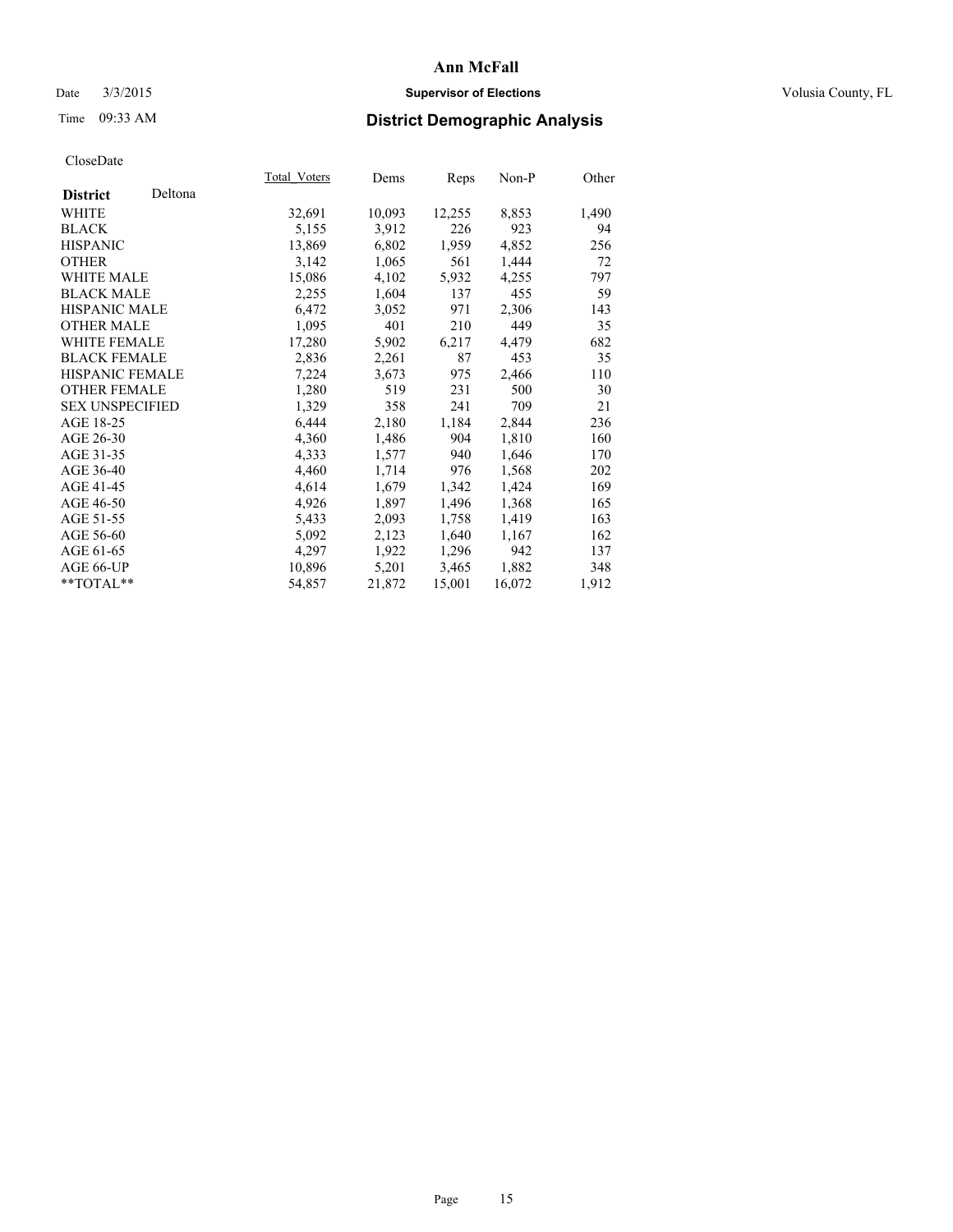## Date  $3/3/2015$  **Supervisor of Elections Supervisor of Elections** Volusia County, FL

# Time 09:33 AM **District Demographic Analysis**

|                        |         | Total Voters | Dems   | Reps   | $Non-P$ | Other |
|------------------------|---------|--------------|--------|--------|---------|-------|
| <b>District</b>        | Deltona |              |        |        |         |       |
| WHITE                  |         | 32,691       | 10,093 | 12,255 | 8,853   | 1,490 |
| <b>BLACK</b>           |         | 5,155        | 3,912  | 226    | 923     | 94    |
| <b>HISPANIC</b>        |         | 13,869       | 6,802  | 1,959  | 4,852   | 256   |
| <b>OTHER</b>           |         | 3,142        | 1,065  | 561    | 1,444   | 72    |
| WHITE MALE             |         | 15,086       | 4,102  | 5,932  | 4,255   | 797   |
| <b>BLACK MALE</b>      |         | 2,255        | 1,604  | 137    | 455     | 59    |
| <b>HISPANIC MALE</b>   |         | 6,472        | 3,052  | 971    | 2,306   | 143   |
| <b>OTHER MALE</b>      |         | 1,095        | 401    | 210    | 449     | 35    |
| <b>WHITE FEMALE</b>    |         | 17,280       | 5,902  | 6,217  | 4,479   | 682   |
| <b>BLACK FEMALE</b>    |         | 2,836        | 2,261  | 87     | 453     | 35    |
| HISPANIC FEMALE        |         | 7,224        | 3,673  | 975    | 2,466   | 110   |
| <b>OTHER FEMALE</b>    |         | 1,280        | 519    | 231    | 500     | 30    |
| <b>SEX UNSPECIFIED</b> |         | 1,329        | 358    | 241    | 709     | 21    |
| AGE 18-25              |         | 6,444        | 2,180  | 1,184  | 2,844   | 236   |
| AGE 26-30              |         | 4,360        | 1,486  | 904    | 1,810   | 160   |
| AGE 31-35              |         | 4,333        | 1,577  | 940    | 1,646   | 170   |
| AGE 36-40              |         | 4,460        | 1,714  | 976    | 1,568   | 202   |
| AGE 41-45              |         | 4,614        | 1,679  | 1,342  | 1,424   | 169   |
| AGE 46-50              |         | 4,926        | 1,897  | 1,496  | 1,368   | 165   |
| AGE 51-55              |         | 5,433        | 2,093  | 1,758  | 1,419   | 163   |
| AGE 56-60              |         | 5,092        | 2,123  | 1,640  | 1,167   | 162   |
| AGE 61-65              |         | 4,297        | 1,922  | 1,296  | 942     | 137   |
| AGE 66-UP              |         | 10,896       | 5,201  | 3,465  | 1,882   | 348   |
| $*$ $TOTAL**$          |         | 54,857       | 21,872 | 15,001 | 16,072  | 1,912 |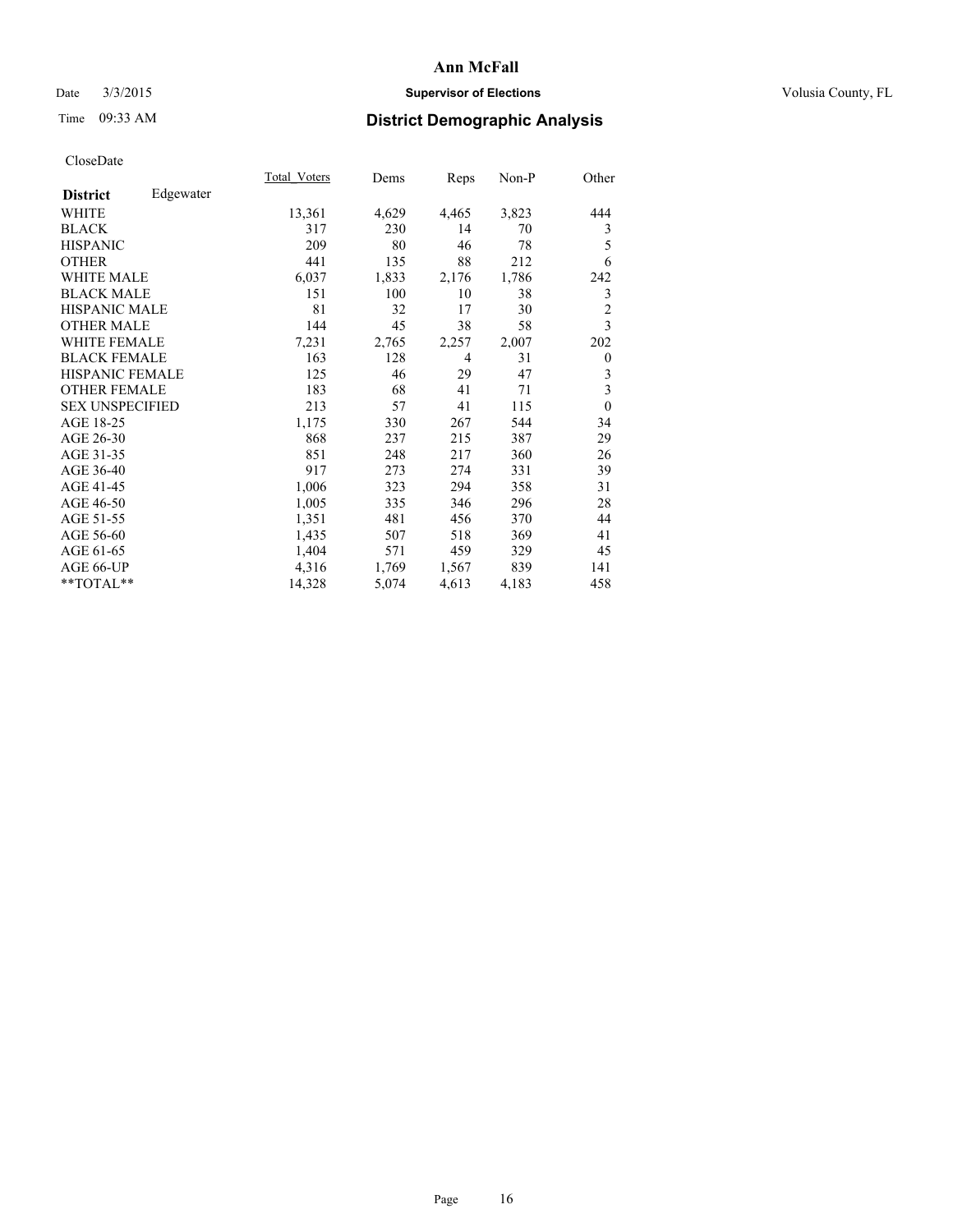## Date  $3/3/2015$  **Supervisor of Elections Supervisor of Elections** Volusia County, FL

# Time 09:33 AM **District Demographic Analysis**

|                              | Total Voters | Dems  | <b>Reps</b>    | Non-P | Other                   |
|------------------------------|--------------|-------|----------------|-------|-------------------------|
| Edgewater<br><b>District</b> |              |       |                |       |                         |
| WHITE                        | 13,361       | 4,629 | 4,465          | 3,823 | 444                     |
| <b>BLACK</b>                 | 317          | 230   | 14             | 70    | 3                       |
| <b>HISPANIC</b>              | 209          | 80    | 46             | 78    | 5                       |
| <b>OTHER</b>                 | 441          | 135   | 88             | 212   | 6                       |
| <b>WHITE MALE</b>            | 6,037        | 1,833 | 2,176          | 1,786 | 242                     |
| <b>BLACK MALE</b>            | 151          | 100   | 10             | 38    | 3                       |
| <b>HISPANIC MALE</b>         | 81           | 32    | 17             | 30    | $\overline{c}$          |
| <b>OTHER MALE</b>            | 144          | 45    | 38             | 58    | $\overline{3}$          |
| <b>WHITE FEMALE</b>          | 7,231        | 2,765 | 2,257          | 2,007 | 202                     |
| <b>BLACK FEMALE</b>          | 163          | 128   | $\overline{4}$ | 31    | $\theta$                |
| <b>HISPANIC FEMALE</b>       | 125          | 46    | 29             | 47    | 3                       |
| <b>OTHER FEMALE</b>          | 183          | 68    | 41             | 71    | $\overline{\mathbf{3}}$ |
| <b>SEX UNSPECIFIED</b>       | 213          | 57    | 41             | 115   | $\mathbf{0}$            |
| AGE 18-25                    | 1,175        | 330   | 267            | 544   | 34                      |
| AGE 26-30                    | 868          | 237   | 215            | 387   | 29                      |
| AGE 31-35                    | 851          | 248   | 217            | 360   | 26                      |
| AGE 36-40                    | 917          | 273   | 274            | 331   | 39                      |
| AGE 41-45                    | 1,006        | 323   | 294            | 358   | 31                      |
| AGE 46-50                    | 1,005        | 335   | 346            | 296   | 28                      |
| AGE 51-55                    | 1,351        | 481   | 456            | 370   | 44                      |
| AGE 56-60                    | 1,435        | 507   | 518            | 369   | 41                      |
| AGE 61-65                    | 1,404        | 571   | 459            | 329   | 45                      |
| AGE 66-UP                    | 4,316        | 1,769 | 1,567          | 839   | 141                     |
| **TOTAL**                    | 14,328       | 5,074 | 4,613          | 4,183 | 458                     |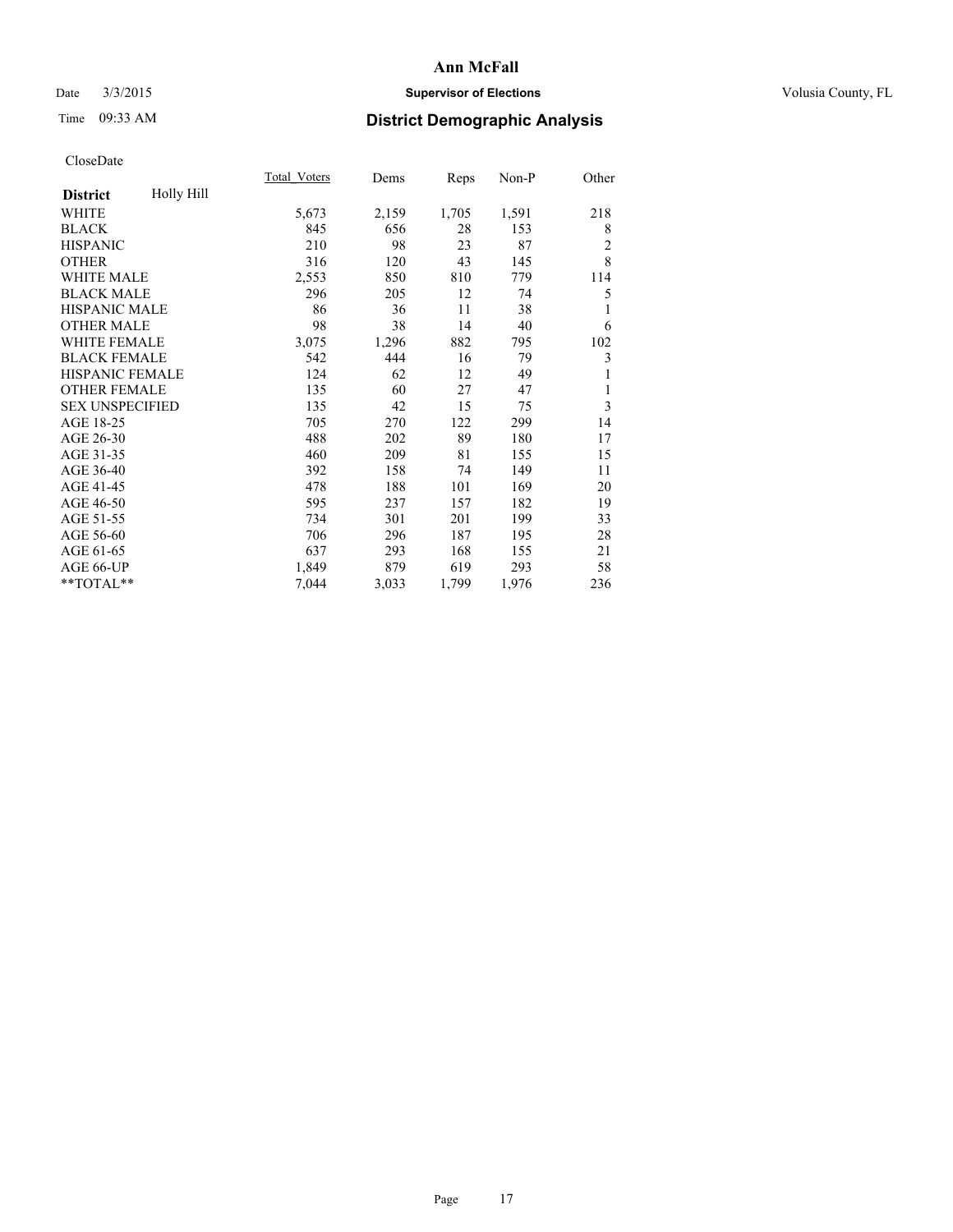## Date  $3/3/2015$  **Supervisor of Elections Supervisor of Elections** Volusia County, FL

# Time 09:33 AM **District Demographic Analysis**

|                        |            | Total Voters | Dems  | Reps  | Non-P | Other          |
|------------------------|------------|--------------|-------|-------|-------|----------------|
| <b>District</b>        | Holly Hill |              |       |       |       |                |
| WHITE                  |            | 5,673        | 2,159 | 1,705 | 1,591 | 218            |
| <b>BLACK</b>           |            | 845          | 656   | 28    | 153   | 8              |
| <b>HISPANIC</b>        |            | 210          | 98    | 23    | 87    | $\overline{c}$ |
| <b>OTHER</b>           |            | 316          | 120   | 43    | 145   | 8              |
| <b>WHITE MALE</b>      |            | 2,553        | 850   | 810   | 779   | 114            |
| <b>BLACK MALE</b>      |            | 296          | 205   | 12    | 74    | 5              |
| <b>HISPANIC MALE</b>   |            | 86           | 36    | 11    | 38    | 1              |
| <b>OTHER MALE</b>      |            | 98           | 38    | 14    | 40    | 6              |
| WHITE FEMALE           |            | 3,075        | 1,296 | 882   | 795   | 102            |
| <b>BLACK FEMALE</b>    |            | 542          | 444   | 16    | 79    | 3              |
| <b>HISPANIC FEMALE</b> |            | 124          | 62    | 12    | 49    | 1              |
| <b>OTHER FEMALE</b>    |            | 135          | 60    | 27    | 47    | 1              |
| <b>SEX UNSPECIFIED</b> |            | 135          | 42    | 15    | 75    | 3              |
| AGE 18-25              |            | 705          | 270   | 122   | 299   | 14             |
| AGE 26-30              |            | 488          | 202   | 89    | 180   | 17             |
| AGE 31-35              |            | 460          | 209   | 81    | 155   | 15             |
| AGE 36-40              |            | 392          | 158   | 74    | 149   | 11             |
| AGE 41-45              |            | 478          | 188   | 101   | 169   | 20             |
| AGE 46-50              |            | 595          | 237   | 157   | 182   | 19             |
| AGE 51-55              |            | 734          | 301   | 201   | 199   | 33             |
| AGE 56-60              |            | 706          | 296   | 187   | 195   | 28             |
| AGE 61-65              |            | 637          | 293   | 168   | 155   | 21             |
| AGE 66-UP              |            | 1,849        | 879   | 619   | 293   | 58             |
| **TOTAL**              |            | 7,044        | 3,033 | 1,799 | 1,976 | 236            |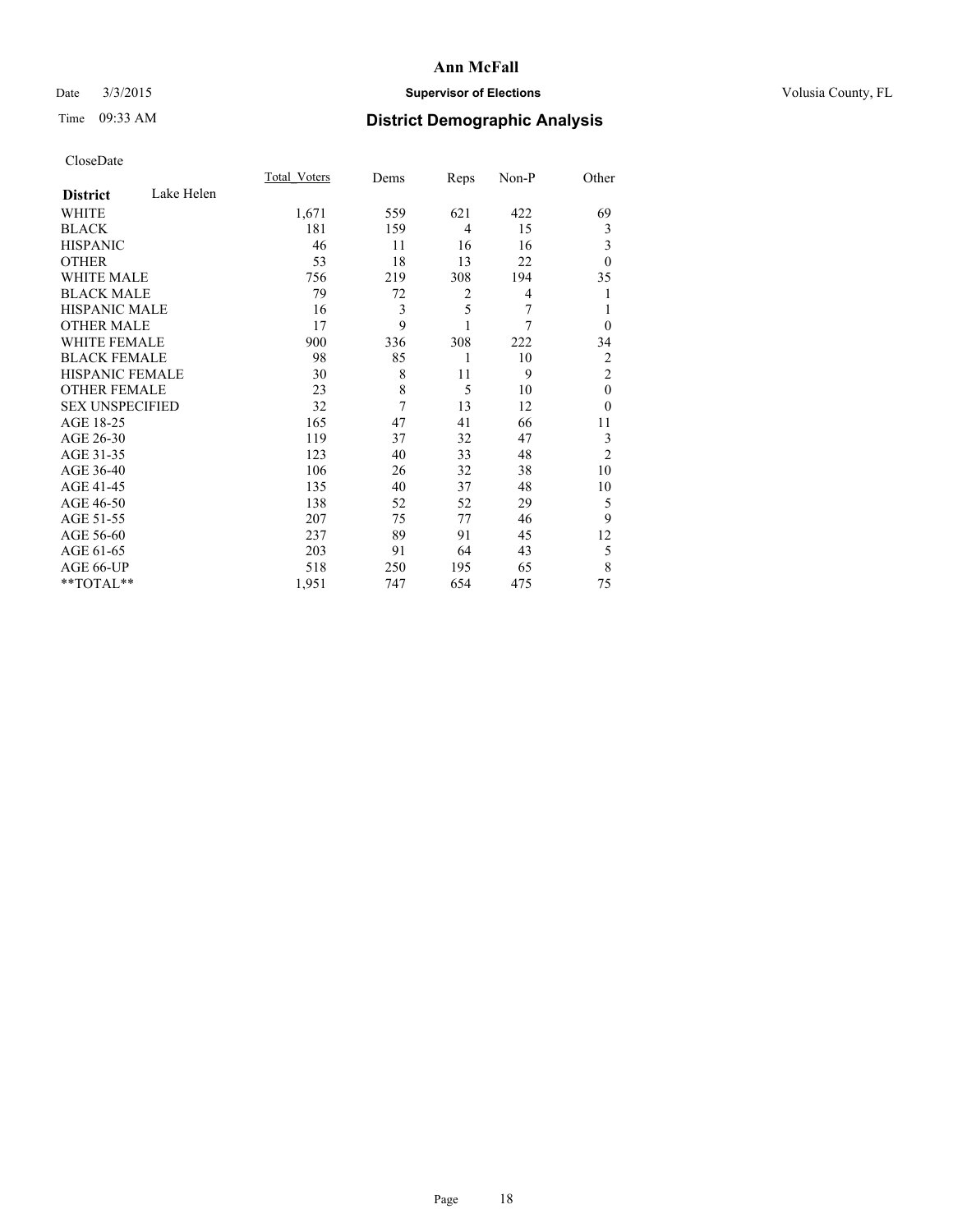## Date  $3/3/2015$  **Supervisor of Elections Supervisor of Elections** Volusia County, FL

# Time 09:33 AM **District Demographic Analysis**

|                        |            | <b>Total Voters</b> | Dems | Reps | Non-P | Other          |
|------------------------|------------|---------------------|------|------|-------|----------------|
| <b>District</b>        | Lake Helen |                     |      |      |       |                |
| WHITE                  |            | 1,671               | 559  | 621  | 422   | 69             |
| <b>BLACK</b>           |            | 181                 | 159  | 4    | 15    | 3              |
| <b>HISPANIC</b>        |            | 46                  | 11   | 16   | 16    | 3              |
| <b>OTHER</b>           |            | 53                  | 18   | 13   | 22    | $\theta$       |
| WHITE MALE             |            | 756                 | 219  | 308  | 194   | 35             |
| <b>BLACK MALE</b>      |            | 79                  | 72   | 2    | 4     | 1              |
| <b>HISPANIC MALE</b>   |            | 16                  | 3    | 5    | 7     | 1              |
| <b>OTHER MALE</b>      |            | 17                  | 9    | 1    | 7     | $\theta$       |
| <b>WHITE FEMALE</b>    |            | 900                 | 336  | 308  | 222   | 34             |
| <b>BLACK FEMALE</b>    |            | 98                  | 85   | 1    | 10    | 2              |
| <b>HISPANIC FEMALE</b> |            | 30                  | 8    | 11   | 9     | $\overline{2}$ |
| <b>OTHER FEMALE</b>    |            | 23                  | 8    | 5    | 10    | $\theta$       |
| <b>SEX UNSPECIFIED</b> |            | 32                  | 7    | 13   | 12    | $\theta$       |
| AGE 18-25              |            | 165                 | 47   | 41   | 66    | 11             |
| AGE 26-30              |            | 119                 | 37   | 32   | 47    | 3              |
| AGE 31-35              |            | 123                 | 40   | 33   | 48    | $\overline{2}$ |
| AGE 36-40              |            | 106                 | 26   | 32   | 38    | 10             |
| AGE 41-45              |            | 135                 | 40   | 37   | 48    | 10             |
| AGE 46-50              |            | 138                 | 52   | 52   | 29    | 5              |
| AGE 51-55              |            | 207                 | 75   | 77   | 46    | 9              |
| AGE 56-60              |            | 237                 | 89   | 91   | 45    | 12             |
| AGE 61-65              |            | 203                 | 91   | 64   | 43    | 5              |
| AGE 66-UP              |            | 518                 | 250  | 195  | 65    | 8              |
| **TOTAL**              |            | 1,951               | 747  | 654  | 475   | 75             |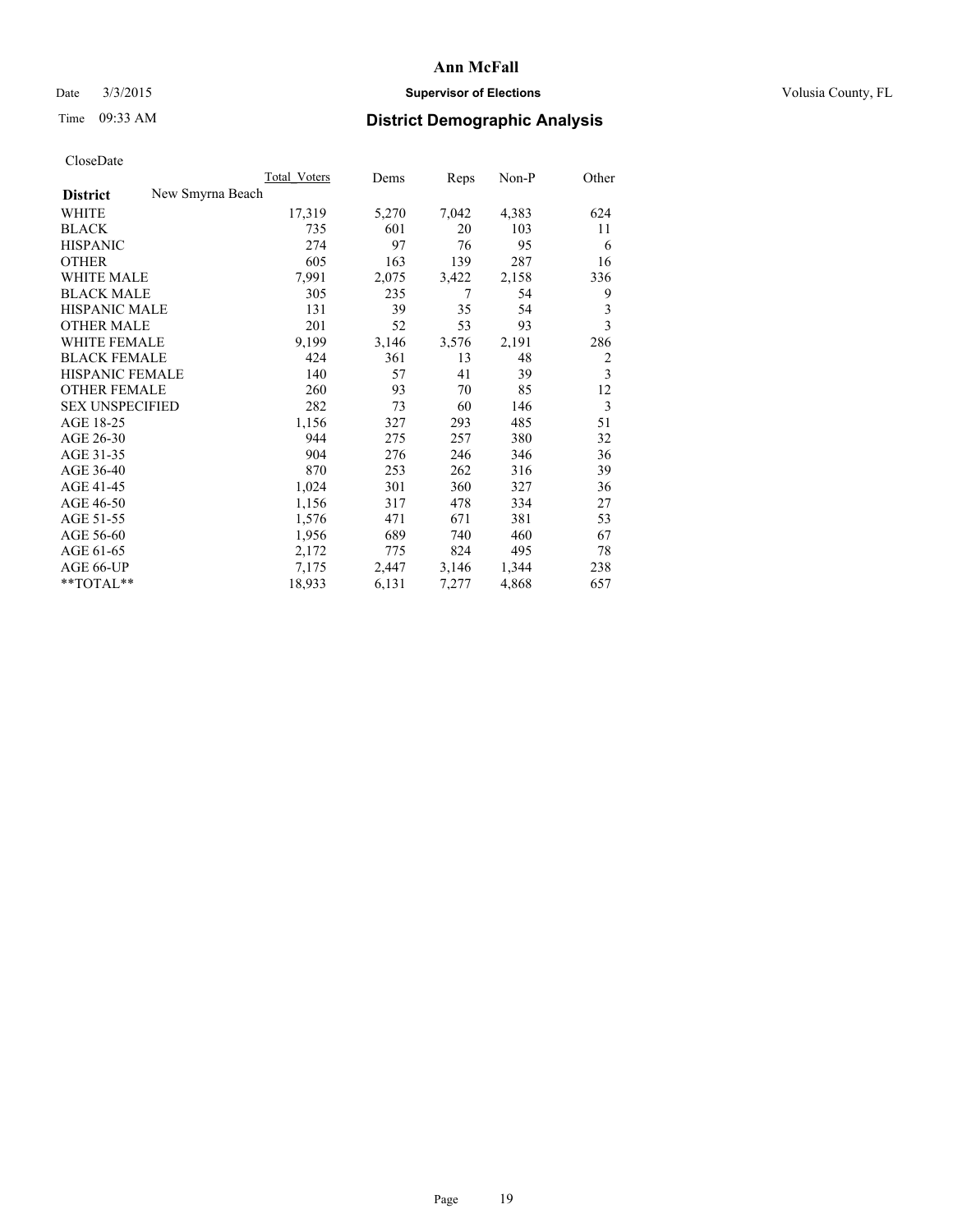## Date  $3/3/2015$  **Supervisor of Elections Supervisor of Elections** Volusia County, FL

# Time 09:33 AM **District Demographic Analysis**

|                        |                  | Total Voters | Dems  | Reps  | Non-P | Other |
|------------------------|------------------|--------------|-------|-------|-------|-------|
| <b>District</b>        | New Smyrna Beach |              |       |       |       |       |
| WHITE                  |                  | 17,319       | 5,270 | 7,042 | 4,383 | 624   |
| <b>BLACK</b>           |                  | 735          | 601   | 20    | 103   | 11    |
| <b>HISPANIC</b>        |                  | 274          | 97    | 76    | 95    | 6     |
| <b>OTHER</b>           |                  | 605          | 163   | 139   | 287   | 16    |
| <b>WHITE MALE</b>      |                  | 7,991        | 2,075 | 3,422 | 2,158 | 336   |
| <b>BLACK MALE</b>      |                  | 305          | 235   | 7     | 54    | 9     |
| <b>HISPANIC MALE</b>   |                  | 131          | 39    | 35    | 54    | 3     |
| <b>OTHER MALE</b>      |                  | 201          | 52    | 53    | 93    | 3     |
| <b>WHITE FEMALE</b>    |                  | 9,199        | 3,146 | 3,576 | 2,191 | 286   |
| <b>BLACK FEMALE</b>    |                  | 424          | 361   | 13    | 48    | 2     |
| HISPANIC FEMALE        |                  | 140          | 57    | 41    | 39    | 3     |
| <b>OTHER FEMALE</b>    |                  | 260          | 93    | 70    | 85    | 12    |
| <b>SEX UNSPECIFIED</b> |                  | 282          | 73    | 60    | 146   | 3     |
| AGE 18-25              |                  | 1,156        | 327   | 293   | 485   | 51    |
| AGE 26-30              |                  | 944          | 275   | 257   | 380   | 32    |
| AGE 31-35              |                  | 904          | 276   | 246   | 346   | 36    |
| AGE 36-40              |                  | 870          | 253   | 262   | 316   | 39    |
| AGE 41-45              |                  | 1,024        | 301   | 360   | 327   | 36    |
| AGE 46-50              |                  | 1,156        | 317   | 478   | 334   | 27    |
| AGE 51-55              |                  | 1,576        | 471   | 671   | 381   | 53    |
| AGE 56-60              |                  | 1,956        | 689   | 740   | 460   | 67    |
| AGE 61-65              |                  | 2,172        | 775   | 824   | 495   | 78    |
| AGE 66-UP              |                  | 7,175        | 2,447 | 3,146 | 1,344 | 238   |
| $*$ TOTAL $*$          |                  | 18,933       | 6,131 | 7,277 | 4,868 | 657   |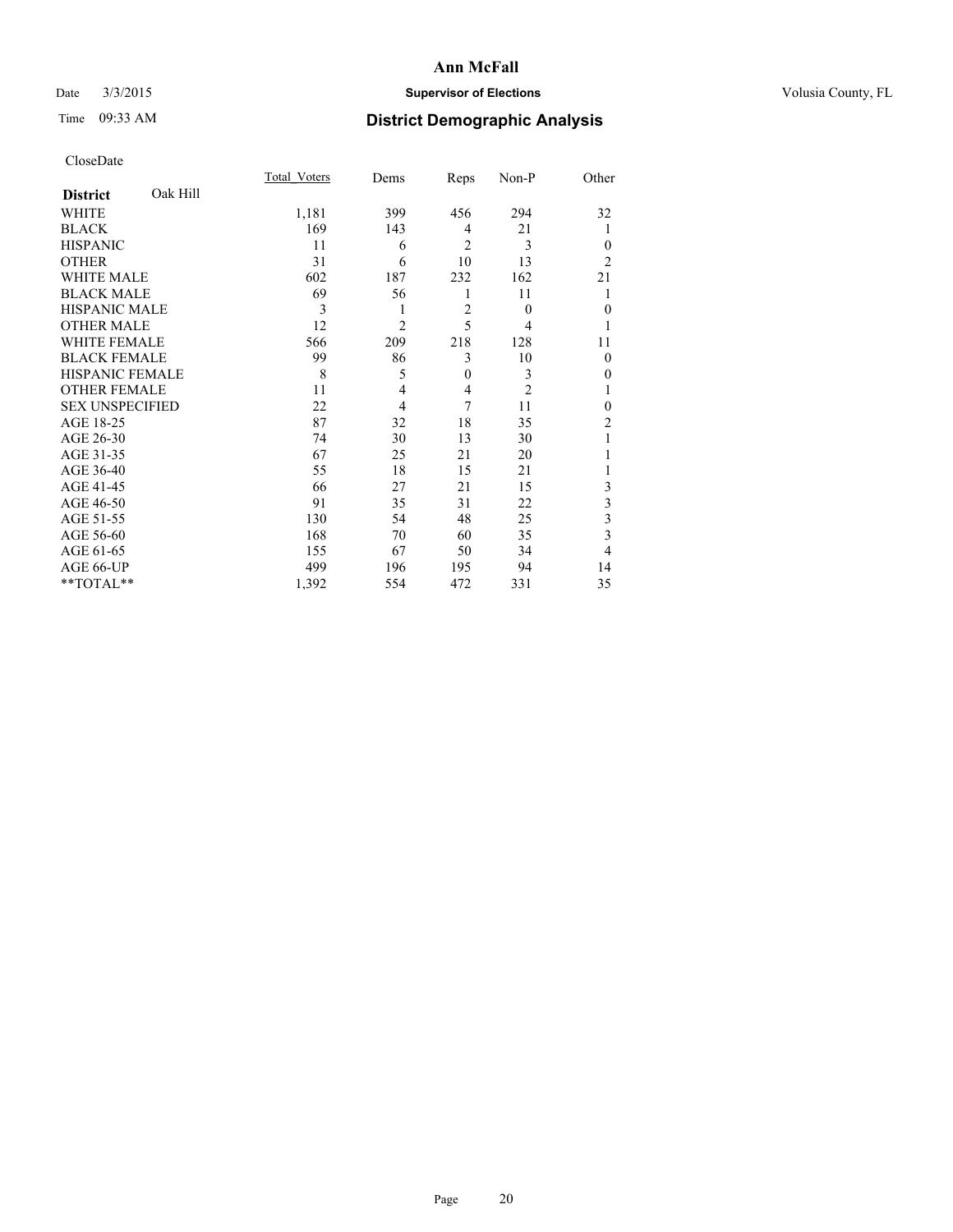## Date  $3/3/2015$  **Supervisor of Elections Supervisor of Elections** Volusia County, FL

# Time 09:33 AM **District Demographic Analysis**

|                        |          | Total Voters | Dems           | Reps           | Non-P          | Other          |
|------------------------|----------|--------------|----------------|----------------|----------------|----------------|
| <b>District</b>        | Oak Hill |              |                |                |                |                |
| <b>WHITE</b>           |          | 1,181        | 399            | 456            | 294            | 32             |
| <b>BLACK</b>           |          | 169          | 143            | 4              | 21             |                |
| <b>HISPANIC</b>        |          | 11           | 6              | $\overline{2}$ | 3              | $\theta$       |
| <b>OTHER</b>           |          | 31           | 6              | 10             | 13             | $\overline{2}$ |
| WHITE MALE             |          | 602          | 187            | 232            | 162            | 21             |
| <b>BLACK MALE</b>      |          | 69           | 56             | 1              | 11             |                |
| <b>HISPANIC MALE</b>   |          | 3            | 1              | $\overline{2}$ | $\theta$       | $\mathbf{0}$   |
| <b>OTHER MALE</b>      |          | 12           | $\overline{2}$ | 5              | 4              | 1              |
| <b>WHITE FEMALE</b>    |          | 566          | 209            | 218            | 128            | 11             |
| <b>BLACK FEMALE</b>    |          | 99           | 86             | 3              | 10             | $\theta$       |
| <b>HISPANIC FEMALE</b> |          | 8            | 5              | $\mathbf{0}$   | 3              | 0              |
| <b>OTHER FEMALE</b>    |          | 11           | 4              | 4              | $\overline{c}$ |                |
| <b>SEX UNSPECIFIED</b> |          | 22           | 4              | 7              | 11             | $\theta$       |
| AGE 18-25              |          | 87           | 32             | 18             | 35             | $\overline{c}$ |
| AGE 26-30              |          | 74           | 30             | 13             | 30             |                |
| AGE 31-35              |          | 67           | 25             | 21             | 20             |                |
| AGE 36-40              |          | 55           | 18             | 15             | 21             |                |
| AGE 41-45              |          | 66           | 27             | 21             | 15             | 3              |
| AGE 46-50              |          | 91           | 35             | 31             | 22             | 3              |
| AGE 51-55              |          | 130          | 54             | 48             | 25             | 3              |
| AGE 56-60              |          | 168          | 70             | 60             | 35             | 3              |
| AGE 61-65              |          | 155          | 67             | 50             | 34             | 4              |
| AGE 66-UP              |          | 499          | 196            | 195            | 94             | 14             |
| **TOTAL**              |          | 1,392        | 554            | 472            | 331            | 35             |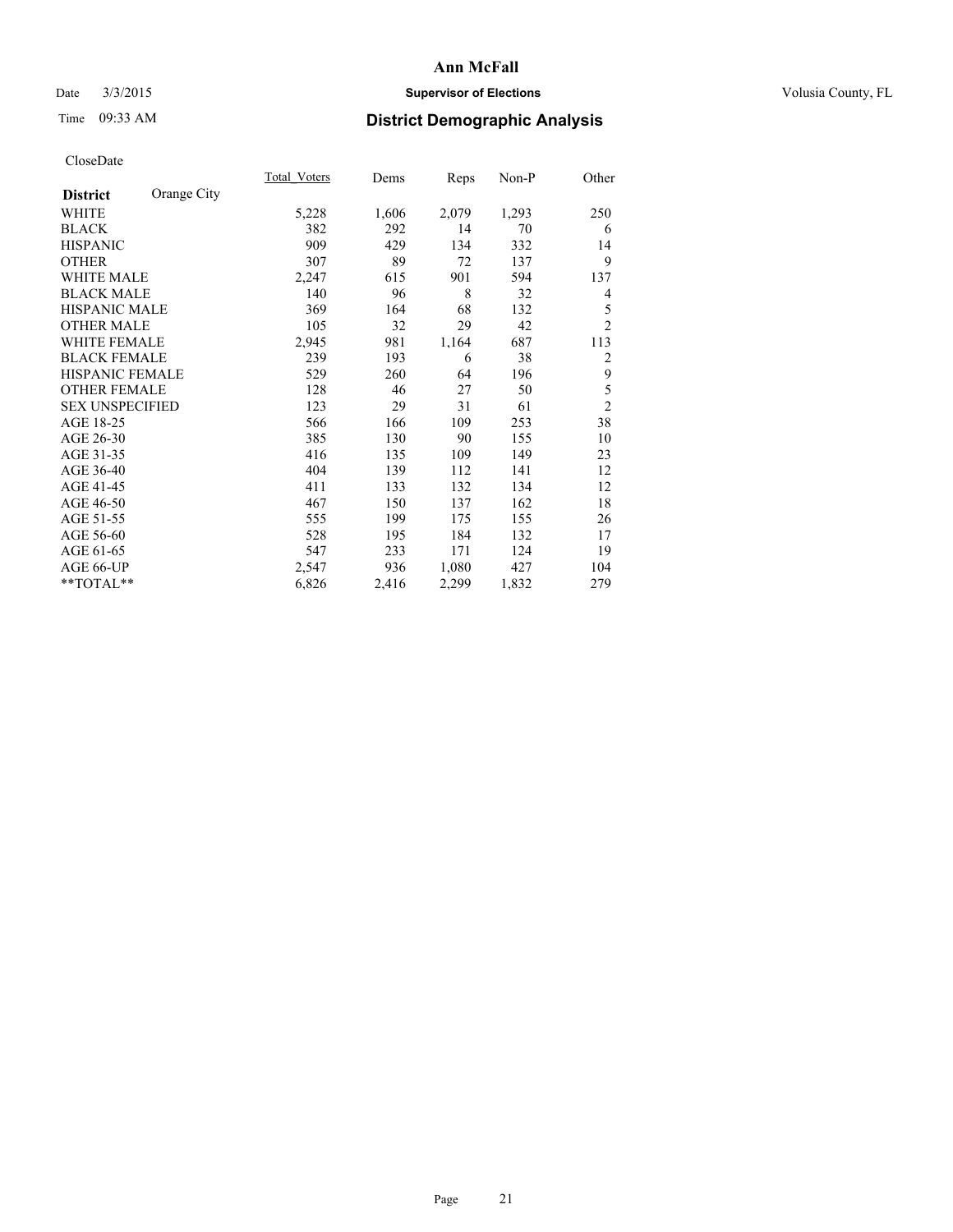## Date  $3/3/2015$  **Supervisor of Elections Supervisor of Elections** Volusia County, FL

# Time 09:33 AM **District Demographic Analysis**

|                        |             | Total Voters | Dems  | <b>Reps</b> | Non-P | Other          |
|------------------------|-------------|--------------|-------|-------------|-------|----------------|
| <b>District</b>        | Orange City |              |       |             |       |                |
| WHITE                  |             | 5,228        | 1,606 | 2,079       | 1,293 | 250            |
| <b>BLACK</b>           |             | 382          | 292   | 14          | 70    | 6              |
| <b>HISPANIC</b>        |             | 909          | 429   | 134         | 332   | 14             |
| <b>OTHER</b>           |             | 307          | 89    | 72          | 137   | 9              |
| <b>WHITE MALE</b>      |             | 2,247        | 615   | 901         | 594   | 137            |
| <b>BLACK MALE</b>      |             | 140          | 96    | 8           | 32    | 4              |
| <b>HISPANIC MALE</b>   |             | 369          | 164   | 68          | 132   | 5              |
| <b>OTHER MALE</b>      |             | 105          | 32    | 29          | 42    | $\overline{2}$ |
| WHITE FEMALE           |             | 2,945        | 981   | 1,164       | 687   | 113            |
| <b>BLACK FEMALE</b>    |             | 239          | 193   | 6           | 38    | $\overline{2}$ |
| HISPANIC FEMALE        |             | 529          | 260   | 64          | 196   | 9              |
| <b>OTHER FEMALE</b>    |             | 128          | 46    | 27          | 50    | 5              |
| <b>SEX UNSPECIFIED</b> |             | 123          | 29    | 31          | 61    | $\overline{2}$ |
| AGE 18-25              |             | 566          | 166   | 109         | 253   | 38             |
| AGE 26-30              |             | 385          | 130   | 90          | 155   | 10             |
| AGE 31-35              |             | 416          | 135   | 109         | 149   | 23             |
| AGE 36-40              |             | 404          | 139   | 112         | 141   | 12             |
| AGE 41-45              |             | 411          | 133   | 132         | 134   | 12             |
| AGE 46-50              |             | 467          | 150   | 137         | 162   | 18             |
| AGE 51-55              |             | 555          | 199   | 175         | 155   | 26             |
| AGE 56-60              |             | 528          | 195   | 184         | 132   | 17             |
| AGE 61-65              |             | 547          | 233   | 171         | 124   | 19             |
| AGE 66-UP              |             | 2,547        | 936   | 1,080       | 427   | 104            |
| **TOTAL**              |             | 6,826        | 2,416 | 2,299       | 1,832 | 279            |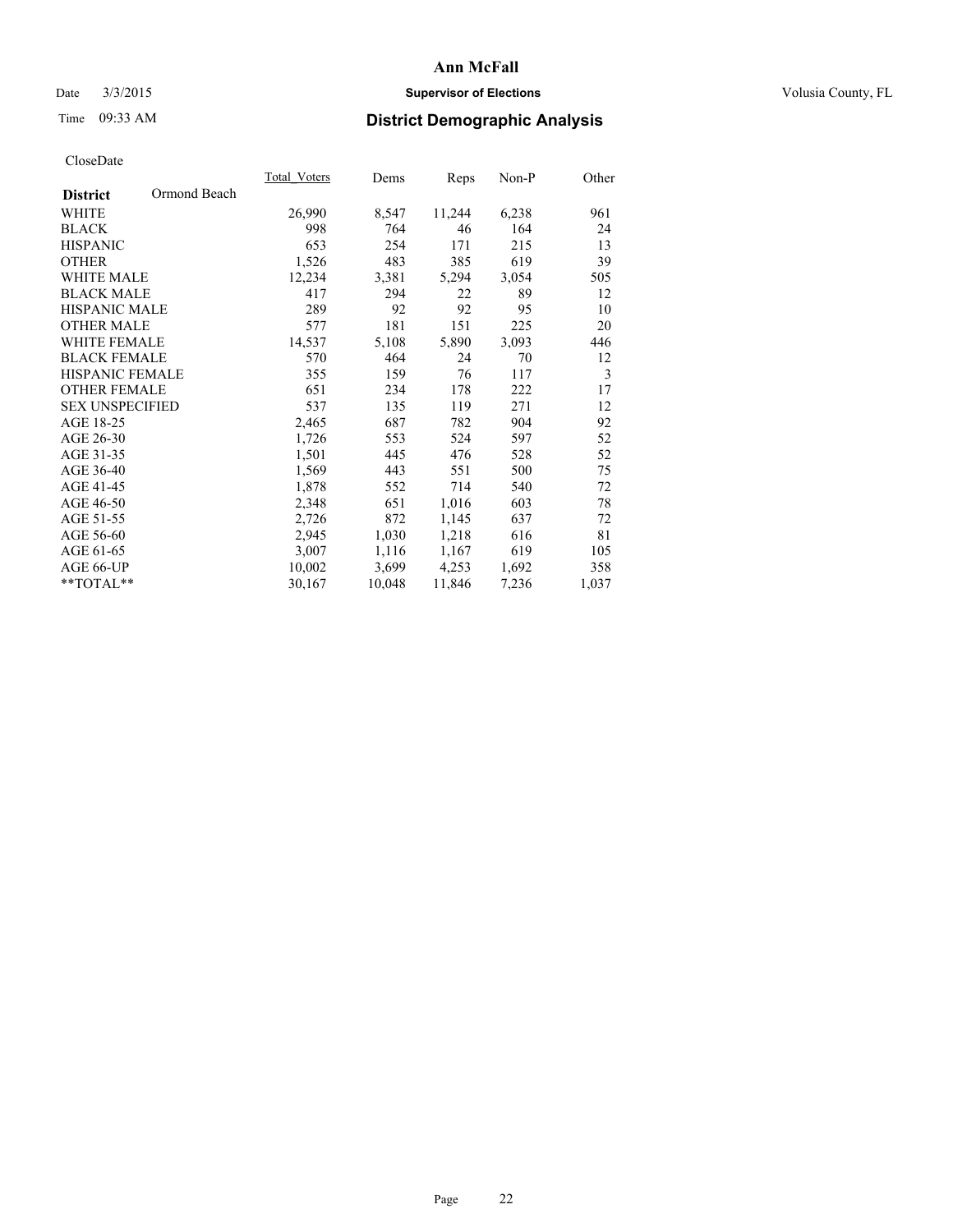## Date  $3/3/2015$  **Supervisor of Elections Supervisor of Elections** Volusia County, FL

# Time 09:33 AM **District Demographic Analysis**

|                                 | <b>Total Voters</b> | Dems   | Reps   | Non-P | Other |
|---------------------------------|---------------------|--------|--------|-------|-------|
| Ormond Beach<br><b>District</b> |                     |        |        |       |       |
| WHITE                           | 26,990              | 8,547  | 11,244 | 6,238 | 961   |
| <b>BLACK</b>                    | 998                 | 764    | 46     | 164   | 24    |
| <b>HISPANIC</b>                 | 653                 | 254    | 171    | 215   | 13    |
| <b>OTHER</b>                    | 1,526               | 483    | 385    | 619   | 39    |
| WHITE MALE                      | 12,234              | 3,381  | 5,294  | 3,054 | 505   |
| <b>BLACK MALE</b>               | 417                 | 294    | 22     | 89    | 12    |
| <b>HISPANIC MALE</b>            | 289                 | 92     | 92     | 95    | 10    |
| <b>OTHER MALE</b>               | 577                 | 181    | 151    | 225   | 20    |
| <b>WHITE FEMALE</b>             | 14,537              | 5,108  | 5,890  | 3,093 | 446   |
| <b>BLACK FEMALE</b>             | 570                 | 464    | 24     | 70    | 12    |
| <b>HISPANIC FEMALE</b>          | 355                 | 159    | 76     | 117   | 3     |
| <b>OTHER FEMALE</b>             | 651                 | 234    | 178    | 222   | 17    |
| <b>SEX UNSPECIFIED</b>          | 537                 | 135    | 119    | 271   | 12    |
| AGE 18-25                       | 2,465               | 687    | 782    | 904   | 92    |
| AGE 26-30                       | 1,726               | 553    | 524    | 597   | 52    |
| AGE 31-35                       | 1,501               | 445    | 476    | 528   | 52    |
| AGE 36-40                       | 1,569               | 443    | 551    | 500   | 75    |
| AGE 41-45                       | 1,878               | 552    | 714    | 540   | 72    |
| AGE 46-50                       | 2,348               | 651    | 1,016  | 603   | 78    |
| AGE 51-55                       | 2,726               | 872    | 1,145  | 637   | 72    |
| AGE 56-60                       | 2,945               | 1,030  | 1,218  | 616   | 81    |
| AGE 61-65                       | 3,007               | 1,116  | 1,167  | 619   | 105   |
| AGE 66-UP                       | 10,002              | 3,699  | 4,253  | 1,692 | 358   |
| $*$ TOTAL $*$                   | 30,167              | 10,048 | 11,846 | 7,236 | 1,037 |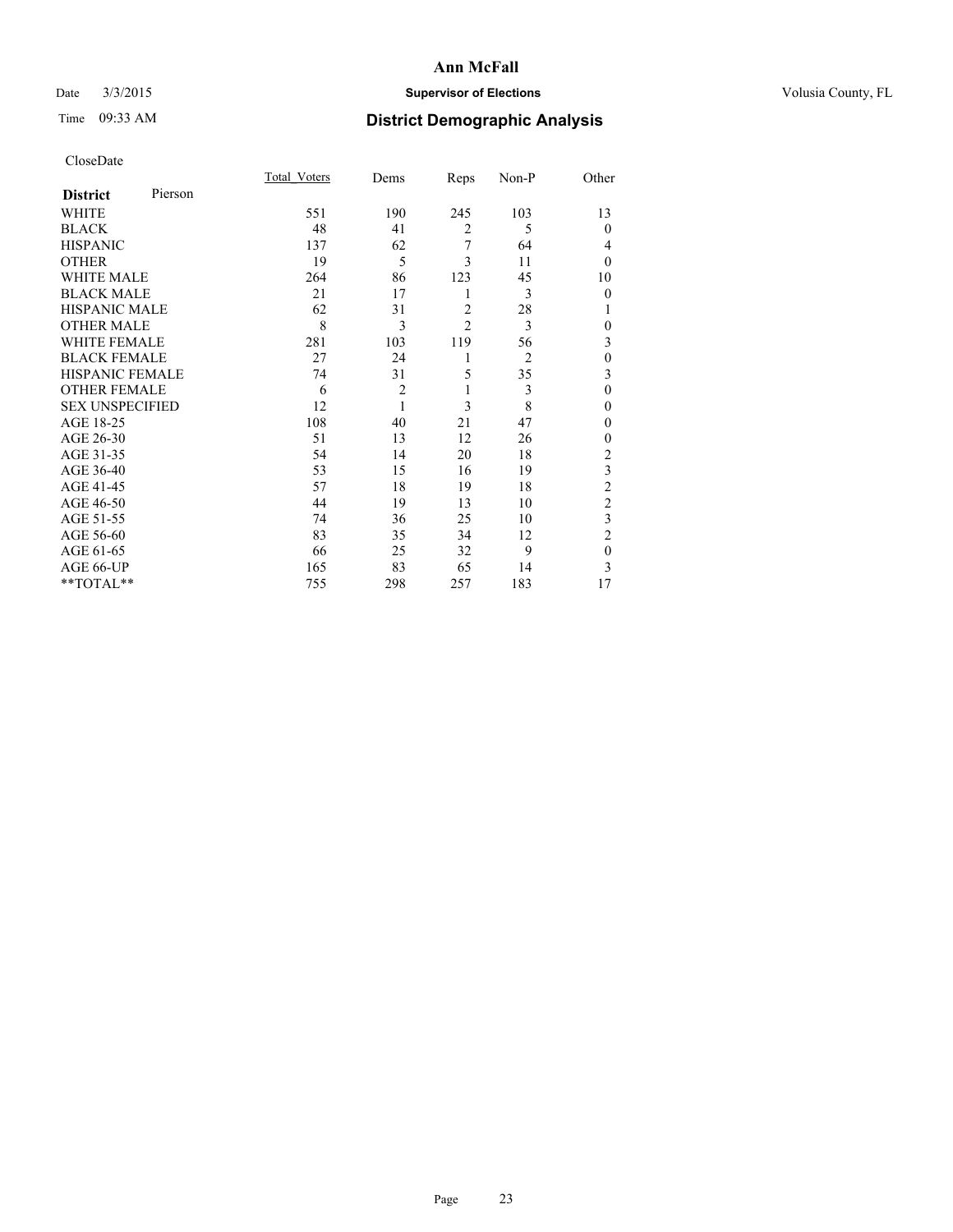## Date  $3/3/2015$  **Supervisor of Elections Supervisor of Elections** Volusia County, FL

# Time 09:33 AM **District Demographic Analysis**

|                        |         | Total Voters | Dems           | Reps           | Non-P | Other                   |
|------------------------|---------|--------------|----------------|----------------|-------|-------------------------|
| <b>District</b>        | Pierson |              |                |                |       |                         |
| WHITE                  |         | 551          | 190            | 245            | 103   | 13                      |
| <b>BLACK</b>           |         | 48           | 41             | $\overline{2}$ | 5     | $\theta$                |
| <b>HISPANIC</b>        |         | 137          | 62             | 7              | 64    | 4                       |
| <b>OTHER</b>           |         | 19           | 5              | 3              | 11    | $\theta$                |
| <b>WHITE MALE</b>      |         | 264          | 86             | 123            | 45    | 10                      |
| <b>BLACK MALE</b>      |         | 21           | 17             | 1              | 3     | $\mathbf{0}$            |
| <b>HISPANIC MALE</b>   |         | 62           | 31             | $\overline{c}$ | 28    |                         |
| <b>OTHER MALE</b>      |         | 8            | 3              | $\mathfrak{D}$ | 3     | $\mathbf{0}$            |
| <b>WHITE FEMALE</b>    |         | 281          | 103            | 119            | 56    | 3                       |
| <b>BLACK FEMALE</b>    |         | 27           | 24             | 1              | 2     | $\mathbf{0}$            |
| HISPANIC FEMALE        |         | 74           | 31             | 5              | 35    | 3                       |
| <b>OTHER FEMALE</b>    |         | 6            | $\overline{2}$ | 1              | 3     | $\mathbf{0}$            |
| <b>SEX UNSPECIFIED</b> |         | 12           | 1              | 3              | 8     | $\theta$                |
| AGE 18-25              |         | 108          | 40             | 21             | 47    | 0                       |
| AGE 26-30              |         | 51           | 13             | 12             | 26    | $\mathbf{0}$            |
| AGE 31-35              |         | 54           | 14             | 20             | 18    | $\overline{c}$          |
| AGE 36-40              |         | 53           | 15             | 16             | 19    | $\overline{\mathbf{3}}$ |
| AGE 41-45              |         | 57           | 18             | 19             | 18    | $\overline{c}$          |
| AGE 46-50              |         | 44           | 19             | 13             | 10    | $\overline{2}$          |
| AGE 51-55              |         | 74           | 36             | 25             | 10    | 3                       |
| AGE 56-60              |         | 83           | 35             | 34             | 12    | $\overline{2}$          |
| AGE 61-65              |         | 66           | 25             | 32             | 9     | $\mathbf{0}$            |
| AGE 66-UP              |         | 165          | 83             | 65             | 14    | 3                       |
| **TOTAL**              |         | 755          | 298            | 257            | 183   | 17                      |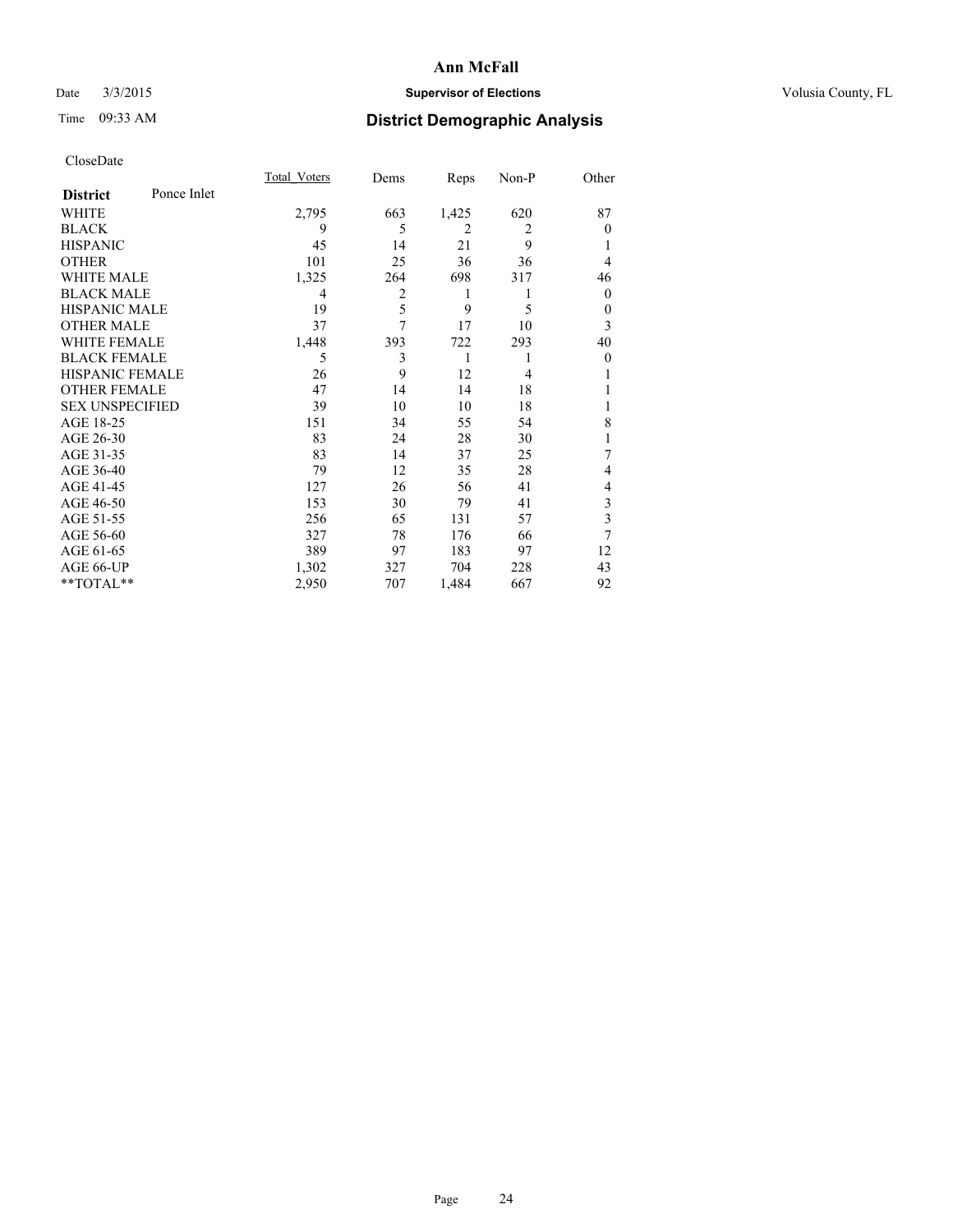## Date  $3/3/2015$  **Supervisor of Elections Supervisor of Elections** Volusia County, FL

# Time 09:33 AM **District Demographic Analysis**

|                        |             | Total Voters | Dems | Reps           | Non-P          | Other        |
|------------------------|-------------|--------------|------|----------------|----------------|--------------|
| <b>District</b>        | Ponce Inlet |              |      |                |                |              |
| WHITE                  |             | 2,795        | 663  | 1,425          | 620            | 87           |
| <b>BLACK</b>           |             | 9            | 5    | $\overline{2}$ | $\overline{2}$ | $\Omega$     |
| <b>HISPANIC</b>        |             | 45           | 14   | 21             | 9              |              |
| <b>OTHER</b>           |             | 101          | 25   | 36             | 36             | 4            |
| WHITE MALE             |             | 1,325        | 264  | 698            | 317            | 46           |
| <b>BLACK MALE</b>      |             | 4            | 2    | 1              | 1              | $\mathbf{0}$ |
| <b>HISPANIC MALE</b>   |             | 19           | 5    | 9              | 5              | $\theta$     |
| <b>OTHER MALE</b>      |             | 37           | 7    | 17             | 10             | 3            |
| <b>WHITE FEMALE</b>    |             | 1,448        | 393  | 722            | 293            | 40           |
| <b>BLACK FEMALE</b>    |             | 5            | 3    | 1              |                | $\theta$     |
| <b>HISPANIC FEMALE</b> |             | 26           | 9    | 12             | $\overline{4}$ |              |
| <b>OTHER FEMALE</b>    |             | 47           | 14   | 14             | 18             |              |
| <b>SEX UNSPECIFIED</b> |             | 39           | 10   | 10             | 18             |              |
| AGE 18-25              |             | 151          | 34   | 55             | 54             | 8            |
| AGE 26-30              |             | 83           | 24   | 28             | 30             | 1            |
| AGE 31-35              |             | 83           | 14   | 37             | 25             | 7            |
| AGE 36-40              |             | 79           | 12   | 35             | 28             | 4            |
| AGE 41-45              |             | 127          | 26   | 56             | 41             | 4            |
| AGE 46-50              |             | 153          | 30   | 79             | 41             | 3            |
| AGE 51-55              |             | 256          | 65   | 131            | 57             | 3            |
| AGE 56-60              |             | 327          | 78   | 176            | 66             | 7            |
| AGE 61-65              |             | 389          | 97   | 183            | 97             | 12           |
| AGE 66-UP              |             | 1,302        | 327  | 704            | 228            | 43           |
| **TOTAL**              |             | 2,950        | 707  | 1,484          | 667            | 92           |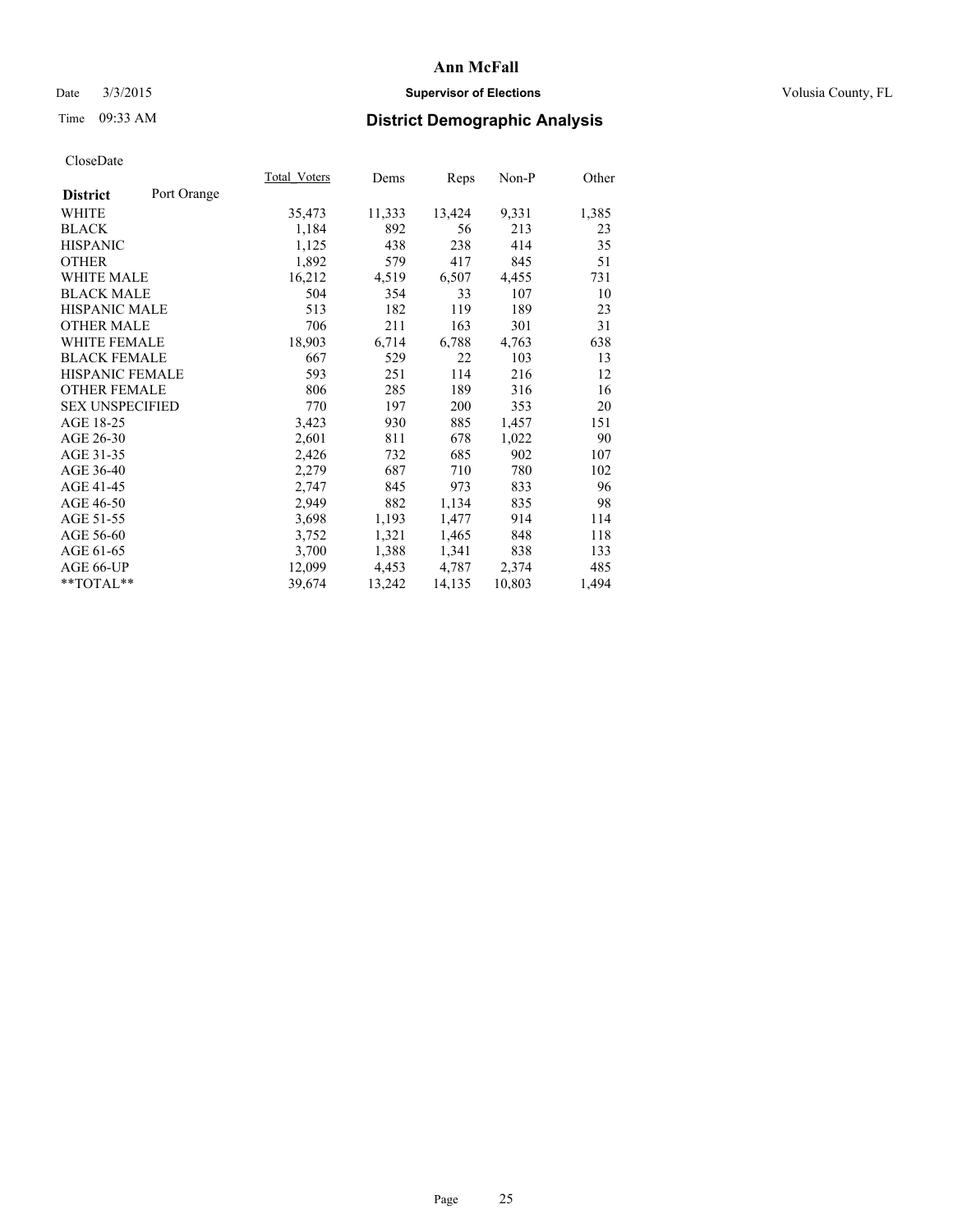## Date  $3/3/2015$  **Supervisor of Elections Supervisor of Elections** Volusia County, FL

# Time 09:33 AM **District Demographic Analysis**

|                        |             | Total Voters | Dems   | Reps   | Non-P  | Other |
|------------------------|-------------|--------------|--------|--------|--------|-------|
| <b>District</b>        | Port Orange |              |        |        |        |       |
| WHITE                  |             | 35,473       | 11,333 | 13,424 | 9,331  | 1,385 |
| <b>BLACK</b>           |             | 1,184        | 892    | 56     | 213    | 23    |
| <b>HISPANIC</b>        |             | 1,125        | 438    | 238    | 414    | 35    |
| <b>OTHER</b>           |             | 1,892        | 579    | 417    | 845    | 51    |
| <b>WHITE MALE</b>      |             | 16,212       | 4,519  | 6,507  | 4,455  | 731   |
| <b>BLACK MALE</b>      |             | 504          | 354    | 33     | 107    | 10    |
| <b>HISPANIC MALE</b>   |             | 513          | 182    | 119    | 189    | 23    |
| <b>OTHER MALE</b>      |             | 706          | 211    | 163    | 301    | 31    |
| <b>WHITE FEMALE</b>    |             | 18,903       | 6,714  | 6,788  | 4,763  | 638   |
| <b>BLACK FEMALE</b>    |             | 667          | 529    | 22     | 103    | 13    |
| <b>HISPANIC FEMALE</b> |             | 593          | 251    | 114    | 216    | 12    |
| <b>OTHER FEMALE</b>    |             | 806          | 285    | 189    | 316    | 16    |
| <b>SEX UNSPECIFIED</b> |             | 770          | 197    | 200    | 353    | 20    |
| AGE 18-25              |             | 3,423        | 930    | 885    | 1,457  | 151   |
| AGE 26-30              |             | 2,601        | 811    | 678    | 1,022  | 90    |
| AGE 31-35              |             | 2,426        | 732    | 685    | 902    | 107   |
| AGE 36-40              |             | 2,279        | 687    | 710    | 780    | 102   |
| AGE 41-45              |             | 2,747        | 845    | 973    | 833    | 96    |
| AGE 46-50              |             | 2,949        | 882    | 1,134  | 835    | 98    |
| AGE 51-55              |             | 3,698        | 1,193  | 1,477  | 914    | 114   |
| AGE 56-60              |             | 3,752        | 1,321  | 1,465  | 848    | 118   |
| AGE 61-65              |             | 3,700        | 1,388  | 1,341  | 838    | 133   |
| AGE 66-UP              |             | 12,099       | 4,453  | 4,787  | 2,374  | 485   |
| $*$ $TOTAL**$          |             | 39,674       | 13,242 | 14,135 | 10,803 | 1,494 |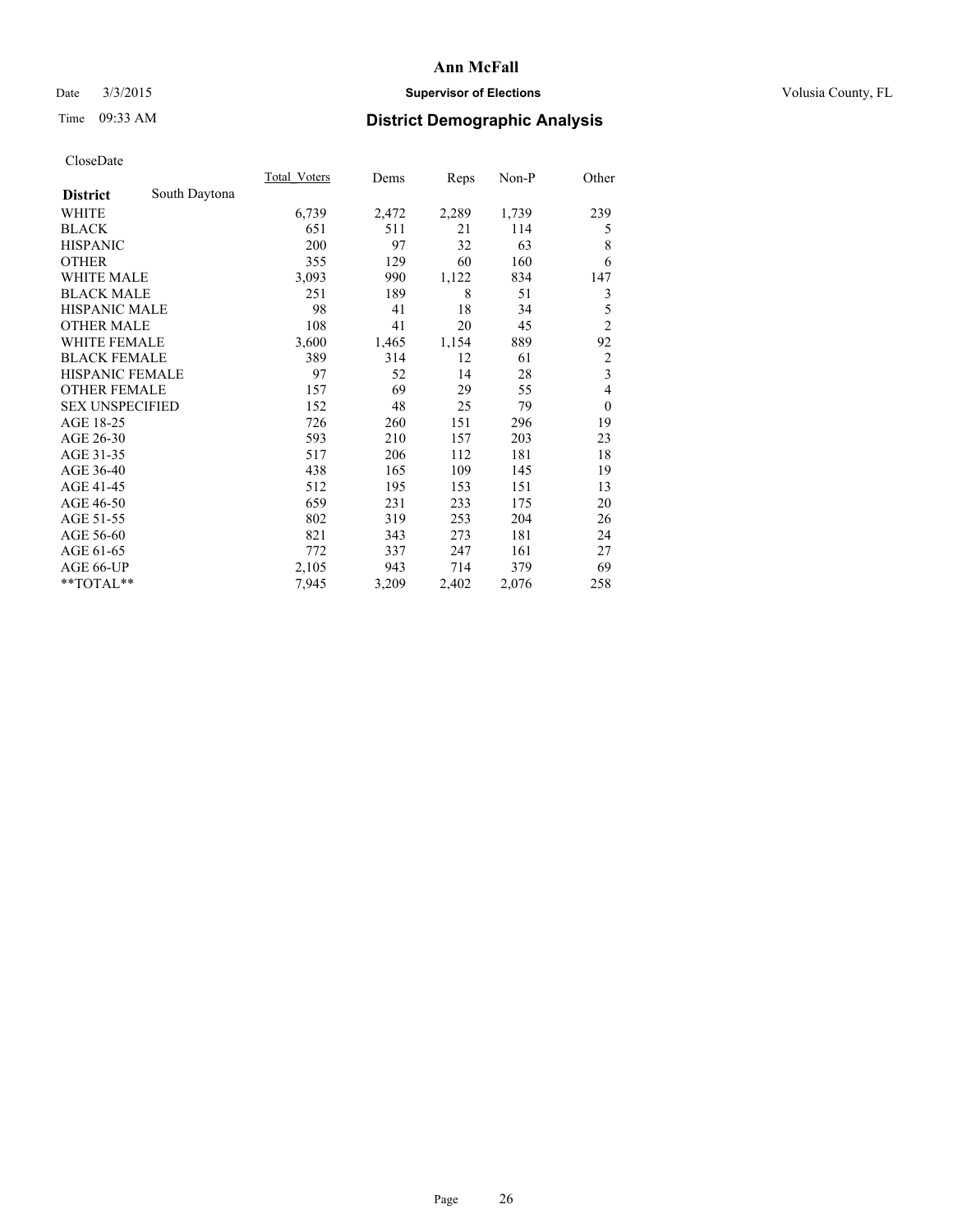## Date  $3/3/2015$  **Supervisor of Elections Supervisor of Elections** Volusia County, FL

# Time 09:33 AM **District Demographic Analysis**

|                        |               | Total Voters | Dems  | Reps  | Non-P | Other                   |
|------------------------|---------------|--------------|-------|-------|-------|-------------------------|
| <b>District</b>        | South Daytona |              |       |       |       |                         |
| WHITE                  |               | 6,739        | 2,472 | 2,289 | 1,739 | 239                     |
| <b>BLACK</b>           |               | 651          | 511   | 21    | 114   | 5                       |
| <b>HISPANIC</b>        |               | 200          | 97    | 32    | 63    | 8                       |
| <b>OTHER</b>           |               | 355          | 129   | 60    | 160   | 6                       |
| <b>WHITE MALE</b>      |               | 3,093        | 990   | 1,122 | 834   | 147                     |
| <b>BLACK MALE</b>      |               | 251          | 189   | 8     | 51    | 3                       |
| <b>HISPANIC MALE</b>   |               | 98           | 41    | 18    | 34    | 5                       |
| <b>OTHER MALE</b>      |               | 108          | 41    | 20    | 45    | $\overline{c}$          |
| <b>WHITE FEMALE</b>    |               | 3,600        | 1,465 | 1,154 | 889   | 92                      |
| <b>BLACK FEMALE</b>    |               | 389          | 314   | 12    | 61    | 2                       |
| <b>HISPANIC FEMALE</b> |               | 97           | 52    | 14    | 28    | $\overline{\mathbf{3}}$ |
| <b>OTHER FEMALE</b>    |               | 157          | 69    | 29    | 55    | 4                       |
| <b>SEX UNSPECIFIED</b> |               | 152          | 48    | 25    | 79    | $\theta$                |
| AGE 18-25              |               | 726          | 260   | 151   | 296   | 19                      |
| AGE 26-30              |               | 593          | 210   | 157   | 203   | 23                      |
| AGE 31-35              |               | 517          | 206   | 112   | 181   | 18                      |
| AGE 36-40              |               | 438          | 165   | 109   | 145   | 19                      |
| AGE 41-45              |               | 512          | 195   | 153   | 151   | 13                      |
| AGE 46-50              |               | 659          | 231   | 233   | 175   | 20                      |
| AGE 51-55              |               | 802          | 319   | 253   | 204   | 26                      |
| AGE 56-60              |               | 821          | 343   | 273   | 181   | 24                      |
| AGE 61-65              |               | 772          | 337   | 247   | 161   | 27                      |
| AGE 66-UP              |               | 2,105        | 943   | 714   | 379   | 69                      |
| **TOTAL**              |               | 7,945        | 3,209 | 2,402 | 2,076 | 258                     |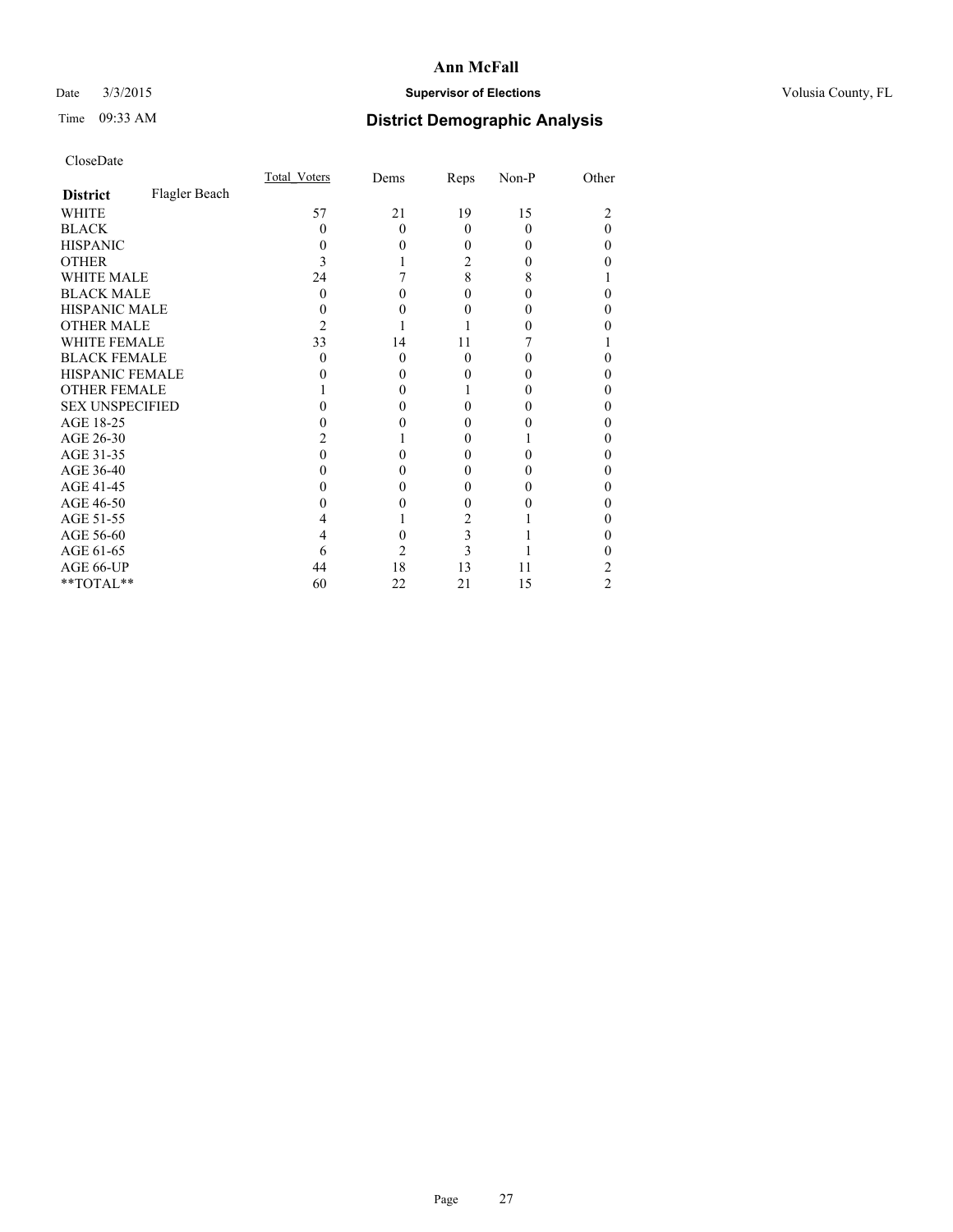## Date  $3/3/2015$  **Supervisor of Elections Supervisor of Elections** Volusia County, FL

# Time 09:33 AM **District Demographic Analysis**

|                        |               | <b>Total Voters</b> | Dems     | Reps     | Non-P | Other |
|------------------------|---------------|---------------------|----------|----------|-------|-------|
| <b>District</b>        | Flagler Beach |                     |          |          |       |       |
| WHITE                  |               | 57                  | 21       | 19       | 15    |       |
| <b>BLACK</b>           |               | 0                   | $\Omega$ | $\Omega$ | 0     | 0     |
| <b>HISPANIC</b>        |               | 0                   | $\theta$ | 0        | 0     | 0     |
| <b>OTHER</b>           |               | 3                   |          | 2        |       |       |
| WHITE MALE             |               | 24                  |          | 8        | 8     |       |
| <b>BLACK MALE</b>      |               | $\Omega$            | 0        | 0        |       | 0     |
| <b>HISPANIC MALE</b>   |               |                     | 0        | 0        |       | 0     |
| <b>OTHER MALE</b>      |               | 2                   |          |          |       |       |
| <b>WHITE FEMALE</b>    |               | 33                  | 14       | 11       |       |       |
| <b>BLACK FEMALE</b>    |               | 0                   | $\theta$ | $\theta$ |       | 0     |
| <b>HISPANIC FEMALE</b> |               |                     | 0        | 0        |       |       |
| <b>OTHER FEMALE</b>    |               |                     | $\Omega$ |          |       | 0     |
| <b>SEX UNSPECIFIED</b> |               |                     | 0        | 0        |       | 0     |
| AGE 18-25              |               |                     | 0        | 0        |       | 0     |
| AGE 26-30              |               |                     |          | $_{0}$   |       | 0     |
| AGE 31-35              |               |                     |          | 0        |       | 0     |
| AGE 36-40              |               |                     | 0        | 0        |       | 0     |
| AGE 41-45              |               |                     | 0        | 0        |       | 0     |
| AGE 46-50              |               |                     | 0        | 0        |       | 0     |
| AGE 51-55              |               |                     |          | 2        |       |       |
| AGE 56-60              |               |                     | 0        | 3        |       | 0     |
| AGE 61-65              |               | 6                   | 2        | 3        |       |       |
| AGE 66-UP              |               | 44                  | 18       | 13       | 11    | 2     |
| **TOTAL**              |               | 60                  | 22       | 21       | 15    | 2     |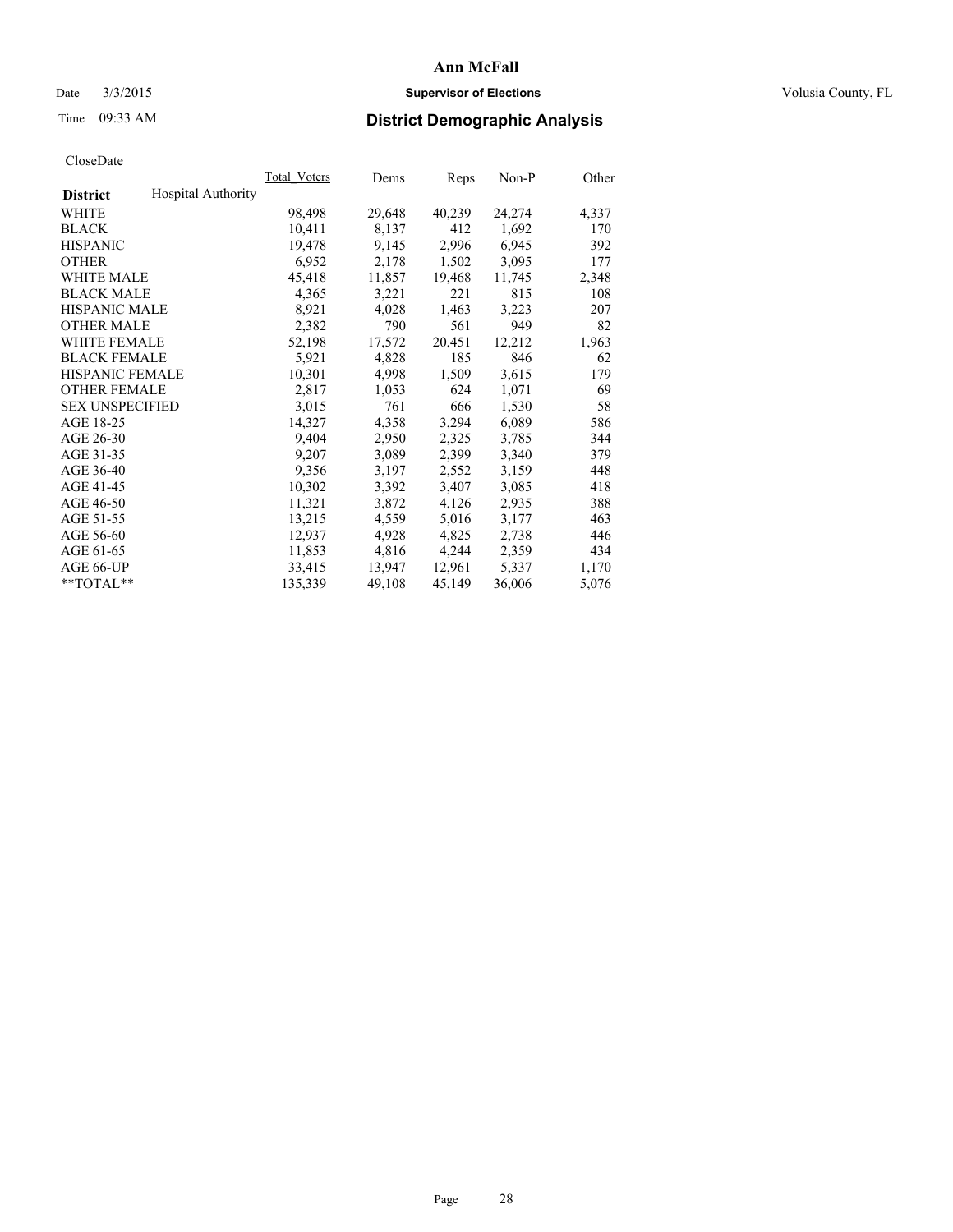## Date  $3/3/2015$  **Supervisor of Elections Supervisor of Elections** Volusia County, FL

# Time 09:33 AM **District Demographic Analysis**

|                                              | <b>Total Voters</b> | Dems   | Reps   | Non-P  | Other |
|----------------------------------------------|---------------------|--------|--------|--------|-------|
| <b>Hospital Authority</b><br><b>District</b> |                     |        |        |        |       |
| WHITE                                        | 98,498              | 29,648 | 40,239 | 24,274 | 4,337 |
| <b>BLACK</b>                                 | 10,411              | 8,137  | 412    | 1,692  | 170   |
| <b>HISPANIC</b>                              | 19,478              | 9,145  | 2,996  | 6,945  | 392   |
| <b>OTHER</b>                                 | 6,952               | 2,178  | 1,502  | 3,095  | 177   |
| WHITE MALE                                   | 45,418              | 11,857 | 19,468 | 11,745 | 2,348 |
| <b>BLACK MALE</b>                            | 4,365               | 3,221  | 221    | 815    | 108   |
| <b>HISPANIC MALE</b>                         | 8,921               | 4,028  | 1,463  | 3,223  | 207   |
| <b>OTHER MALE</b>                            | 2,382               | 790    | 561    | 949    | 82    |
| <b>WHITE FEMALE</b>                          | 52,198              | 17,572 | 20,451 | 12,212 | 1,963 |
| <b>BLACK FEMALE</b>                          | 5,921               | 4,828  | 185    | 846    | 62    |
| HISPANIC FEMALE                              | 10,301              | 4,998  | 1,509  | 3,615  | 179   |
| <b>OTHER FEMALE</b>                          | 2,817               | 1,053  | 624    | 1,071  | 69    |
| <b>SEX UNSPECIFIED</b>                       | 3,015               | 761    | 666    | 1,530  | 58    |
| AGE 18-25                                    | 14,327              | 4,358  | 3,294  | 6,089  | 586   |
| AGE 26-30                                    | 9,404               | 2,950  | 2,325  | 3,785  | 344   |
| AGE 31-35                                    | 9,207               | 3,089  | 2,399  | 3,340  | 379   |
| AGE 36-40                                    | 9,356               | 3,197  | 2,552  | 3,159  | 448   |
| AGE 41-45                                    | 10,302              | 3,392  | 3,407  | 3,085  | 418   |
| AGE 46-50                                    | 11,321              | 3,872  | 4,126  | 2,935  | 388   |
| AGE 51-55                                    | 13,215              | 4,559  | 5,016  | 3,177  | 463   |
| AGE 56-60                                    | 12,937              | 4,928  | 4,825  | 2,738  | 446   |
| AGE 61-65                                    | 11,853              | 4,816  | 4,244  | 2,359  | 434   |
| AGE 66-UP                                    | 33,415              | 13,947 | 12,961 | 5,337  | 1,170 |
| $*$ $TOTAL**$                                | 135,339             | 49,108 | 45,149 | 36,006 | 5,076 |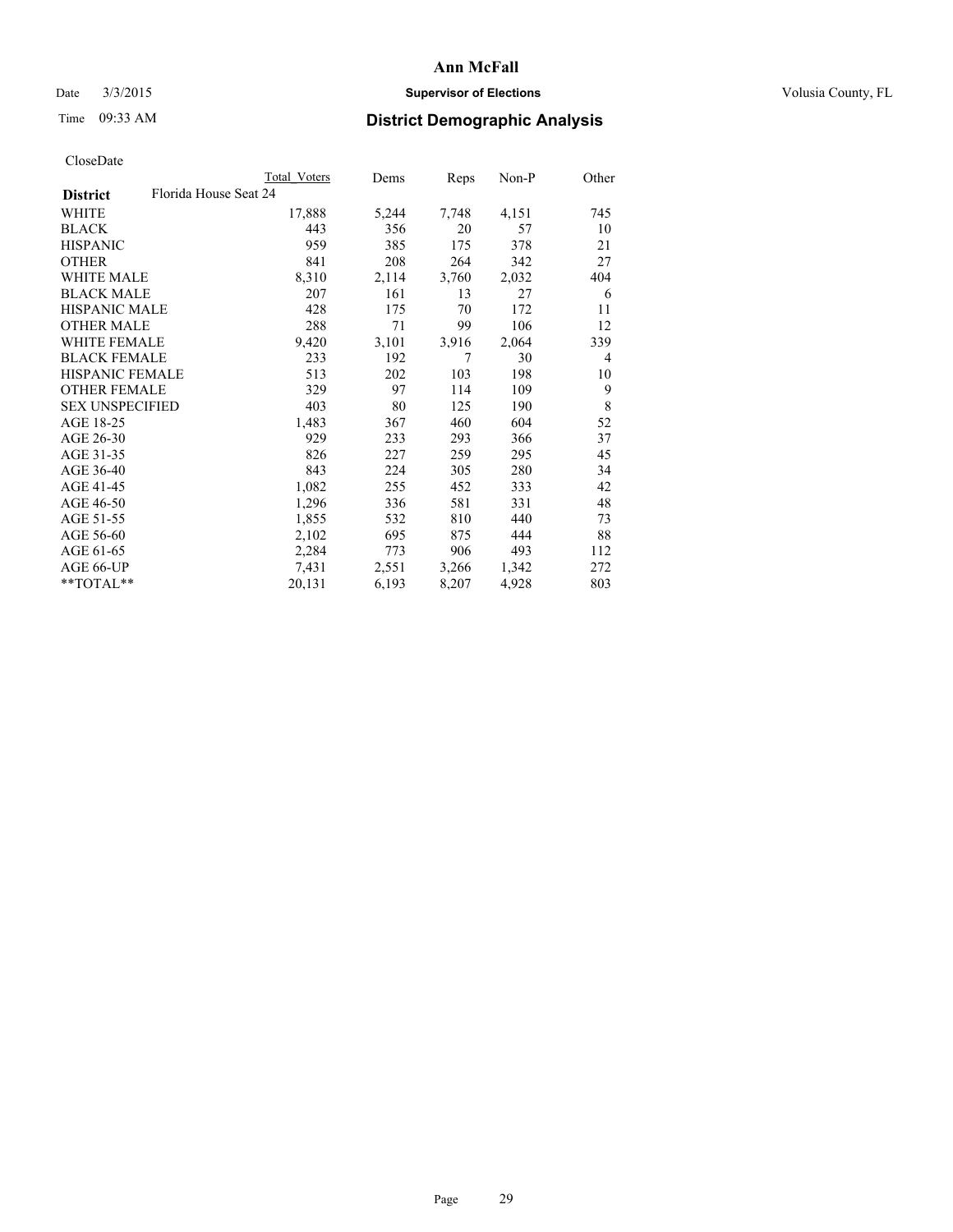## Date  $3/3/2015$  **Supervisor of Elections Supervisor of Elections** Volusia County, FL

| CloseDate |
|-----------|
|-----------|

|                                          | Total Voters | Dems  | Reps  | Non-P | Other          |
|------------------------------------------|--------------|-------|-------|-------|----------------|
| Florida House Seat 24<br><b>District</b> |              |       |       |       |                |
| WHITE                                    | 17,888       | 5,244 | 7,748 | 4,151 | 745            |
| <b>BLACK</b>                             | 443          | 356   | 20    | 57    | 10             |
| <b>HISPANIC</b>                          | 959          | 385   | 175   | 378   | 21             |
| <b>OTHER</b>                             | 841          | 208   | 264   | 342   | 27             |
| WHITE MALE                               | 8,310        | 2,114 | 3,760 | 2,032 | 404            |
| <b>BLACK MALE</b>                        | 207          | 161   | 13    | 27    | 6              |
| <b>HISPANIC MALE</b>                     | 428          | 175   | 70    | 172   | 11             |
| <b>OTHER MALE</b>                        | 288          | 71    | 99    | 106   | 12             |
| <b>WHITE FEMALE</b>                      | 9,420        | 3,101 | 3,916 | 2,064 | 339            |
| <b>BLACK FEMALE</b>                      | 233          | 192   | 7     | 30    | $\overline{4}$ |
| <b>HISPANIC FEMALE</b>                   | 513          | 202   | 103   | 198   | 10             |
| <b>OTHER FEMALE</b>                      | 329          | 97    | 114   | 109   | 9              |
| <b>SEX UNSPECIFIED</b>                   | 403          | 80    | 125   | 190   | 8              |
| AGE 18-25                                | 1,483        | 367   | 460   | 604   | 52             |
| AGE 26-30                                | 929          | 233   | 293   | 366   | 37             |
| AGE 31-35                                | 826          | 227   | 259   | 295   | 45             |
| AGE 36-40                                | 843          | 224   | 305   | 280   | 34             |
| AGE 41-45                                | 1,082        | 255   | 452   | 333   | 42             |
| AGE 46-50                                | 1,296        | 336   | 581   | 331   | 48             |
| AGE 51-55                                | 1,855        | 532   | 810   | 440   | 73             |
| AGE 56-60                                | 2,102        | 695   | 875   | 444   | 88             |
| AGE 61-65                                | 2,284        | 773   | 906   | 493   | 112            |
| AGE 66-UP                                | 7.431        | 2,551 | 3,266 | 1,342 | 272            |
| **TOTAL**                                | 20,131       | 6,193 | 8,207 | 4,928 | 803            |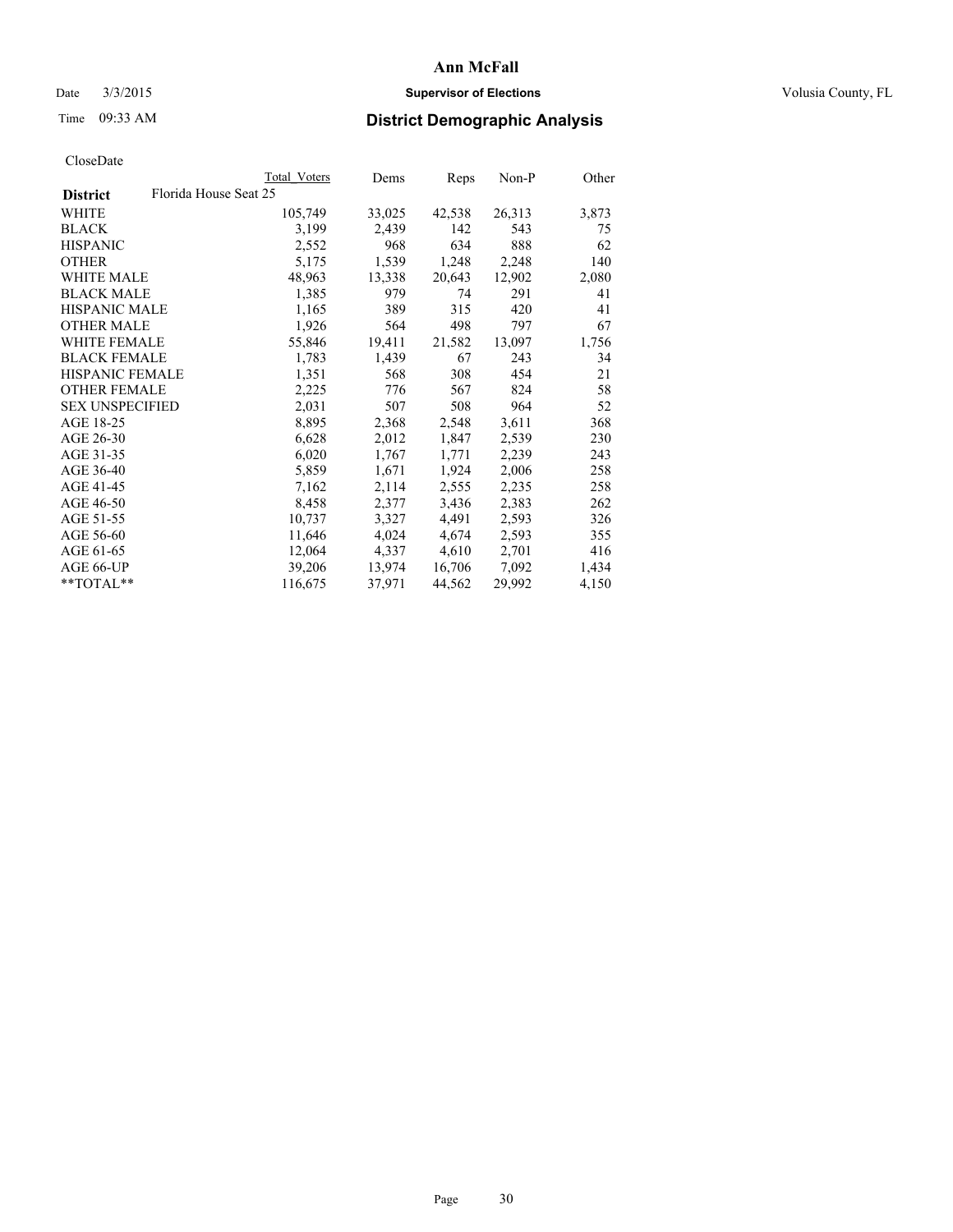## Date  $3/3/2015$  **Supervisor of Elections Supervisor of Elections** Volusia County, FL

# Time 09:33 AM **District Demographic Analysis**

| Florida House Seat 25<br><b>District</b><br>WHITE<br>105,749<br>33,025<br>42,538<br>26,313<br>142<br><b>BLACK</b><br>3,199<br>2,439<br>543<br>634<br>888<br><b>HISPANIC</b><br>2,552<br>968<br>1,539<br>1,248<br><b>OTHER</b><br>5,175<br>2,248<br>WHITE MALE<br>48,963<br>13,338<br>20,643<br>12,902<br><b>BLACK MALE</b><br>291<br>1,385<br>979<br>74<br><b>HISPANIC MALE</b><br>1,165<br>389<br>315<br>420<br>498<br><b>OTHER MALE</b><br>1,926<br>564<br>797<br><b>WHITE FEMALE</b><br>19,411<br>13,097<br>55,846<br>21,582<br><b>BLACK FEMALE</b><br>1,439<br>67<br>1,783<br>243<br><b>HISPANIC FEMALE</b><br>1,351<br>568<br>308<br>454<br><b>OTHER FEMALE</b><br>824<br>2,225<br>776<br>567<br><b>SEX UNSPECIFIED</b><br>2,031<br>507<br>508<br>964<br>AGE 18-25<br>3,611<br>8,895<br>2,368<br>2,548<br>AGE 26-30<br>6,628<br>2,012<br>1,847<br>2,539<br>AGE 31-35<br>6,020<br>2,239<br>1,767<br>1,771<br>AGE 36-40<br>5,859<br>1,924<br>2,006<br>1,671<br>AGE 41-45<br>7,162<br>2,114<br>2,555<br>2,235<br>AGE 46-50<br>2,383<br>8,458<br>2,377<br>3,436<br>AGE 51-55<br>3,327<br>4,491<br>10,737<br>2,593<br>AGE 56-60<br>2,593<br>11,646<br>4,024<br>4,674<br>4,337<br>AGE 61-65<br>12,064<br>4,610<br>2,701<br>AGE 66-UP<br>39,206<br>13,974<br>7,092<br>16,706<br>37,971<br>29,992<br>**TOTAL**<br>116,675<br>44,562 |  | Total Voters | Dems | <b>Reps</b> | Non-P | Other |
|----------------------------------------------------------------------------------------------------------------------------------------------------------------------------------------------------------------------------------------------------------------------------------------------------------------------------------------------------------------------------------------------------------------------------------------------------------------------------------------------------------------------------------------------------------------------------------------------------------------------------------------------------------------------------------------------------------------------------------------------------------------------------------------------------------------------------------------------------------------------------------------------------------------------------------------------------------------------------------------------------------------------------------------------------------------------------------------------------------------------------------------------------------------------------------------------------------------------------------------------------------------------------------------------------------------------------------|--|--------------|------|-------------|-------|-------|
|                                                                                                                                                                                                                                                                                                                                                                                                                                                                                                                                                                                                                                                                                                                                                                                                                                                                                                                                                                                                                                                                                                                                                                                                                                                                                                                                  |  |              |      |             |       |       |
|                                                                                                                                                                                                                                                                                                                                                                                                                                                                                                                                                                                                                                                                                                                                                                                                                                                                                                                                                                                                                                                                                                                                                                                                                                                                                                                                  |  |              |      |             |       | 3,873 |
|                                                                                                                                                                                                                                                                                                                                                                                                                                                                                                                                                                                                                                                                                                                                                                                                                                                                                                                                                                                                                                                                                                                                                                                                                                                                                                                                  |  |              |      |             |       | 75    |
|                                                                                                                                                                                                                                                                                                                                                                                                                                                                                                                                                                                                                                                                                                                                                                                                                                                                                                                                                                                                                                                                                                                                                                                                                                                                                                                                  |  |              |      |             |       | 62    |
|                                                                                                                                                                                                                                                                                                                                                                                                                                                                                                                                                                                                                                                                                                                                                                                                                                                                                                                                                                                                                                                                                                                                                                                                                                                                                                                                  |  |              |      |             |       | 140   |
|                                                                                                                                                                                                                                                                                                                                                                                                                                                                                                                                                                                                                                                                                                                                                                                                                                                                                                                                                                                                                                                                                                                                                                                                                                                                                                                                  |  |              |      |             |       | 2,080 |
|                                                                                                                                                                                                                                                                                                                                                                                                                                                                                                                                                                                                                                                                                                                                                                                                                                                                                                                                                                                                                                                                                                                                                                                                                                                                                                                                  |  |              |      |             |       | 41    |
|                                                                                                                                                                                                                                                                                                                                                                                                                                                                                                                                                                                                                                                                                                                                                                                                                                                                                                                                                                                                                                                                                                                                                                                                                                                                                                                                  |  |              |      |             |       | 41    |
|                                                                                                                                                                                                                                                                                                                                                                                                                                                                                                                                                                                                                                                                                                                                                                                                                                                                                                                                                                                                                                                                                                                                                                                                                                                                                                                                  |  |              |      |             |       | 67    |
|                                                                                                                                                                                                                                                                                                                                                                                                                                                                                                                                                                                                                                                                                                                                                                                                                                                                                                                                                                                                                                                                                                                                                                                                                                                                                                                                  |  |              |      |             |       | 1,756 |
|                                                                                                                                                                                                                                                                                                                                                                                                                                                                                                                                                                                                                                                                                                                                                                                                                                                                                                                                                                                                                                                                                                                                                                                                                                                                                                                                  |  |              |      |             |       | 34    |
|                                                                                                                                                                                                                                                                                                                                                                                                                                                                                                                                                                                                                                                                                                                                                                                                                                                                                                                                                                                                                                                                                                                                                                                                                                                                                                                                  |  |              |      |             |       | 21    |
|                                                                                                                                                                                                                                                                                                                                                                                                                                                                                                                                                                                                                                                                                                                                                                                                                                                                                                                                                                                                                                                                                                                                                                                                                                                                                                                                  |  |              |      |             |       | 58    |
|                                                                                                                                                                                                                                                                                                                                                                                                                                                                                                                                                                                                                                                                                                                                                                                                                                                                                                                                                                                                                                                                                                                                                                                                                                                                                                                                  |  |              |      |             |       | 52    |
|                                                                                                                                                                                                                                                                                                                                                                                                                                                                                                                                                                                                                                                                                                                                                                                                                                                                                                                                                                                                                                                                                                                                                                                                                                                                                                                                  |  |              |      |             |       | 368   |
|                                                                                                                                                                                                                                                                                                                                                                                                                                                                                                                                                                                                                                                                                                                                                                                                                                                                                                                                                                                                                                                                                                                                                                                                                                                                                                                                  |  |              |      |             |       | 230   |
|                                                                                                                                                                                                                                                                                                                                                                                                                                                                                                                                                                                                                                                                                                                                                                                                                                                                                                                                                                                                                                                                                                                                                                                                                                                                                                                                  |  |              |      |             |       | 243   |
|                                                                                                                                                                                                                                                                                                                                                                                                                                                                                                                                                                                                                                                                                                                                                                                                                                                                                                                                                                                                                                                                                                                                                                                                                                                                                                                                  |  |              |      |             |       | 258   |
|                                                                                                                                                                                                                                                                                                                                                                                                                                                                                                                                                                                                                                                                                                                                                                                                                                                                                                                                                                                                                                                                                                                                                                                                                                                                                                                                  |  |              |      |             |       | 258   |
|                                                                                                                                                                                                                                                                                                                                                                                                                                                                                                                                                                                                                                                                                                                                                                                                                                                                                                                                                                                                                                                                                                                                                                                                                                                                                                                                  |  |              |      |             |       | 262   |
|                                                                                                                                                                                                                                                                                                                                                                                                                                                                                                                                                                                                                                                                                                                                                                                                                                                                                                                                                                                                                                                                                                                                                                                                                                                                                                                                  |  |              |      |             |       | 326   |
|                                                                                                                                                                                                                                                                                                                                                                                                                                                                                                                                                                                                                                                                                                                                                                                                                                                                                                                                                                                                                                                                                                                                                                                                                                                                                                                                  |  |              |      |             |       | 355   |
|                                                                                                                                                                                                                                                                                                                                                                                                                                                                                                                                                                                                                                                                                                                                                                                                                                                                                                                                                                                                                                                                                                                                                                                                                                                                                                                                  |  |              |      |             |       | 416   |
|                                                                                                                                                                                                                                                                                                                                                                                                                                                                                                                                                                                                                                                                                                                                                                                                                                                                                                                                                                                                                                                                                                                                                                                                                                                                                                                                  |  |              |      |             |       | 1,434 |
|                                                                                                                                                                                                                                                                                                                                                                                                                                                                                                                                                                                                                                                                                                                                                                                                                                                                                                                                                                                                                                                                                                                                                                                                                                                                                                                                  |  |              |      |             |       | 4,150 |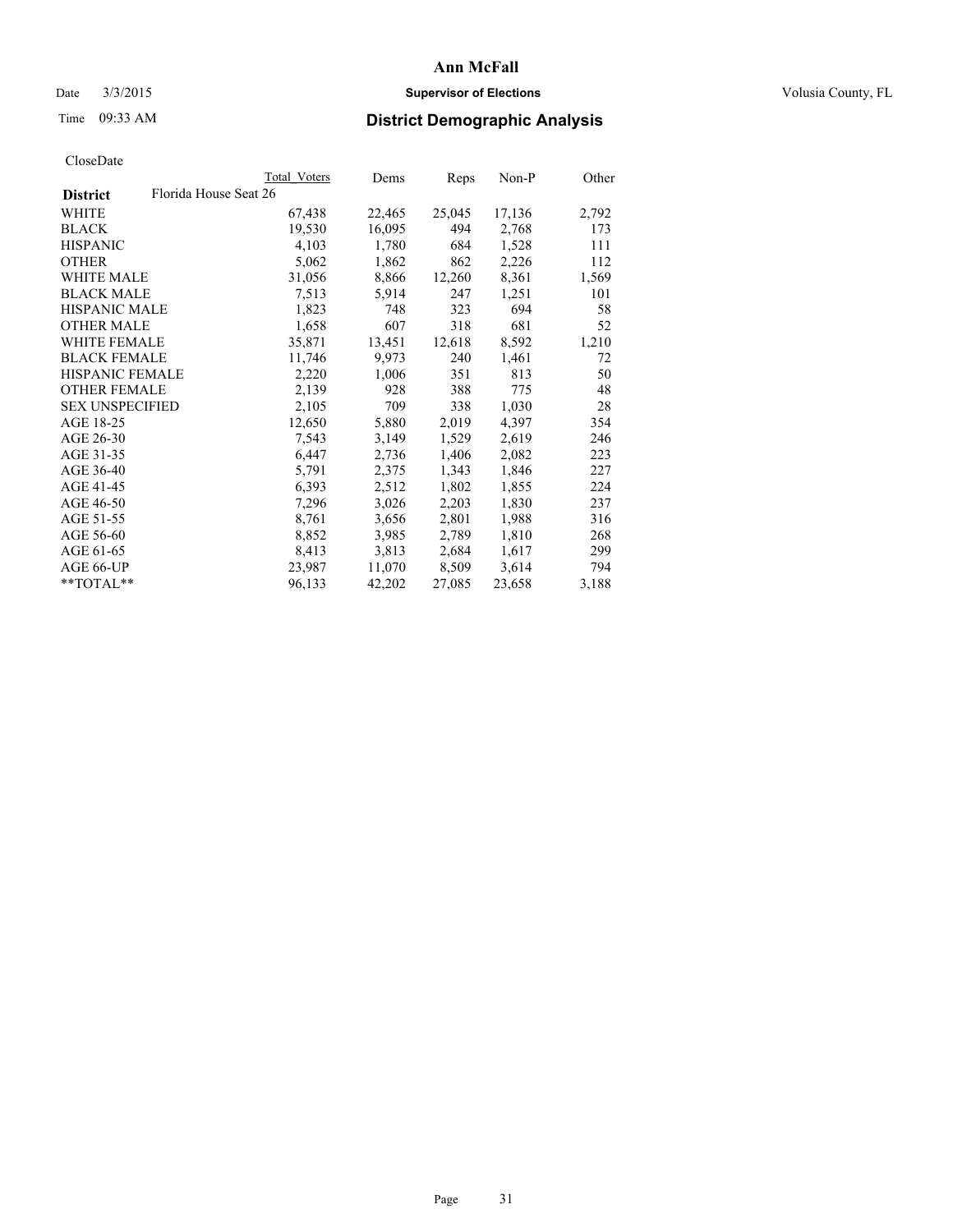## Date  $3/3/2015$  **Supervisor of Elections Supervisor of Elections** Volusia County, FL

# Time 09:33 AM **District Demographic Analysis**

|                                          | Total Voters | Dems   | Reps   | Non-P  | Other |
|------------------------------------------|--------------|--------|--------|--------|-------|
| Florida House Seat 26<br><b>District</b> |              |        |        |        |       |
| WHITE                                    | 67,438       | 22,465 | 25,045 | 17,136 | 2,792 |
| <b>BLACK</b>                             | 19,530       | 16,095 | 494    | 2,768  | 173   |
| <b>HISPANIC</b>                          | 4,103        | 1,780  | 684    | 1,528  | 111   |
| <b>OTHER</b>                             | 5,062        | 1,862  | 862    | 2,226  | 112   |
| WHITE MALE                               | 31,056       | 8,866  | 12,260 | 8,361  | 1,569 |
| <b>BLACK MALE</b>                        | 7,513        | 5,914  | 247    | 1,251  | 101   |
| <b>HISPANIC MALE</b>                     | 1,823        | 748    | 323    | 694    | 58    |
| <b>OTHER MALE</b>                        | 1,658        | 607    | 318    | 681    | 52    |
| WHITE FEMALE                             | 35,871       | 13,451 | 12,618 | 8,592  | 1,210 |
| <b>BLACK FEMALE</b>                      | 11,746       | 9,973  | 240    | 1,461  | 72    |
| <b>HISPANIC FEMALE</b>                   | 2,220        | 1,006  | 351    | 813    | 50    |
| <b>OTHER FEMALE</b>                      | 2,139        | 928    | 388    | 775    | 48    |
| <b>SEX UNSPECIFIED</b>                   | 2,105        | 709    | 338    | 1,030  | 28    |
| AGE 18-25                                | 12,650       | 5,880  | 2,019  | 4,397  | 354   |
| AGE 26-30                                | 7,543        | 3,149  | 1,529  | 2,619  | 246   |
| AGE 31-35                                | 6,447        | 2,736  | 1,406  | 2,082  | 223   |
| AGE 36-40                                | 5,791        | 2,375  | 1,343  | 1,846  | 227   |
| AGE 41-45                                | 6,393        | 2,512  | 1,802  | 1,855  | 224   |
| AGE 46-50                                | 7,296        | 3,026  | 2,203  | 1,830  | 237   |
| AGE 51-55                                | 8,761        | 3,656  | 2,801  | 1,988  | 316   |
| AGE 56-60                                | 8,852        | 3,985  | 2,789  | 1,810  | 268   |
| AGE 61-65                                | 8,413        | 3,813  | 2,684  | 1,617  | 299   |
| AGE 66-UP                                | 23,987       | 11,070 | 8,509  | 3,614  | 794   |
| $*$ TOTAL $*$                            | 96,133       | 42,202 | 27,085 | 23,658 | 3,188 |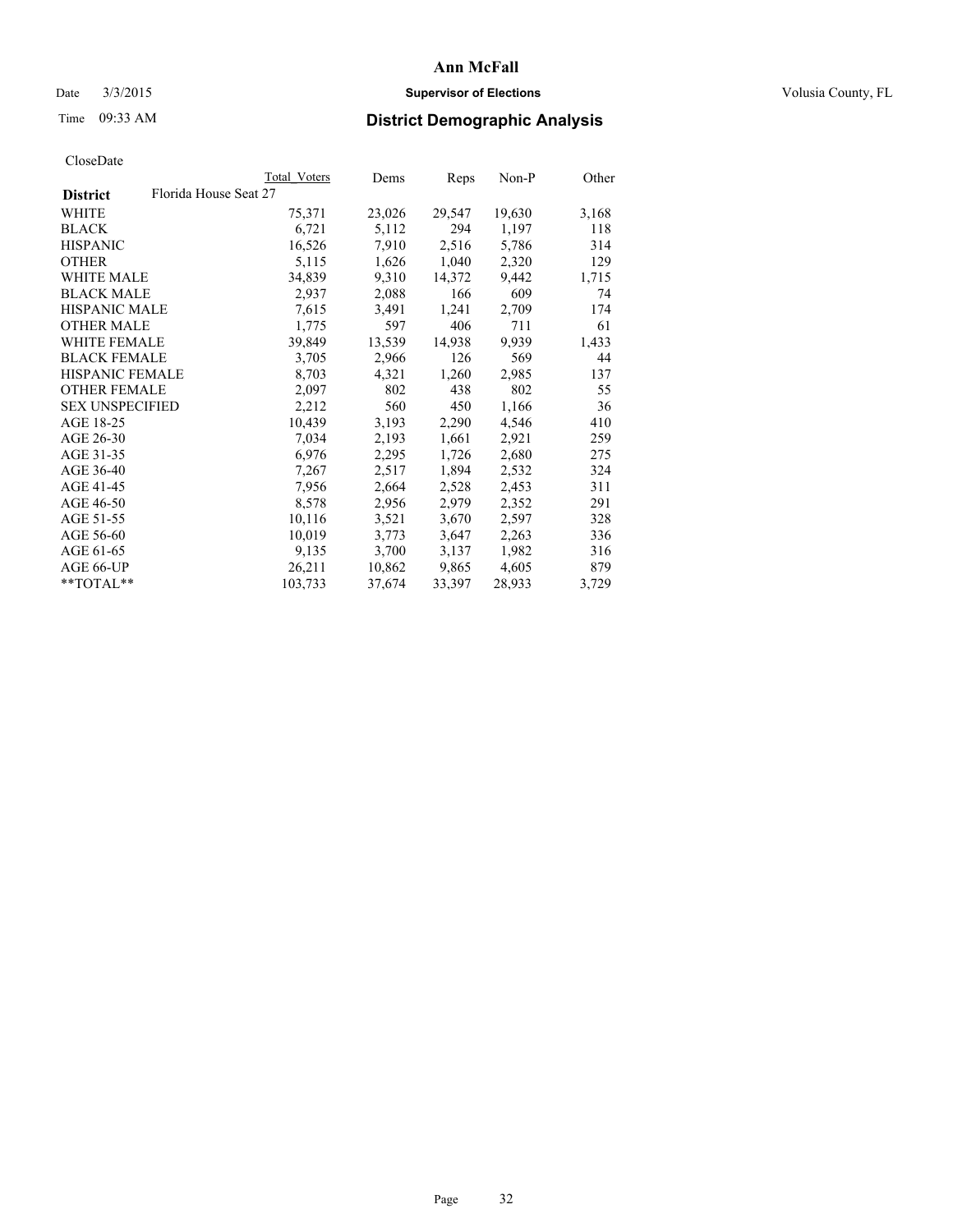## Date  $3/3/2015$  **Supervisor of Elections Supervisor of Elections** Volusia County, FL

# Time 09:33 AM **District Demographic Analysis**

|                                          | <b>Total Voters</b> | Dems   | <b>Reps</b> | Non-P  | Other |
|------------------------------------------|---------------------|--------|-------------|--------|-------|
| Florida House Seat 27<br><b>District</b> |                     |        |             |        |       |
| WHITE                                    | 75,371              | 23,026 | 29,547      | 19,630 | 3,168 |
| <b>BLACK</b>                             | 6,721               | 5,112  | 294         | 1,197  | 118   |
| <b>HISPANIC</b>                          | 16,526              | 7,910  | 2,516       | 5,786  | 314   |
| <b>OTHER</b>                             | 5,115               | 1,626  | 1,040       | 2,320  | 129   |
| WHITE MALE                               | 34,839              | 9,310  | 14,372      | 9,442  | 1,715 |
| <b>BLACK MALE</b>                        | 2,937               | 2,088  | 166         | 609    | 74    |
| <b>HISPANIC MALE</b>                     | 7,615               | 3,491  | 1,241       | 2,709  | 174   |
| <b>OTHER MALE</b>                        | 1,775               | 597    | 406         | 711    | 61    |
| <b>WHITE FEMALE</b>                      | 39,849              | 13,539 | 14,938      | 9,939  | 1,433 |
| <b>BLACK FEMALE</b>                      | 3,705               | 2,966  | 126         | 569    | 44    |
| <b>HISPANIC FEMALE</b>                   | 8,703               | 4,321  | 1,260       | 2,985  | 137   |
| <b>OTHER FEMALE</b>                      | 2,097               | 802    | 438         | 802    | 55    |
| <b>SEX UNSPECIFIED</b>                   | 2,212               | 560    | 450         | 1,166  | 36    |
| AGE 18-25                                | 10,439              | 3,193  | 2,290       | 4,546  | 410   |
| AGE 26-30                                | 7,034               | 2,193  | 1,661       | 2,921  | 259   |
| AGE 31-35                                | 6,976               | 2,295  | 1,726       | 2,680  | 275   |
| AGE 36-40                                | 7,267               | 2,517  | 1,894       | 2,532  | 324   |
| AGE 41-45                                | 7,956               | 2,664  | 2,528       | 2,453  | 311   |
| AGE 46-50                                | 8,578               | 2,956  | 2,979       | 2,352  | 291   |
| AGE 51-55                                | 10,116              | 3,521  | 3,670       | 2,597  | 328   |
| AGE 56-60                                | 10,019              | 3,773  | 3,647       | 2,263  | 336   |
| AGE 61-65                                | 9,135               | 3,700  | 3,137       | 1,982  | 316   |
| AGE 66-UP                                | 26,211              | 10,862 | 9,865       | 4,605  | 879   |
| $*$ $TOTAI.**$                           | 103,733             | 37,674 | 33,397      | 28,933 | 3,729 |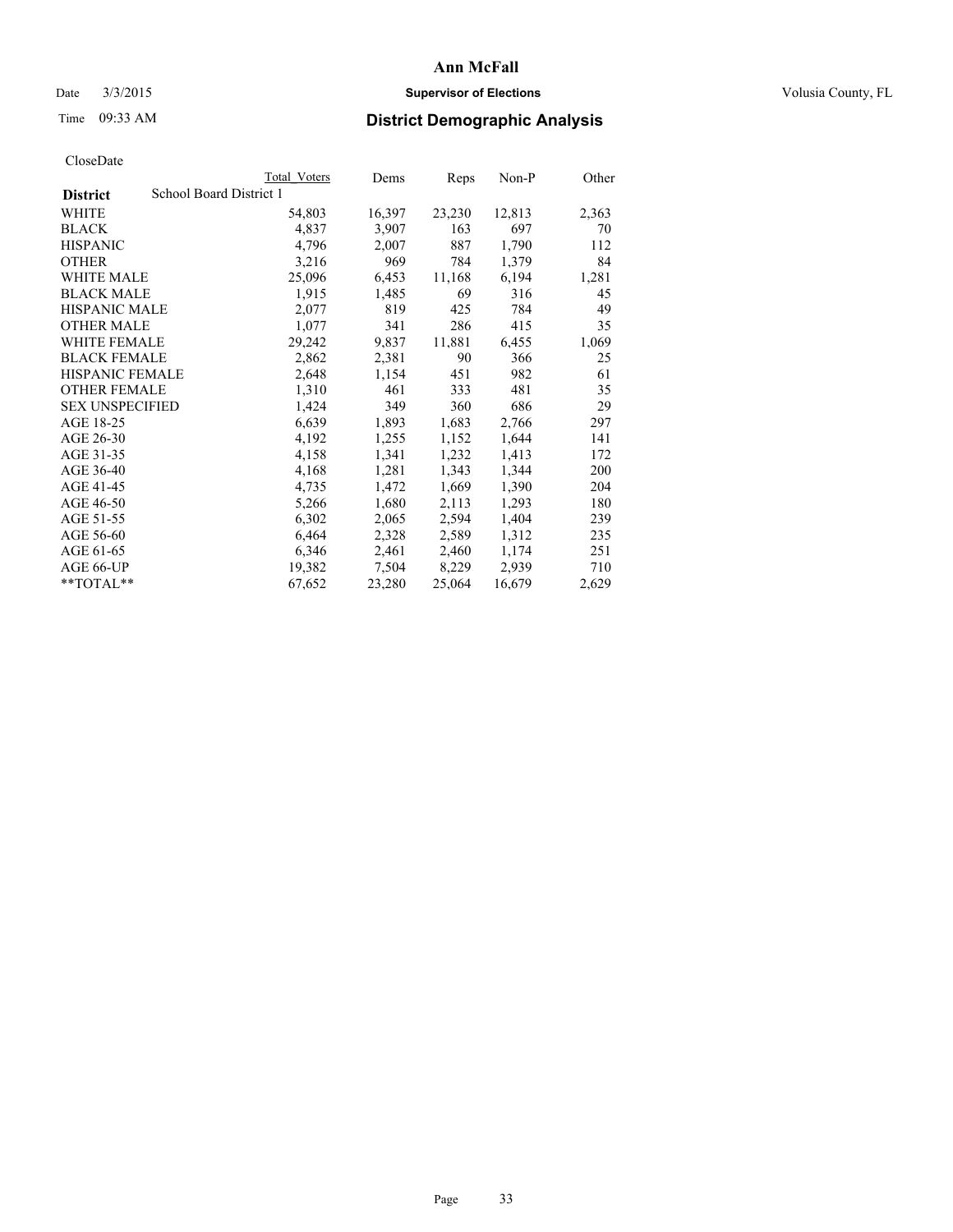## Date  $3/3/2015$  **Supervisor of Elections Supervisor of Elections** Volusia County, FL

# Time 09:33 AM **District Demographic Analysis**

|                        |                         | <b>Total Voters</b> | Dems   | <b>Reps</b> | Non-P  | Other |
|------------------------|-------------------------|---------------------|--------|-------------|--------|-------|
| <b>District</b>        | School Board District 1 |                     |        |             |        |       |
| WHITE                  |                         | 54,803              | 16,397 | 23,230      | 12,813 | 2,363 |
| <b>BLACK</b>           |                         | 4,837               | 3,907  | 163         | 697    | 70    |
| <b>HISPANIC</b>        |                         | 4,796               | 2,007  | 887         | 1,790  | 112   |
| <b>OTHER</b>           |                         | 3,216               | 969    | 784         | 1,379  | 84    |
| WHITE MALE             |                         | 25,096              | 6,453  | 11,168      | 6,194  | 1,281 |
| <b>BLACK MALE</b>      |                         | 1,915               | 1,485  | 69          | 316    | 45    |
| <b>HISPANIC MALE</b>   |                         | 2,077               | 819    | 425         | 784    | 49    |
| <b>OTHER MALE</b>      |                         | 1,077               | 341    | 286         | 415    | 35    |
| <b>WHITE FEMALE</b>    |                         | 29,242              | 9,837  | 11,881      | 6,455  | 1,069 |
| <b>BLACK FEMALE</b>    |                         | 2,862               | 2,381  | 90          | 366    | 25    |
| <b>HISPANIC FEMALE</b> |                         | 2,648               | 1,154  | 451         | 982    | 61    |
| <b>OTHER FEMALE</b>    |                         | 1,310               | 461    | 333         | 481    | 35    |
| <b>SEX UNSPECIFIED</b> |                         | 1,424               | 349    | 360         | 686    | 29    |
| AGE 18-25              |                         | 6,639               | 1,893  | 1,683       | 2,766  | 297   |
| AGE 26-30              |                         | 4,192               | 1,255  | 1,152       | 1,644  | 141   |
| AGE 31-35              |                         | 4,158               | 1,341  | 1,232       | 1,413  | 172   |
| AGE 36-40              |                         | 4,168               | 1,281  | 1,343       | 1,344  | 200   |
| AGE 41-45              |                         | 4,735               | 1,472  | 1,669       | 1,390  | 204   |
| AGE 46-50              |                         | 5,266               | 1,680  | 2,113       | 1,293  | 180   |
| AGE 51-55              |                         | 6,302               | 2,065  | 2,594       | 1,404  | 239   |
| AGE 56-60              |                         | 6,464               | 2,328  | 2,589       | 1,312  | 235   |
| AGE 61-65              |                         | 6,346               | 2,461  | 2,460       | 1,174  | 251   |
| AGE 66-UP              |                         | 19,382              | 7,504  | 8,229       | 2,939  | 710   |
| **TOTAL**              |                         | 67,652              | 23,280 | 25,064      | 16,679 | 2,629 |
|                        |                         |                     |        |             |        |       |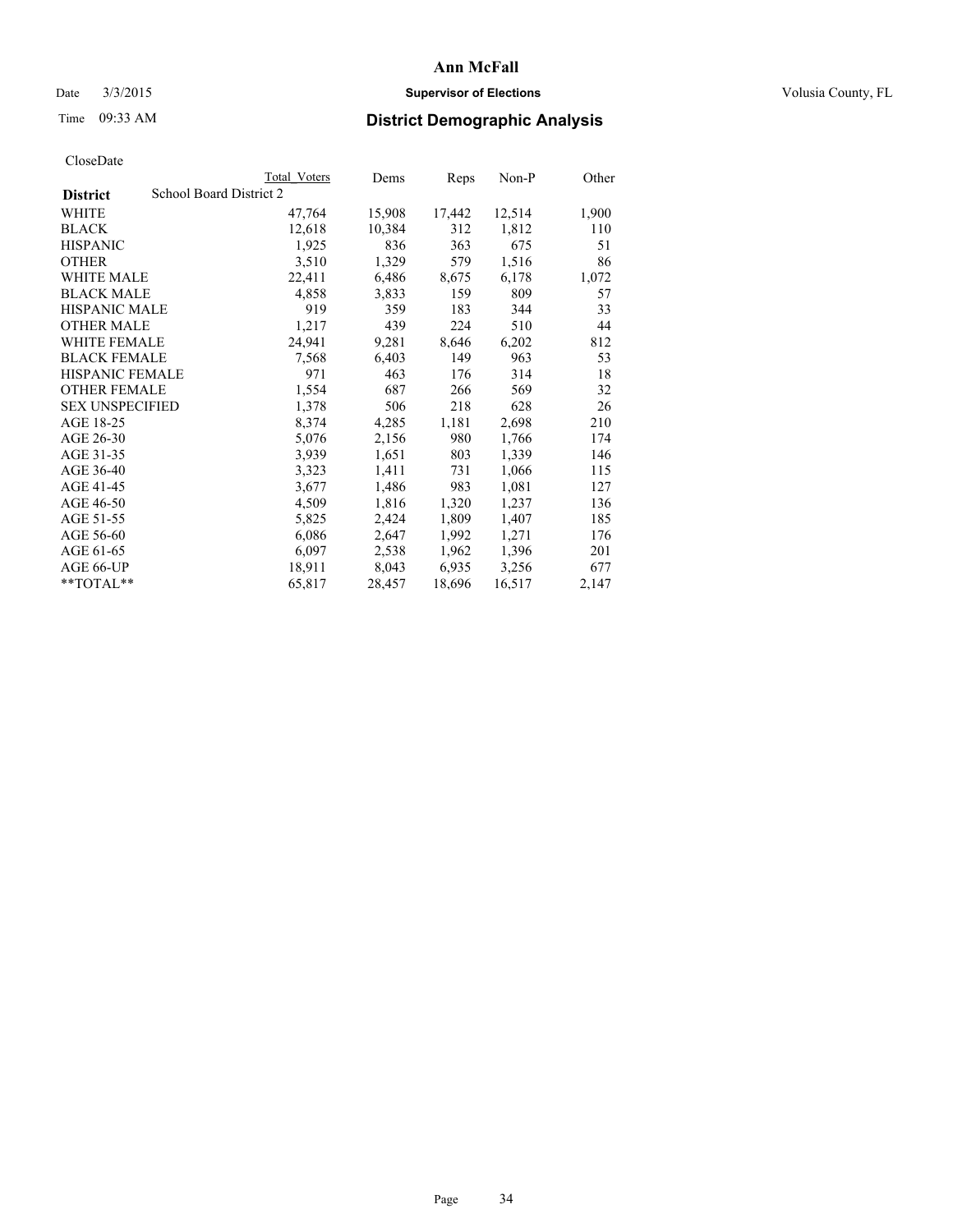## Date  $3/3/2015$  **Supervisor of Elections Supervisor of Elections** Volusia County, FL

# Time 09:33 AM **District Demographic Analysis**

|                        |                         | <b>Total Voters</b> | Dems   | Reps   | Non-P  | Other |
|------------------------|-------------------------|---------------------|--------|--------|--------|-------|
| <b>District</b>        | School Board District 2 |                     |        |        |        |       |
| WHITE                  |                         | 47,764              | 15,908 | 17,442 | 12,514 | 1,900 |
| <b>BLACK</b>           |                         | 12,618              | 10,384 | 312    | 1,812  | 110   |
| <b>HISPANIC</b>        |                         | 1,925               | 836    | 363    | 675    | 51    |
| <b>OTHER</b>           |                         | 3,510               | 1,329  | 579    | 1,516  | 86    |
| WHITE MALE             |                         | 22,411              | 6,486  | 8,675  | 6,178  | 1,072 |
| <b>BLACK MALE</b>      |                         | 4,858               | 3,833  | 159    | 809    | 57    |
| <b>HISPANIC MALE</b>   |                         | 919                 | 359    | 183    | 344    | 33    |
| <b>OTHER MALE</b>      |                         | 1,217               | 439    | 224    | 510    | 44    |
| <b>WHITE FEMALE</b>    |                         | 24,941              | 9,281  | 8,646  | 6,202  | 812   |
| <b>BLACK FEMALE</b>    |                         | 7.568               | 6,403  | 149    | 963    | 53    |
| <b>HISPANIC FEMALE</b> |                         | 971                 | 463    | 176    | 314    | 18    |
| <b>OTHER FEMALE</b>    |                         | 1,554               | 687    | 266    | 569    | 32    |
| <b>SEX UNSPECIFIED</b> |                         | 1,378               | 506    | 218    | 628    | 26    |
| AGE 18-25              |                         | 8,374               | 4,285  | 1,181  | 2,698  | 210   |
| AGE 26-30              |                         | 5,076               | 2,156  | 980    | 1,766  | 174   |
| AGE 31-35              |                         | 3,939               | 1,651  | 803    | 1,339  | 146   |
| AGE 36-40              |                         | 3,323               | 1,411  | 731    | 1,066  | 115   |
| AGE 41-45              |                         | 3,677               | 1,486  | 983    | 1,081  | 127   |
| AGE 46-50              |                         | 4,509               | 1,816  | 1,320  | 1,237  | 136   |
| AGE 51-55              |                         | 5,825               | 2,424  | 1,809  | 1,407  | 185   |
| AGE 56-60              |                         | 6,086               | 2,647  | 1,992  | 1,271  | 176   |
| AGE 61-65              |                         | 6,097               | 2,538  | 1,962  | 1,396  | 201   |
| AGE 66-UP              |                         | 18,911              | 8,043  | 6,935  | 3,256  | 677   |
| **TOTAL**              |                         | 65,817              | 28,457 | 18,696 | 16,517 | 2,147 |
|                        |                         |                     |        |        |        |       |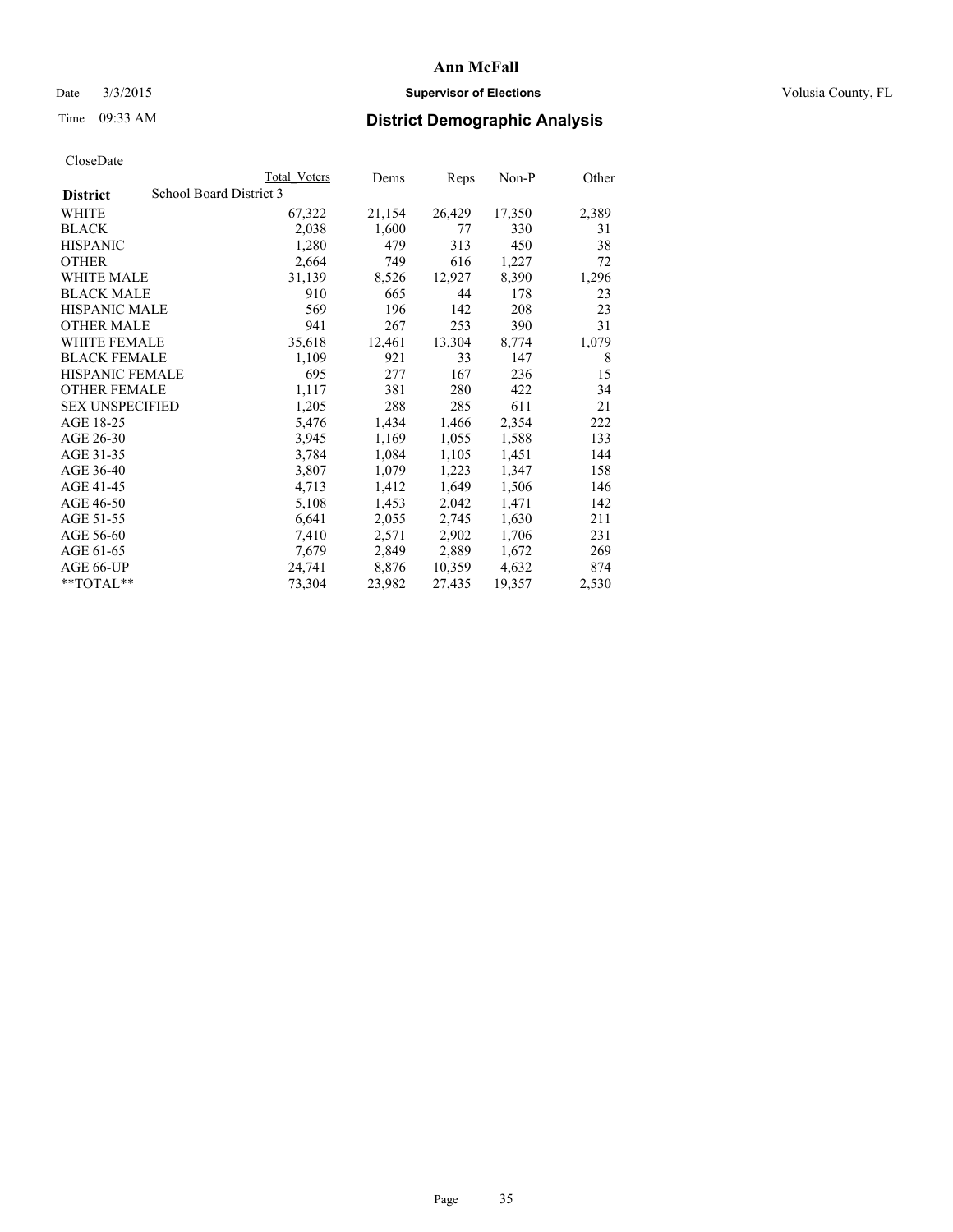## Date  $3/3/2015$  **Supervisor of Elections Supervisor of Elections** Volusia County, FL

# Time 09:33 AM **District Demographic Analysis**

|                        | Total Voters            | Dems   | <b>Reps</b> | $Non-P$ | Other |
|------------------------|-------------------------|--------|-------------|---------|-------|
| <b>District</b>        | School Board District 3 |        |             |         |       |
| WHITE                  | 67,322                  | 21,154 | 26,429      | 17,350  | 2,389 |
| <b>BLACK</b>           | 2,038                   | 1,600  | 77          | 330     | 31    |
| <b>HISPANIC</b>        | 1,280                   | 479    | 313         | 450     | 38    |
| <b>OTHER</b>           | 2,664                   | 749    | 616         | 1,227   | 72    |
| <b>WHITE MALE</b>      | 31,139                  | 8,526  | 12,927      | 8,390   | 1,296 |
| <b>BLACK MALE</b>      | 910                     | 665    | 44          | 178     | 23    |
| <b>HISPANIC MALE</b>   | 569                     | 196    | 142         | 208     | 23    |
| <b>OTHER MALE</b>      | 941                     | 267    | 253         | 390     | 31    |
| WHITE FEMALE           | 35,618                  | 12,461 | 13,304      | 8,774   | 1,079 |
| <b>BLACK FEMALE</b>    | 1,109                   | 921    | 33          | 147     | 8     |
| <b>HISPANIC FEMALE</b> | 695                     | 277    | 167         | 236     | 15    |
| <b>OTHER FEMALE</b>    | 1,117                   | 381    | 280         | 422     | 34    |
| <b>SEX UNSPECIFIED</b> | 1,205                   | 288    | 285         | 611     | 21    |
| AGE 18-25              | 5,476                   | 1,434  | 1,466       | 2,354   | 222   |
| AGE 26-30              | 3,945                   | 1,169  | 1,055       | 1,588   | 133   |
| AGE 31-35              | 3,784                   | 1,084  | 1,105       | 1,451   | 144   |
| AGE 36-40              | 3,807                   | 1,079  | 1,223       | 1,347   | 158   |
| AGE 41-45              | 4,713                   | 1,412  | 1,649       | 1,506   | 146   |
| AGE 46-50              | 5,108                   | 1,453  | 2,042       | 1,471   | 142   |
| AGE 51-55              | 6,641                   | 2,055  | 2,745       | 1,630   | 211   |
| AGE 56-60              | 7,410                   | 2,571  | 2,902       | 1,706   | 231   |
| AGE 61-65              | 7,679                   | 2,849  | 2,889       | 1,672   | 269   |
| AGE 66-UP              | 24,741                  | 8,876  | 10,359      | 4,632   | 874   |
| $*$ $TOTAI.**$         | 73,304                  | 23,982 | 27,435      | 19,357  | 2,530 |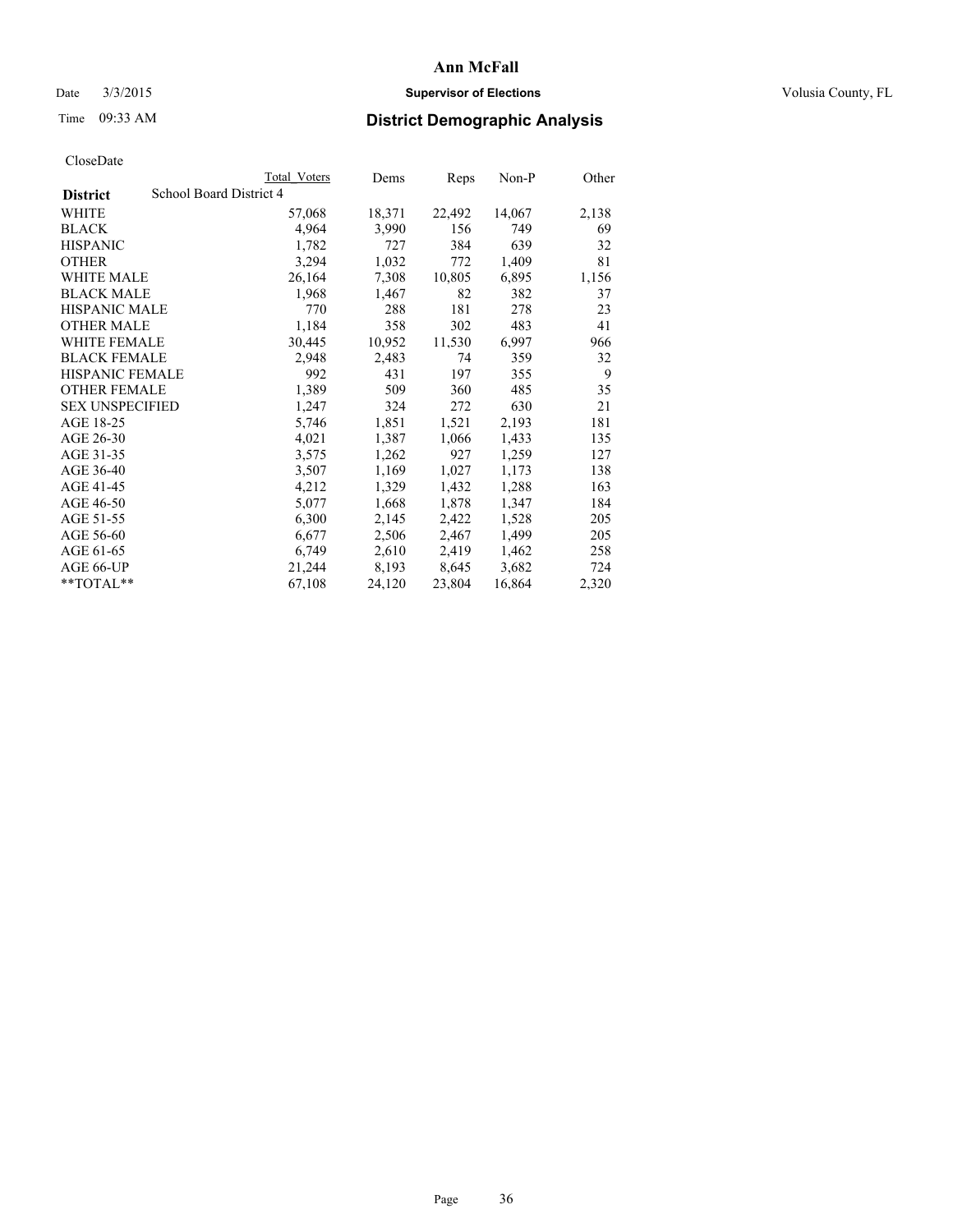## Date  $3/3/2015$  **Supervisor of Elections Supervisor of Elections** Volusia County, FL

# Time 09:33 AM **District Demographic Analysis**

|                        |                         | Total Voters | Dems   | Reps   | Non-P  | Other |
|------------------------|-------------------------|--------------|--------|--------|--------|-------|
| <b>District</b>        | School Board District 4 |              |        |        |        |       |
| WHITE                  |                         | 57,068       | 18,371 | 22,492 | 14,067 | 2,138 |
| <b>BLACK</b>           |                         | 4,964        | 3,990  | 156    | 749    | 69    |
| <b>HISPANIC</b>        |                         | 1,782        | 727    | 384    | 639    | 32    |
| <b>OTHER</b>           |                         | 3,294        | 1,032  | 772    | 1,409  | 81    |
| <b>WHITE MALE</b>      |                         | 26,164       | 7,308  | 10,805 | 6,895  | 1,156 |
| <b>BLACK MALE</b>      |                         | 1,968        | 1,467  | 82     | 382    | 37    |
| <b>HISPANIC MALE</b>   |                         | 770          | 288    | 181    | 278    | 23    |
| <b>OTHER MALE</b>      |                         | 1,184        | 358    | 302    | 483    | 41    |
| WHITE FEMALE           |                         | 30,445       | 10,952 | 11,530 | 6,997  | 966   |
| <b>BLACK FEMALE</b>    |                         | 2,948        | 2,483  | 74     | 359    | 32    |
| <b>HISPANIC FEMALE</b> |                         | 992          | 431    | 197    | 355    | 9     |
| <b>OTHER FEMALE</b>    |                         | 1,389        | 509    | 360    | 485    | 35    |
| <b>SEX UNSPECIFIED</b> |                         | 1,247        | 324    | 272    | 630    | 21    |
| AGE 18-25              |                         | 5,746        | 1,851  | 1,521  | 2,193  | 181   |
| AGE 26-30              |                         | 4,021        | 1,387  | 1,066  | 1,433  | 135   |
| AGE 31-35              |                         | 3,575        | 1,262  | 927    | 1,259  | 127   |
| AGE 36-40              |                         | 3,507        | 1,169  | 1,027  | 1,173  | 138   |
| AGE 41-45              |                         | 4,212        | 1,329  | 1,432  | 1,288  | 163   |
| AGE 46-50              |                         | 5,077        | 1,668  | 1,878  | 1,347  | 184   |
| AGE 51-55              |                         | 6,300        | 2,145  | 2,422  | 1,528  | 205   |
| AGE 56-60              |                         | 6,677        | 2,506  | 2,467  | 1,499  | 205   |
| AGE 61-65              |                         | 6,749        | 2,610  | 2,419  | 1,462  | 258   |
| AGE 66-UP              |                         | 21,244       | 8,193  | 8,645  | 3,682  | 724   |
| $*$ $TOTAI.**$         |                         | 67,108       | 24,120 | 23,804 | 16,864 | 2,320 |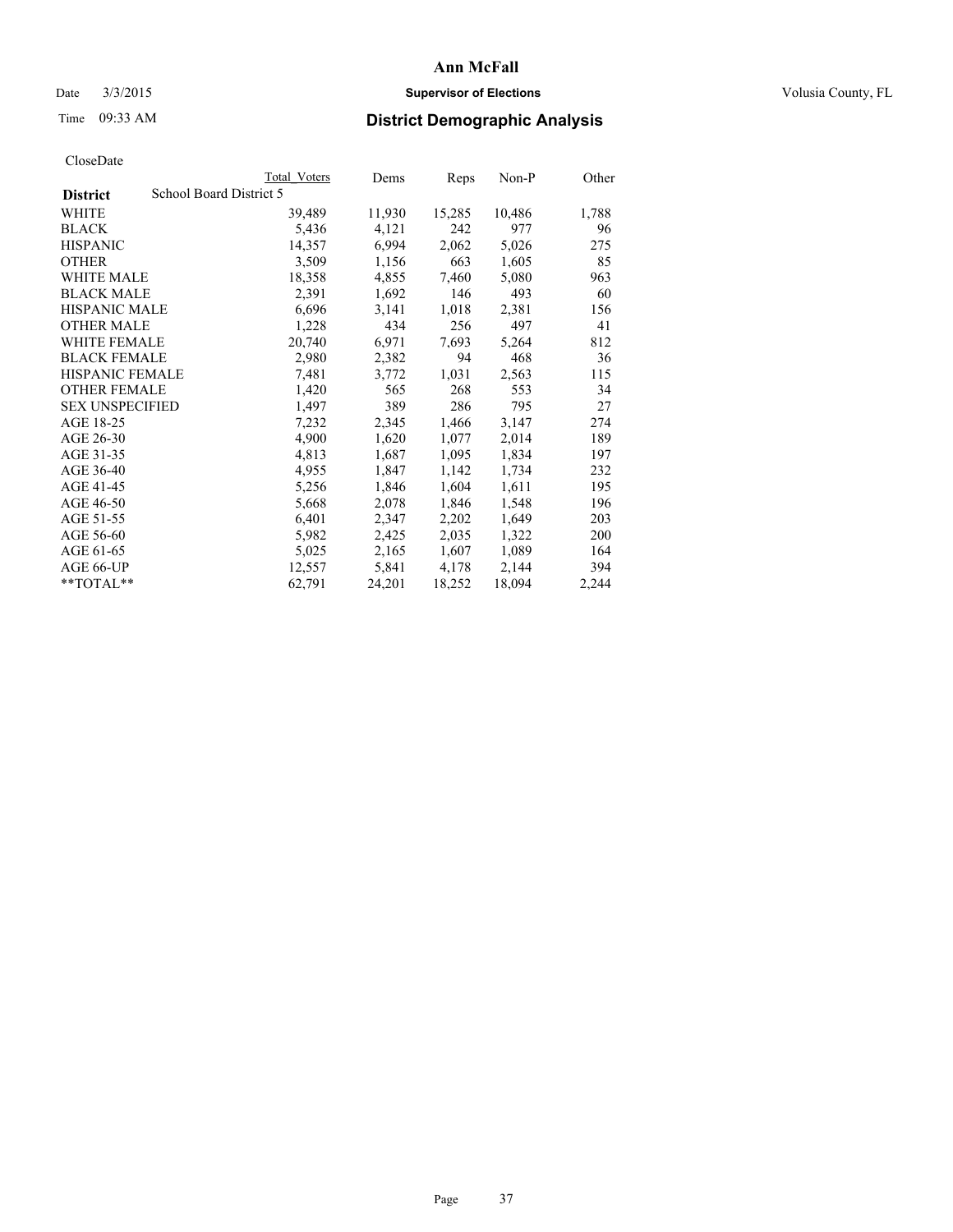## Date  $3/3/2015$  **Supervisor of Elections Supervisor of Elections** Volusia County, FL

# Time 09:33 AM **District Demographic Analysis**

|                        | Total Voters            | Dems   | Reps   | Non-P  | Other |
|------------------------|-------------------------|--------|--------|--------|-------|
| <b>District</b>        | School Board District 5 |        |        |        |       |
| WHITE                  | 39,489                  | 11,930 | 15,285 | 10,486 | 1,788 |
| <b>BLACK</b>           | 5,436                   | 4,121  | 242    | 977    | 96    |
| <b>HISPANIC</b>        | 14,357                  | 6,994  | 2,062  | 5,026  | 275   |
| <b>OTHER</b>           | 3,509                   | 1,156  | 663    | 1,605  | 85    |
| WHITE MALE             | 18,358                  | 4,855  | 7,460  | 5,080  | 963   |
| <b>BLACK MALE</b>      | 2,391                   | 1,692  | 146    | 493    | 60    |
| <b>HISPANIC MALE</b>   | 6,696                   | 3,141  | 1,018  | 2,381  | 156   |
| <b>OTHER MALE</b>      | 1,228                   | 434    | 256    | 497    | 41    |
| <b>WHITE FEMALE</b>    | 20,740                  | 6,971  | 7,693  | 5,264  | 812   |
| <b>BLACK FEMALE</b>    | 2,980                   | 2,382  | 94     | 468    | 36    |
| <b>HISPANIC FEMALE</b> | 7,481                   | 3,772  | 1,031  | 2,563  | 115   |
| <b>OTHER FEMALE</b>    | 1,420                   | 565    | 268    | 553    | 34    |
| <b>SEX UNSPECIFIED</b> | 1,497                   | 389    | 286    | 795    | 27    |
| AGE 18-25              | 7,232                   | 2,345  | 1,466  | 3,147  | 274   |
| AGE 26-30              | 4,900                   | 1,620  | 1,077  | 2,014  | 189   |
| AGE 31-35              | 4,813                   | 1,687  | 1,095  | 1,834  | 197   |
| AGE 36-40              | 4,955                   | 1,847  | 1,142  | 1,734  | 232   |
| AGE 41-45              | 5,256                   | 1,846  | 1,604  | 1,611  | 195   |
| AGE 46-50              | 5,668                   | 2,078  | 1,846  | 1,548  | 196   |
| AGE 51-55              | 6,401                   | 2,347  | 2,202  | 1,649  | 203   |
| AGE 56-60              | 5,982                   | 2,425  | 2,035  | 1,322  | 200   |
| AGE 61-65              | 5,025                   | 2,165  | 1,607  | 1,089  | 164   |
| AGE 66-UP              | 12,557                  | 5,841  | 4,178  | 2,144  | 394   |
| $*$ TOTAL $*$          | 62,791                  | 24,201 | 18,252 | 18,094 | 2,244 |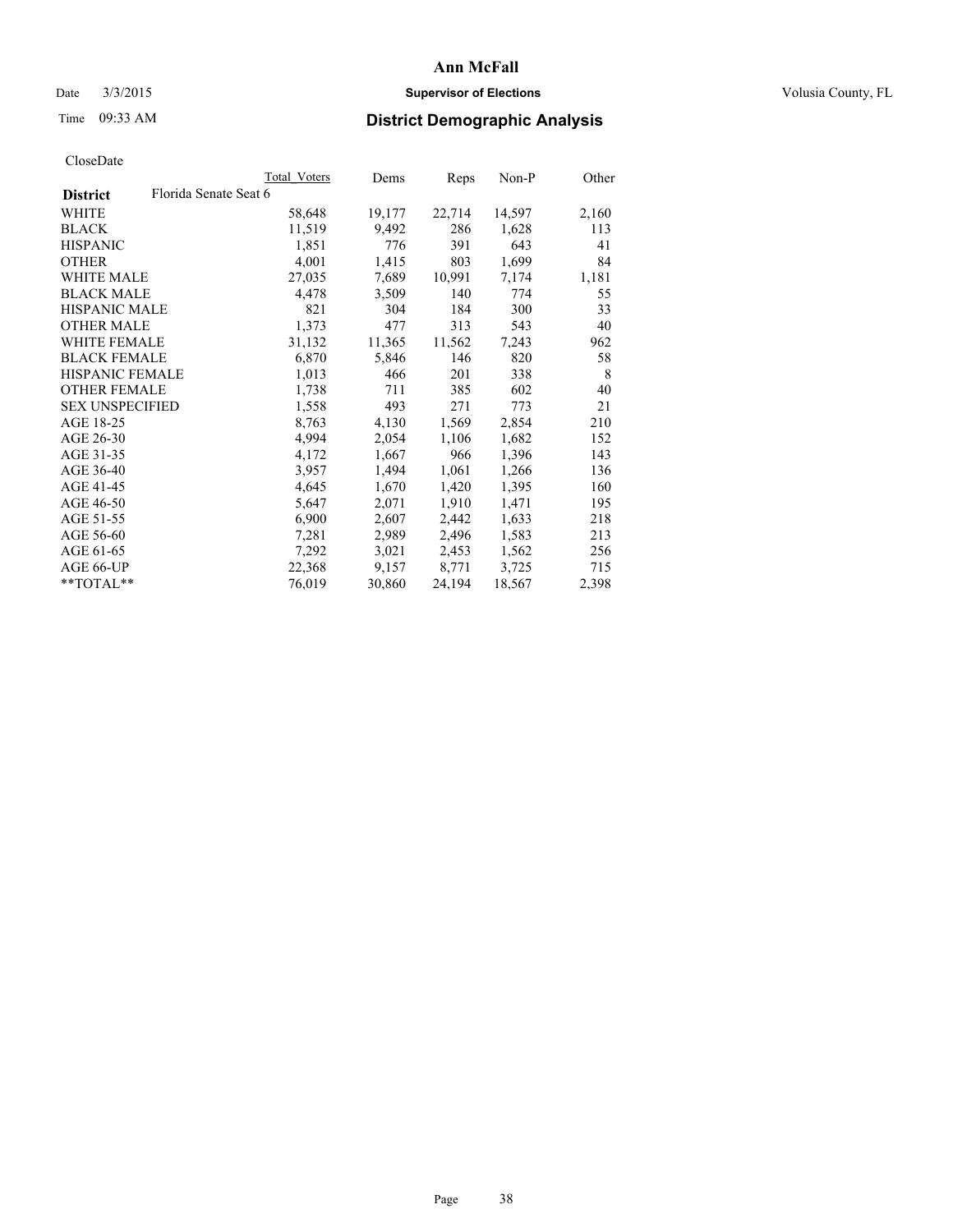## Date  $3/3/2015$  **Supervisor of Elections Supervisor of Elections** Volusia County, FL

# Time 09:33 AM **District Demographic Analysis**

| Total Voters          | Dems   | Reps   | Non-P  | Other |
|-----------------------|--------|--------|--------|-------|
| Florida Senate Seat 6 |        |        |        |       |
| 58,648                | 19,177 | 22,714 | 14,597 | 2,160 |
| 11,519                | 9,492  | 286    | 1,628  | 113   |
| 1,851                 | 776    | 391    | 643    | 41    |
| 4,001                 | 1,415  | 803    | 1,699  | 84    |
| 27,035                | 7,689  | 10,991 | 7,174  | 1,181 |
| 4,478                 | 3,509  | 140    | 774    | 55    |
| 821                   | 304    | 184    | 300    | 33    |
| 1,373                 | 477    | 313    | 543    | 40    |
| 31,132                | 11,365 | 11,562 | 7,243  | 962   |
| 6,870                 | 5,846  | 146    | 820    | 58    |
| 1,013                 | 466    | 201    | 338    | 8     |
| 1,738                 | 711    | 385    | 602    | 40    |
| 1,558                 | 493    | 271    | 773    | 21    |
| 8,763                 | 4,130  | 1,569  | 2,854  | 210   |
| 4,994                 | 2,054  | 1,106  | 1,682  | 152   |
| 4,172                 | 1,667  | 966    | 1,396  | 143   |
| 3,957                 | 1,494  | 1,061  | 1,266  | 136   |
| 4,645                 | 1,670  | 1,420  | 1,395  | 160   |
| 5,647                 | 2,071  | 1,910  | 1,471  | 195   |
| 6,900                 | 2,607  | 2,442  | 1,633  | 218   |
| 7,281                 | 2,989  | 2,496  | 1,583  | 213   |
| 7,292                 | 3,021  | 2,453  | 1,562  | 256   |
| 22,368                | 9,157  | 8,771  | 3,725  | 715   |
| 76,019                | 30,860 | 24,194 | 18,567 | 2,398 |
|                       |        |        |        |       |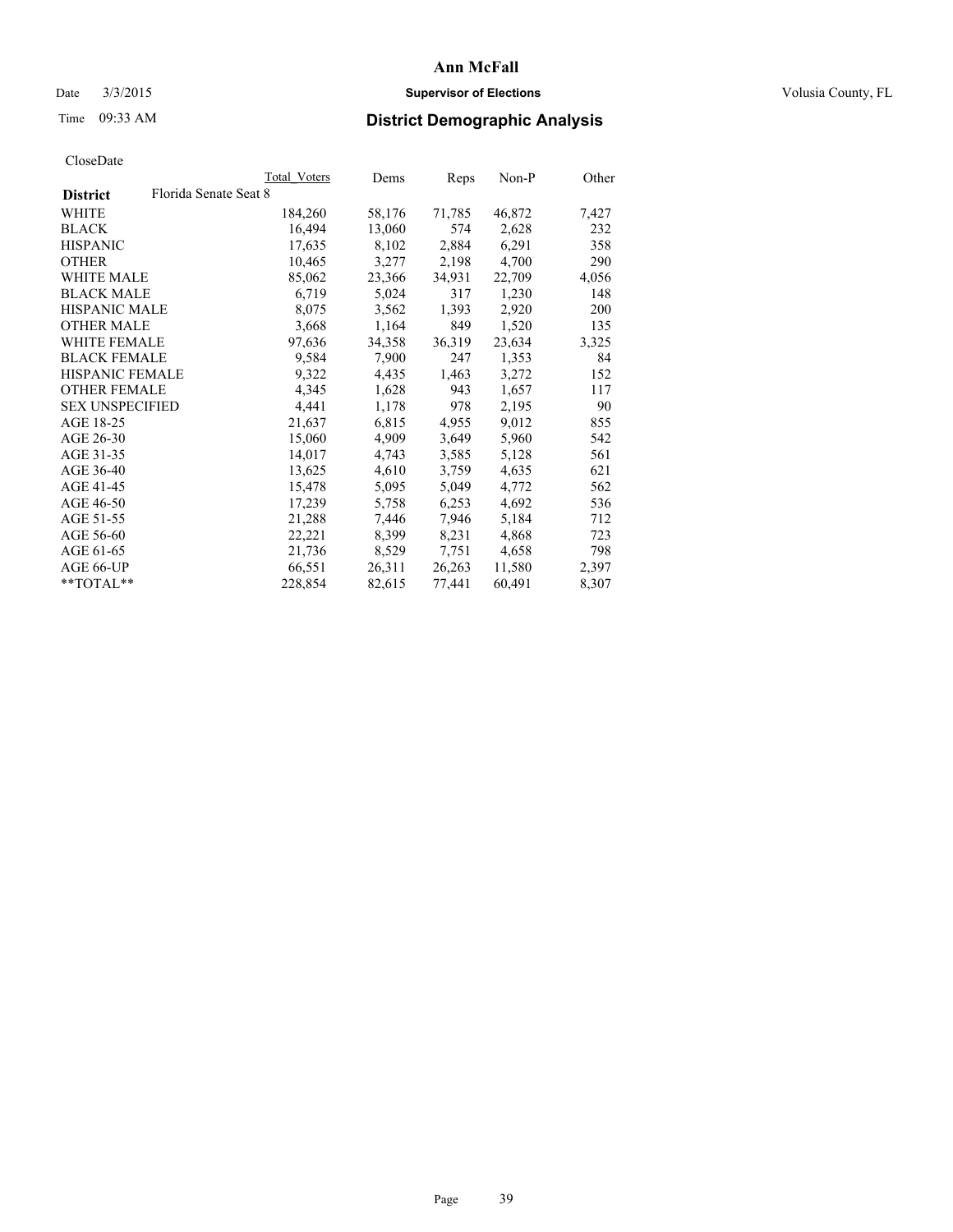## Date  $3/3/2015$  **Supervisor of Elections Supervisor of Elections** Volusia County, FL

# Time 09:33 AM **District Demographic Analysis**

|                                          | Total Voters | Dems   | Reps   | Non-P  | Other |
|------------------------------------------|--------------|--------|--------|--------|-------|
| Florida Senate Seat 8<br><b>District</b> |              |        |        |        |       |
| WHITE                                    | 184,260      | 58,176 | 71,785 | 46,872 | 7,427 |
| <b>BLACK</b>                             | 16,494       | 13,060 | 574    | 2,628  | 232   |
| <b>HISPANIC</b>                          | 17,635       | 8,102  | 2,884  | 6,291  | 358   |
| <b>OTHER</b>                             | 10,465       | 3,277  | 2,198  | 4,700  | 290   |
| WHITE MALE                               | 85,062       | 23,366 | 34,931 | 22,709 | 4,056 |
| <b>BLACK MALE</b>                        | 6,719        | 5,024  | 317    | 1,230  | 148   |
| <b>HISPANIC MALE</b>                     | 8,075        | 3,562  | 1,393  | 2,920  | 200   |
| <b>OTHER MALE</b>                        | 3,668        | 1,164  | 849    | 1,520  | 135   |
| <b>WHITE FEMALE</b>                      | 97,636       | 34,358 | 36,319 | 23,634 | 3,325 |
| <b>BLACK FEMALE</b>                      | 9,584        | 7,900  | 247    | 1,353  | 84    |
| HISPANIC FEMALE                          | 9,322        | 4,435  | 1,463  | 3,272  | 152   |
| <b>OTHER FEMALE</b>                      | 4,345        | 1,628  | 943    | 1,657  | 117   |
| <b>SEX UNSPECIFIED</b>                   | 4,441        | 1,178  | 978    | 2,195  | 90    |
| AGE 18-25                                | 21,637       | 6,815  | 4,955  | 9,012  | 855   |
| AGE 26-30                                | 15,060       | 4,909  | 3,649  | 5,960  | 542   |
| AGE 31-35                                | 14,017       | 4,743  | 3,585  | 5,128  | 561   |
| AGE 36-40                                | 13,625       | 4,610  | 3,759  | 4,635  | 621   |
| AGE 41-45                                | 15,478       | 5,095  | 5,049  | 4,772  | 562   |
| AGE 46-50                                | 17,239       | 5,758  | 6,253  | 4,692  | 536   |
| AGE 51-55                                | 21,288       | 7,446  | 7,946  | 5,184  | 712   |
| AGE 56-60                                | 22,221       | 8,399  | 8,231  | 4,868  | 723   |
| AGE 61-65                                | 21,736       | 8,529  | 7,751  | 4,658  | 798   |
| AGE 66-UP                                | 66,551       | 26,311 | 26,263 | 11,580 | 2,397 |
| **TOTAL**                                | 228,854      | 82,615 | 77,441 | 60,491 | 8,307 |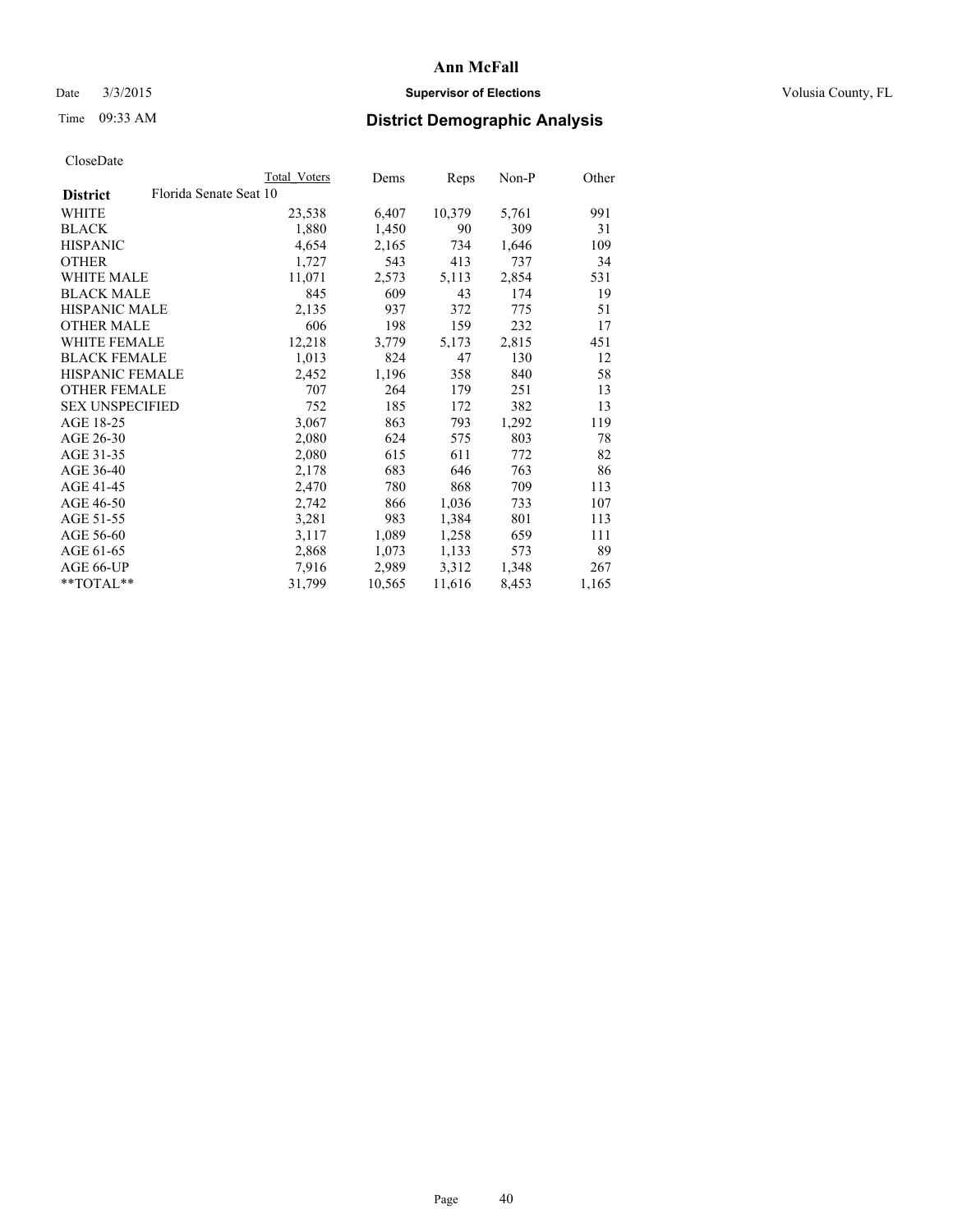## Date  $3/3/2015$  **Supervisor of Elections Supervisor of Elections** Volusia County, FL

# Time 09:33 AM **District Demographic Analysis**

|                                           | Total Voters | Dems   | <b>Reps</b> | Non-P | Other |
|-------------------------------------------|--------------|--------|-------------|-------|-------|
| Florida Senate Seat 10<br><b>District</b> |              |        |             |       |       |
| WHITE                                     | 23,538       | 6,407  | 10,379      | 5,761 | 991   |
| <b>BLACK</b>                              | 1,880        | 1,450  | 90          | 309   | 31    |
| <b>HISPANIC</b>                           | 4,654        | 2,165  | 734         | 1,646 | 109   |
| <b>OTHER</b>                              | 1,727        | 543    | 413         | 737   | 34    |
| WHITE MALE                                | 11,071       | 2,573  | 5,113       | 2,854 | 531   |
| <b>BLACK MALE</b>                         | 845          | 609    | 43          | 174   | 19    |
| <b>HISPANIC MALE</b>                      | 2,135        | 937    | 372         | 775   | 51    |
| <b>OTHER MALE</b>                         | 606          | 198    | 159         | 232   | 17    |
| <b>WHITE FEMALE</b>                       | 12,218       | 3,779  | 5,173       | 2,815 | 451   |
| <b>BLACK FEMALE</b>                       | 1,013        | 824    | 47          | 130   | 12    |
| <b>HISPANIC FEMALE</b>                    | 2,452        | 1,196  | 358         | 840   | 58    |
| <b>OTHER FEMALE</b>                       | 707          | 264    | 179         | 251   | 13    |
| <b>SEX UNSPECIFIED</b>                    | 752          | 185    | 172         | 382   | 13    |
| AGE 18-25                                 | 3,067        | 863    | 793         | 1,292 | 119   |
| AGE 26-30                                 | 2,080        | 624    | 575         | 803   | 78    |
| AGE 31-35                                 | 2,080        | 615    | 611         | 772   | 82    |
| AGE 36-40                                 | 2,178        | 683    | 646         | 763   | 86    |
| AGE 41-45                                 | 2,470        | 780    | 868         | 709   | 113   |
| AGE 46-50                                 | 2,742        | 866    | 1,036       | 733   | 107   |
| AGE 51-55                                 | 3,281        | 983    | 1,384       | 801   | 113   |
| AGE 56-60                                 | 3,117        | 1,089  | 1,258       | 659   | 111   |
| AGE 61-65                                 | 2,868        | 1,073  | 1,133       | 573   | 89    |
| AGE 66-UP                                 | 7.916        | 2,989  | 3,312       | 1,348 | 267   |
| **TOTAL**                                 | 31,799       | 10,565 | 11,616      | 8,453 | 1,165 |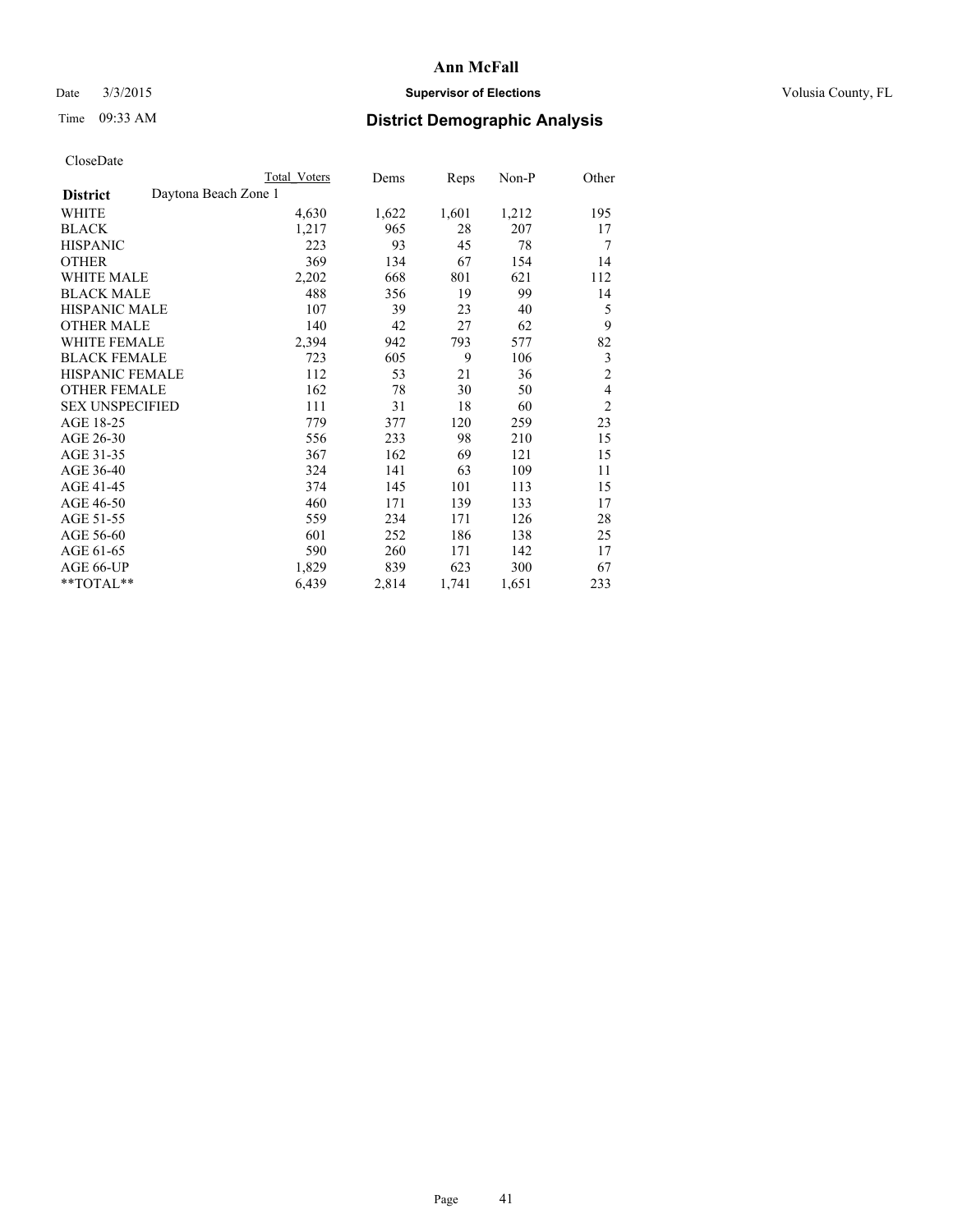## Date  $3/3/2015$  **Supervisor of Elections Supervisor of Elections** Volusia County, FL

# Time 09:33 AM **District Demographic Analysis**

|                                         | Total Voters | Dems  | Reps  | Non-P | Other          |
|-----------------------------------------|--------------|-------|-------|-------|----------------|
| Daytona Beach Zone 1<br><b>District</b> |              |       |       |       |                |
| WHITE                                   | 4,630        | 1,622 | 1,601 | 1,212 | 195            |
| <b>BLACK</b>                            | 1,217        | 965   | 28    | 207   | 17             |
| <b>HISPANIC</b>                         | 223          | 93    | 45    | 78    | 7              |
| <b>OTHER</b>                            | 369          | 134   | 67    | 154   | 14             |
| WHITE MALE                              | 2,202        | 668   | 801   | 621   | 112            |
| <b>BLACK MALE</b>                       | 488          | 356   | 19    | 99    | 14             |
| HISPANIC MALE                           | 107          | 39    | 23    | 40    | 5              |
| <b>OTHER MALE</b>                       | 140          | 42    | 27    | 62    | 9              |
| WHITE FEMALE                            | 2,394        | 942   | 793   | 577   | 82             |
| <b>BLACK FEMALE</b>                     | 723          | 605   | 9     | 106   | 3              |
| <b>HISPANIC FEMALE</b>                  | 112          | 53    | 21    | 36    | $\overline{c}$ |
| <b>OTHER FEMALE</b>                     | 162          | 78    | 30    | 50    | $\overline{4}$ |
| <b>SEX UNSPECIFIED</b>                  | 111          | 31    | 18    | 60    | $\overline{c}$ |
| AGE 18-25                               | 779          | 377   | 120   | 259   | 23             |
| AGE 26-30                               | 556          | 233   | 98    | 210   | 15             |
| AGE 31-35                               | 367          | 162   | 69    | 121   | 15             |
| AGE 36-40                               | 324          | 141   | 63    | 109   | 11             |
| AGE 41-45                               | 374          | 145   | 101   | 113   | 15             |
| AGE 46-50                               | 460          | 171   | 139   | 133   | 17             |
| AGE 51-55                               | 559          | 234   | 171   | 126   | 28             |
| AGE 56-60                               | 601          | 252   | 186   | 138   | 25             |
| AGE 61-65                               | 590          | 260   | 171   | 142   | 17             |
| AGE 66-UP                               | 1,829        | 839   | 623   | 300   | 67             |
| **TOTAL**                               | 6,439        | 2,814 | 1,741 | 1,651 | 233            |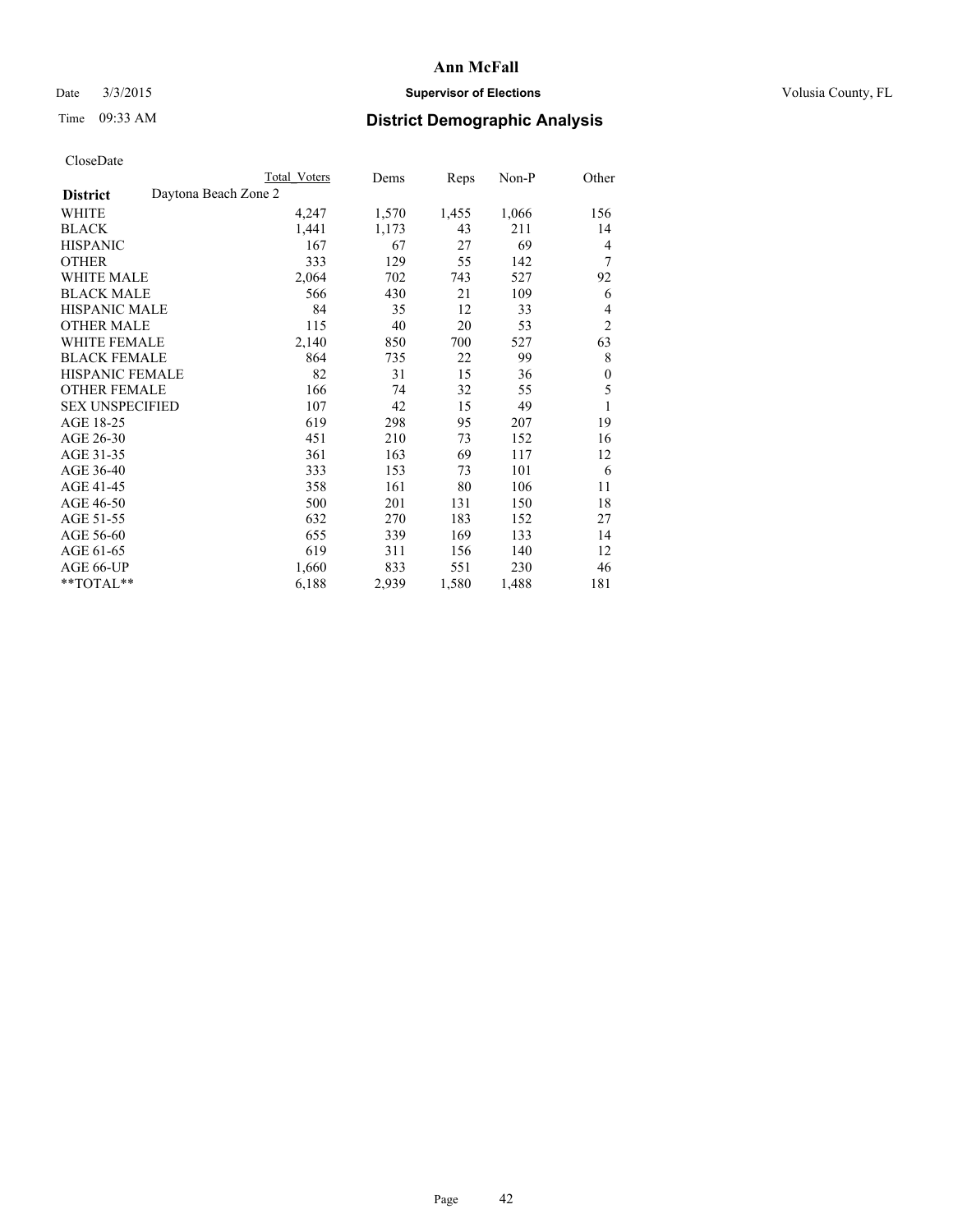## Date  $3/3/2015$  **Supervisor of Elections Supervisor of Elections** Volusia County, FL

|                        |                      | Total Voters | Dems  | Reps  | Non-P | Other          |
|------------------------|----------------------|--------------|-------|-------|-------|----------------|
| <b>District</b>        | Daytona Beach Zone 2 |              |       |       |       |                |
| WHITE                  |                      | 4,247        | 1,570 | 1,455 | 1,066 | 156            |
| <b>BLACK</b>           |                      | 1,441        | 1,173 | 43    | 211   | 14             |
| <b>HISPANIC</b>        |                      | 167          | 67    | 27    | 69    | 4              |
| <b>OTHER</b>           |                      | 333          | 129   | 55    | 142   | 7              |
| WHITE MALE             |                      | 2,064        | 702   | 743   | 527   | 92             |
| <b>BLACK MALE</b>      |                      | 566          | 430   | 21    | 109   | 6              |
| <b>HISPANIC MALE</b>   |                      | 84           | 35    | 12    | 33    | 4              |
| <b>OTHER MALE</b>      |                      | 115          | 40    | 20    | 53    | $\overline{2}$ |
| <b>WHITE FEMALE</b>    |                      | 2,140        | 850   | 700   | 527   | 63             |
| <b>BLACK FEMALE</b>    |                      | 864          | 735   | 22    | 99    | 8              |
| <b>HISPANIC FEMALE</b> |                      | 82           | 31    | 15    | 36    | $\theta$       |
| <b>OTHER FEMALE</b>    |                      | 166          | 74    | 32    | 55    | 5              |
| <b>SEX UNSPECIFIED</b> |                      | 107          | 42    | 15    | 49    | 1              |
| AGE 18-25              |                      | 619          | 298   | 95    | 207   | 19             |
| AGE 26-30              |                      | 451          | 210   | 73    | 152   | 16             |
| AGE 31-35              |                      | 361          | 163   | 69    | 117   | 12             |
| AGE 36-40              |                      | 333          | 153   | 73    | 101   | 6              |
| AGE 41-45              |                      | 358          | 161   | 80    | 106   | 11             |
| AGE 46-50              |                      | 500          | 201   | 131   | 150   | 18             |
| AGE 51-55              |                      | 632          | 270   | 183   | 152   | 27             |
| AGE 56-60              |                      | 655          | 339   | 169   | 133   | 14             |
| AGE 61-65              |                      | 619          | 311   | 156   | 140   | 12             |
| AGE 66-UP              |                      | 1,660        | 833   | 551   | 230   | 46             |
| **TOTAL**              |                      | 6,188        | 2,939 | 1,580 | 1,488 | 181            |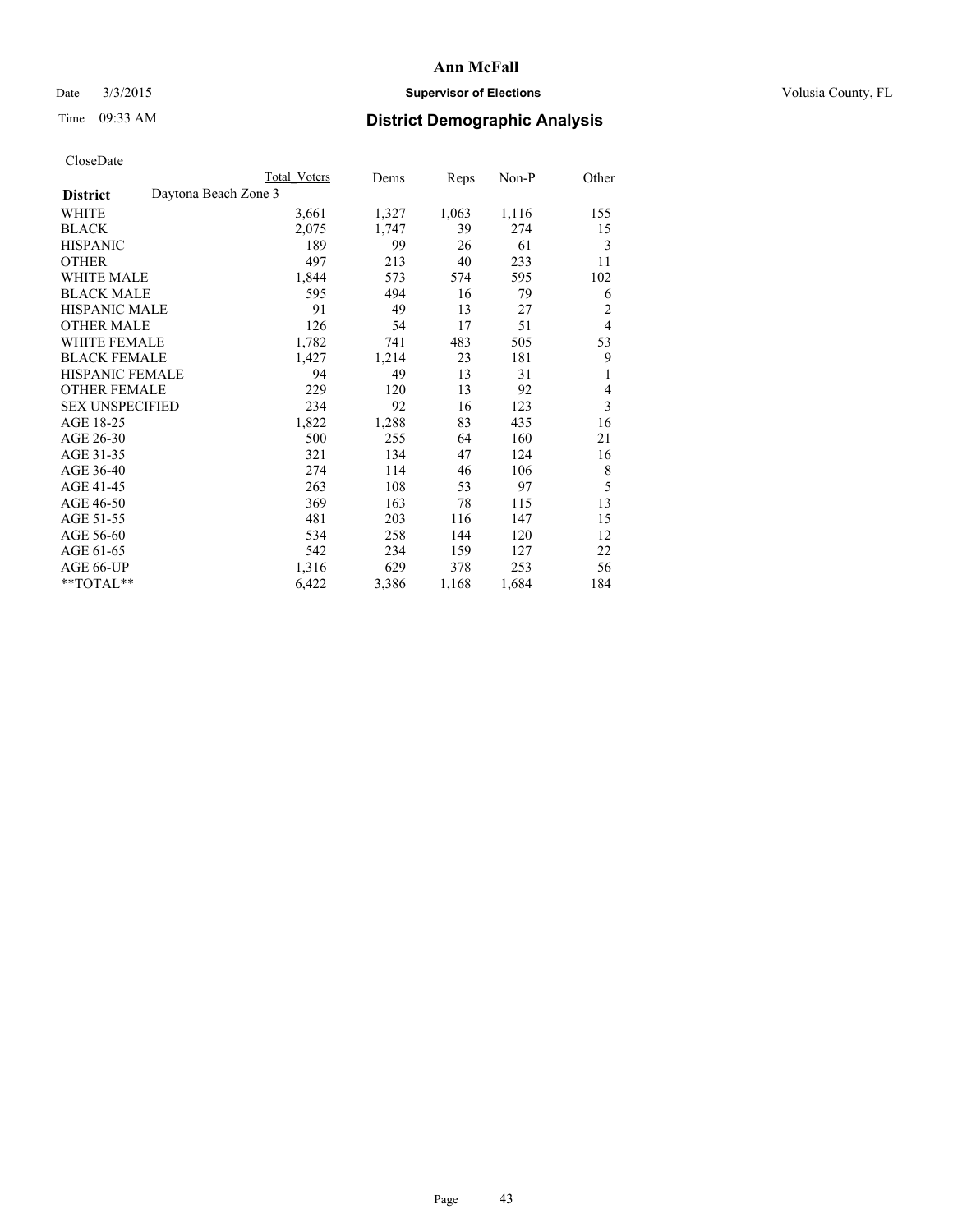## Date  $3/3/2015$  **Supervisor of Elections Supervisor of Elections** Volusia County, FL

# Time 09:33 AM **District Demographic Analysis**

|                                         | Total Voters | Dems  | Reps  | Non-P | Other          |
|-----------------------------------------|--------------|-------|-------|-------|----------------|
| Daytona Beach Zone 3<br><b>District</b> |              |       |       |       |                |
| WHITE                                   | 3,661        | 1,327 | 1,063 | 1,116 | 155            |
| <b>BLACK</b>                            | 2,075        | 1,747 | 39    | 274   | 15             |
| <b>HISPANIC</b>                         | 189          | 99    | 26    | 61    | 3              |
| <b>OTHER</b>                            | 497          | 213   | 40    | 233   | 11             |
| WHITE MALE                              | 1,844        | 573   | 574   | 595   | 102            |
| <b>BLACK MALE</b>                       | 595          | 494   | 16    | 79    | 6              |
| <b>HISPANIC MALE</b>                    | 91           | 49    | 13    | 27    | $\overline{c}$ |
| <b>OTHER MALE</b>                       | 126          | 54    | 17    | 51    | $\overline{4}$ |
| WHITE FEMALE                            | 1,782        | 741   | 483   | 505   | 53             |
| <b>BLACK FEMALE</b>                     | 1,427        | 1,214 | 23    | 181   | 9              |
| <b>HISPANIC FEMALE</b>                  | 94           | 49    | 13    | 31    | 1              |
| <b>OTHER FEMALE</b>                     | 229          | 120   | 13    | 92    | 4              |
| <b>SEX UNSPECIFIED</b>                  | 234          | 92    | 16    | 123   | 3              |
| AGE 18-25                               | 1,822        | 1,288 | 83    | 435   | 16             |
| AGE 26-30                               | 500          | 255   | 64    | 160   | 21             |
| AGE 31-35                               | 321          | 134   | 47    | 124   | 16             |
| AGE 36-40                               | 274          | 114   | 46    | 106   | 8              |
| AGE 41-45                               | 263          | 108   | 53    | 97    | 5              |
| AGE 46-50                               | 369          | 163   | 78    | 115   | 13             |
| AGE 51-55                               | 481          | 203   | 116   | 147   | 15             |
| AGE 56-60                               | 534          | 258   | 144   | 120   | 12             |
| AGE 61-65                               | 542          | 234   | 159   | 127   | 22             |
| AGE 66-UP                               | 1,316        | 629   | 378   | 253   | 56             |
| **TOTAL**                               | 6,422        | 3,386 | 1,168 | 1,684 | 184            |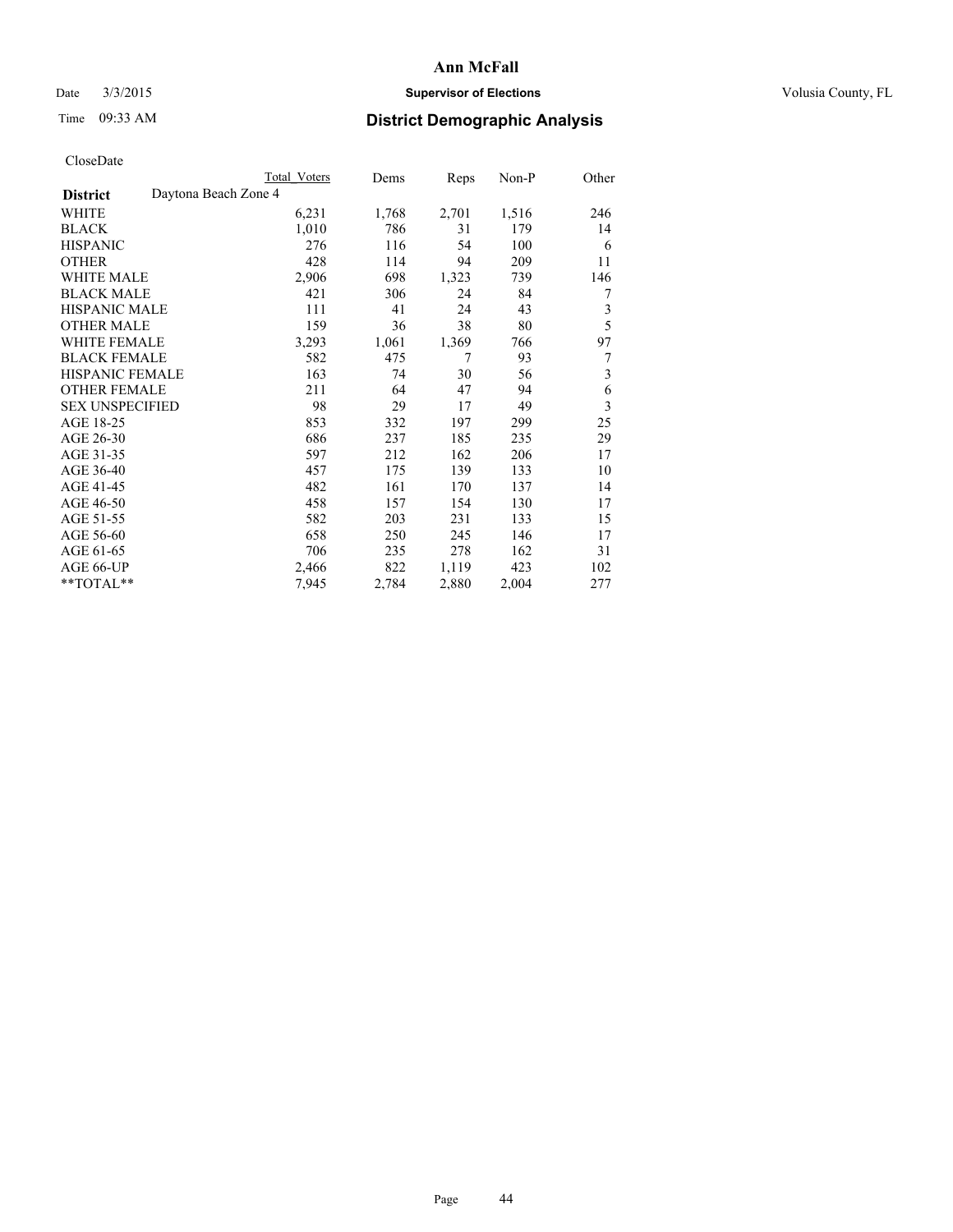## Date  $3/3/2015$  **Supervisor of Elections Supervisor of Elections** Volusia County, FL

# Time 09:33 AM **District Demographic Analysis**

|                                         | Total Voters | Dems  | Reps  | Non-P | Other |
|-----------------------------------------|--------------|-------|-------|-------|-------|
| Daytona Beach Zone 4<br><b>District</b> |              |       |       |       |       |
| WHITE                                   | 6,231        | 1,768 | 2,701 | 1,516 | 246   |
| <b>BLACK</b>                            | 1,010        | 786   | 31    | 179   | 14    |
| <b>HISPANIC</b>                         | 276          | 116   | 54    | 100   | 6     |
| <b>OTHER</b>                            | 428          | 114   | 94    | 209   | 11    |
| WHITE MALE                              | 2,906        | 698   | 1,323 | 739   | 146   |
| <b>BLACK MALE</b>                       | 421          | 306   | 24    | 84    | 7     |
| HISPANIC MALE                           | 111          | 41    | 24    | 43    | 3     |
| <b>OTHER MALE</b>                       | 159          | 36    | 38    | 80    | 5     |
| WHITE FEMALE                            | 3,293        | 1,061 | 1,369 | 766   | 97    |
| <b>BLACK FEMALE</b>                     | 582          | 475   | 7     | 93    | 7     |
| <b>HISPANIC FEMALE</b>                  | 163          | 74    | 30    | 56    | 3     |
| <b>OTHER FEMALE</b>                     | 211          | 64    | 47    | 94    | 6     |
| <b>SEX UNSPECIFIED</b>                  | 98           | 29    | 17    | 49    | 3     |
| AGE 18-25                               | 853          | 332   | 197   | 299   | 25    |
| AGE 26-30                               | 686          | 237   | 185   | 235   | 29    |
| AGE 31-35                               | 597          | 212   | 162   | 206   | 17    |
| AGE 36-40                               | 457          | 175   | 139   | 133   | 10    |
| AGE 41-45                               | 482          | 161   | 170   | 137   | 14    |
| AGE 46-50                               | 458          | 157   | 154   | 130   | 17    |
| AGE 51-55                               | 582          | 203   | 231   | 133   | 15    |
| AGE 56-60                               | 658          | 250   | 245   | 146   | 17    |
| AGE 61-65                               | 706          | 235   | 278   | 162   | 31    |
| AGE 66-UP                               | 2,466        | 822   | 1,119 | 423   | 102   |
| **TOTAL**                               | 7,945        | 2,784 | 2,880 | 2,004 | 277   |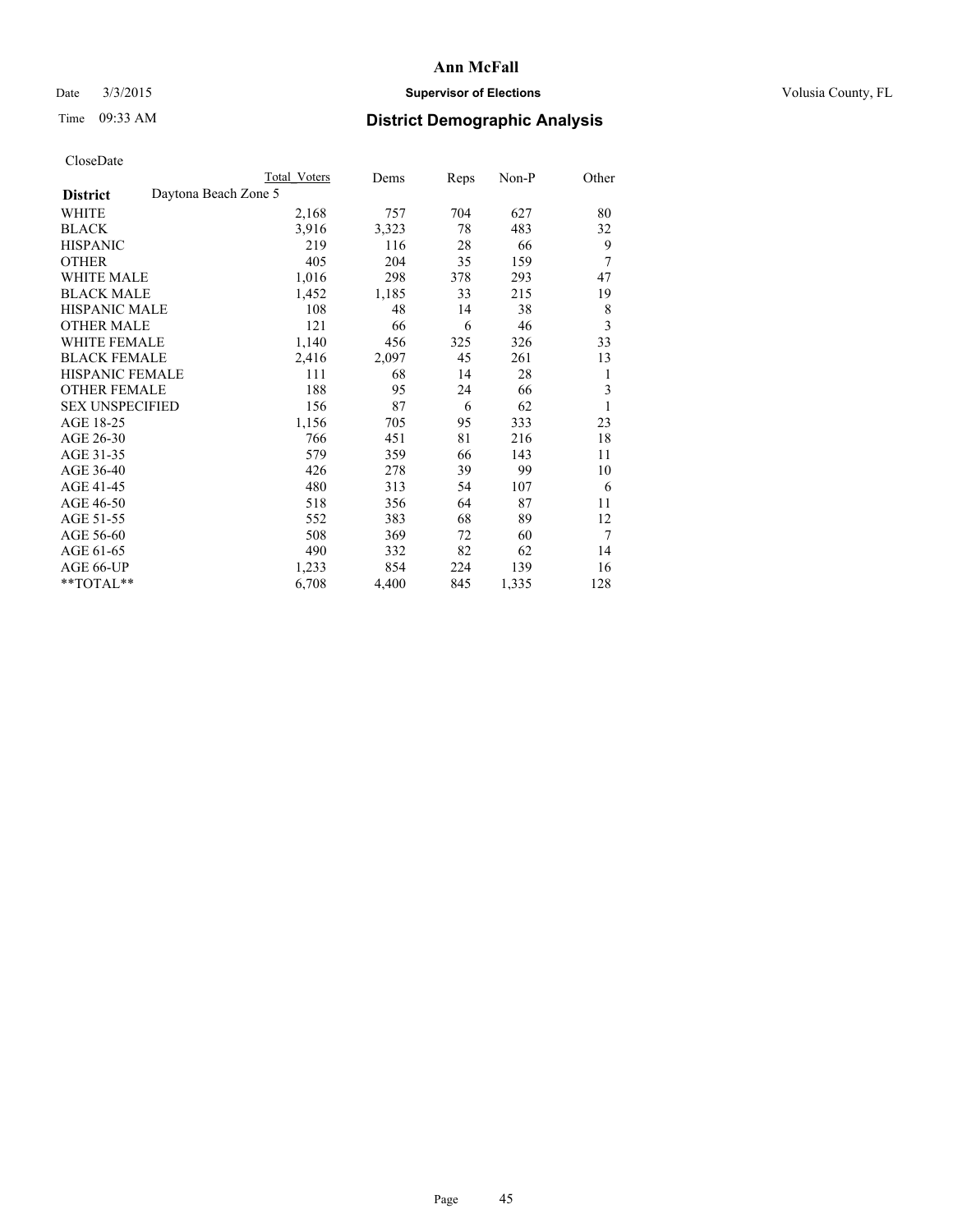## Date  $3/3/2015$  **Supervisor of Elections Supervisor of Elections** Volusia County, FL

# Time 09:33 AM **District Demographic Analysis**

|                                         | Total Voters | Dems  | Reps | Non-P | Other |
|-----------------------------------------|--------------|-------|------|-------|-------|
| Daytona Beach Zone 5<br><b>District</b> |              |       |      |       |       |
| WHITE                                   | 2,168        | 757   | 704  | 627   | 80    |
| <b>BLACK</b>                            | 3,916        | 3,323 | 78   | 483   | 32    |
| <b>HISPANIC</b>                         | 219          | 116   | 28   | 66    | 9     |
| <b>OTHER</b>                            | 405          | 204   | 35   | 159   | 7     |
| <b>WHITE MALE</b>                       | 1,016        | 298   | 378  | 293   | 47    |
| <b>BLACK MALE</b>                       | 1,452        | 1,185 | 33   | 215   | 19    |
| HISPANIC MALE                           | 108          | 48    | 14   | 38    | 8     |
| <b>OTHER MALE</b>                       | 121          | 66    | 6    | 46    | 3     |
| <b>WHITE FEMALE</b>                     | 1,140        | 456   | 325  | 326   | 33    |
| <b>BLACK FEMALE</b>                     | 2,416        | 2,097 | 45   | 261   | 13    |
| <b>HISPANIC FEMALE</b>                  | 111          | 68    | 14   | 28    | 1     |
| <b>OTHER FEMALE</b>                     | 188          | 95    | 24   | 66    | 3     |
| <b>SEX UNSPECIFIED</b>                  | 156          | 87    | 6    | 62    | 1     |
| AGE 18-25                               | 1,156        | 705   | 95   | 333   | 23    |
| AGE 26-30                               | 766          | 451   | 81   | 216   | 18    |
| AGE 31-35                               | 579          | 359   | 66   | 143   | 11    |
| AGE 36-40                               | 426          | 278   | 39   | 99    | 10    |
| AGE 41-45                               | 480          | 313   | 54   | 107   | 6     |
| AGE 46-50                               | 518          | 356   | 64   | 87    | 11    |
| AGE 51-55                               | 552          | 383   | 68   | 89    | 12    |
| AGE 56-60                               | 508          | 369   | 72   | 60    | 7     |
| AGE 61-65                               | 490          | 332   | 82   | 62    | 14    |
| AGE 66-UP                               | 1,233        | 854   | 224  | 139   | 16    |
| **TOTAL**                               | 6,708        | 4,400 | 845  | 1,335 | 128   |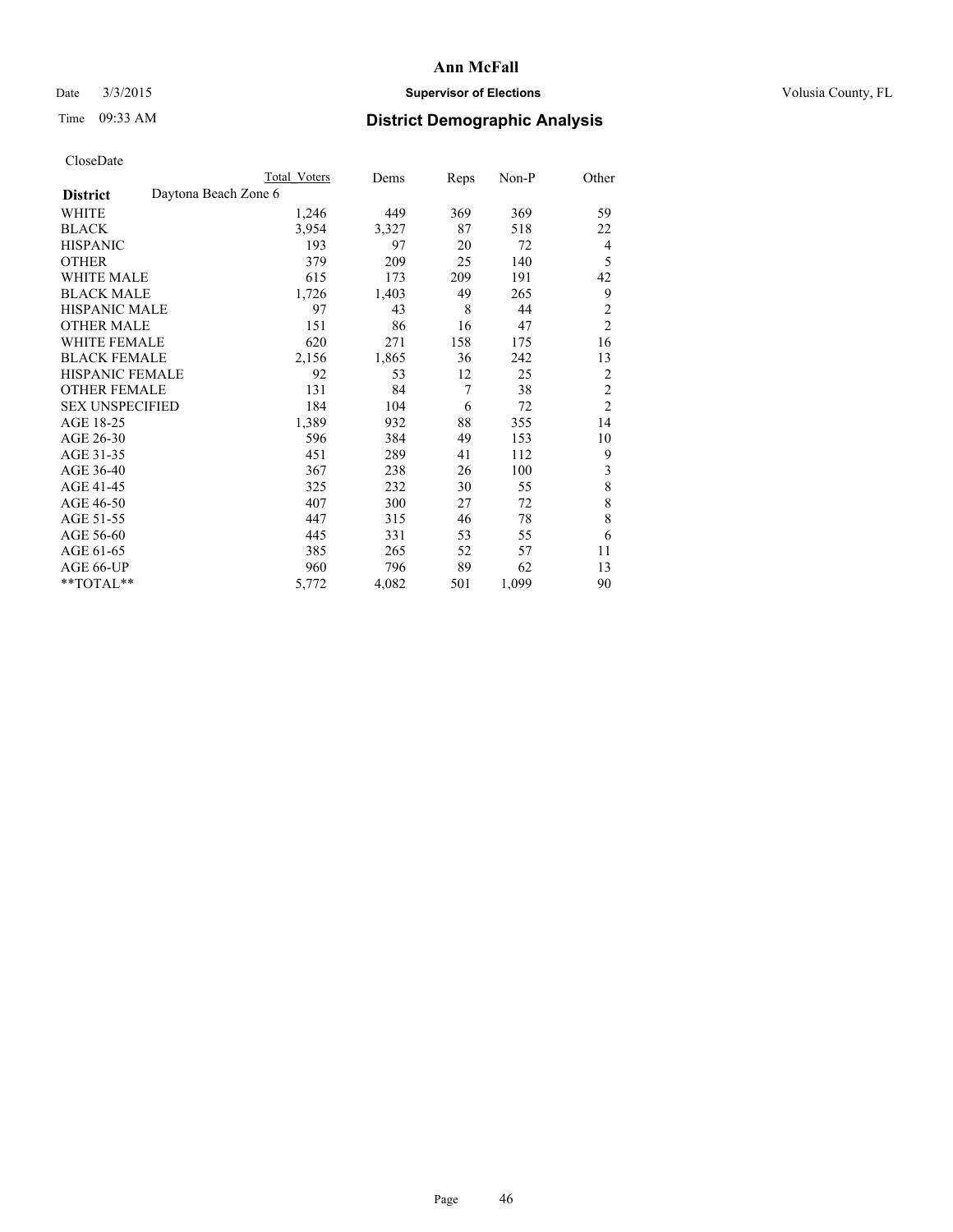## Date  $3/3/2015$  **Supervisor of Elections Supervisor of Elections** Volusia County, FL

|  | CloseDate |
|--|-----------|
|  |           |

|                        |                      | Total Voters | Dems  | <b>Reps</b> | Non-P | Other          |
|------------------------|----------------------|--------------|-------|-------------|-------|----------------|
| <b>District</b>        | Daytona Beach Zone 6 |              |       |             |       |                |
| WHITE                  |                      | 1,246        | 449   | 369         | 369   | 59             |
| BLACK                  |                      | 3,954        | 3,327 | 87          | 518   | 22             |
| HISPANIC               |                      | 193          | 97    | 20          | 72    | 4              |
| <b>OTHER</b>           |                      | 379          | 209   | 25          | 140   | 5              |
| WHITE MALE             |                      | 615          | 173   | 209         | 191   | 42             |
| BLACK MALE             |                      | 1,726        | 1,403 | 49          | 265   | 9              |
| HISPANIC MALE          |                      | 97           | 43    | 8           | 44    | $\overline{c}$ |
| OTHER MALE             |                      | 151          | 86    | 16          | 47    | $\overline{c}$ |
| WHITE FEMALE           |                      | 620          | 271   | 158         | 175   | 16             |
| BLACK FEMALE           |                      | 2,156        | 1,865 | 36          | 242   | 13             |
| HISPANIC FEMALE        |                      | 92           | 53    | 12          | 25    | $\overline{c}$ |
| OTHER FEMALE           |                      | 131          | 84    | 7           | 38    | $\overline{2}$ |
| <b>SEX UNSPECIFIED</b> |                      | 184          | 104   | 6           | 72    | $\overline{2}$ |
| AGE 18-25              |                      | 1,389        | 932   | 88          | 355   | 14             |
| AGE 26-30              |                      | 596          | 384   | 49          | 153   | 10             |
| AGE 31-35              |                      | 451          | 289   | 41          | 112   | 9              |
| AGE 36-40              |                      | 367          | 238   | 26          | 100   | 3              |
| AGE 41-45              |                      | 325          | 232   | 30          | 55    | 8              |
| AGE 46-50              |                      | 407          | 300   | 27          | 72    | 8              |
| AGE 51-55              |                      | 447          | 315   | 46          | 78    | 8              |
| AGE 56-60              |                      | 445          | 331   | 53          | 55    | 6              |
| AGE 61-65              |                      | 385          | 265   | 52          | 57    | 11             |
| AGE 66-UP              |                      | 960          | 796   | 89          | 62    | 13             |
| $*$ TOTAL $*$          |                      | 5,772        | 4,082 | 501         | 1,099 | 90             |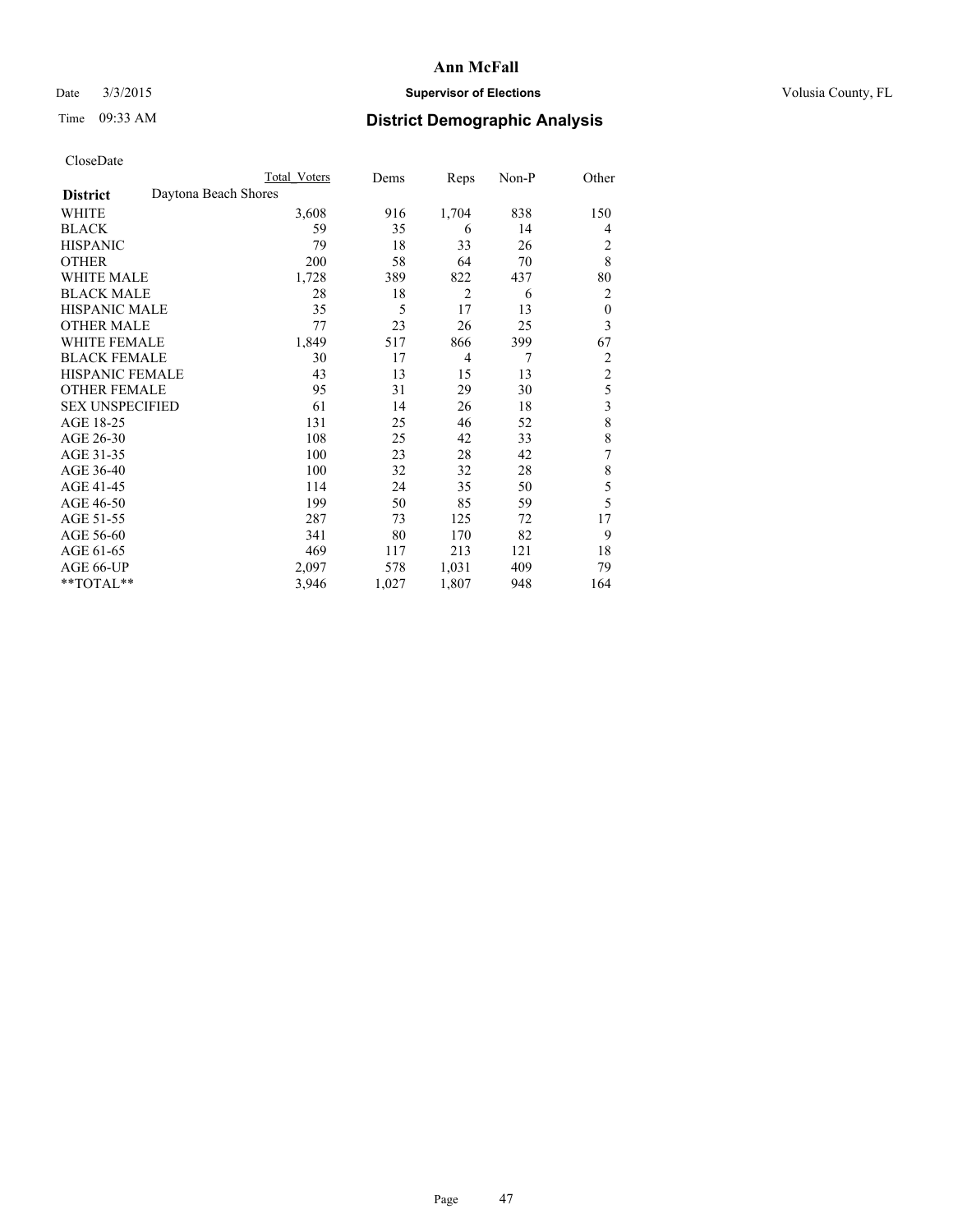## Date  $3/3/2015$  **Supervisor of Elections Supervisor of Elections** Volusia County, FL

# Time 09:33 AM **District Demographic Analysis**

|                        | Total Voters         | Dems  | Reps           | Non-P | Other            |
|------------------------|----------------------|-------|----------------|-------|------------------|
| <b>District</b>        | Daytona Beach Shores |       |                |       |                  |
| WHITE                  | 3,608                | 916   | 1,704          | 838   | 150              |
| <b>BLACK</b>           | 59                   | 35    | 6              | 14    | 4                |
| <b>HISPANIC</b>        | 79                   | 18    | 33             | 26    | 2                |
| <b>OTHER</b>           | 200                  | 58    | 64             | 70    | 8                |
| WHITE MALE             | 1,728                | 389   | 822            | 437   | 80               |
| <b>BLACK MALE</b>      | 28                   | 18    | $\overline{2}$ | 6     | 2                |
| <b>HISPANIC MALE</b>   | 35                   | 5     | 17             | 13    | $\boldsymbol{0}$ |
| <b>OTHER MALE</b>      | 77                   | 23    | 26             | 25    | 3                |
| WHITE FEMALE           | 1,849                | 517   | 866            | 399   | 67               |
| <b>BLACK FEMALE</b>    | 30                   | 17    | $\overline{4}$ | 7     | 2                |
| <b>HISPANIC FEMALE</b> | 43                   | 13    | 15             | 13    | $\overline{2}$   |
| <b>OTHER FEMALE</b>    | 95                   | 31    | 29             | 30    | 5                |
| <b>SEX UNSPECIFIED</b> | 61                   | 14    | 26             | 18    | 3                |
| AGE 18-25              | 131                  | 25    | 46             | 52    | 8                |
| AGE 26-30              | 108                  | 25    | 42             | 33    | 8                |
| AGE 31-35              | 100                  | 23    | 28             | 42    | 7                |
| AGE 36-40              | 100                  | 32    | 32             | 28    | 8                |
| AGE 41-45              | 114                  | 24    | 35             | 50    | 5                |
| AGE 46-50              | 199                  | 50    | 85             | 59    | 5                |
| AGE 51-55              | 287                  | 73    | 125            | 72    | 17               |
| AGE 56-60              | 341                  | 80    | 170            | 82    | 9                |
| AGE 61-65              | 469                  | 117   | 213            | 121   | 18               |
| AGE 66-UP              | 2,097                | 578   | 1,031          | 409   | 79               |
| **TOTAL**              | 3,946                | 1,027 | 1,807          | 948   | 164              |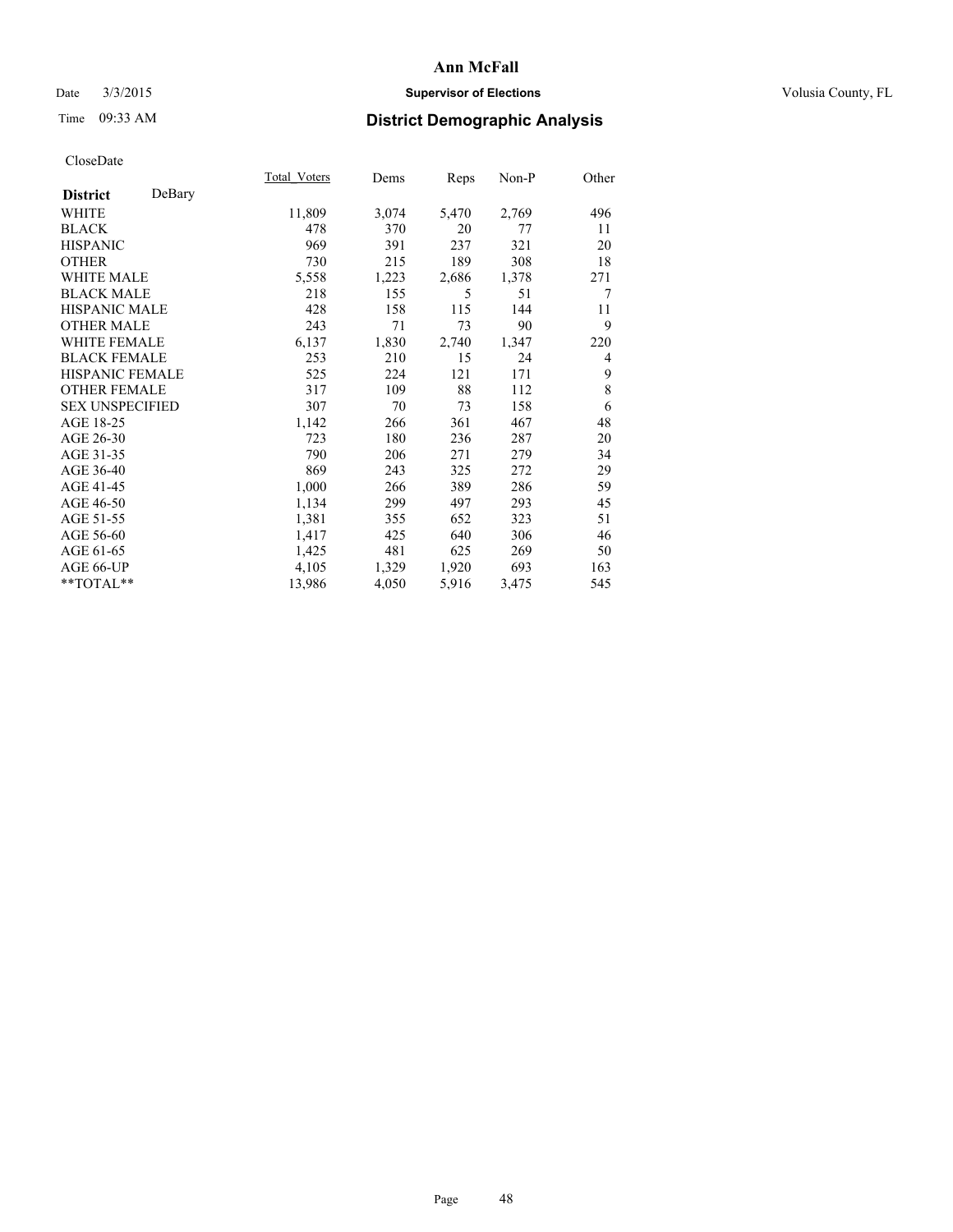## Date  $3/3/2015$  **Supervisor of Elections Supervisor of Elections** Volusia County, FL

# Time 09:33 AM **District Demographic Analysis**

|                           | <b>Total Voters</b> | Dems  | Reps  | Non-P | Other  |
|---------------------------|---------------------|-------|-------|-------|--------|
| DeBary<br><b>District</b> |                     |       |       |       |        |
| WHITE                     | 11,809              | 3,074 | 5,470 | 2,769 | 496    |
| <b>BLACK</b>              | 478                 | 370   | 20    | 77    | 11     |
| <b>HISPANIC</b>           | 969                 | 391   | 237   | 321   | 20     |
| <b>OTHER</b>              | 730                 | 215   | 189   | 308   | 18     |
| WHITE MALE                | 5,558               | 1,223 | 2,686 | 1,378 | 271    |
| <b>BLACK MALE</b>         | 218                 | 155   | 5     | 51    | $\tau$ |
| <b>HISPANIC MALE</b>      | 428                 | 158   | 115   | 144   | 11     |
| OTHER MALE                | 243                 | 71    | 73    | 90    | 9      |
| <b>WHITE FEMALE</b>       | 6,137               | 1,830 | 2,740 | 1,347 | 220    |
| <b>BLACK FEMALE</b>       | 253                 | 210   | 15    | 24    | 4      |
| HISPANIC FEMALE           | 525                 | 224   | 121   | 171   | 9      |
| <b>OTHER FEMALE</b>       | 317                 | 109   | 88    | 112   | 8      |
| <b>SEX UNSPECIFIED</b>    | 307                 | 70    | 73    | 158   | 6      |
| AGE 18-25                 | 1,142               | 266   | 361   | 467   | 48     |
| AGE 26-30                 | 723                 | 180   | 236   | 287   | 20     |
| AGE 31-35                 | 790                 | 206   | 271   | 279   | 34     |
| AGE 36-40                 | 869                 | 243   | 325   | 272   | 29     |
| AGE 41-45                 | 1,000               | 266   | 389   | 286   | 59     |
| AGE 46-50                 | 1,134               | 299   | 497   | 293   | 45     |
| AGE 51-55                 | 1,381               | 355   | 652   | 323   | 51     |
| AGE 56-60                 | 1,417               | 425   | 640   | 306   | 46     |
| AGE 61-65                 | 1,425               | 481   | 625   | 269   | 50     |
| AGE 66-UP                 | 4,105               | 1,329 | 1,920 | 693   | 163    |
| $*$ $TOTAL**$             | 13,986              | 4,050 | 5,916 | 3,475 | 545    |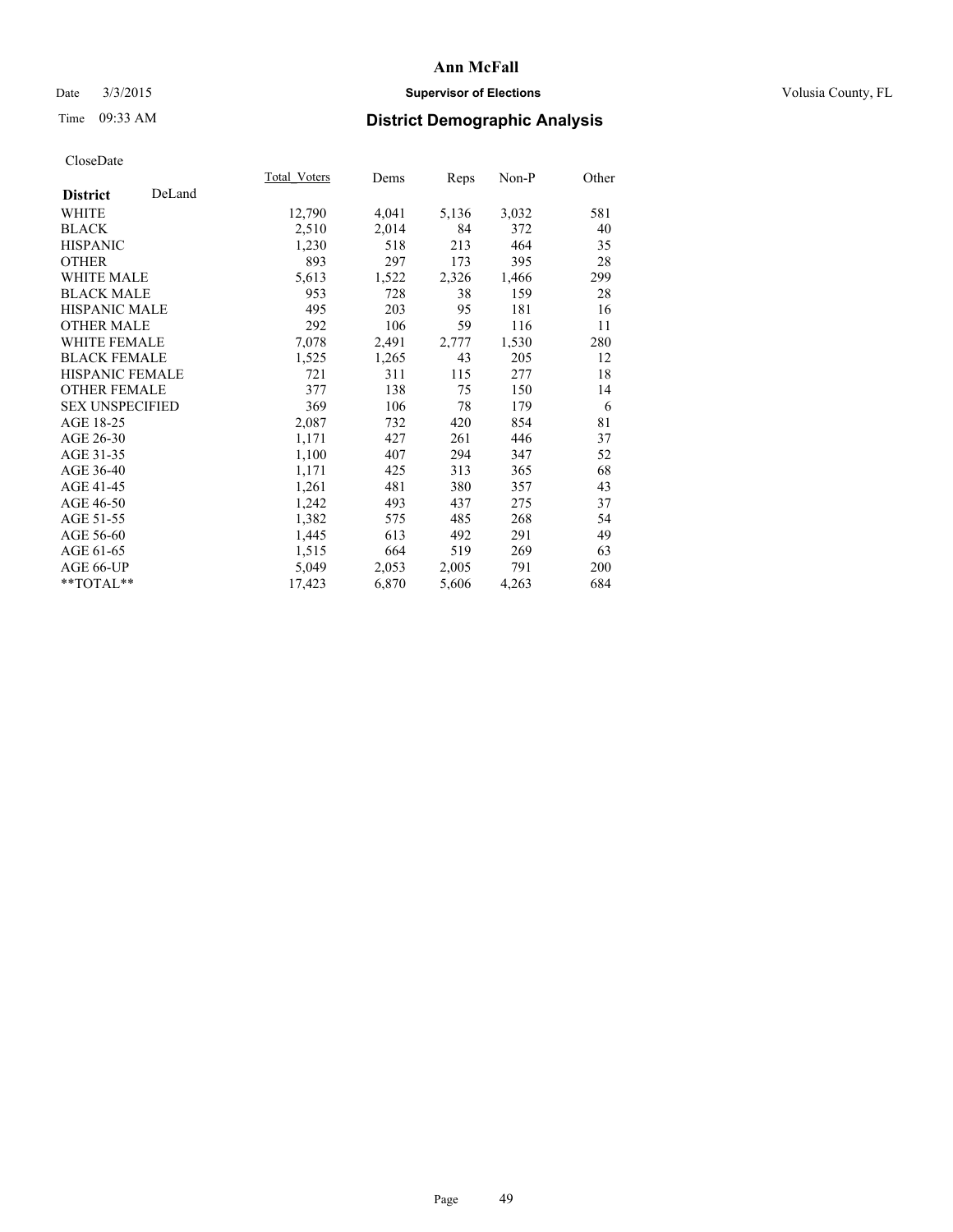## Date  $3/3/2015$  **Supervisor of Elections Supervisor of Elections** Volusia County, FL

# Time 09:33 AM **District Demographic Analysis**

|                           | Total Voters | Dems  | <b>Reps</b> | Non-P | Other |
|---------------------------|--------------|-------|-------------|-------|-------|
| DeLand<br><b>District</b> |              |       |             |       |       |
| WHITE                     | 12,790       | 4,041 | 5,136       | 3,032 | 581   |
| <b>BLACK</b>              | 2,510        | 2,014 | 84          | 372   | 40    |
| <b>HISPANIC</b>           | 1,230        | 518   | 213         | 464   | 35    |
| <b>OTHER</b>              | 893          | 297   | 173         | 395   | 28    |
| <b>WHITE MALE</b>         | 5,613        | 1,522 | 2,326       | 1,466 | 299   |
| <b>BLACK MALE</b>         | 953          | 728   | 38          | 159   | 28    |
| <b>HISPANIC MALE</b>      | 495          | 203   | 95          | 181   | 16    |
| <b>OTHER MALE</b>         | 292          | 106   | 59          | 116   | 11    |
| <b>WHITE FEMALE</b>       | 7,078        | 2,491 | 2,777       | 1,530 | 280   |
| <b>BLACK FEMALE</b>       | 1,525        | 1,265 | 43          | 205   | 12    |
| <b>HISPANIC FEMALE</b>    | 721          | 311   | 115         | 277   | 18    |
| <b>OTHER FEMALE</b>       | 377          | 138   | 75          | 150   | 14    |
| <b>SEX UNSPECIFIED</b>    | 369          | 106   | 78          | 179   | 6     |
| AGE 18-25                 | 2,087        | 732   | 420         | 854   | 81    |
| AGE 26-30                 | 1,171        | 427   | 261         | 446   | 37    |
| AGE 31-35                 | 1,100        | 407   | 294         | 347   | 52    |
| AGE 36-40                 | 1,171        | 425   | 313         | 365   | 68    |
| AGE 41-45                 | 1,261        | 481   | 380         | 357   | 43    |
| AGE 46-50                 | 1,242        | 493   | 437         | 275   | 37    |
| AGE 51-55                 | 1,382        | 575   | 485         | 268   | 54    |
| AGE 56-60                 | 1,445        | 613   | 492         | 291   | 49    |
| AGE 61-65                 | 1,515        | 664   | 519         | 269   | 63    |
| AGE 66-UP                 | 5,049        | 2,053 | 2,005       | 791   | 200   |
| $*$ $TOTAL**$             | 17,423       | 6,870 | 5,606       | 4,263 | 684   |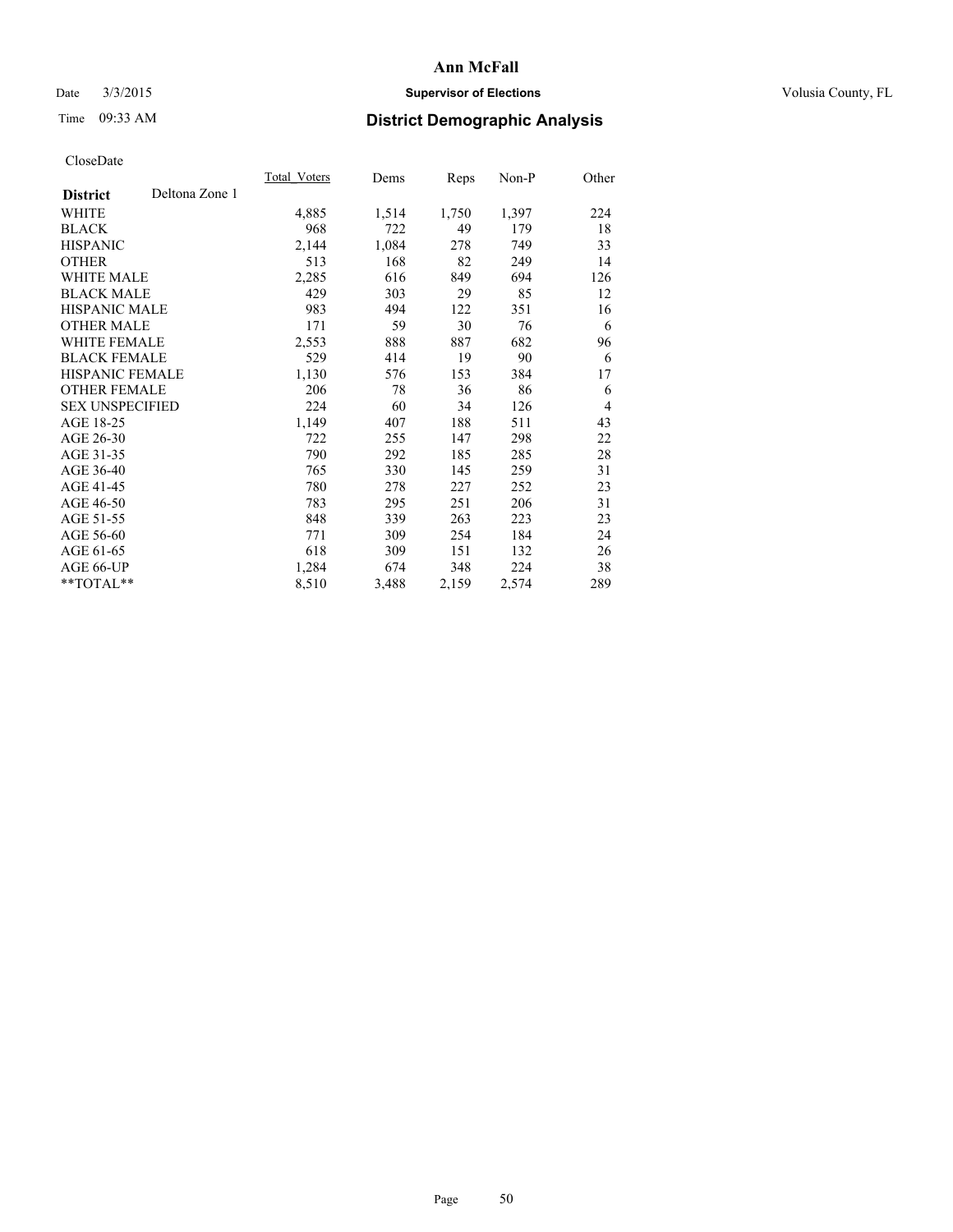## Date  $3/3/2015$  **Supervisor of Elections Supervisor of Elections** Volusia County, FL

# Time 09:33 AM **District Demographic Analysis**

|                                   | Total Voters | Dems  | Reps  | Non-P | Other          |
|-----------------------------------|--------------|-------|-------|-------|----------------|
| Deltona Zone 1<br><b>District</b> |              |       |       |       |                |
| WHITE                             | 4,885        | 1,514 | 1,750 | 1,397 | 224            |
| <b>BLACK</b>                      | 968          | 722   | 49    | 179   | 18             |
| <b>HISPANIC</b>                   | 2,144        | 1,084 | 278   | 749   | 33             |
| <b>OTHER</b>                      | 513          | 168   | 82    | 249   | 14             |
| <b>WHITE MALE</b>                 | 2,285        | 616   | 849   | 694   | 126            |
| <b>BLACK MALE</b>                 | 429          | 303   | 29    | 85    | 12             |
| <b>HISPANIC MALE</b>              | 983          | 494   | 122   | 351   | 16             |
| <b>OTHER MALE</b>                 | 171          | 59    | 30    | 76    | 6              |
| <b>WHITE FEMALE</b>               | 2,553        | 888   | 887   | 682   | 96             |
| <b>BLACK FEMALE</b>               | 529          | 414   | 19    | 90    | 6              |
| <b>HISPANIC FEMALE</b>            | 1,130        | 576   | 153   | 384   | 17             |
| <b>OTHER FEMALE</b>               | 206          | 78    | 36    | 86    | 6              |
| <b>SEX UNSPECIFIED</b>            | 224          | 60    | 34    | 126   | $\overline{4}$ |
| AGE 18-25                         | 1,149        | 407   | 188   | 511   | 43             |
| AGE 26-30                         | 722          | 255   | 147   | 298   | 22             |
| AGE 31-35                         | 790          | 292   | 185   | 285   | 28             |
| AGE 36-40                         | 765          | 330   | 145   | 259   | 31             |
| AGE 41-45                         | 780          | 278   | 227   | 252   | 23             |
| AGE 46-50                         | 783          | 295   | 251   | 206   | 31             |
| AGE 51-55                         | 848          | 339   | 263   | 223   | 23             |
| AGE 56-60                         | 771          | 309   | 254   | 184   | 24             |
| AGE 61-65                         | 618          | 309   | 151   | 132   | 26             |
| AGE 66-UP                         | 1,284        | 674   | 348   | 224   | 38             |
| **TOTAL**                         | 8,510        | 3,488 | 2,159 | 2,574 | 289            |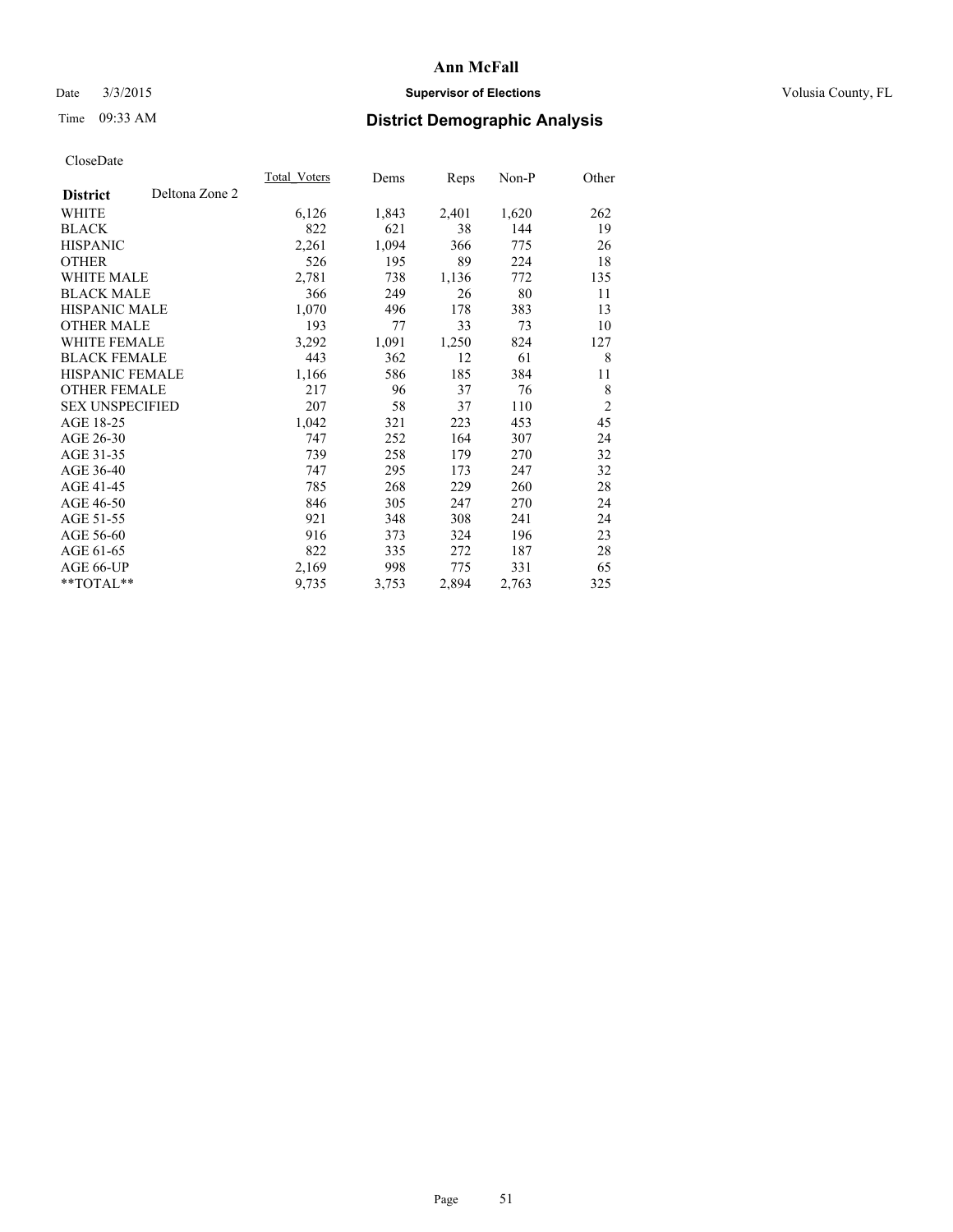## Date  $3/3/2015$  **Supervisor of Elections Supervisor of Elections** Volusia County, FL

# Time 09:33 AM **District Demographic Analysis**

|                        |                | Total Voters | Dems  | Reps  | Non-P | Other          |
|------------------------|----------------|--------------|-------|-------|-------|----------------|
| <b>District</b>        | Deltona Zone 2 |              |       |       |       |                |
| WHITE                  |                | 6,126        | 1,843 | 2,401 | 1,620 | 262            |
| <b>BLACK</b>           |                | 822          | 621   | 38    | 144   | 19             |
| <b>HISPANIC</b>        |                | 2,261        | 1,094 | 366   | 775   | 26             |
| <b>OTHER</b>           |                | 526          | 195   | 89    | 224   | 18             |
| <b>WHITE MALE</b>      |                | 2,781        | 738   | 1,136 | 772   | 135            |
| <b>BLACK MALE</b>      |                | 366          | 249   | 26    | 80    | 11             |
| <b>HISPANIC MALE</b>   |                | 1,070        | 496   | 178   | 383   | 13             |
| <b>OTHER MALE</b>      |                | 193          | 77    | 33    | 73    | 10             |
| WHITE FEMALE           |                | 3,292        | 1,091 | 1,250 | 824   | 127            |
| <b>BLACK FEMALE</b>    |                | 443          | 362   | 12    | 61    | 8              |
| <b>HISPANIC FEMALE</b> |                | 1,166        | 586   | 185   | 384   | 11             |
| <b>OTHER FEMALE</b>    |                | 217          | 96    | 37    | 76    | 8              |
| <b>SEX UNSPECIFIED</b> |                | 207          | 58    | 37    | 110   | $\overline{c}$ |
| AGE 18-25              |                | 1,042        | 321   | 223   | 453   | 45             |
| AGE 26-30              |                | 747          | 252   | 164   | 307   | 24             |
| AGE 31-35              |                | 739          | 258   | 179   | 270   | 32             |
| AGE 36-40              |                | 747          | 295   | 173   | 247   | 32             |
| AGE 41-45              |                | 785          | 268   | 229   | 260   | 28             |
| AGE 46-50              |                | 846          | 305   | 247   | 270   | 24             |
| AGE 51-55              |                | 921          | 348   | 308   | 241   | 24             |
| AGE 56-60              |                | 916          | 373   | 324   | 196   | 23             |
| AGE 61-65              |                | 822          | 335   | 272   | 187   | 28             |
| AGE 66-UP              |                | 2,169        | 998   | 775   | 331   | 65             |
| **TOTAL**              |                | 9,735        | 3,753 | 2,894 | 2,763 | 325            |
|                        |                |              |       |       |       |                |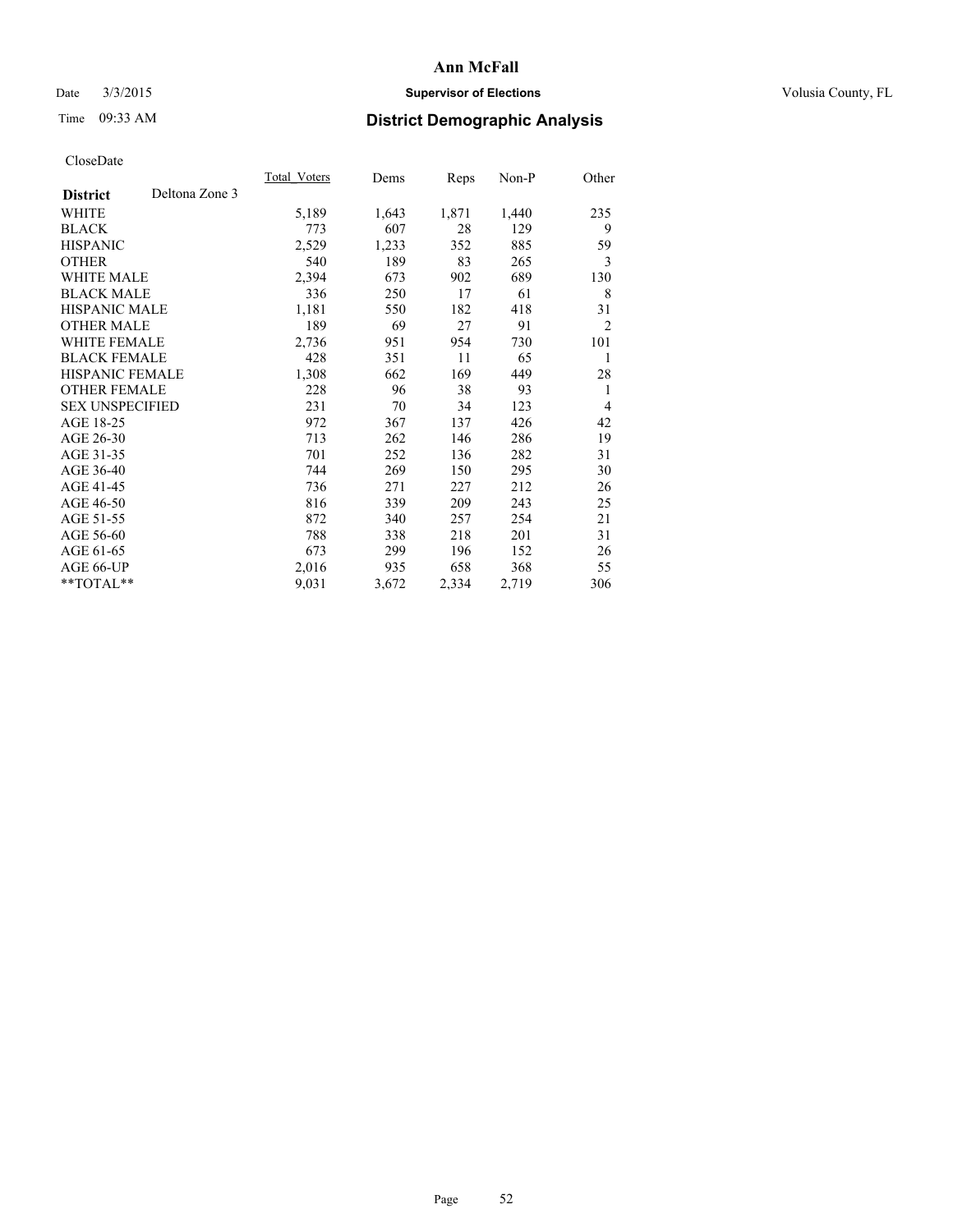## Date  $3/3/2015$  **Supervisor of Elections Supervisor of Elections** Volusia County, FL

# Time 09:33 AM **District Demographic Analysis**

|                                   | Total Voters | Dems  | <b>Reps</b> | Non-P | Other          |
|-----------------------------------|--------------|-------|-------------|-------|----------------|
| Deltona Zone 3<br><b>District</b> |              |       |             |       |                |
| WHITE                             | 5,189        | 1,643 | 1,871       | 1,440 | 235            |
| <b>BLACK</b>                      | 773          | 607   | 28          | 129   | 9              |
| <b>HISPANIC</b>                   | 2,529        | 1,233 | 352         | 885   | 59             |
| <b>OTHER</b>                      | 540          | 189   | 83          | 265   | 3              |
| <b>WHITE MALE</b>                 | 2,394        | 673   | 902         | 689   | 130            |
| <b>BLACK MALE</b>                 | 336          | 250   | 17          | 61    | 8              |
| <b>HISPANIC MALE</b>              | 1,181        | 550   | 182         | 418   | 31             |
| <b>OTHER MALE</b>                 | 189          | 69    | 27          | 91    | $\overline{2}$ |
| WHITE FEMALE                      | 2,736        | 951   | 954         | 730   | 101            |
| <b>BLACK FEMALE</b>               | 428          | 351   | 11          | 65    | 1              |
| <b>HISPANIC FEMALE</b>            | 1,308        | 662   | 169         | 449   | 28             |
| <b>OTHER FEMALE</b>               | 228          | 96    | 38          | 93    | 1              |
| <b>SEX UNSPECIFIED</b>            | 231          | 70    | 34          | 123   | $\overline{4}$ |
| AGE 18-25                         | 972          | 367   | 137         | 426   | 42             |
| AGE 26-30                         | 713          | 262   | 146         | 286   | 19             |
| AGE 31-35                         | 701          | 252   | 136         | 282   | 31             |
| AGE 36-40                         | 744          | 269   | 150         | 295   | 30             |
| AGE 41-45                         | 736          | 271   | 227         | 212   | 26             |
| AGE 46-50                         | 816          | 339   | 209         | 243   | 25             |
| AGE 51-55                         | 872          | 340   | 257         | 254   | 21             |
| AGE 56-60                         | 788          | 338   | 218         | 201   | 31             |
| AGE 61-65                         | 673          | 299   | 196         | 152   | 26             |
| AGE 66-UP                         | 2,016        | 935   | 658         | 368   | 55             |
| **TOTAL**                         | 9,031        | 3,672 | 2,334       | 2,719 | 306            |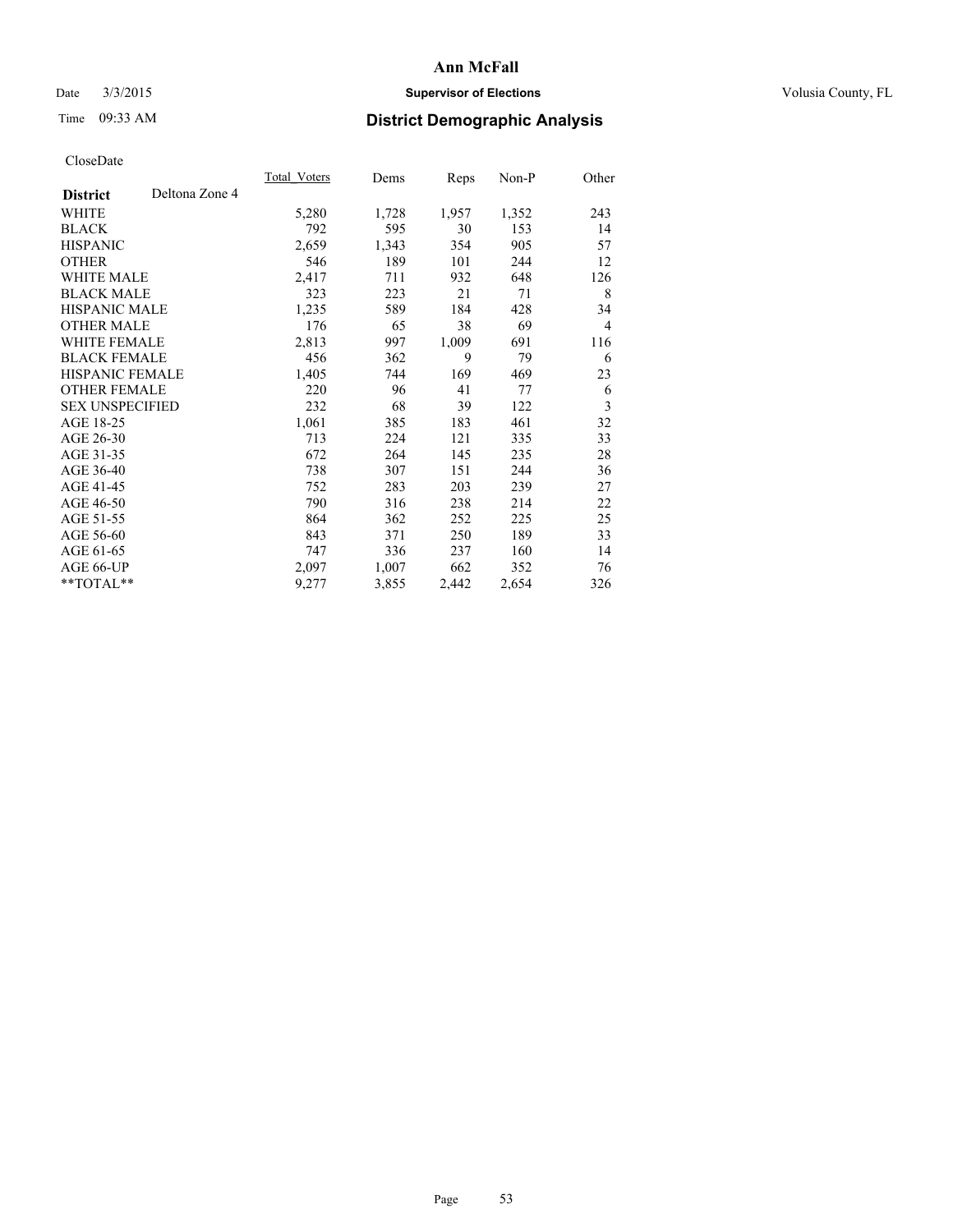## Date  $3/3/2015$  **Supervisor of Elections Supervisor of Elections** Volusia County, FL

# Time 09:33 AM **District Demographic Analysis**

|                        |                | Total Voters | Dems  | <b>Reps</b> | Non-P | Other          |
|------------------------|----------------|--------------|-------|-------------|-------|----------------|
| <b>District</b>        | Deltona Zone 4 |              |       |             |       |                |
| WHITE                  |                | 5,280        | 1,728 | 1,957       | 1,352 | 243            |
| <b>BLACK</b>           |                | 792          | 595   | 30          | 153   | 14             |
| <b>HISPANIC</b>        |                | 2,659        | 1,343 | 354         | 905   | 57             |
| <b>OTHER</b>           |                | 546          | 189   | 101         | 244   | 12             |
| WHITE MALE             |                | 2,417        | 711   | 932         | 648   | 126            |
| <b>BLACK MALE</b>      |                | 323          | 223   | 21          | 71    | 8              |
| <b>HISPANIC MALE</b>   |                | 1,235        | 589   | 184         | 428   | 34             |
| <b>OTHER MALE</b>      |                | 176          | 65    | 38          | 69    | $\overline{4}$ |
| <b>WHITE FEMALE</b>    |                | 2,813        | 997   | 1,009       | 691   | 116            |
| <b>BLACK FEMALE</b>    |                | 456          | 362   | 9           | 79    | 6              |
| HISPANIC FEMALE        |                | 1,405        | 744   | 169         | 469   | 23             |
| <b>OTHER FEMALE</b>    |                | 220          | 96    | 41          | 77    | 6              |
| <b>SEX UNSPECIFIED</b> |                | 232          | 68    | 39          | 122   | 3              |
| AGE 18-25              |                | 1,061        | 385   | 183         | 461   | 32             |
| AGE 26-30              |                | 713          | 224   | 121         | 335   | 33             |
| AGE 31-35              |                | 672          | 264   | 145         | 235   | 28             |
| AGE 36-40              |                | 738          | 307   | 151         | 244   | 36             |
| AGE 41-45              |                | 752          | 283   | 203         | 239   | 27             |
| AGE 46-50              |                | 790          | 316   | 238         | 214   | 22             |
| AGE 51-55              |                | 864          | 362   | 252         | 225   | 25             |
| AGE 56-60              |                | 843          | 371   | 250         | 189   | 33             |
| AGE 61-65              |                | 747          | 336   | 237         | 160   | 14             |
| AGE 66-UP              |                | 2,097        | 1,007 | 662         | 352   | 76             |
| **TOTAL**              |                | 9,277        | 3,855 | 2,442       | 2,654 | 326            |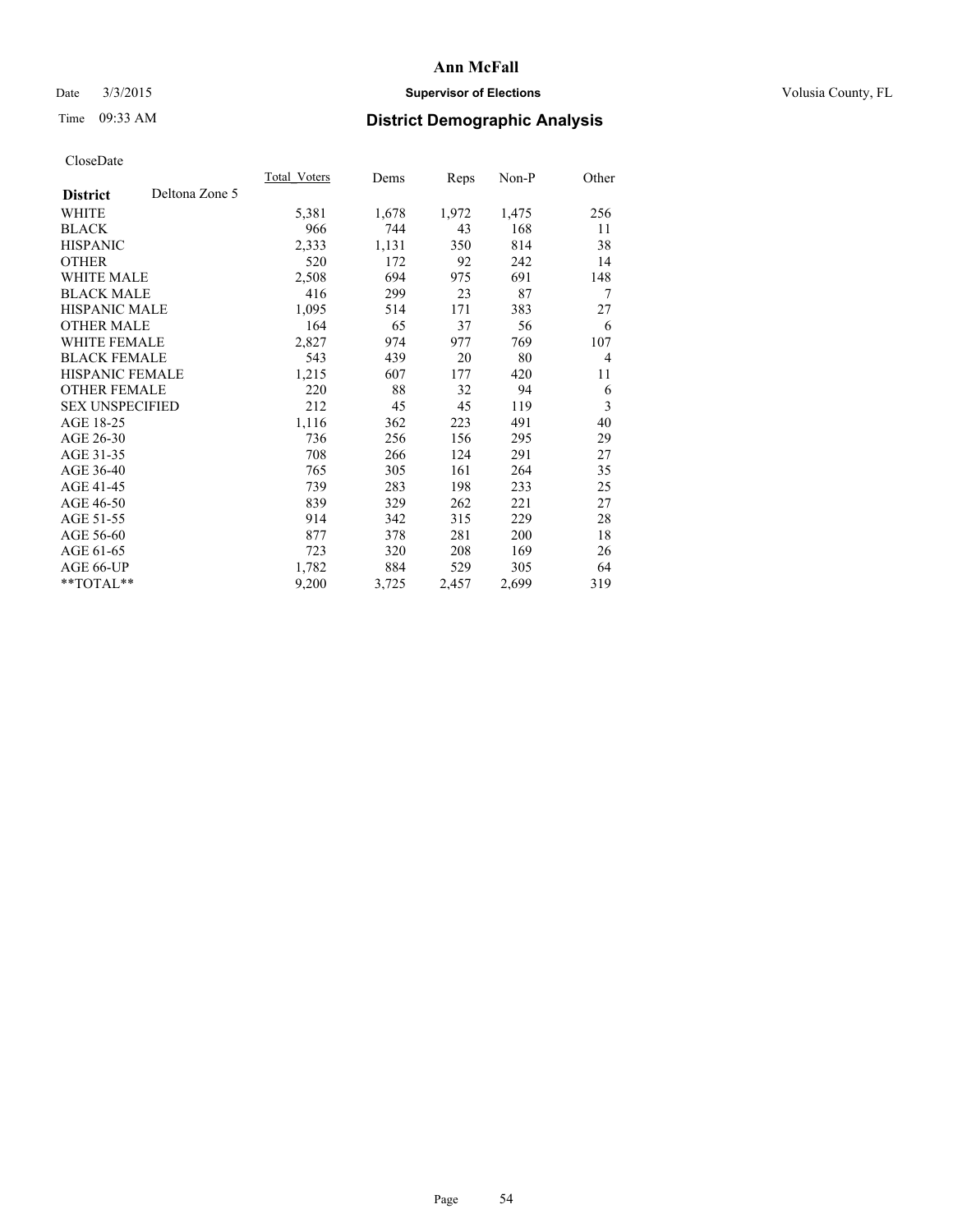## Date  $3/3/2015$  **Supervisor of Elections Supervisor of Elections** Volusia County, FL

# Time 09:33 AM **District Demographic Analysis**

|                        |                | Total Voters | Dems  | <b>Reps</b> | Non-P | Other          |
|------------------------|----------------|--------------|-------|-------------|-------|----------------|
| <b>District</b>        | Deltona Zone 5 |              |       |             |       |                |
| WHITE                  |                | 5,381        | 1,678 | 1,972       | 1,475 | 256            |
| <b>BLACK</b>           |                | 966          | 744   | 43          | 168   | 11             |
| <b>HISPANIC</b>        |                | 2,333        | 1,131 | 350         | 814   | 38             |
| <b>OTHER</b>           |                | 520          | 172   | 92          | 242   | 14             |
| WHITE MALE             |                | 2,508        | 694   | 975         | 691   | 148            |
| <b>BLACK MALE</b>      |                | 416          | 299   | 23          | 87    | 7              |
| <b>HISPANIC MALE</b>   |                | 1,095        | 514   | 171         | 383   | 27             |
| <b>OTHER MALE</b>      |                | 164          | 65    | 37          | 56    | 6              |
| <b>WHITE FEMALE</b>    |                | 2,827        | 974   | 977         | 769   | 107            |
| <b>BLACK FEMALE</b>    |                | 543          | 439   | 20          | 80    | $\overline{4}$ |
| HISPANIC FEMALE        |                | 1,215        | 607   | 177         | 420   | 11             |
| <b>OTHER FEMALE</b>    |                | 220          | 88    | 32          | 94    | 6              |
| <b>SEX UNSPECIFIED</b> |                | 212          | 45    | 45          | 119   | 3              |
| AGE 18-25              |                | 1,116        | 362   | 223         | 491   | 40             |
| AGE 26-30              |                | 736          | 256   | 156         | 295   | 29             |
| AGE 31-35              |                | 708          | 266   | 124         | 291   | 27             |
| AGE 36-40              |                | 765          | 305   | 161         | 264   | 35             |
| AGE 41-45              |                | 739          | 283   | 198         | 233   | 25             |
| AGE 46-50              |                | 839          | 329   | 262         | 221   | 27             |
| AGE 51-55              |                | 914          | 342   | 315         | 229   | 28             |
| AGE 56-60              |                | 877          | 378   | 281         | 200   | 18             |
| AGE 61-65              |                | 723          | 320   | 208         | 169   | 26             |
| AGE 66-UP              |                | 1,782        | 884   | 529         | 305   | 64             |
| **TOTAL**              |                | 9,200        | 3,725 | 2,457       | 2,699 | 319            |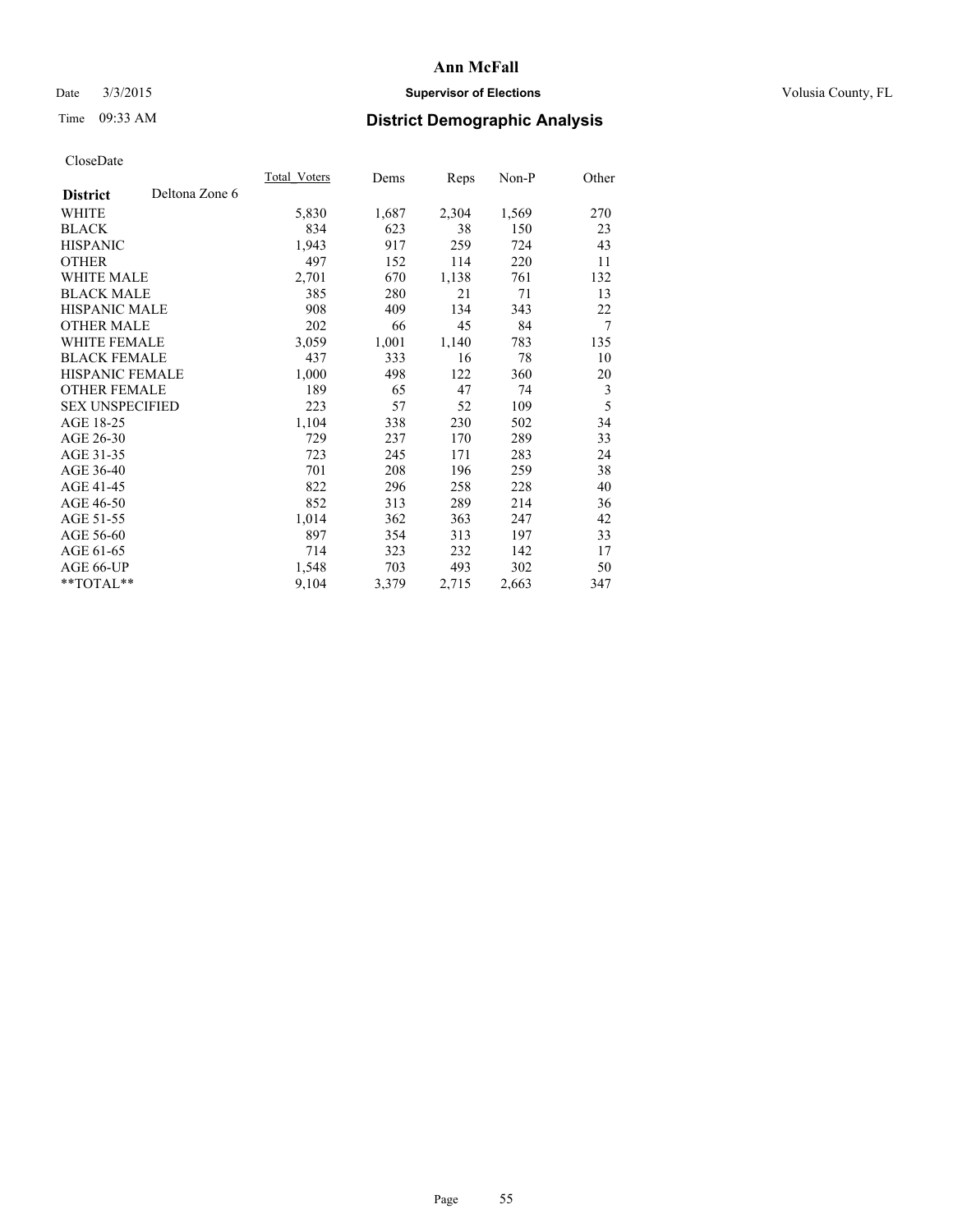## Date  $3/3/2015$  **Supervisor of Elections Supervisor of Elections** Volusia County, FL

# Time 09:33 AM **District Demographic Analysis**

|                        |                | Total Voters | Dems  | Reps  | Non-P | Other |
|------------------------|----------------|--------------|-------|-------|-------|-------|
| <b>District</b>        | Deltona Zone 6 |              |       |       |       |       |
| WHITE                  |                | 5,830        | 1,687 | 2,304 | 1,569 | 270   |
| <b>BLACK</b>           |                | 834          | 623   | 38    | 150   | 23    |
| <b>HISPANIC</b>        |                | 1,943        | 917   | 259   | 724   | 43    |
| <b>OTHER</b>           |                | 497          | 152   | 114   | 220   | 11    |
| WHITE MALE             |                | 2,701        | 670   | 1,138 | 761   | 132   |
| <b>BLACK MALE</b>      |                | 385          | 280   | 21    | 71    | 13    |
| <b>HISPANIC MALE</b>   |                | 908          | 409   | 134   | 343   | 22    |
| <b>OTHER MALE</b>      |                | 202          | 66    | 45    | 84    | 7     |
| WHITE FEMALE           |                | 3,059        | 1,001 | 1,140 | 783   | 135   |
| <b>BLACK FEMALE</b>    |                | 437          | 333   | 16    | 78    | 10    |
| HISPANIC FEMALE        |                | 1,000        | 498   | 122   | 360   | 20    |
| <b>OTHER FEMALE</b>    |                | 189          | 65    | 47    | 74    | 3     |
| <b>SEX UNSPECIFIED</b> |                | 223          | 57    | 52    | 109   | 5     |
| AGE 18-25              |                | 1,104        | 338   | 230   | 502   | 34    |
| AGE 26-30              |                | 729          | 237   | 170   | 289   | 33    |
| AGE 31-35              |                | 723          | 245   | 171   | 283   | 24    |
| AGE 36-40              |                | 701          | 208   | 196   | 259   | 38    |
| AGE 41-45              |                | 822          | 296   | 258   | 228   | 40    |
| AGE 46-50              |                | 852          | 313   | 289   | 214   | 36    |
| AGE 51-55              |                | 1,014        | 362   | 363   | 247   | 42    |
| AGE 56-60              |                | 897          | 354   | 313   | 197   | 33    |
| AGE 61-65              |                | 714          | 323   | 232   | 142   | 17    |
| AGE 66-UP              |                | 1,548        | 703   | 493   | 302   | 50    |
| **TOTAL**              |                | 9,104        | 3,379 | 2,715 | 2,663 | 347   |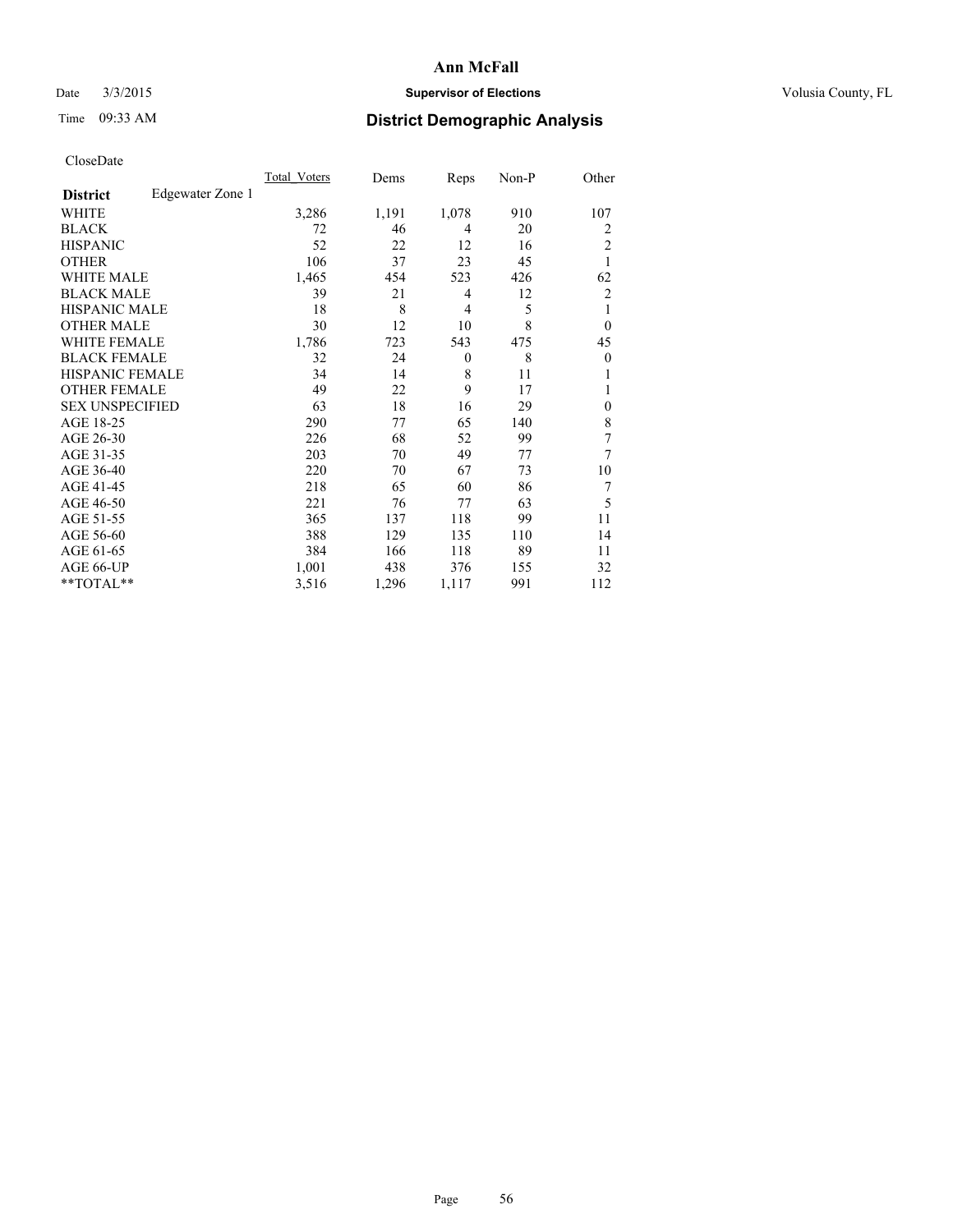## Date  $3/3/2015$  **Supervisor of Elections Supervisor of Elections** Volusia County, FL

# Time 09:33 AM **District Demographic Analysis**

|                        |                  | Total Voters | Dems  | Reps           | Non-P | Other          |
|------------------------|------------------|--------------|-------|----------------|-------|----------------|
| <b>District</b>        | Edgewater Zone 1 |              |       |                |       |                |
| WHITE                  |                  | 3,286        | 1,191 | 1,078          | 910   | 107            |
| <b>BLACK</b>           |                  | 72           | 46    | 4              | 20    | $\overline{2}$ |
| <b>HISPANIC</b>        |                  | 52           | 22    | 12             | 16    | $\overline{c}$ |
| <b>OTHER</b>           |                  | 106          | 37    | 23             | 45    | 1              |
| <b>WHITE MALE</b>      |                  | 1,465        | 454   | 523            | 426   | 62             |
| <b>BLACK MALE</b>      |                  | 39           | 21    | 4              | 12    | $\overline{2}$ |
| <b>HISPANIC MALE</b>   |                  | 18           | 8     | $\overline{4}$ | 5     | 1              |
| <b>OTHER MALE</b>      |                  | 30           | 12    | 10             | 8     | $\overline{0}$ |
| <b>WHITE FEMALE</b>    |                  | 1,786        | 723   | 543            | 475   | 45             |
| <b>BLACK FEMALE</b>    |                  | 32           | 24    | $\theta$       | 8     | $\overline{0}$ |
| <b>HISPANIC FEMALE</b> |                  | 34           | 14    | 8              | 11    |                |
| <b>OTHER FEMALE</b>    |                  | 49           | 22    | 9              | 17    |                |
| <b>SEX UNSPECIFIED</b> |                  | 63           | 18    | 16             | 29    | $\theta$       |
| AGE 18-25              |                  | 290          | 77    | 65             | 140   | 8              |
| AGE 26-30              |                  | 226          | 68    | 52             | 99    | 7              |
| AGE 31-35              |                  | 203          | 70    | 49             | 77    | 7              |
| AGE 36-40              |                  | 220          | 70    | 67             | 73    | 10             |
| AGE 41-45              |                  | 218          | 65    | 60             | 86    | 7              |
| AGE 46-50              |                  | 221          | 76    | 77             | 63    | 5              |
| AGE 51-55              |                  | 365          | 137   | 118            | 99    | 11             |
| AGE 56-60              |                  | 388          | 129   | 135            | 110   | 14             |
| AGE 61-65              |                  | 384          | 166   | 118            | 89    | 11             |
| AGE 66-UP              |                  | 1,001        | 438   | 376            | 155   | 32             |
| **TOTAL**              |                  | 3,516        | 1,296 | 1,117          | 991   | 112            |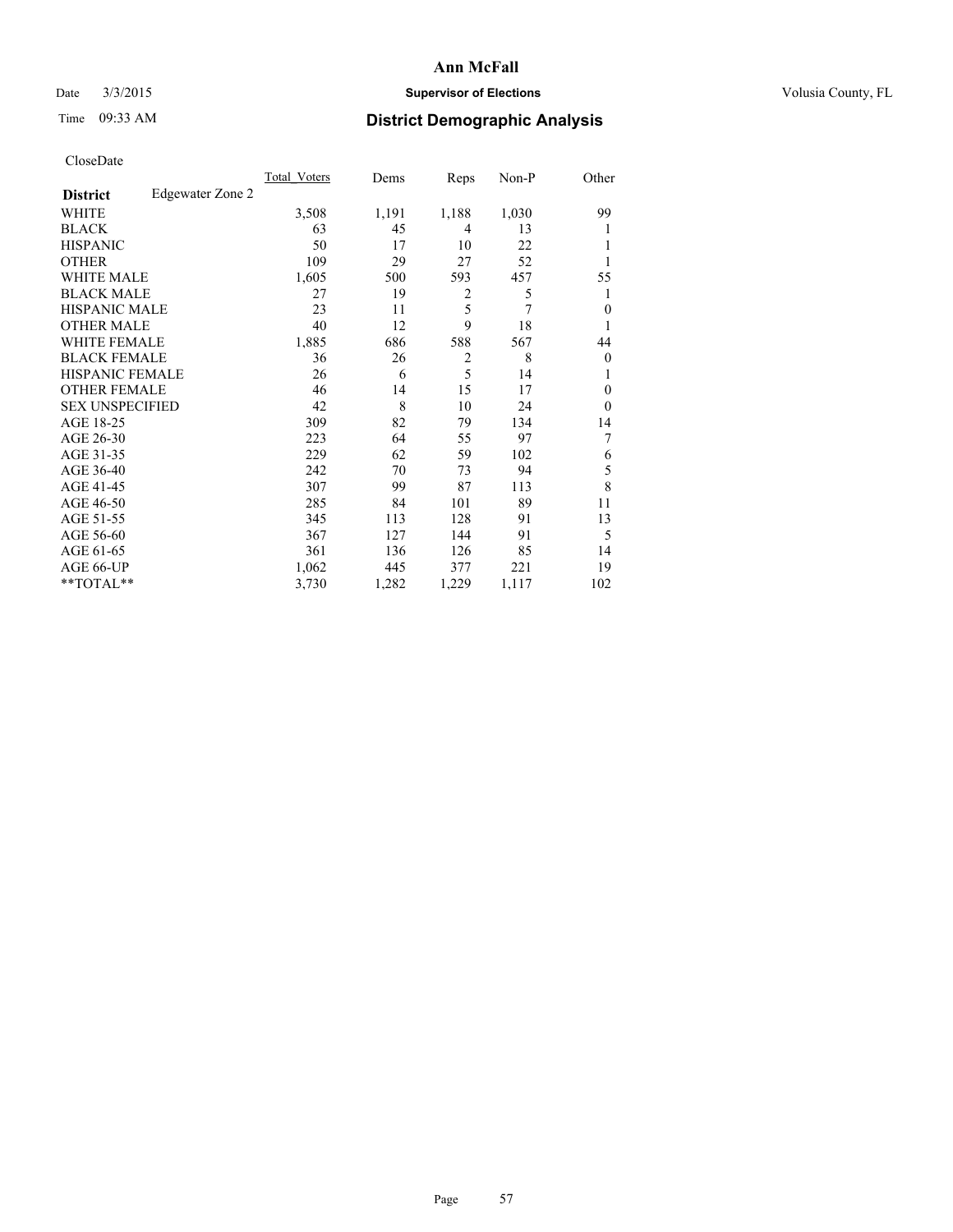## Date  $3/3/2015$  **Supervisor of Elections Supervisor of Elections** Volusia County, FL

# Time 09:33 AM **District Demographic Analysis**

| Cioscivate             |                  |                     |       |                |       |                |
|------------------------|------------------|---------------------|-------|----------------|-------|----------------|
|                        |                  | <b>Total Voters</b> | Dems  | Reps           | Non-P | Other          |
| <b>District</b>        | Edgewater Zone 2 |                     |       |                |       |                |
| <b>WHITE</b>           |                  | 3,508               | 1,191 | 1,188          | 1,030 | 99             |
| <b>BLACK</b>           |                  | 63                  | 45    | 4              | 13    | 1              |
| <b>HISPANIC</b>        |                  | 50                  | 17    | 10             | 22    |                |
| <b>OTHER</b>           |                  | 109                 | 29    | 27             | 52    |                |
| WHITE MALE             |                  | 1,605               | 500   | 593            | 457   | 55             |
| <b>BLACK MALE</b>      |                  | 27                  | 19    | $\overline{2}$ | 5     |                |
| <b>HISPANIC MALE</b>   |                  | 23                  | 11    | 5              | 7     | $\Omega$       |
| <b>OTHER MALE</b>      |                  | 40                  | 12    | 9              | 18    |                |
| <b>WHITE FEMALE</b>    |                  | 1,885               | 686   | 588            | 567   | 44             |
| <b>BLACK FEMALE</b>    |                  | 36                  | 26    | 2              | 8     | $\overline{0}$ |
| <b>HISPANIC FEMALE</b> |                  | 26                  | 6     | 5              | 14    |                |
| <b>OTHER FEMALE</b>    |                  | 46                  | 14    | 15             | 17    | $\theta$       |
| <b>SEX UNSPECIFIED</b> |                  | 42                  | 8     | 10             | 24    | $\Omega$       |
| AGE 18-25              |                  | 309                 | 82    | 79             | 134   | 14             |
| AGE 26-30              |                  | 223                 | 64    | 55             | 97    | 7              |
| AGE 31-35              |                  | 229                 | 62    | 59             | 102   | 6              |
| AGE 36-40              |                  | 242                 | 70    | 73             | 94    | 5              |
| AGE 41-45              |                  | 307                 | 99    | 87             | 113   | 8              |
| AGE 46-50              |                  | 285                 | 84    | 101            | 89    | 11             |
| AGE 51-55              |                  | 345                 | 113   | 128            | 91    | 13             |
| AGE 56-60              |                  | 367                 | 127   | 144            | 91    | 5              |
| AGE 61-65              |                  | 361                 | 136   | 126            | 85    | 14             |
| AGE 66-UP              |                  | 1,062               | 445   | 377            | 221   | 19             |
| **TOTAL**              |                  | 3,730               | 1,282 | 1,229          | 1,117 | 102            |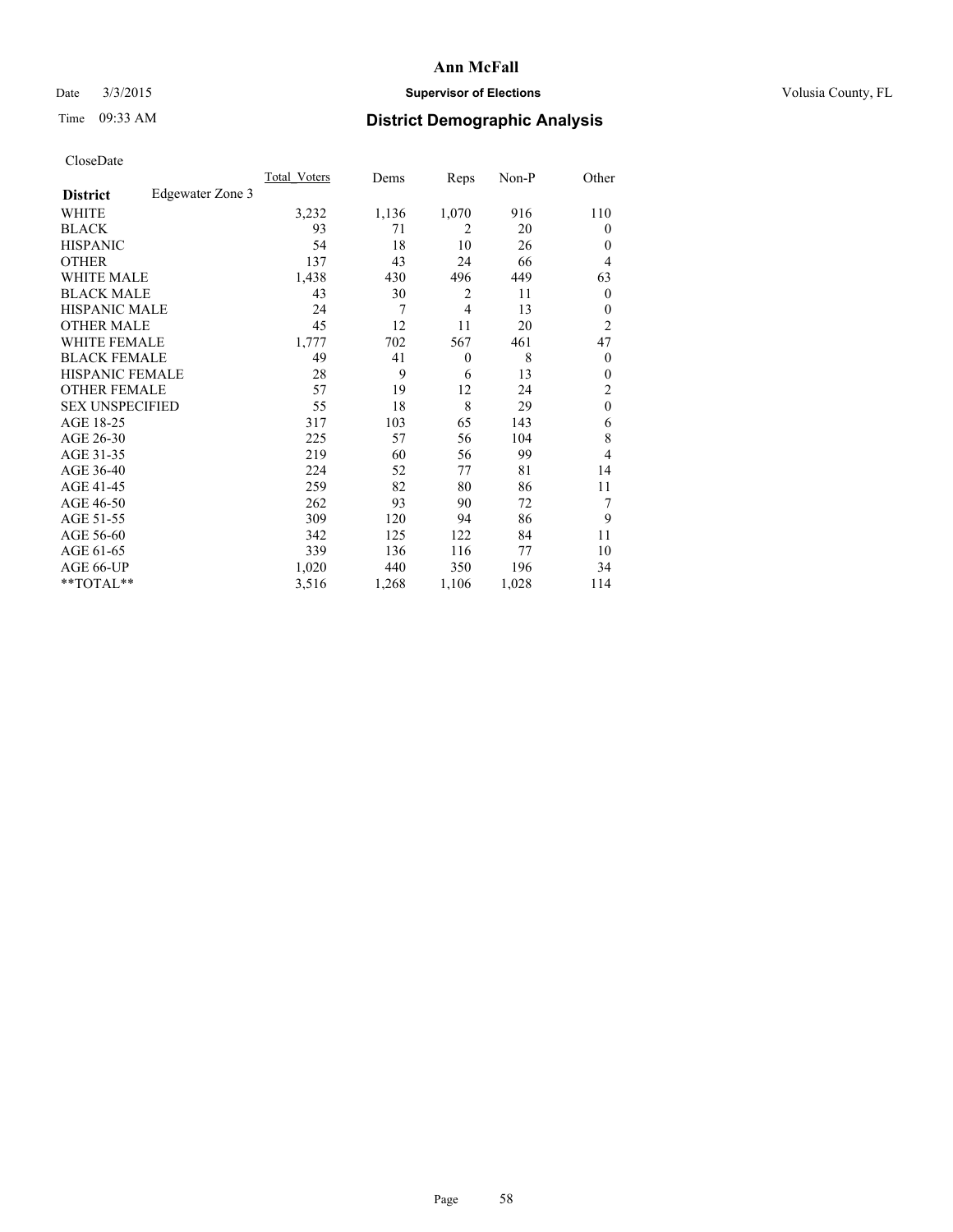## Date  $3/3/2015$  **Supervisor of Elections Supervisor of Elections** Volusia County, FL

# Time 09:33 AM **District Demographic Analysis**

|                        |                  | Total Voters | Dems  | Reps           | Non-P | Other            |
|------------------------|------------------|--------------|-------|----------------|-------|------------------|
| <b>District</b>        | Edgewater Zone 3 |              |       |                |       |                  |
| WHITE                  |                  | 3,232        | 1,136 | 1,070          | 916   | 110              |
| <b>BLACK</b>           |                  | 93           | 71    | $\overline{2}$ | 20    | $\theta$         |
| <b>HISPANIC</b>        |                  | 54           | 18    | 10             | 26    | $\theta$         |
| <b>OTHER</b>           |                  | 137          | 43    | 24             | 66    | 4                |
| <b>WHITE MALE</b>      |                  | 1,438        | 430   | 496            | 449   | 63               |
| <b>BLACK MALE</b>      |                  | 43           | 30    | $\overline{2}$ | 11    | $\boldsymbol{0}$ |
| <b>HISPANIC MALE</b>   |                  | 24           | 7     | $\overline{4}$ | 13    | $\theta$         |
| <b>OTHER MALE</b>      |                  | 45           | 12    | 11             | 20    | $\overline{c}$   |
| <b>WHITE FEMALE</b>    |                  | 1,777        | 702   | 567            | 461   | 47               |
| <b>BLACK FEMALE</b>    |                  | 49           | 41    | $\theta$       | 8     | $\theta$         |
| <b>HISPANIC FEMALE</b> |                  | 28           | 9     | 6              | 13    | $\theta$         |
| <b>OTHER FEMALE</b>    |                  | 57           | 19    | 12             | 24    | 2                |
| <b>SEX UNSPECIFIED</b> |                  | 55           | 18    | 8              | 29    | $\mathbf{0}$     |
| AGE 18-25              |                  | 317          | 103   | 65             | 143   | 6                |
| AGE 26-30              |                  | 225          | 57    | 56             | 104   | 8                |
| AGE 31-35              |                  | 219          | 60    | 56             | 99    | 4                |
| AGE 36-40              |                  | 224          | 52    | 77             | 81    | 14               |
| AGE 41-45              |                  | 259          | 82    | 80             | 86    | 11               |
| AGE 46-50              |                  | 262          | 93    | 90             | 72    | 7                |
| AGE 51-55              |                  | 309          | 120   | 94             | 86    | 9                |
| AGE 56-60              |                  | 342          | 125   | 122            | 84    | 11               |
| AGE 61-65              |                  | 339          | 136   | 116            | 77    | 10               |
| AGE 66-UP              |                  | 1,020        | 440   | 350            | 196   | 34               |
| **TOTAL**              |                  | 3,516        | 1,268 | 1,106          | 1,028 | 114              |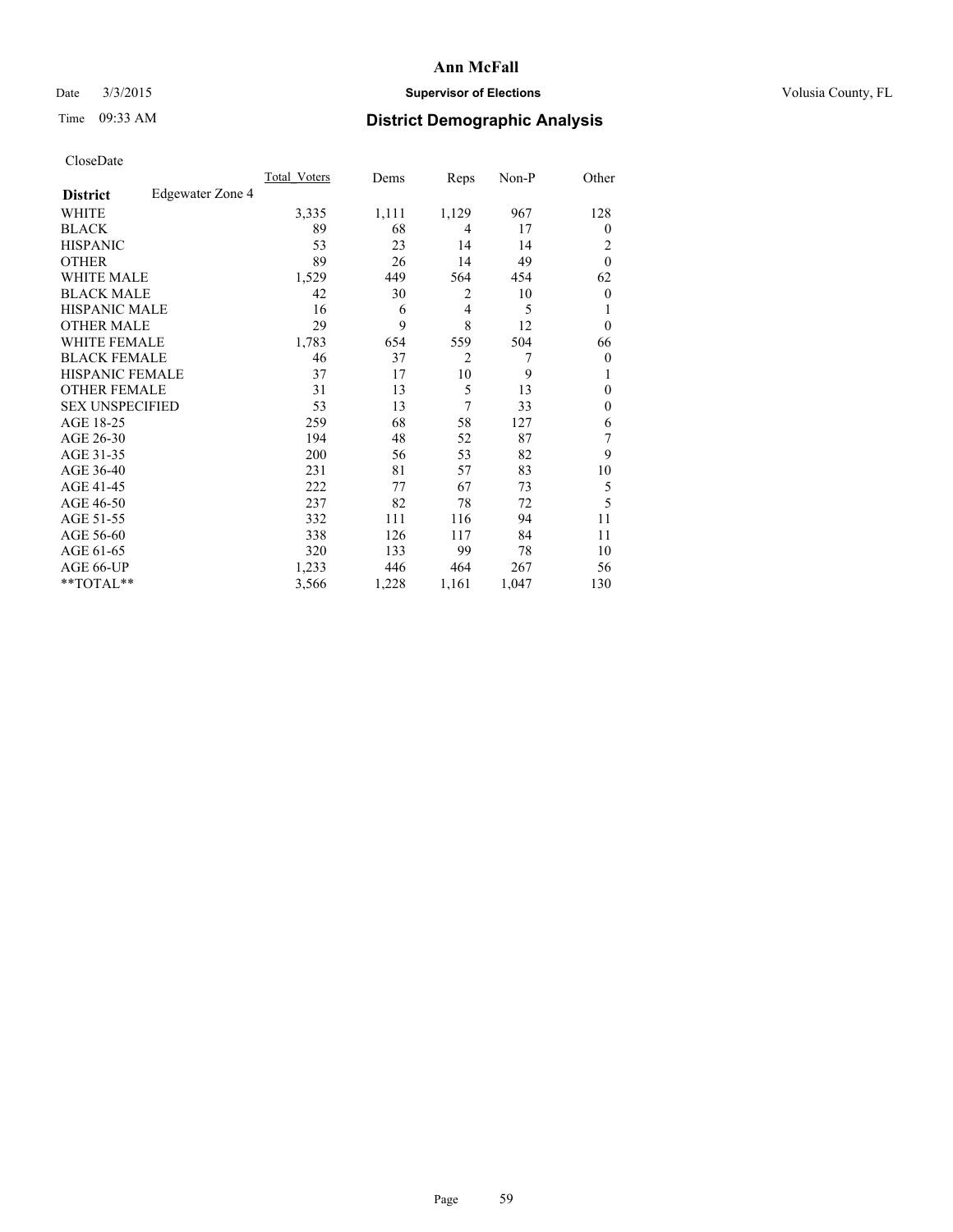## Date  $3/3/2015$  **Supervisor of Elections Supervisor of Elections** Volusia County, FL

# Time 09:33 AM **District Demographic Analysis**

|                        |                  | Total Voters | Dems  | Reps           | Non-P | Other          |
|------------------------|------------------|--------------|-------|----------------|-------|----------------|
| <b>District</b>        | Edgewater Zone 4 |              |       |                |       |                |
| WHITE                  |                  | 3,335        | 1,111 | 1,129          | 967   | 128            |
| <b>BLACK</b>           |                  | 89           | 68    | 4              | 17    | $\overline{0}$ |
| <b>HISPANIC</b>        |                  | 53           | 23    | 14             | 14    | 2              |
| <b>OTHER</b>           |                  | 89           | 26    | 14             | 49    | $\theta$       |
| WHITE MALE             |                  | 1,529        | 449   | 564            | 454   | 62             |
| <b>BLACK MALE</b>      |                  | 42           | 30    | 2              | 10    | $\overline{0}$ |
| <b>HISPANIC MALE</b>   |                  | 16           | 6     | $\overline{4}$ | 5     |                |
| <b>OTHER MALE</b>      |                  | 29           | 9     | 8              | 12    | $\overline{0}$ |
| WHITE FEMALE           |                  | 1,783        | 654   | 559            | 504   | 66             |
| <b>BLACK FEMALE</b>    |                  | 46           | 37    | $\overline{2}$ | 7     | $\overline{0}$ |
| <b>HISPANIC FEMALE</b> |                  | 37           | 17    | 10             | 9     |                |
| <b>OTHER FEMALE</b>    |                  | 31           | 13    | 5              | 13    | $\Omega$       |
| <b>SEX UNSPECIFIED</b> |                  | 53           | 13    | 7              | 33    | $\theta$       |
| AGE 18-25              |                  | 259          | 68    | 58             | 127   | 6              |
| AGE 26-30              |                  | 194          | 48    | 52             | 87    | 7              |
| AGE 31-35              |                  | 200          | 56    | 53             | 82    | 9              |
| AGE 36-40              |                  | 231          | 81    | 57             | 83    | 10             |
| AGE 41-45              |                  | 222          | 77    | 67             | 73    | 5              |
| AGE 46-50              |                  | 237          | 82    | 78             | 72    | 5              |
| AGE 51-55              |                  | 332          | 111   | 116            | 94    | 11             |
| AGE 56-60              |                  | 338          | 126   | 117            | 84    | 11             |
| AGE 61-65              |                  | 320          | 133   | 99             | 78    | 10             |
| AGE 66-UP              |                  | 1,233        | 446   | 464            | 267   | 56             |
| **TOTAL**              |                  | 3,566        | 1,228 | 1,161          | 1,047 | 130            |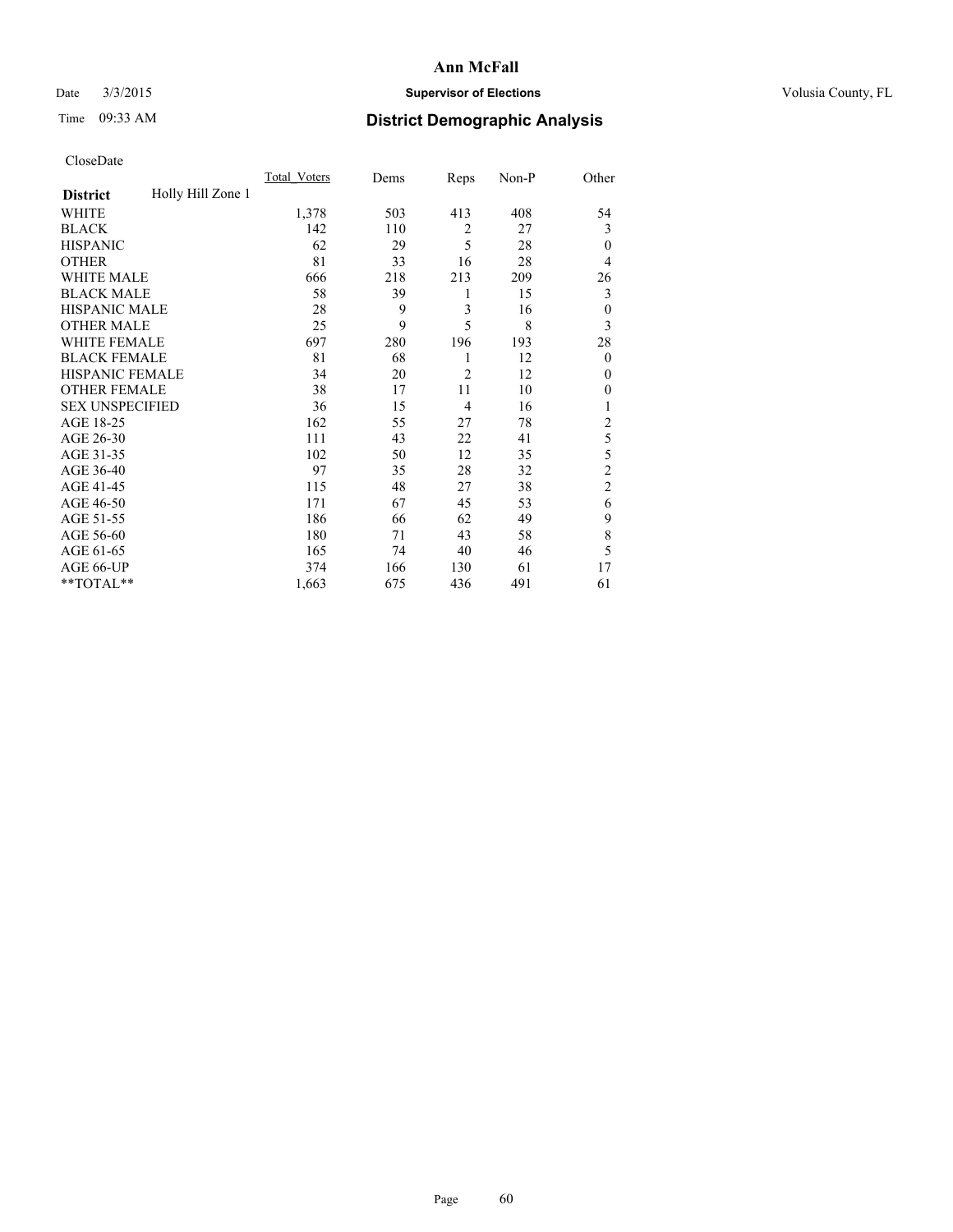## Date  $3/3/2015$  **Supervisor of Elections Supervisor of Elections** Volusia County, FL

# Time 09:33 AM **District Demographic Analysis**

|                        |                   | <b>Total Voters</b> | Dems | Reps           | Non-P | Other          |
|------------------------|-------------------|---------------------|------|----------------|-------|----------------|
| <b>District</b>        | Holly Hill Zone 1 |                     |      |                |       |                |
| WHITE                  |                   | 1,378               | 503  | 413            | 408   | 54             |
| <b>BLACK</b>           |                   | 142                 | 110  | $\overline{2}$ | 27    | 3              |
| <b>HISPANIC</b>        |                   | 62                  | 29   | 5              | 28    | $\theta$       |
| <b>OTHER</b>           |                   | 81                  | 33   | 16             | 28    | 4              |
| WHITE MALE             |                   | 666                 | 218  | 213            | 209   | 26             |
| <b>BLACK MALE</b>      |                   | 58                  | 39   | 1              | 15    | 3              |
| <b>HISPANIC MALE</b>   |                   | 28                  | 9    | 3              | 16    | $\theta$       |
| <b>OTHER MALE</b>      |                   | 25                  | 9    | 5              | 8     | 3              |
| WHITE FEMALE           |                   | 697                 | 280  | 196            | 193   | 28             |
| <b>BLACK FEMALE</b>    |                   | 81                  | 68   | 1              | 12    | $\mathbf{0}$   |
| <b>HISPANIC FEMALE</b> |                   | 34                  | 20   | $\overline{2}$ | 12    | $\Omega$       |
| <b>OTHER FEMALE</b>    |                   | 38                  | 17   | 11             | 10    | $\Omega$       |
| <b>SEX UNSPECIFIED</b> |                   | 36                  | 15   | $\overline{4}$ | 16    | 1              |
| AGE 18-25              |                   | 162                 | 55   | 27             | 78    | 2              |
| AGE 26-30              |                   | 111                 | 43   | 22             | 41    | 5              |
| AGE 31-35              |                   | 102                 | 50   | 12             | 35    | 5              |
| AGE 36-40              |                   | 97                  | 35   | 28             | 32    | $\overline{c}$ |
| AGE 41-45              |                   | 115                 | 48   | 27             | 38    | $\overline{c}$ |
| AGE 46-50              |                   | 171                 | 67   | 45             | 53    | 6              |
| AGE 51-55              |                   | 186                 | 66   | 62             | 49    | 9              |
| AGE 56-60              |                   | 180                 | 71   | 43             | 58    | 8              |
| AGE 61-65              |                   | 165                 | 74   | 40             | 46    | 5              |
| AGE 66-UP              |                   | 374                 | 166  | 130            | 61    | 17             |
| **TOTAL**              |                   | 1,663               | 675  | 436            | 491   | 61             |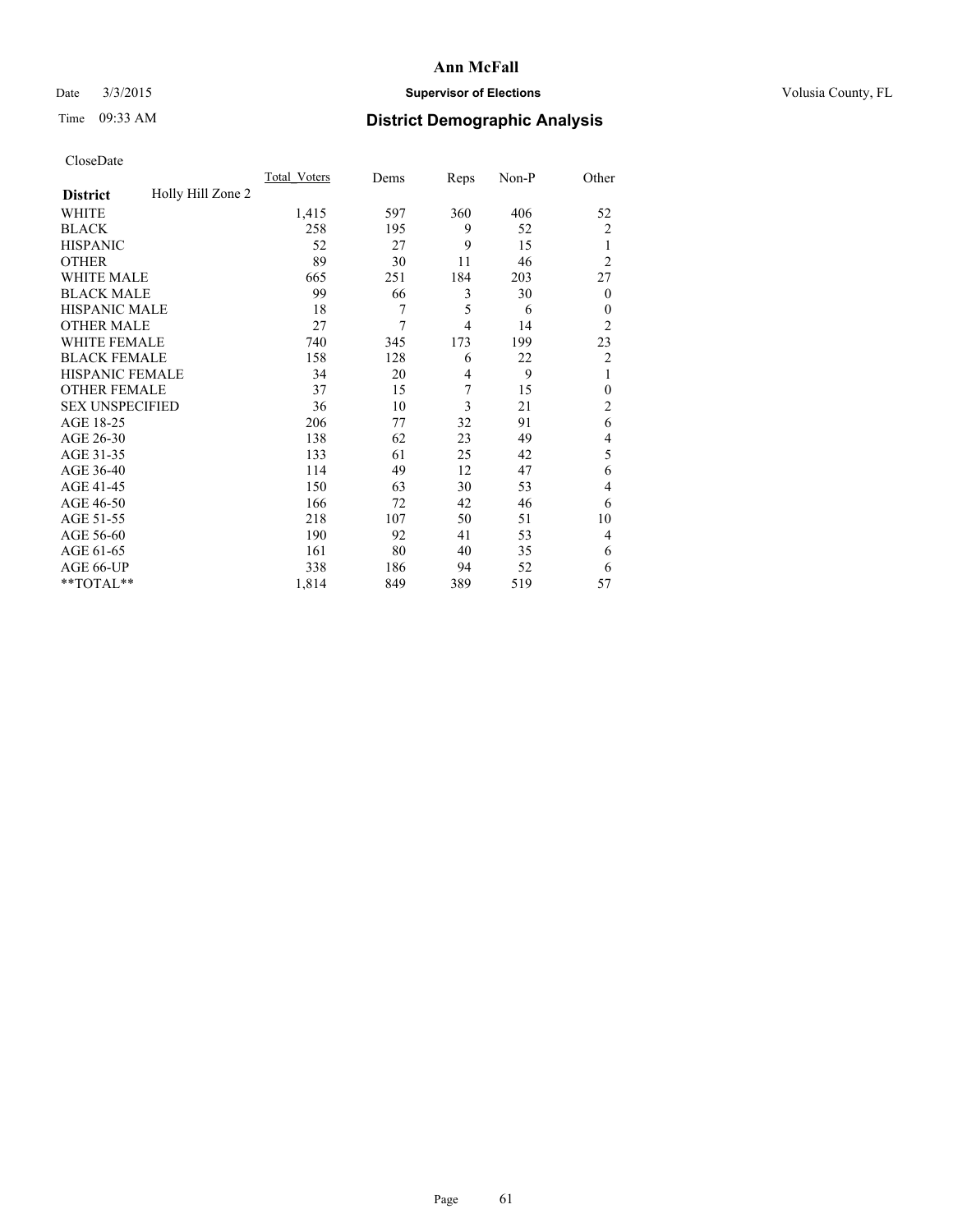## Date  $3/3/2015$  **Supervisor of Elections Supervisor of Elections** Volusia County, FL

# Time 09:33 AM **District Demographic Analysis**

|                        |                   | <b>Total Voters</b> | Dems | Reps           | Non-P | Other            |
|------------------------|-------------------|---------------------|------|----------------|-------|------------------|
| <b>District</b>        | Holly Hill Zone 2 |                     |      |                |       |                  |
| WHITE                  |                   | 1,415               | 597  | 360            | 406   | 52               |
| <b>BLACK</b>           |                   | 258                 | 195  | 9              | 52    | $\overline{c}$   |
| <b>HISPANIC</b>        |                   | 52                  | 27   | 9              | 15    | 1                |
| <b>OTHER</b>           |                   | 89                  | 30   | 11             | 46    | $\overline{2}$   |
| WHITE MALE             |                   | 665                 | 251  | 184            | 203   | 27               |
| <b>BLACK MALE</b>      |                   | 99                  | 66   | 3              | 30    | $\boldsymbol{0}$ |
| <b>HISPANIC MALE</b>   |                   | 18                  | 7    | 5              | 6     | $\theta$         |
| <b>OTHER MALE</b>      |                   | 27                  | 7    | $\overline{4}$ | 14    | $\overline{2}$   |
| WHITE FEMALE           |                   | 740                 | 345  | 173            | 199   | 23               |
| <b>BLACK FEMALE</b>    |                   | 158                 | 128  | 6              | 22    | $\overline{c}$   |
| <b>HISPANIC FEMALE</b> |                   | 34                  | 20   | 4              | 9     | 1                |
| <b>OTHER FEMALE</b>    |                   | 37                  | 15   | 7              | 15    | $\theta$         |
| <b>SEX UNSPECIFIED</b> |                   | 36                  | 10   | 3              | 21    | $\overline{c}$   |
| AGE 18-25              |                   | 206                 | 77   | 32             | 91    | 6                |
| AGE 26-30              |                   | 138                 | 62   | 23             | 49    | 4                |
| AGE 31-35              |                   | 133                 | 61   | 25             | 42    | 5                |
| AGE 36-40              |                   | 114                 | 49   | 12             | 47    | 6                |
| AGE 41-45              |                   | 150                 | 63   | 30             | 53    | 4                |
| AGE 46-50              |                   | 166                 | 72   | 42             | 46    | 6                |
| AGE 51-55              |                   | 218                 | 107  | 50             | 51    | 10               |
| AGE 56-60              |                   | 190                 | 92   | 41             | 53    | 4                |
| AGE 61-65              |                   | 161                 | 80   | 40             | 35    | 6                |
| AGE 66-UP              |                   | 338                 | 186  | 94             | 52    | 6                |
| **TOTAL**              |                   | 1,814               | 849  | 389            | 519   | 57               |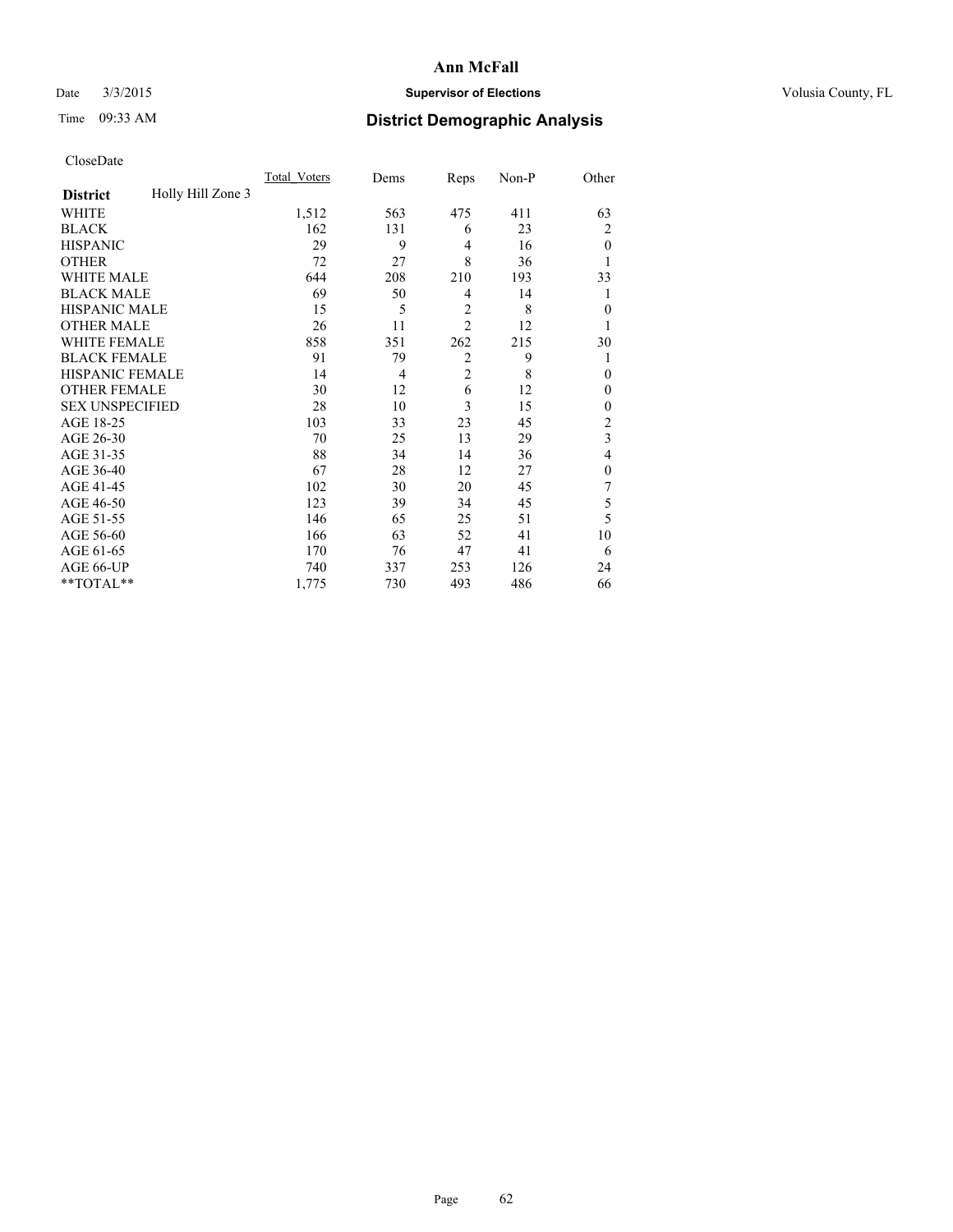## Date  $3/3/2015$  **Supervisor of Elections Supervisor of Elections** Volusia County, FL

# Time 09:33 AM **District Demographic Analysis**

|                        |                   | Total Voters | Dems           | Reps           | Non-P | Other          |
|------------------------|-------------------|--------------|----------------|----------------|-------|----------------|
| <b>District</b>        | Holly Hill Zone 3 |              |                |                |       |                |
| WHITE                  |                   | 1,512        | 563            | 475            | 411   | 63             |
| <b>BLACK</b>           |                   | 162          | 131            | 6              | 23    | 2              |
| <b>HISPANIC</b>        |                   | 29           | 9              | 4              | 16    | $\theta$       |
| <b>OTHER</b>           |                   | 72           | 27             | 8              | 36    |                |
| WHITE MALE             |                   | 644          | 208            | 210            | 193   | 33             |
| <b>BLACK MALE</b>      |                   | 69           | 50             | 4              | 14    | 1              |
| <b>HISPANIC MALE</b>   |                   | 15           | 5              | $\overline{2}$ | 8     | $\mathbf{0}$   |
| <b>OTHER MALE</b>      |                   | 26           | 11             | $\overline{2}$ | 12    | 1              |
| <b>WHITE FEMALE</b>    |                   | 858          | 351            | 262            | 215   | 30             |
| <b>BLACK FEMALE</b>    |                   | 91           | 79             | $\overline{2}$ | 9     |                |
| <b>HISPANIC FEMALE</b> |                   | 14           | $\overline{4}$ | $\overline{2}$ | 8     | $\theta$       |
| <b>OTHER FEMALE</b>    |                   | 30           | 12             | 6              | 12    | $\theta$       |
| <b>SEX UNSPECIFIED</b> |                   | 28           | 10             | 3              | 15    | $\mathbf{0}$   |
| AGE 18-25              |                   | 103          | 33             | 23             | 45    | $\overline{c}$ |
| AGE 26-30              |                   | 70           | 25             | 13             | 29    | 3              |
| AGE 31-35              |                   | 88           | 34             | 14             | 36    | 4              |
| AGE 36-40              |                   | 67           | 28             | 12             | 27    | $\mathbf{0}$   |
| AGE 41-45              |                   | 102          | 30             | 20             | 45    | 7              |
| AGE 46-50              |                   | 123          | 39             | 34             | 45    | 5              |
| AGE 51-55              |                   | 146          | 65             | 25             | 51    | 5              |
| AGE 56-60              |                   | 166          | 63             | 52             | 41    | 10             |
| AGE 61-65              |                   | 170          | 76             | 47             | 41    | 6              |
| AGE 66-UP              |                   | 740          | 337            | 253            | 126   | 24             |
| **TOTAL**              |                   | 1,775        | 730            | 493            | 486   | 66             |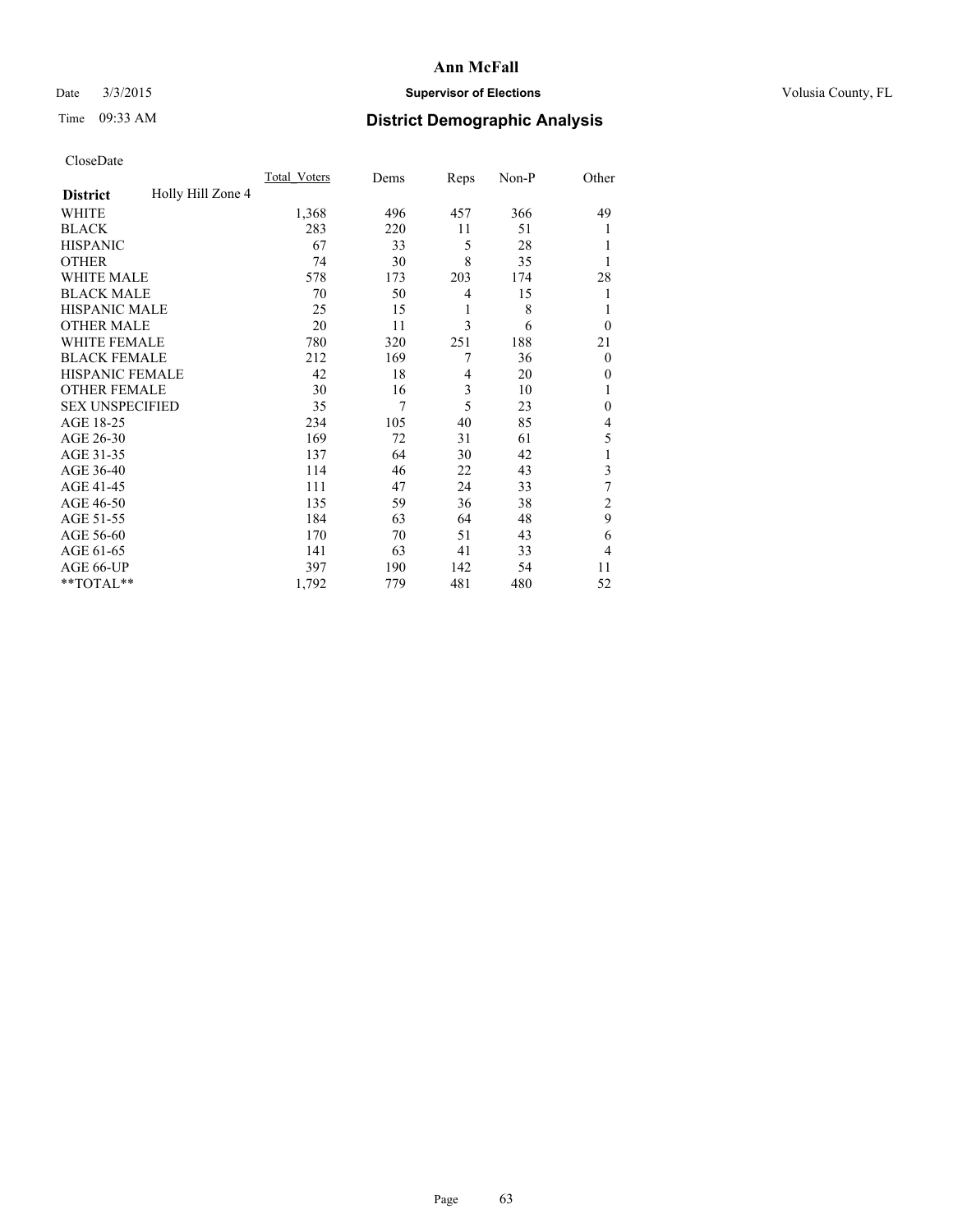## Date  $3/3/2015$  **Supervisor of Elections Supervisor of Elections** Volusia County, FL

# Time 09:33 AM **District Demographic Analysis**

|                        |                   | Total Voters | Dems | Reps | Non-P | Other          |
|------------------------|-------------------|--------------|------|------|-------|----------------|
| <b>District</b>        | Holly Hill Zone 4 |              |      |      |       |                |
| WHITE                  |                   | 1,368        | 496  | 457  | 366   | 49             |
| <b>BLACK</b>           |                   | 283          | 220  | 11   | 51    |                |
| <b>HISPANIC</b>        |                   | 67           | 33   | 5    | 28    |                |
| <b>OTHER</b>           |                   | 74           | 30   | 8    | 35    |                |
| <b>WHITE MALE</b>      |                   | 578          | 173  | 203  | 174   | 28             |
| <b>BLACK MALE</b>      |                   | 70           | 50   | 4    | 15    | 1              |
| <b>HISPANIC MALE</b>   |                   | 25           | 15   | 1    | 8     | 1              |
| <b>OTHER MALE</b>      |                   | 20           | 11   | 3    | 6     | $\theta$       |
| <b>WHITE FEMALE</b>    |                   | 780          | 320  | 251  | 188   | 21             |
| <b>BLACK FEMALE</b>    |                   | 212          | 169  | 7    | 36    | $\overline{0}$ |
| <b>HISPANIC FEMALE</b> |                   | 42           | 18   | 4    | 20    | $\theta$       |
| <b>OTHER FEMALE</b>    |                   | 30           | 16   | 3    | 10    |                |
| <b>SEX UNSPECIFIED</b> |                   | 35           | 7    | 5    | 23    | $\mathbf{0}$   |
| AGE 18-25              |                   | 234          | 105  | 40   | 85    | 4              |
| AGE 26-30              |                   | 169          | 72   | 31   | 61    | 5              |
| AGE 31-35              |                   | 137          | 64   | 30   | 42    |                |
| AGE 36-40              |                   | 114          | 46   | 22   | 43    | 3              |
| AGE 41-45              |                   | 111          | 47   | 24   | 33    | 7              |
| AGE 46-50              |                   | 135          | 59   | 36   | 38    | 2              |
| AGE 51-55              |                   | 184          | 63   | 64   | 48    | 9              |
| AGE 56-60              |                   | 170          | 70   | 51   | 43    | 6              |
| AGE 61-65              |                   | 141          | 63   | 41   | 33    | 4              |
| AGE 66-UP              |                   | 397          | 190  | 142  | 54    | 11             |
| **TOTAL**              |                   | 1,792        | 779  | 481  | 480   | 52             |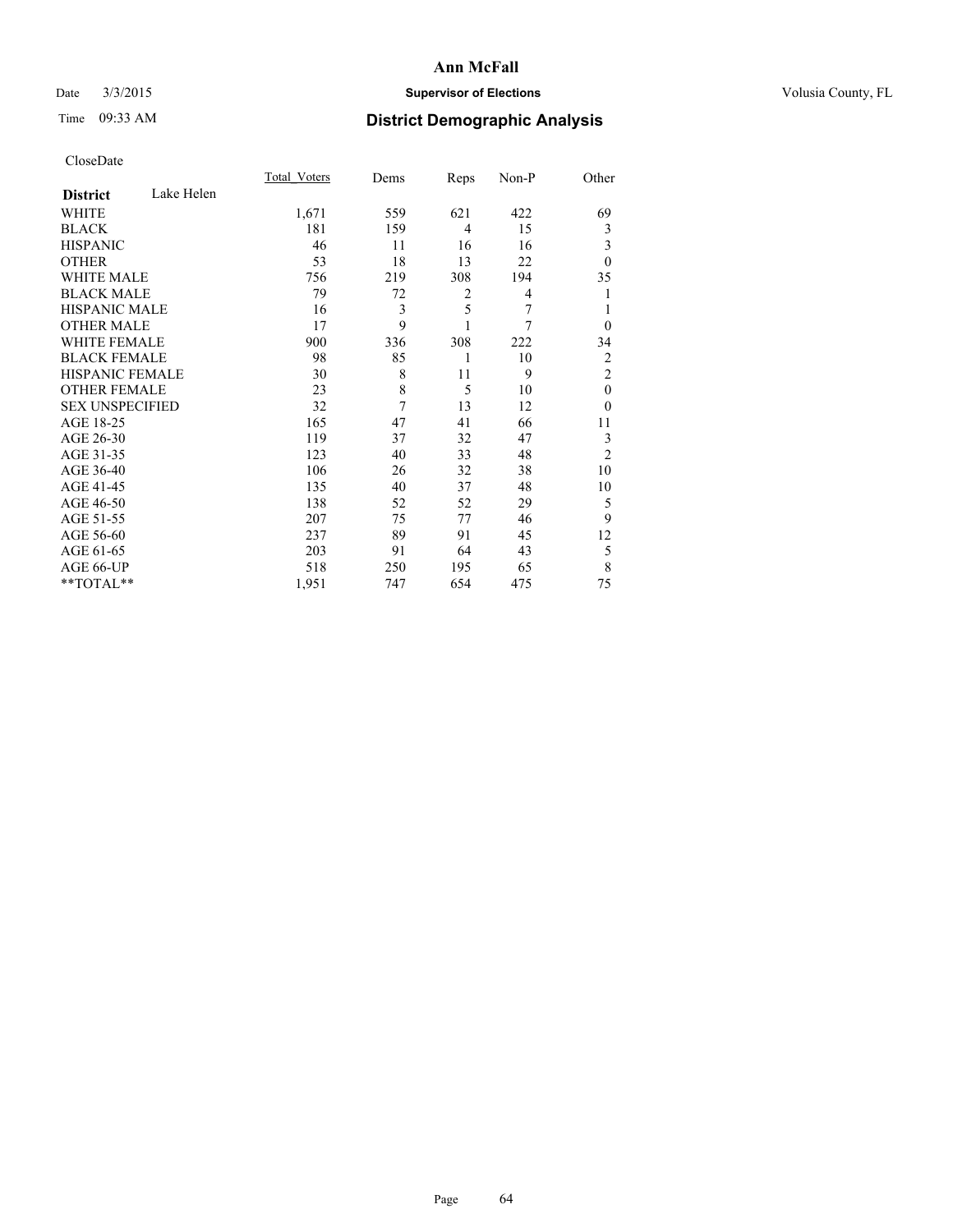## Date  $3/3/2015$  **Supervisor of Elections Supervisor of Elections** Volusia County, FL

# Time 09:33 AM **District Demographic Analysis**

|                        |            | Total Voters | Dems | Reps           | Non-P | Other          |
|------------------------|------------|--------------|------|----------------|-------|----------------|
| <b>District</b>        | Lake Helen |              |      |                |       |                |
| WHITE                  |            | 1,671        | 559  | 621            | 422   | 69             |
| <b>BLACK</b>           |            | 181          | 159  | $\overline{4}$ | 15    | 3              |
| <b>HISPANIC</b>        |            | 46           | 11   | 16             | 16    | 3              |
| <b>OTHER</b>           |            | 53           | 18   | 13             | 22    | $\theta$       |
| WHITE MALE             |            | 756          | 219  | 308            | 194   | 35             |
| <b>BLACK MALE</b>      |            | 79           | 72   | 2              | 4     | 1              |
| <b>HISPANIC MALE</b>   |            | 16           | 3    | 5              | 7     | 1              |
| <b>OTHER MALE</b>      |            | 17           | 9    | 1              | 7     | $\theta$       |
| <b>WHITE FEMALE</b>    |            | 900          | 336  | 308            | 222   | 34             |
| <b>BLACK FEMALE</b>    |            | 98           | 85   | 1              | 10    | $\overline{2}$ |
| <b>HISPANIC FEMALE</b> |            | 30           | 8    | 11             | 9     | $\overline{2}$ |
| <b>OTHER FEMALE</b>    |            | 23           | 8    | 5              | 10    | $\theta$       |
| <b>SEX UNSPECIFIED</b> |            | 32           | 7    | 13             | 12    | $\theta$       |
| AGE 18-25              |            | 165          | 47   | 41             | 66    | 11             |
| AGE 26-30              |            | 119          | 37   | 32             | 47    | 3              |
| AGE 31-35              |            | 123          | 40   | 33             | 48    | $\overline{2}$ |
| AGE 36-40              |            | 106          | 26   | 32             | 38    | 10             |
| AGE 41-45              |            | 135          | 40   | 37             | 48    | 10             |
| AGE 46-50              |            | 138          | 52   | 52             | 29    | 5              |
| AGE 51-55              |            | 207          | 75   | 77             | 46    | 9              |
| AGE 56-60              |            | 237          | 89   | 91             | 45    | 12             |
| AGE 61-65              |            | 203          | 91   | 64             | 43    | 5              |
| AGE 66-UP              |            | 518          | 250  | 195            | 65    | 8              |
| **TOTAL**              |            | 1,951        | 747  | 654            | 475   | 75             |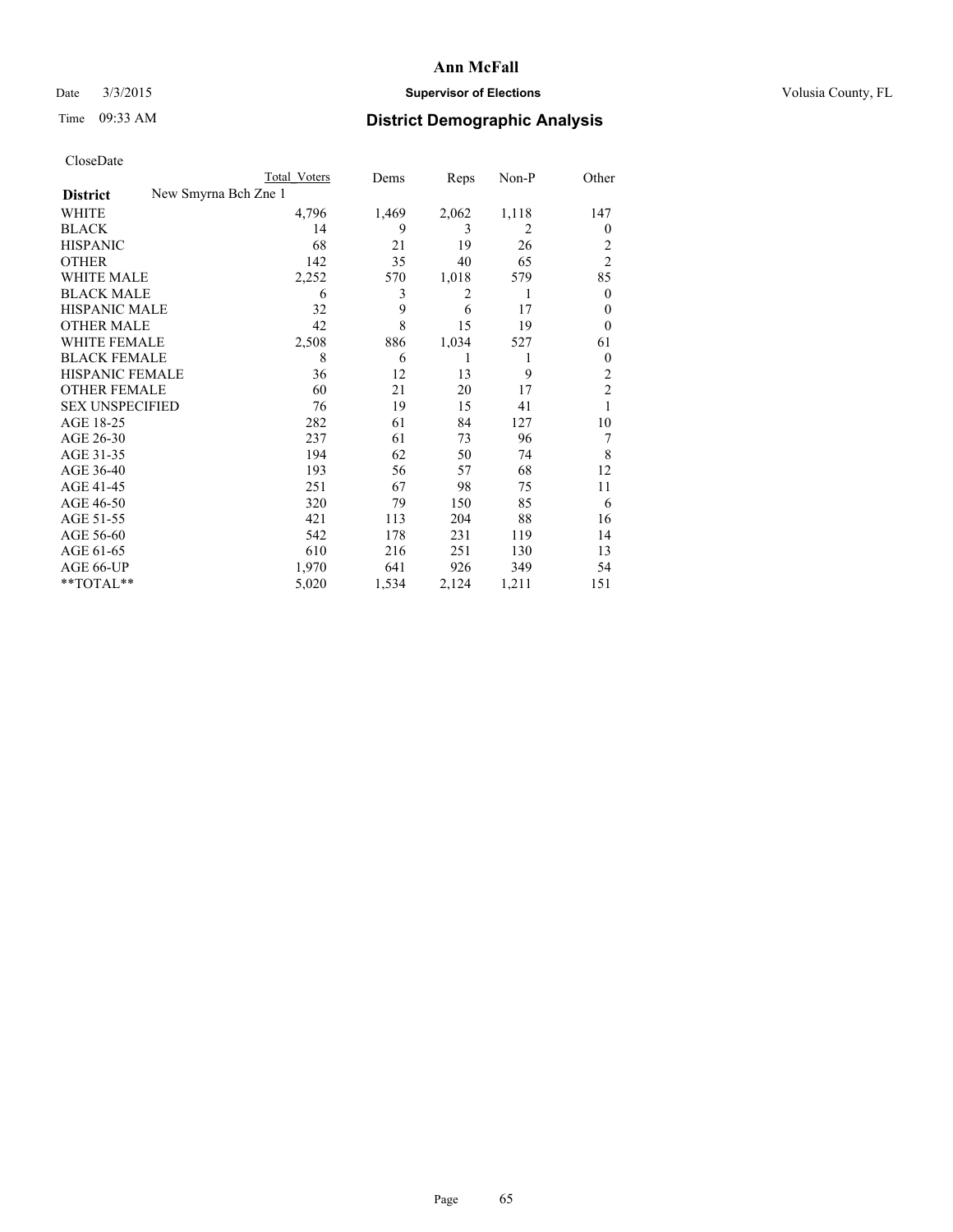## Date  $3/3/2015$  **Supervisor of Elections Supervisor of Elections** Volusia County, FL

# Time 09:33 AM **District Demographic Analysis**

|                                         | <b>Total Voters</b> | Dems  | Reps  | Non-P | Other          |
|-----------------------------------------|---------------------|-------|-------|-------|----------------|
| New Smyrna Bch Zne 1<br><b>District</b> |                     |       |       |       |                |
| WHITE                                   | 4,796               | 1,469 | 2,062 | 1,118 | 147            |
| <b>BLACK</b>                            | 14                  | 9     | 3     | 2     | $\theta$       |
| <b>HISPANIC</b>                         | 68                  | 21    | 19    | 26    | 2              |
| <b>OTHER</b>                            | 142                 | 35    | 40    | 65    | $\overline{c}$ |
| WHITE MALE                              | 2,252               | 570   | 1,018 | 579   | 85             |
| <b>BLACK MALE</b>                       | 6                   | 3     | 2     | 1     | $\mathbf{0}$   |
| HISPANIC MALE                           | 32                  | 9     | 6     | 17    | $\theta$       |
| <b>OTHER MALE</b>                       | 42                  | 8     | 15    | 19    | $\theta$       |
| <b>WHITE FEMALE</b>                     | 2,508               | 886   | 1,034 | 527   | 61             |
| <b>BLACK FEMALE</b>                     | 8                   | 6     | 1     | 1     | $\theta$       |
| <b>HISPANIC FEMALE</b>                  | 36                  | 12    | 13    | 9     | $\overline{c}$ |
| <b>OTHER FEMALE</b>                     | 60                  | 21    | 20    | 17    | $\overline{2}$ |
| <b>SEX UNSPECIFIED</b>                  | 76                  | 19    | 15    | 41    | 1              |
| AGE 18-25                               | 282                 | 61    | 84    | 127   | 10             |
| AGE 26-30                               | 237                 | 61    | 73    | 96    | 7              |
| AGE 31-35                               | 194                 | 62    | 50    | 74    | 8              |
| AGE 36-40                               | 193                 | 56    | 57    | 68    | 12             |
| AGE 41-45                               | 251                 | 67    | 98    | 75    | 11             |
| AGE 46-50                               | 320                 | 79    | 150   | 85    | 6              |
| AGE 51-55                               | 421                 | 113   | 204   | 88    | 16             |
| AGE 56-60                               | 542                 | 178   | 231   | 119   | 14             |
| AGE 61-65                               | 610                 | 216   | 251   | 130   | 13             |
| AGE 66-UP                               | 1,970               | 641   | 926   | 349   | 54             |
| **TOTAL**                               | 5,020               | 1,534 | 2,124 | 1,211 | 151            |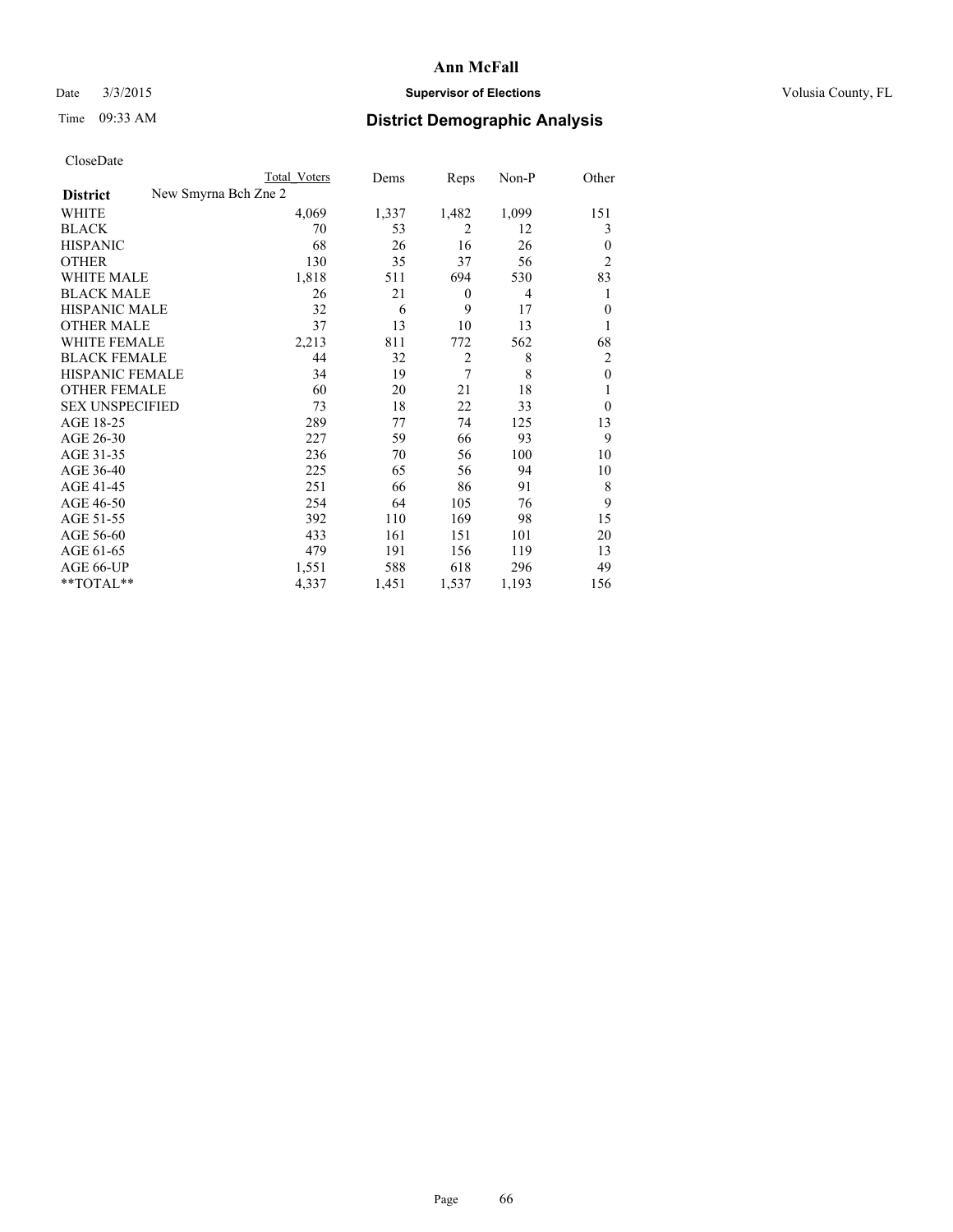## Date  $3/3/2015$  **Supervisor of Elections Supervisor of Elections** Volusia County, FL

|  | CloseDate |
|--|-----------|
|  |           |

|                        |                      | Total Voters | Dems  | Reps             | Non-P          | Other          |
|------------------------|----------------------|--------------|-------|------------------|----------------|----------------|
| <b>District</b>        | New Smyrna Bch Zne 2 |              |       |                  |                |                |
| WHITE                  |                      | 4,069        | 1,337 | 1,482            | 1,099          | 151            |
| <b>BLACK</b>           |                      | 70           | 53    | 2                | 12             | 3              |
| <b>HISPANIC</b>        |                      | 68           | 26    | 16               | 26             | $\theta$       |
| OTHER                  |                      | 130          | 35    | 37               | 56             | $\overline{2}$ |
| <b>WHITE MALE</b>      |                      | 1,818        | 511   | 694              | 530            | 83             |
| <b>BLACK MALE</b>      |                      | 26           | 21    | $\boldsymbol{0}$ | $\overline{4}$ | 1              |
| <b>HISPANIC MALE</b>   |                      | 32           | 6     | 9                | 17             | $\mathbf{0}$   |
| <b>OTHER MALE</b>      |                      | 37           | 13    | 10               | 13             | 1              |
| <b>WHITE FEMALE</b>    |                      | 2,213        | 811   | 772              | 562            | 68             |
| <b>BLACK FEMALE</b>    |                      | 44           | 32    | $\overline{c}$   | 8              | $\overline{c}$ |
| <b>HISPANIC FEMALE</b> |                      | 34           | 19    | 7                | 8              | $\mathbf{0}$   |
| <b>OTHER FEMALE</b>    |                      | 60           | 20    | 21               | 18             | 1              |
| <b>SEX UNSPECIFIED</b> |                      | 73           | 18    | 22               | 33             | $\overline{0}$ |
| AGE 18-25              |                      | 289          | 77    | 74               | 125            | 13             |
| AGE 26-30              |                      | 227          | 59    | 66               | 93             | 9              |
| AGE 31-35              |                      | 236          | 70    | 56               | 100            | 10             |
| AGE 36-40              |                      | 225          | 65    | 56               | 94             | 10             |
| AGE 41-45              |                      | 251          | 66    | 86               | 91             | 8              |
| AGE 46-50              |                      | 254          | 64    | 105              | 76             | 9              |
| AGE 51-55              |                      | 392          | 110   | 169              | 98             | 15             |
| AGE 56-60              |                      | 433          | 161   | 151              | 101            | 20             |
| AGE 61-65              |                      | 479          | 191   | 156              | 119            | 13             |
| AGE 66-UP              |                      | 1,551        | 588   | 618              | 296            | 49             |
| **TOTAL**              |                      | 4,337        | 1,451 | 1,537            | 1,193          | 156            |
|                        |                      |              |       |                  |                |                |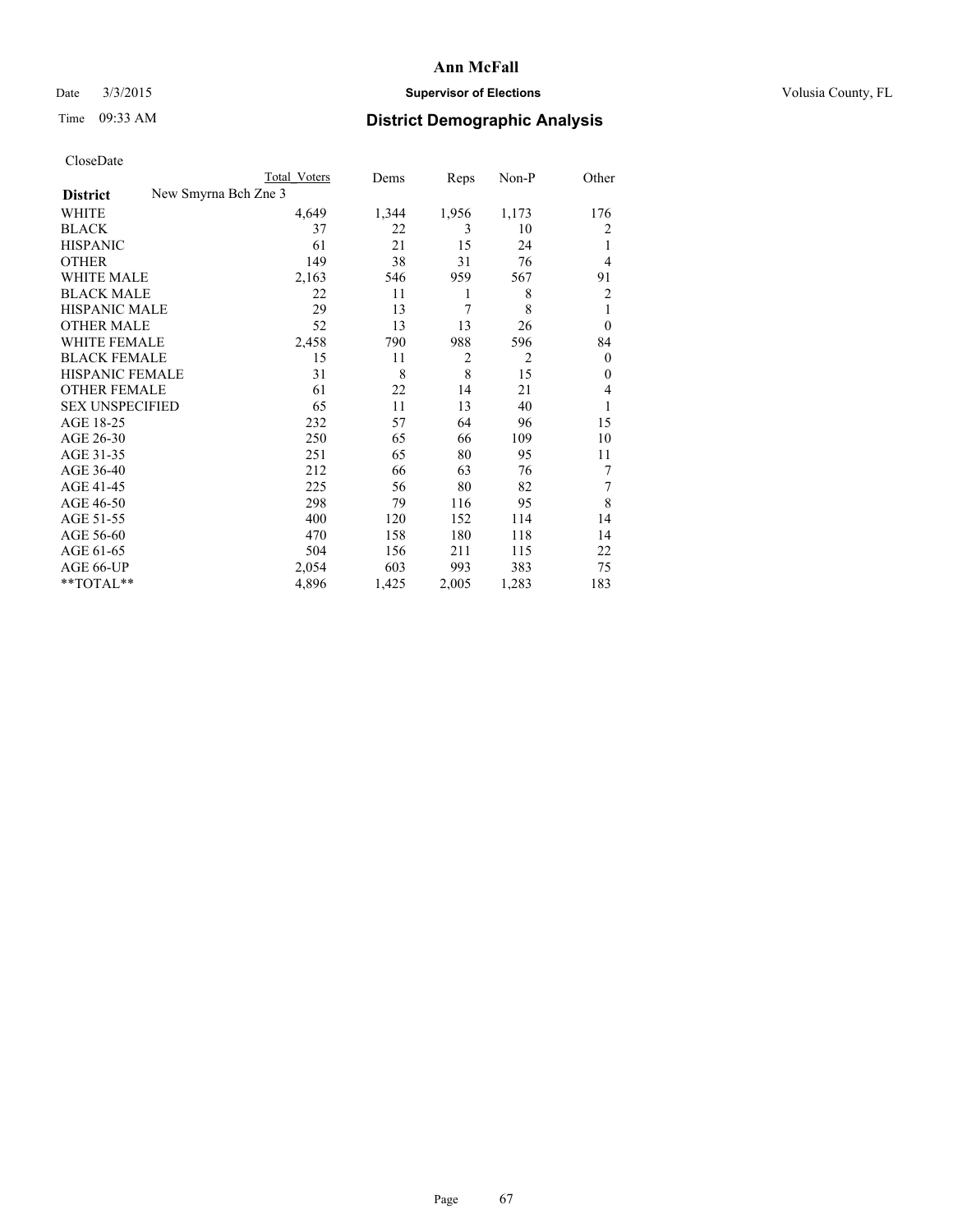## Date  $3/3/2015$  **Supervisor of Elections Supervisor of Elections** Volusia County, FL

|                                         | Total Voters | Dems  | Reps           | Non-P          | Other          |
|-----------------------------------------|--------------|-------|----------------|----------------|----------------|
| New Smyrna Bch Zne 3<br><b>District</b> |              |       |                |                |                |
| WHITE                                   | 4,649        | 1,344 | 1,956          | 1,173          | 176            |
| <b>BLACK</b>                            | 37           | 22    | 3              | 10             | 2              |
| <b>HISPANIC</b>                         | 61           | 21    | 15             | 24             | 1              |
| <b>OTHER</b>                            | 149          | 38    | 31             | 76             | $\overline{4}$ |
| WHITE MALE                              | 2,163        | 546   | 959            | 567            | 91             |
| <b>BLACK MALE</b>                       | 22           | 11    | 1              | 8              | $\overline{2}$ |
| <b>HISPANIC MALE</b>                    | 29           | 13    | 7              | 8              | 1              |
| <b>OTHER MALE</b>                       | 52           | 13    | 13             | 26             | $\overline{0}$ |
| <b>WHITE FEMALE</b>                     | 2,458        | 790   | 988            | 596            | 84             |
| <b>BLACK FEMALE</b>                     | 15           | 11    | $\overline{2}$ | $\overline{2}$ | $\overline{0}$ |
| <b>HISPANIC FEMALE</b>                  | 31           | 8     | 8              | 15             | $\Omega$       |
| <b>OTHER FEMALE</b>                     | 61           | 22    | 14             | 21             | $\overline{4}$ |
| <b>SEX UNSPECIFIED</b>                  | 65           | 11    | 13             | 40             | 1              |
| AGE 18-25                               | 232          | 57    | 64             | 96             | 15             |
| AGE 26-30                               | 250          | 65    | 66             | 109            | 10             |
| AGE 31-35                               | 251          | 65    | 80             | 95             | 11             |
| AGE 36-40                               | 212          | 66    | 63             | 76             | 7              |
| AGE 41-45                               | 225          | 56    | 80             | 82             | 7              |
| AGE 46-50                               | 298          | 79    | 116            | 95             | 8              |
| AGE 51-55                               | 400          | 120   | 152            | 114            | 14             |
| AGE 56-60                               | 470          | 158   | 180            | 118            | 14             |
| AGE 61-65                               | 504          | 156   | 211            | 115            | 22             |
| AGE 66-UP                               | 2,054        | 603   | 993            | 383            | 75             |
| $*$ TOTAL $**$                          | 4,896        | 1,425 | 2,005          | 1,283          | 183            |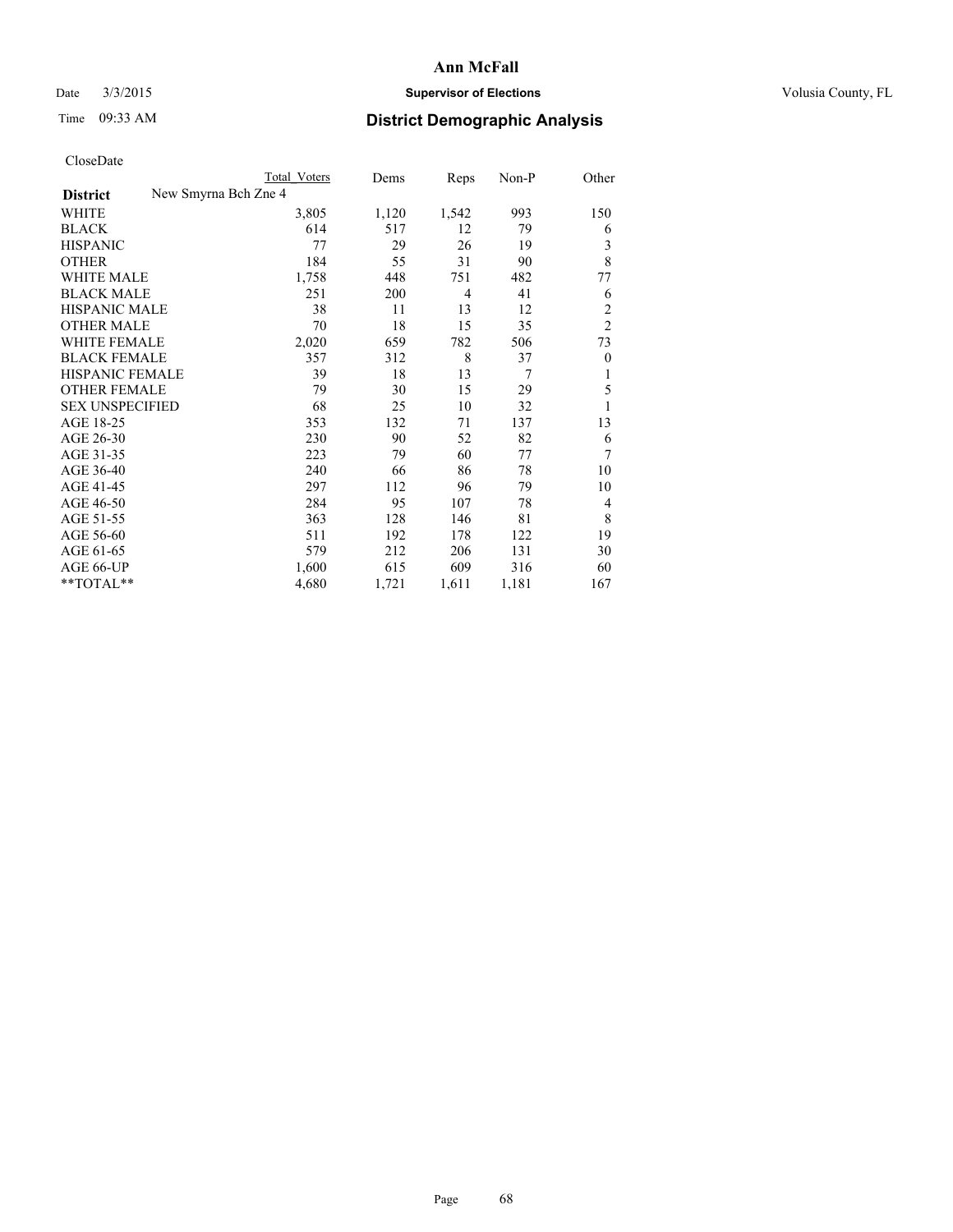## Date  $3/3/2015$  **Supervisor of Elections Supervisor of Elections** Volusia County, FL

|                        | Total Voters         | Dems  | Reps           | Non-P | Other          |
|------------------------|----------------------|-------|----------------|-------|----------------|
| <b>District</b>        | New Smyrna Bch Zne 4 |       |                |       |                |
| WHITE                  | 3,805                | 1,120 | 1,542          | 993   | 150            |
| <b>BLACK</b>           | 614                  | 517   | 12             | 79    | 6              |
| <b>HISPANIC</b>        | 77                   | 29    | 26             | 19    | 3              |
| <b>OTHER</b>           | 184                  | 55    | 31             | 90    | 8              |
| <b>WHITE MALE</b>      | 1,758                | 448   | 751            | 482   | 77             |
| <b>BLACK MALE</b>      | 251                  | 200   | $\overline{4}$ | 41    | 6              |
| <b>HISPANIC MALE</b>   | 38                   | 11    | 13             | 12    | $\overline{2}$ |
| <b>OTHER MALE</b>      | 70                   | 18    | 15             | 35    | $\overline{2}$ |
| <b>WHITE FEMALE</b>    | 2,020                | 659   | 782            | 506   | 73             |
| <b>BLACK FEMALE</b>    | 357                  | 312   | 8              | 37    | $\theta$       |
| <b>HISPANIC FEMALE</b> | 39                   | 18    | 13             | 7     | 1              |
| <b>OTHER FEMALE</b>    | 79                   | 30    | 15             | 29    | 5              |
| <b>SEX UNSPECIFIED</b> | 68                   | 25    | 10             | 32    | 1              |
| AGE 18-25              | 353                  | 132   | 71             | 137   | 13             |
| AGE 26-30              | 230                  | 90    | 52             | 82    | 6              |
| AGE 31-35              | 223                  | 79    | 60             | 77    | 7              |
| AGE 36-40              | 240                  | 66    | 86             | 78    | 10             |
| AGE 41-45              | 297                  | 112   | 96             | 79    | 10             |
| AGE 46-50              | 284                  | 95    | 107            | 78    | $\overline{4}$ |
| AGE 51-55              | 363                  | 128   | 146            | 81    | 8              |
| AGE 56-60              | 511                  | 192   | 178            | 122   | 19             |
| AGE 61-65              | 579                  | 212   | 206            | 131   | 30             |
| AGE 66-UP              | 1,600                | 615   | 609            | 316   | 60             |
| **TOTAL**              | 4,680                | 1,721 | 1,611          | 1,181 | 167            |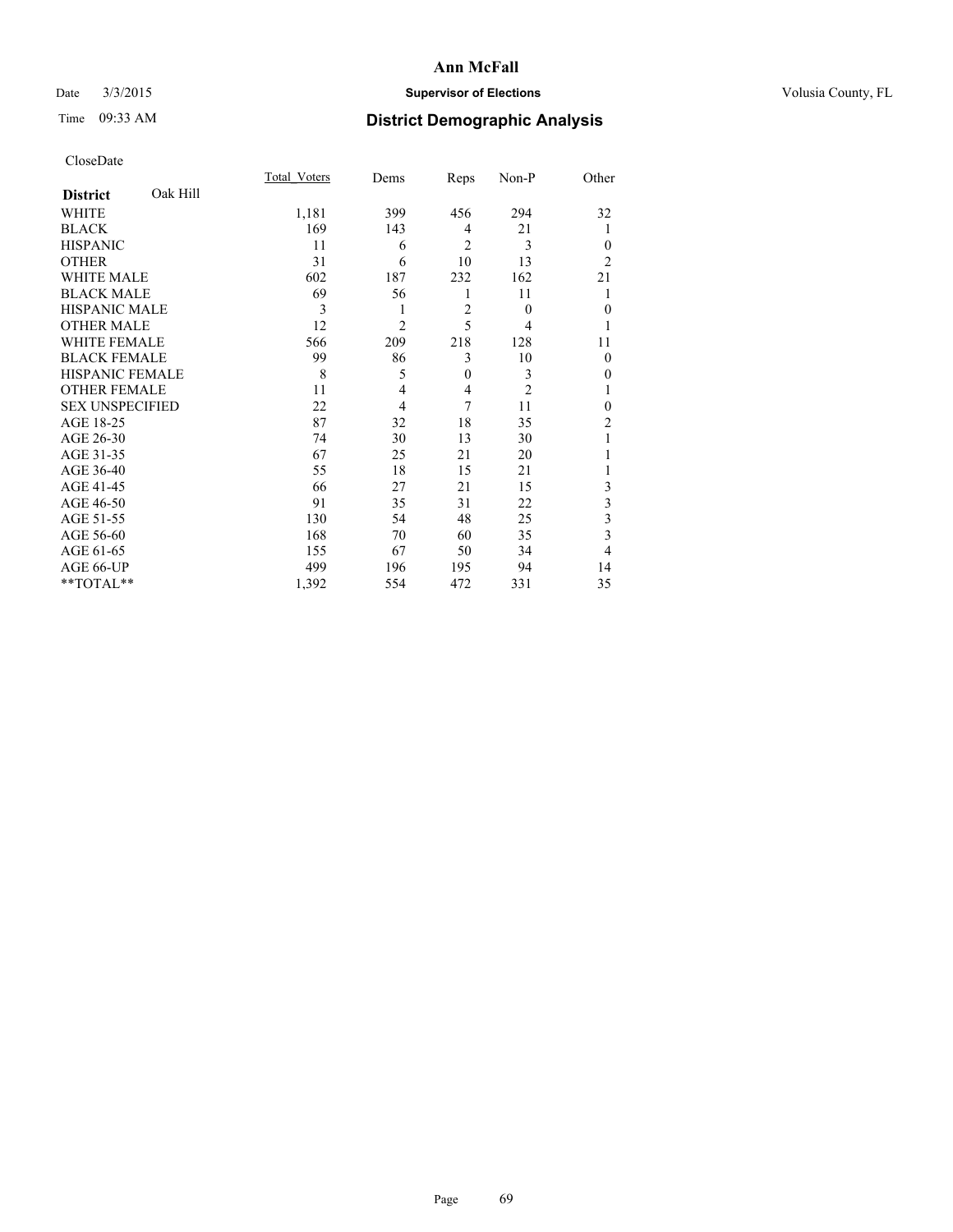## Date  $3/3/2015$  **Supervisor of Elections Supervisor of Elections** Volusia County, FL

# Time 09:33 AM **District Demographic Analysis**

|                        |          | Total Voters | Dems           | Reps           | Non-P          | Other          |
|------------------------|----------|--------------|----------------|----------------|----------------|----------------|
| <b>District</b>        | Oak Hill |              |                |                |                |                |
| <b>WHITE</b>           |          | 1,181        | 399            | 456            | 294            | 32             |
| <b>BLACK</b>           |          | 169          | 143            | 4              | 21             |                |
| <b>HISPANIC</b>        |          | 11           | 6              | $\overline{2}$ | 3              | $\theta$       |
| <b>OTHER</b>           |          | 31           | 6              | 10             | 13             | $\overline{2}$ |
| WHITE MALE             |          | 602          | 187            | 232            | 162            | 21             |
| <b>BLACK MALE</b>      |          | 69           | 56             | 1              | 11             |                |
| <b>HISPANIC MALE</b>   |          | 3            | 1              | $\overline{2}$ | $\theta$       | $\mathbf{0}$   |
| <b>OTHER MALE</b>      |          | 12           | $\overline{2}$ | 5              | 4              | 1              |
| <b>WHITE FEMALE</b>    |          | 566          | 209            | 218            | 128            | 11             |
| <b>BLACK FEMALE</b>    |          | 99           | 86             | 3              | 10             | $\theta$       |
| <b>HISPANIC FEMALE</b> |          | 8            | 5              | $\mathbf{0}$   | 3              | 0              |
| <b>OTHER FEMALE</b>    |          | 11           | 4              | 4              | $\overline{c}$ |                |
| <b>SEX UNSPECIFIED</b> |          | 22           | 4              | 7              | 11             | $\theta$       |
| AGE 18-25              |          | 87           | 32             | 18             | 35             | $\overline{c}$ |
| AGE 26-30              |          | 74           | 30             | 13             | 30             |                |
| AGE 31-35              |          | 67           | 25             | 21             | 20             |                |
| AGE 36-40              |          | 55           | 18             | 15             | 21             |                |
| AGE 41-45              |          | 66           | 27             | 21             | 15             | 3              |
| AGE 46-50              |          | 91           | 35             | 31             | 22             | 3              |
| AGE 51-55              |          | 130          | 54             | 48             | 25             | 3              |
| AGE 56-60              |          | 168          | 70             | 60             | 35             | 3              |
| AGE 61-65              |          | 155          | 67             | 50             | 34             | 4              |
| AGE 66-UP              |          | 499          | 196            | 195            | 94             | 14             |
| **TOTAL**              |          | 1,392        | 554            | 472            | 331            | 35             |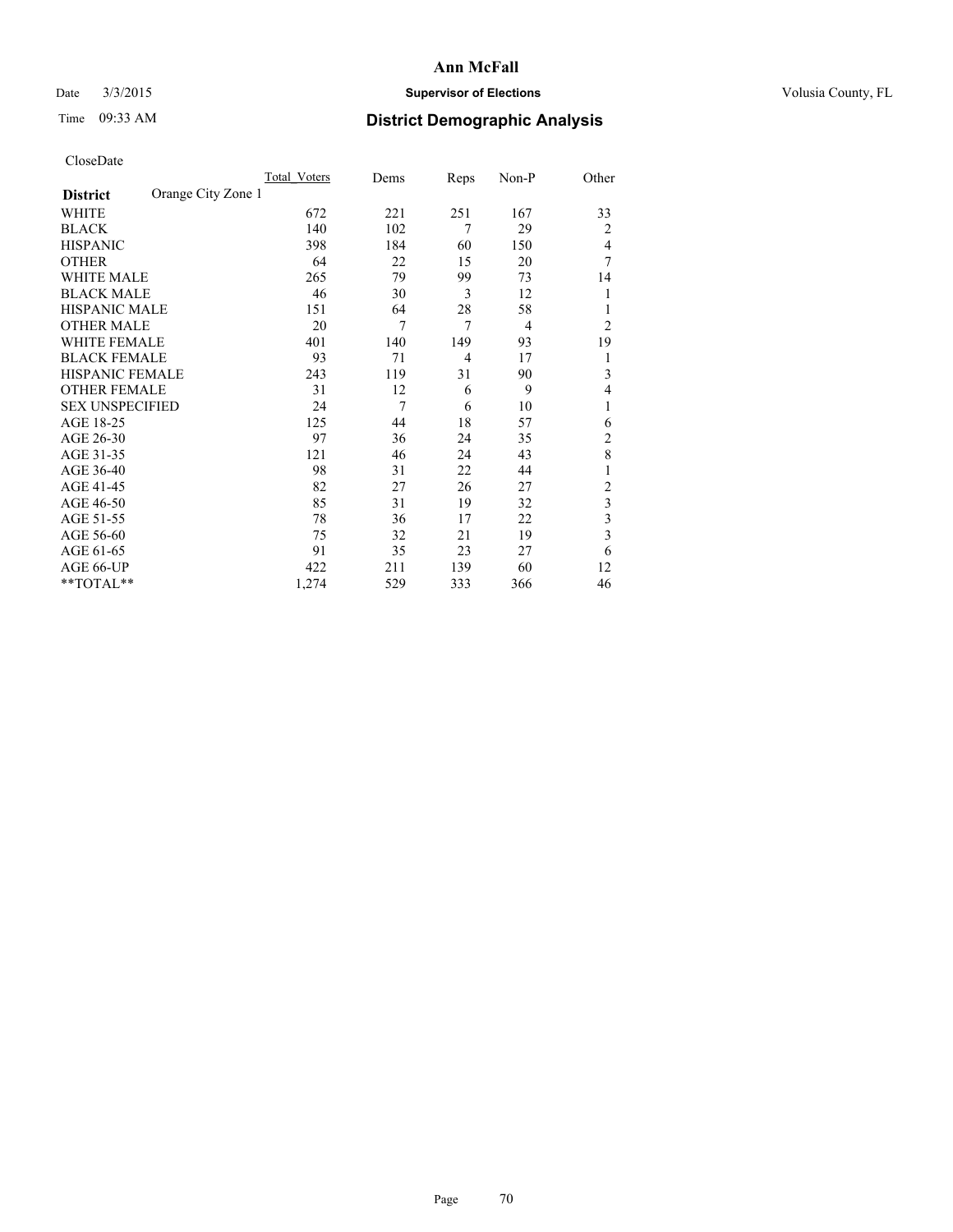## Date  $3/3/2015$  **Supervisor of Elections Supervisor of Elections** Volusia County, FL

# Time 09:33 AM **District Demographic Analysis**

|                        |                    | Total Voters | Dems | Reps           | Non-P | Other          |
|------------------------|--------------------|--------------|------|----------------|-------|----------------|
| <b>District</b>        | Orange City Zone 1 |              |      |                |       |                |
| WHITE                  |                    | 672          | 221  | 251            | 167   | 33             |
| <b>BLACK</b>           |                    | 140          | 102  | 7              | 29    | 2              |
| <b>HISPANIC</b>        |                    | 398          | 184  | 60             | 150   | 4              |
| <b>OTHER</b>           |                    | 64           | 22   | 15             | 20    | 7              |
| <b>WHITE MALE</b>      |                    | 265          | 79   | 99             | 73    | 14             |
| <b>BLACK MALE</b>      |                    | 46           | 30   | 3              | 12    |                |
| <b>HISPANIC MALE</b>   |                    | 151          | 64   | 28             | 58    |                |
| <b>OTHER MALE</b>      |                    | 20           | 7    | $\overline{7}$ | 4     | $\overline{2}$ |
| WHITE FEMALE           |                    | 401          | 140  | 149            | 93    | 19             |
| <b>BLACK FEMALE</b>    |                    | 93           | 71   | $\overline{4}$ | 17    | 1              |
| HISPANIC FEMALE        |                    | 243          | 119  | 31             | 90    | 3              |
| <b>OTHER FEMALE</b>    |                    | 31           | 12   | 6              | 9     | 4              |
| <b>SEX UNSPECIFIED</b> |                    | 24           | 7    | 6              | 10    | 1              |
| AGE 18-25              |                    | 125          | 44   | 18             | 57    | 6              |
| AGE 26-30              |                    | 97           | 36   | 24             | 35    | $\overline{c}$ |
| AGE 31-35              |                    | 121          | 46   | 24             | 43    | 8              |
| AGE 36-40              |                    | 98           | 31   | 22             | 44    |                |
| AGE 41-45              |                    | 82           | 27   | 26             | 27    | $\overline{c}$ |
| AGE 46-50              |                    | 85           | 31   | 19             | 32    | 3              |
| AGE 51-55              |                    | 78           | 36   | 17             | 22    | 3              |
| AGE 56-60              |                    | 75           | 32   | 21             | 19    | 3              |
| AGE 61-65              |                    | 91           | 35   | 23             | 27    | 6              |
| AGE 66-UP              |                    | 422          | 211  | 139            | 60    | 12             |
| **TOTAL**              |                    | 1,274        | 529  | 333            | 366   | 46             |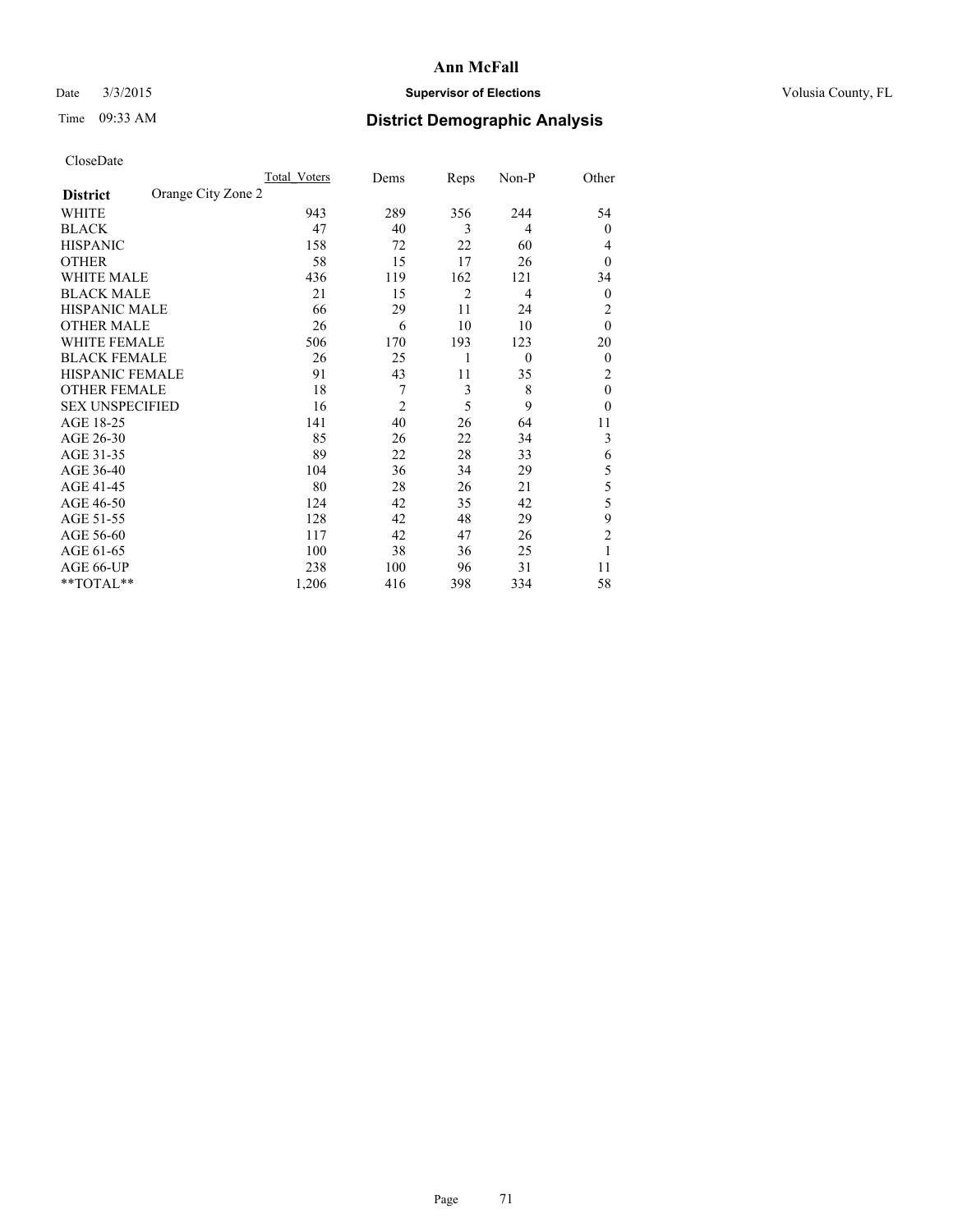## Date  $3/3/2015$  **Supervisor of Elections Supervisor of Elections** Volusia County, FL

# Time 09:33 AM **District Demographic Analysis**

|                        |                    | <b>Total Voters</b> | Dems           | Reps | Non-P          | Other          |
|------------------------|--------------------|---------------------|----------------|------|----------------|----------------|
| <b>District</b>        | Orange City Zone 2 |                     |                |      |                |                |
| WHITE                  |                    | 943                 | 289            | 356  | 244            | 54             |
| <b>BLACK</b>           |                    | 47                  | 40             | 3    | $\overline{4}$ | $\mathbf{0}$   |
| <b>HISPANIC</b>        |                    | 158                 | 72             | 22   | 60             | 4              |
| <b>OTHER</b>           |                    | 58                  | 15             | 17   | 26             | $\theta$       |
| WHITE MALE             |                    | 436                 | 119            | 162  | 121            | 34             |
| <b>BLACK MALE</b>      |                    | 21                  | 15             | 2    | $\overline{4}$ | $\mathbf{0}$   |
| <b>HISPANIC MALE</b>   |                    | 66                  | 29             | 11   | 24             | 2              |
| <b>OTHER MALE</b>      |                    | 26                  | 6              | 10   | 10             | $\mathbf{0}$   |
| WHITE FEMALE           |                    | 506                 | 170            | 193  | 123            | 20             |
| <b>BLACK FEMALE</b>    |                    | 26                  | 25             | 1    | $\theta$       | $\overline{0}$ |
| <b>HISPANIC FEMALE</b> |                    | 91                  | 43             | 11   | 35             | 2              |
| <b>OTHER FEMALE</b>    |                    | 18                  | 7              | 3    | 8              | $\theta$       |
| <b>SEX UNSPECIFIED</b> |                    | 16                  | $\overline{c}$ | 5    | 9              | $\theta$       |
| AGE 18-25              |                    | 141                 | 40             | 26   | 64             | 11             |
| AGE 26-30              |                    | 85                  | 26             | 22   | 34             | 3              |
| AGE 31-35              |                    | 89                  | 22             | 28   | 33             | 6              |
| AGE 36-40              |                    | 104                 | 36             | 34   | 29             | 5              |
| AGE 41-45              |                    | 80                  | 28             | 26   | 21             | 5              |
| AGE 46-50              |                    | 124                 | 42             | 35   | 42             | 5              |
| AGE 51-55              |                    | 128                 | 42             | 48   | 29             | 9              |
| AGE 56-60              |                    | 117                 | 42             | 47   | 26             | $\overline{2}$ |
| AGE 61-65              |                    | 100                 | 38             | 36   | 25             | 1              |
| AGE 66-UP              |                    | 238                 | 100            | 96   | 31             | 11             |
| **TOTAL**              |                    | 1,206               | 416            | 398  | 334            | 58             |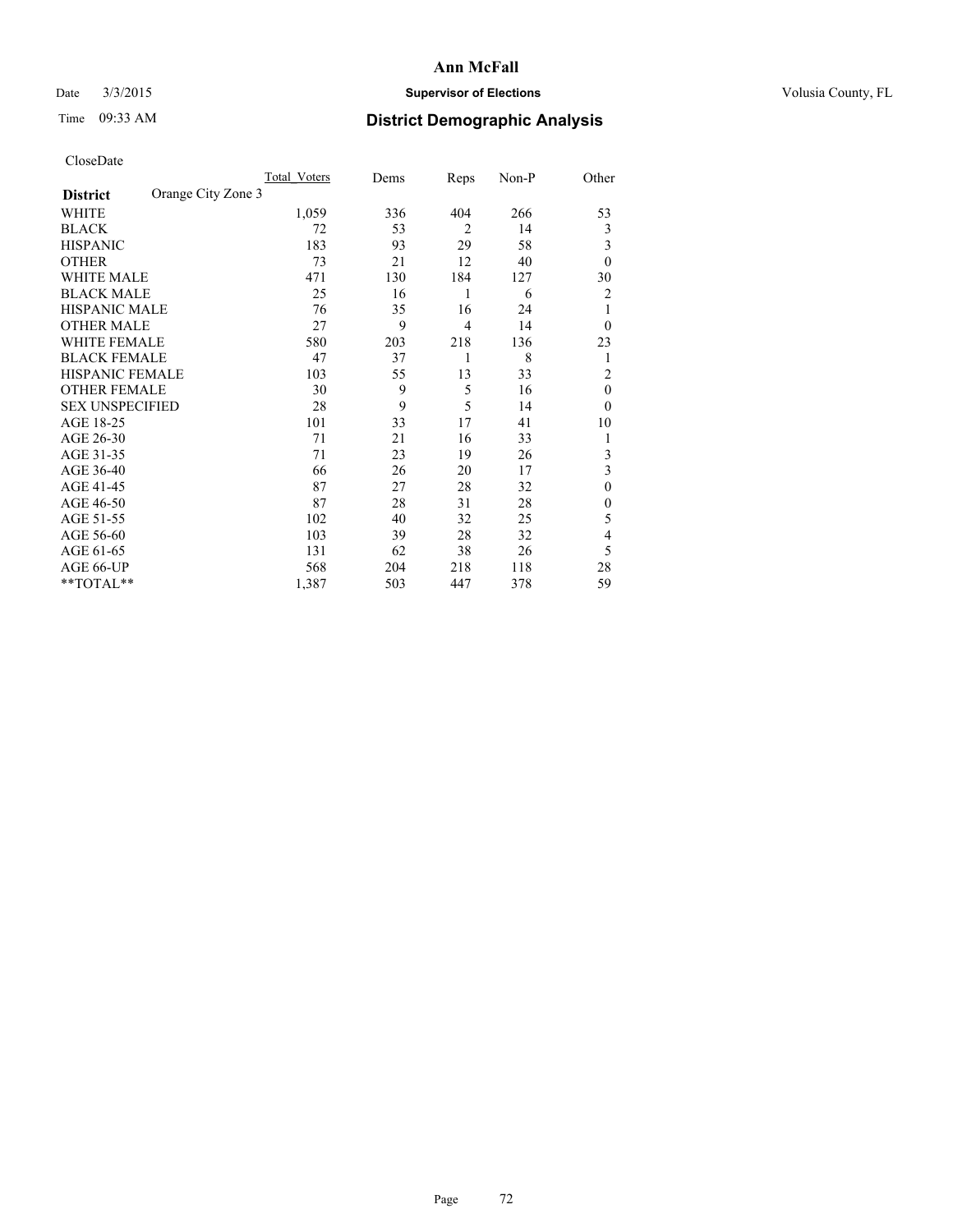## Date  $3/3/2015$  **Supervisor of Elections Supervisor of Elections** Volusia County, FL

# Time 09:33 AM **District Demographic Analysis**

|                        |                    | <b>Total Voters</b> | Dems | Reps           | Non-P | Other          |
|------------------------|--------------------|---------------------|------|----------------|-------|----------------|
| <b>District</b>        | Orange City Zone 3 |                     |      |                |       |                |
| WHITE                  |                    | 1,059               | 336  | 404            | 266   | 53             |
| <b>BLACK</b>           |                    | 72                  | 53   | $\overline{2}$ | 14    | 3              |
| <b>HISPANIC</b>        |                    | 183                 | 93   | 29             | 58    | 3              |
| <b>OTHER</b>           |                    | 73                  | 21   | 12             | 40    | $\theta$       |
| WHITE MALE             |                    | 471                 | 130  | 184            | 127   | 30             |
| <b>BLACK MALE</b>      |                    | 25                  | 16   | 1              | 6     | 2              |
| <b>HISPANIC MALE</b>   |                    | 76                  | 35   | 16             | 24    | 1              |
| <b>OTHER MALE</b>      |                    | 27                  | 9    | 4              | 14    | $\overline{0}$ |
| <b>WHITE FEMALE</b>    |                    | 580                 | 203  | 218            | 136   | 23             |
| <b>BLACK FEMALE</b>    |                    | 47                  | 37   | 1              | 8     | 1              |
| <b>HISPANIC FEMALE</b> |                    | 103                 | 55   | 13             | 33    | $\overline{c}$ |
| <b>OTHER FEMALE</b>    |                    | 30                  | 9    | 5              | 16    | $\theta$       |
| <b>SEX UNSPECIFIED</b> |                    | 28                  | 9    | 5              | 14    | $\theta$       |
| AGE 18-25              |                    | 101                 | 33   | 17             | 41    | 10             |
| AGE 26-30              |                    | 71                  | 21   | 16             | 33    | 1              |
| AGE 31-35              |                    | 71                  | 23   | 19             | 26    | 3              |
| AGE 36-40              |                    | 66                  | 26   | 20             | 17    | 3              |
| AGE 41-45              |                    | 87                  | 27   | 28             | 32    | $\mathbf{0}$   |
| AGE 46-50              |                    | 87                  | 28   | 31             | 28    | $\mathbf{0}$   |
| AGE 51-55              |                    | 102                 | 40   | 32             | 25    | 5              |
| AGE 56-60              |                    | 103                 | 39   | 28             | 32    | 4              |
| AGE 61-65              |                    | 131                 | 62   | 38             | 26    | 5              |
| AGE 66-UP              |                    | 568                 | 204  | 218            | 118   | 28             |
| **TOTAL**              |                    | 1,387               | 503  | 447            | 378   | 59             |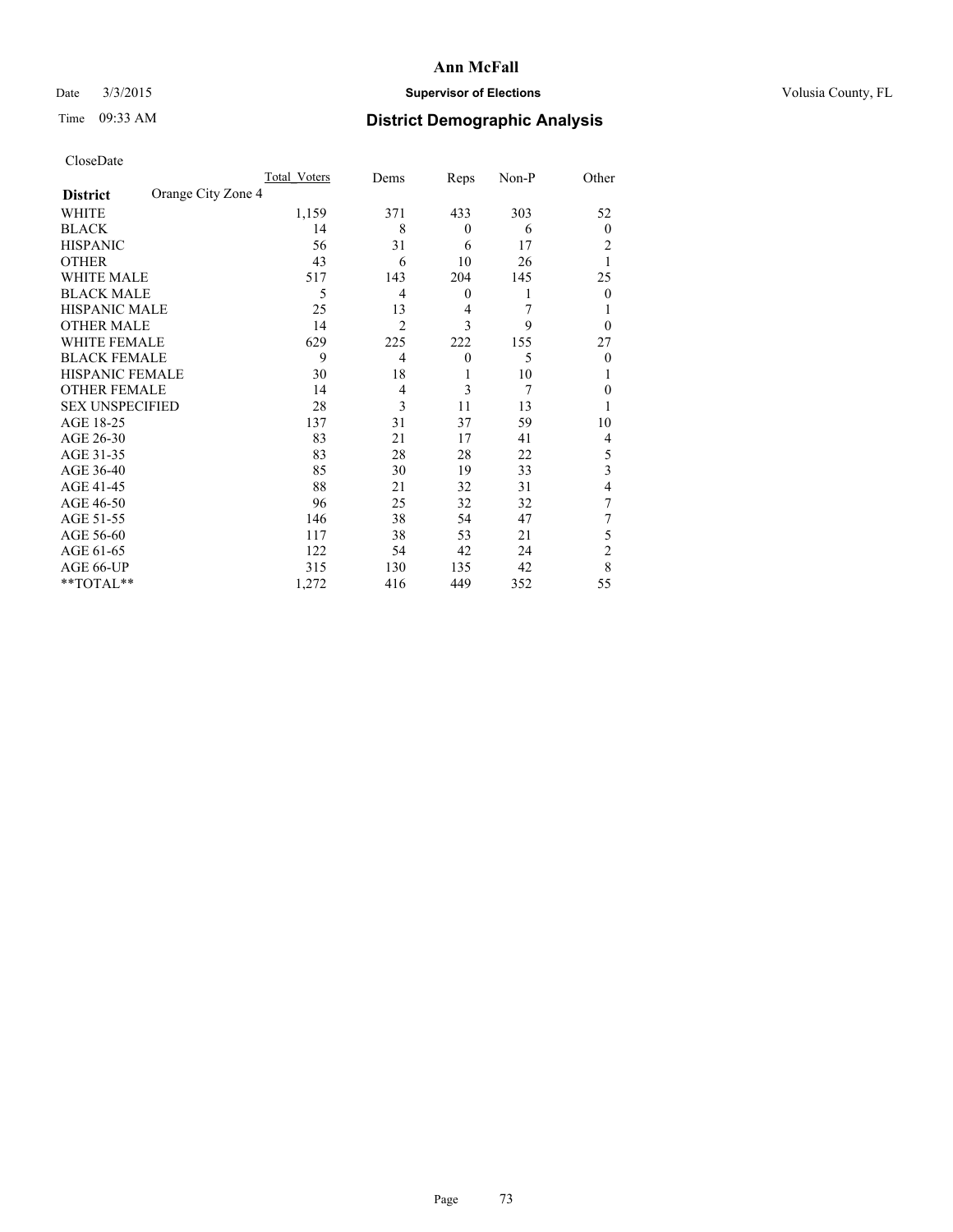## Date  $3/3/2015$  **Supervisor of Elections Supervisor of Elections** Volusia County, FL

# Time 09:33 AM **District Demographic Analysis**

|                        |                    | Total Voters | Dems           | Reps             | Non-P | Other          |
|------------------------|--------------------|--------------|----------------|------------------|-------|----------------|
| <b>District</b>        | Orange City Zone 4 |              |                |                  |       |                |
| WHITE                  |                    | 1,159        | 371            | 433              | 303   | 52             |
| <b>BLACK</b>           |                    | 14           | 8              | $\mathbf{0}$     | 6     | $\mathbf{0}$   |
| <b>HISPANIC</b>        |                    | 56           | 31             | 6                | 17    | 2              |
| <b>OTHER</b>           |                    | 43           | 6              | 10               | 26    |                |
| WHITE MALE             |                    | 517          | 143            | 204              | 145   | 25             |
| <b>BLACK MALE</b>      |                    | 5            | 4              | $\boldsymbol{0}$ | 1     | $\theta$       |
| <b>HISPANIC MALE</b>   |                    | 25           | 13             | 4                | 7     |                |
| <b>OTHER MALE</b>      |                    | 14           | $\overline{2}$ | 3                | 9     | $\theta$       |
| <b>WHITE FEMALE</b>    |                    | 629          | 225            | 222              | 155   | 27             |
| <b>BLACK FEMALE</b>    |                    | 9            | $\overline{4}$ | $\mathbf{0}$     | 5     | $\theta$       |
| <b>HISPANIC FEMALE</b> |                    | 30           | 18             | 1                | 10    |                |
| <b>OTHER FEMALE</b>    |                    | 14           | 4              | 3                | 7     | $\theta$       |
| <b>SEX UNSPECIFIED</b> |                    | 28           | 3              | 11               | 13    |                |
| AGE 18-25              |                    | 137          | 31             | 37               | 59    | 10             |
| AGE 26-30              |                    | 83           | 21             | 17               | 41    | 4              |
| AGE 31-35              |                    | 83           | 28             | 28               | 22    | 5              |
| AGE 36-40              |                    | 85           | 30             | 19               | 33    | 3              |
| AGE 41-45              |                    | 88           | 21             | 32               | 31    | 4              |
| AGE 46-50              |                    | 96           | 25             | 32               | 32    | 7              |
| AGE 51-55              |                    | 146          | 38             | 54               | 47    | 7              |
| AGE 56-60              |                    | 117          | 38             | 53               | 21    | 5              |
| AGE 61-65              |                    | 122          | 54             | 42               | 24    | $\overline{2}$ |
| AGE 66-UP              |                    | 315          | 130            | 135              | 42    | 8              |
| **TOTAL**              |                    | 1,272        | 416            | 449              | 352   | 55             |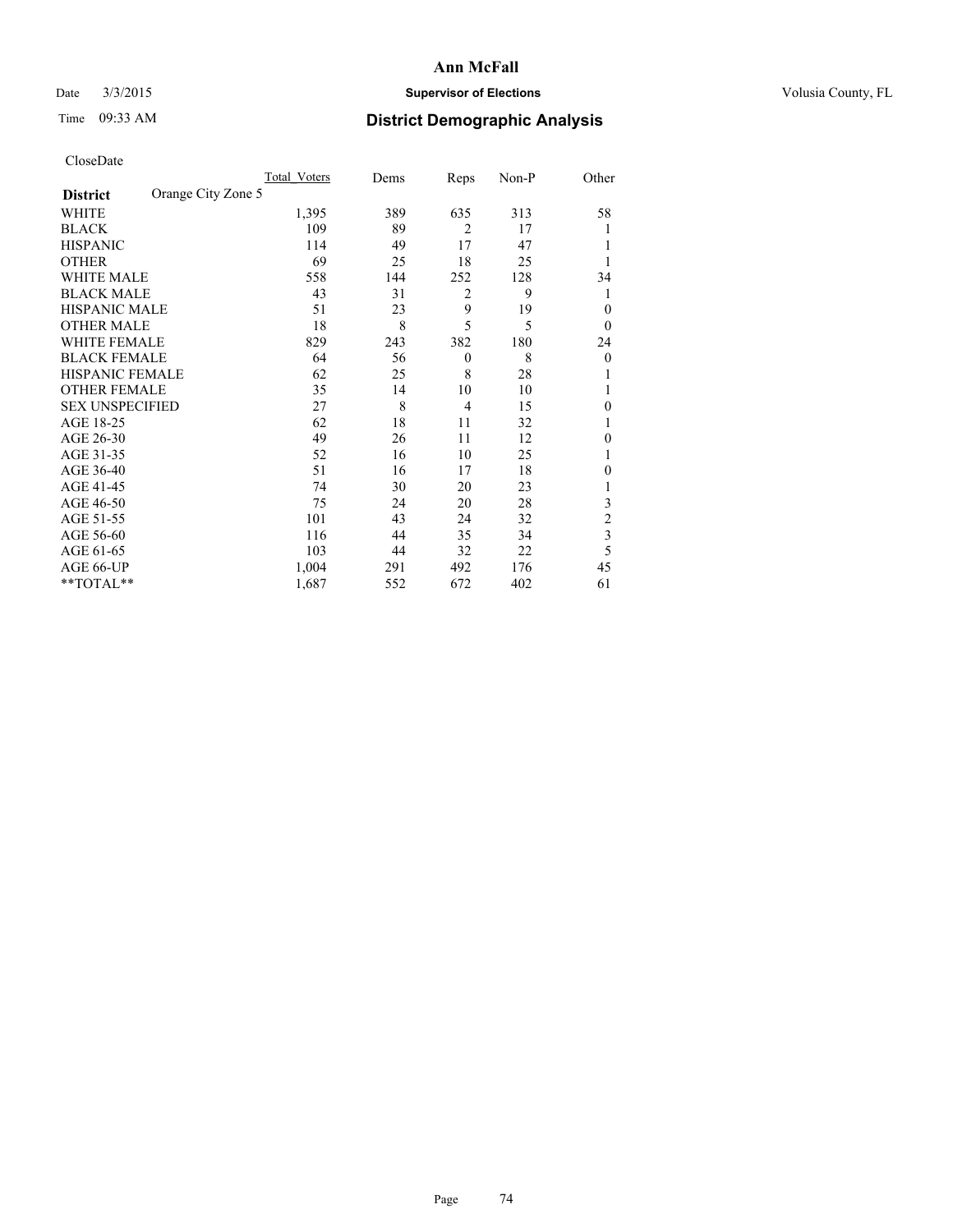## Date  $3/3/2015$  **Supervisor of Elections Supervisor of Elections** Volusia County, FL

# Time 09:33 AM **District Demographic Analysis**

|                        | <b>Total Voters</b> | Dems | Reps             | Non-P | Other          |
|------------------------|---------------------|------|------------------|-------|----------------|
| <b>District</b>        | Orange City Zone 5  |      |                  |       |                |
| WHITE                  | 1,395               | 389  | 635              | 313   | 58             |
| <b>BLACK</b>           | 109                 | 89   | $\overline{2}$   | 17    |                |
| <b>HISPANIC</b>        | 114                 | 49   | 17               | 47    |                |
| <b>OTHER</b>           | 69                  | 25   | 18               | 25    |                |
| <b>WHITE MALE</b>      | 558                 | 144  | 252              | 128   | 34             |
| <b>BLACK MALE</b>      | 43                  | 31   | $\overline{2}$   | 9     | 1              |
| <b>HISPANIC MALE</b>   | 51                  | 23   | 9                | 19    | $\theta$       |
| <b>OTHER MALE</b>      | 18                  | 8    | 5                | 5     | $\theta$       |
| <b>WHITE FEMALE</b>    | 829                 | 243  | 382              | 180   | 24             |
| <b>BLACK FEMALE</b>    | 64                  | 56   | $\boldsymbol{0}$ | 8     | 0              |
| HISPANIC FEMALE        | 62                  | 25   | 8                | 28    |                |
| <b>OTHER FEMALE</b>    | 35                  | 14   | 10               | 10    |                |
| <b>SEX UNSPECIFIED</b> | 27                  | 8    | $\overline{4}$   | 15    | $\theta$       |
| AGE 18-25              | 62                  | 18   | 11               | 32    |                |
| AGE 26-30              | 49                  | 26   | 11               | 12    | $\theta$       |
| AGE 31-35              | 52                  | 16   | 10               | 25    |                |
| AGE 36-40              | 51                  | 16   | 17               | 18    | 0              |
| AGE 41-45              | 74                  | 30   | 20               | 23    |                |
| AGE 46-50              | 75                  | 24   | 20               | 28    | 3              |
| AGE 51-55              | 101                 | 43   | 24               | 32    | $\overline{c}$ |
| AGE 56-60              | 116                 | 44   | 35               | 34    | 3              |
| AGE 61-65              | 103                 | 44   | 32               | 22    | 5              |
| AGE 66-UP              | 1,004               | 291  | 492              | 176   | 45             |
| **TOTAL**              | 1,687               | 552  | 672              | 402   | 61             |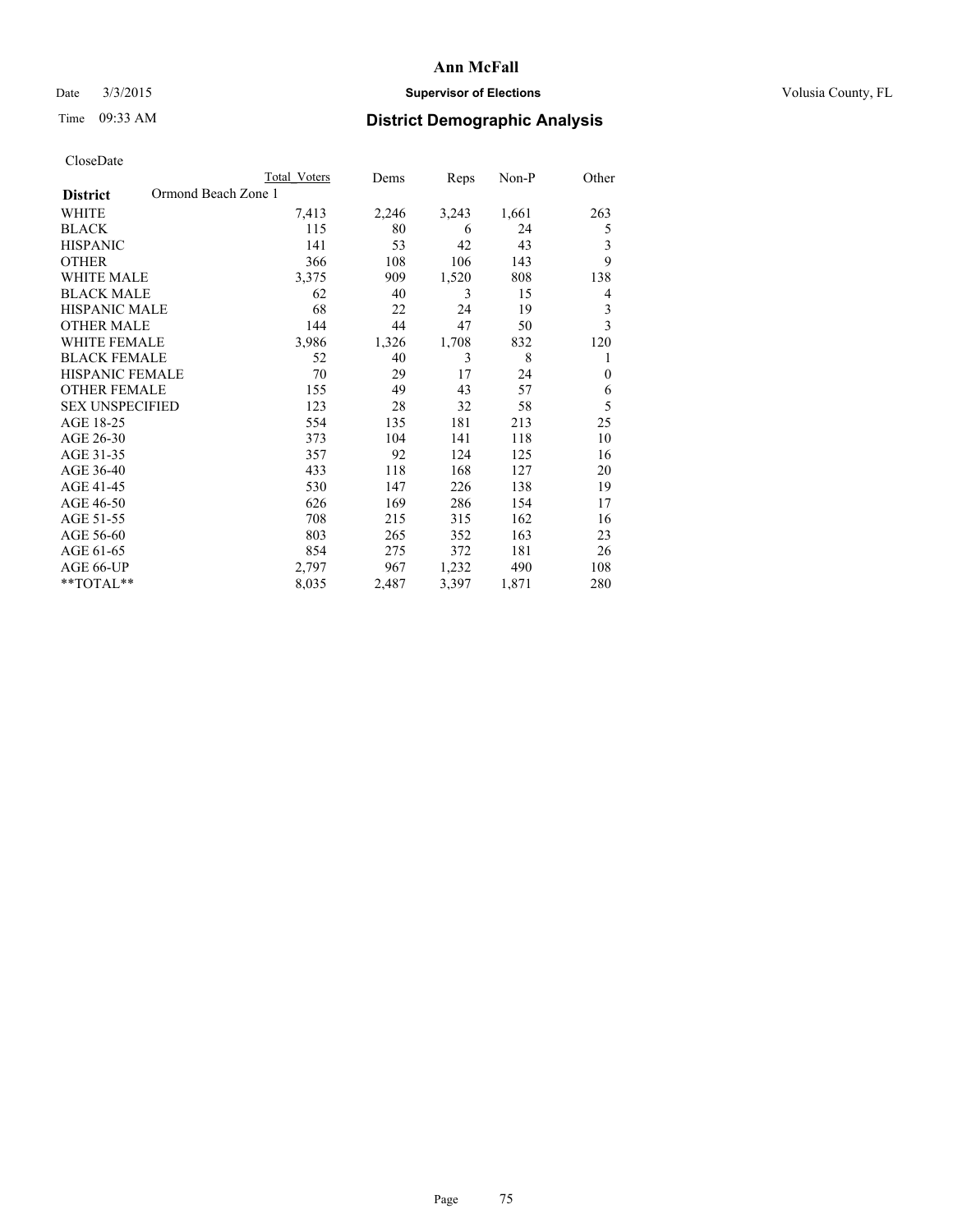## Date  $3/3/2015$  **Supervisor of Elections Supervisor of Elections** Volusia County, FL

# Time 09:33 AM **District Demographic Analysis**

|                                        | Total Voters | Dems  | Reps  | Non-P | Other        |
|----------------------------------------|--------------|-------|-------|-------|--------------|
| Ormond Beach Zone 1<br><b>District</b> |              |       |       |       |              |
| WHITE                                  | 7,413        | 2,246 | 3,243 | 1,661 | 263          |
| <b>BLACK</b>                           | 115          | 80    | 6     | 24    | 5            |
| <b>HISPANIC</b>                        | 141          | 53    | 42    | 43    | 3            |
| <b>OTHER</b>                           | 366          | 108   | 106   | 143   | 9            |
| WHITE MALE                             | 3,375        | 909   | 1,520 | 808   | 138          |
| <b>BLACK MALE</b>                      | 62           | 40    | 3     | 15    | 4            |
| HISPANIC MALE                          | 68           | 22    | 24    | 19    | 3            |
| <b>OTHER MALE</b>                      | 144          | 44    | 47    | 50    | 3            |
| WHITE FEMALE                           | 3,986        | 1,326 | 1,708 | 832   | 120          |
| <b>BLACK FEMALE</b>                    | 52           | 40    | 3     | 8     | 1            |
| <b>HISPANIC FEMALE</b>                 | 70           | 29    | 17    | 24    | $\mathbf{0}$ |
| <b>OTHER FEMALE</b>                    | 155          | 49    | 43    | 57    | 6            |
| <b>SEX UNSPECIFIED</b>                 | 123          | 28    | 32    | 58    | 5            |
| AGE 18-25                              | 554          | 135   | 181   | 213   | 25           |
| AGE 26-30                              | 373          | 104   | 141   | 118   | 10           |
| AGE 31-35                              | 357          | 92    | 124   | 125   | 16           |
| AGE 36-40                              | 433          | 118   | 168   | 127   | 20           |
| AGE 41-45                              | 530          | 147   | 226   | 138   | 19           |
| AGE 46-50                              | 626          | 169   | 286   | 154   | 17           |
| AGE 51-55                              | 708          | 215   | 315   | 162   | 16           |
| AGE 56-60                              | 803          | 265   | 352   | 163   | 23           |
| AGE 61-65                              | 854          | 275   | 372   | 181   | 26           |
| AGE 66-UP                              | 2,797        | 967   | 1,232 | 490   | 108          |
| **TOTAL**                              | 8,035        | 2,487 | 3,397 | 1,871 | 280          |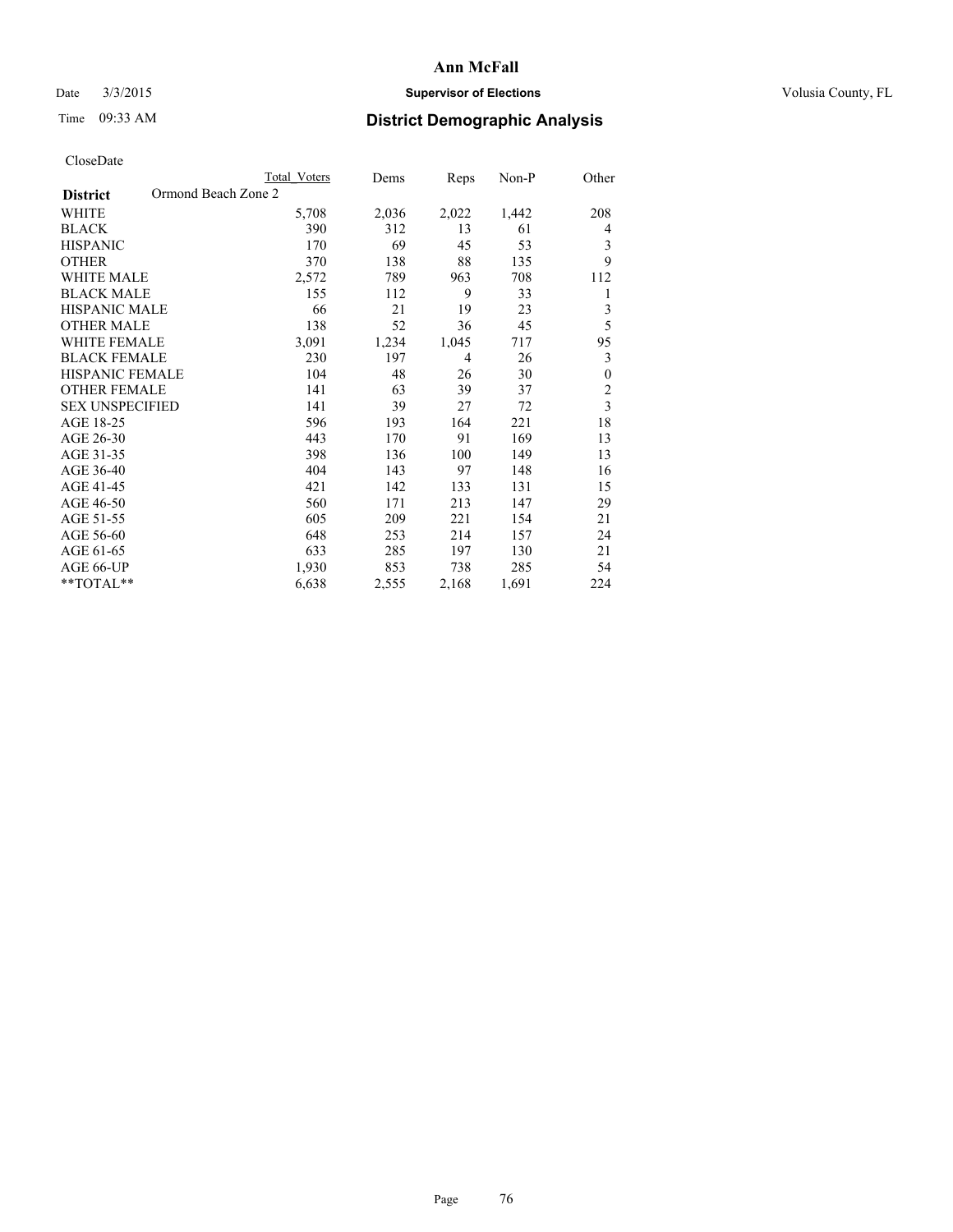## Date  $3/3/2015$  **Supervisor of Elections Supervisor of Elections** Volusia County, FL

# Time 09:33 AM **District Demographic Analysis**

|                                        | <b>Total Voters</b> | Dems  | Reps  | Non-P | Other                   |
|----------------------------------------|---------------------|-------|-------|-------|-------------------------|
| Ormond Beach Zone 2<br><b>District</b> |                     |       |       |       |                         |
| WHITE                                  | 5,708               | 2,036 | 2,022 | 1,442 | 208                     |
| <b>BLACK</b>                           | 390                 | 312   | 13    | 61    | 4                       |
| <b>HISPANIC</b>                        | 170                 | 69    | 45    | 53    | 3                       |
| <b>OTHER</b>                           | 370                 | 138   | 88    | 135   | 9                       |
| WHITE MALE                             | 2,572               | 789   | 963   | 708   | 112                     |
| <b>BLACK MALE</b>                      | 155                 | 112   | 9     | 33    | 1                       |
| HISPANIC MALE                          | 66                  | 21    | 19    | 23    | 3                       |
| <b>OTHER MALE</b>                      | 138                 | 52    | 36    | 45    | 5                       |
| WHITE FEMALE                           | 3,091               | 1,234 | 1,045 | 717   | 95                      |
| <b>BLACK FEMALE</b>                    | 230                 | 197   | 4     | 26    | 3                       |
| <b>HISPANIC FEMALE</b>                 | 104                 | 48    | 26    | 30    | $\theta$                |
| <b>OTHER FEMALE</b>                    | 141                 | 63    | 39    | 37    | $\overline{c}$          |
| <b>SEX UNSPECIFIED</b>                 | 141                 | 39    | 27    | 72    | $\overline{\mathbf{3}}$ |
| AGE 18-25                              | 596                 | 193   | 164   | 221   | 18                      |
| AGE 26-30                              | 443                 | 170   | 91    | 169   | 13                      |
| AGE 31-35                              | 398                 | 136   | 100   | 149   | 13                      |
| AGE 36-40                              | 404                 | 143   | 97    | 148   | 16                      |
| AGE 41-45                              | 421                 | 142   | 133   | 131   | 15                      |
| AGE 46-50                              | 560                 | 171   | 213   | 147   | 29                      |
| AGE 51-55                              | 605                 | 209   | 221   | 154   | 21                      |
| AGE 56-60                              | 648                 | 253   | 214   | 157   | 24                      |
| AGE 61-65                              | 633                 | 285   | 197   | 130   | 21                      |
| AGE 66-UP                              | 1,930               | 853   | 738   | 285   | 54                      |
| **TOTAL**                              | 6,638               | 2,555 | 2,168 | 1,691 | 224                     |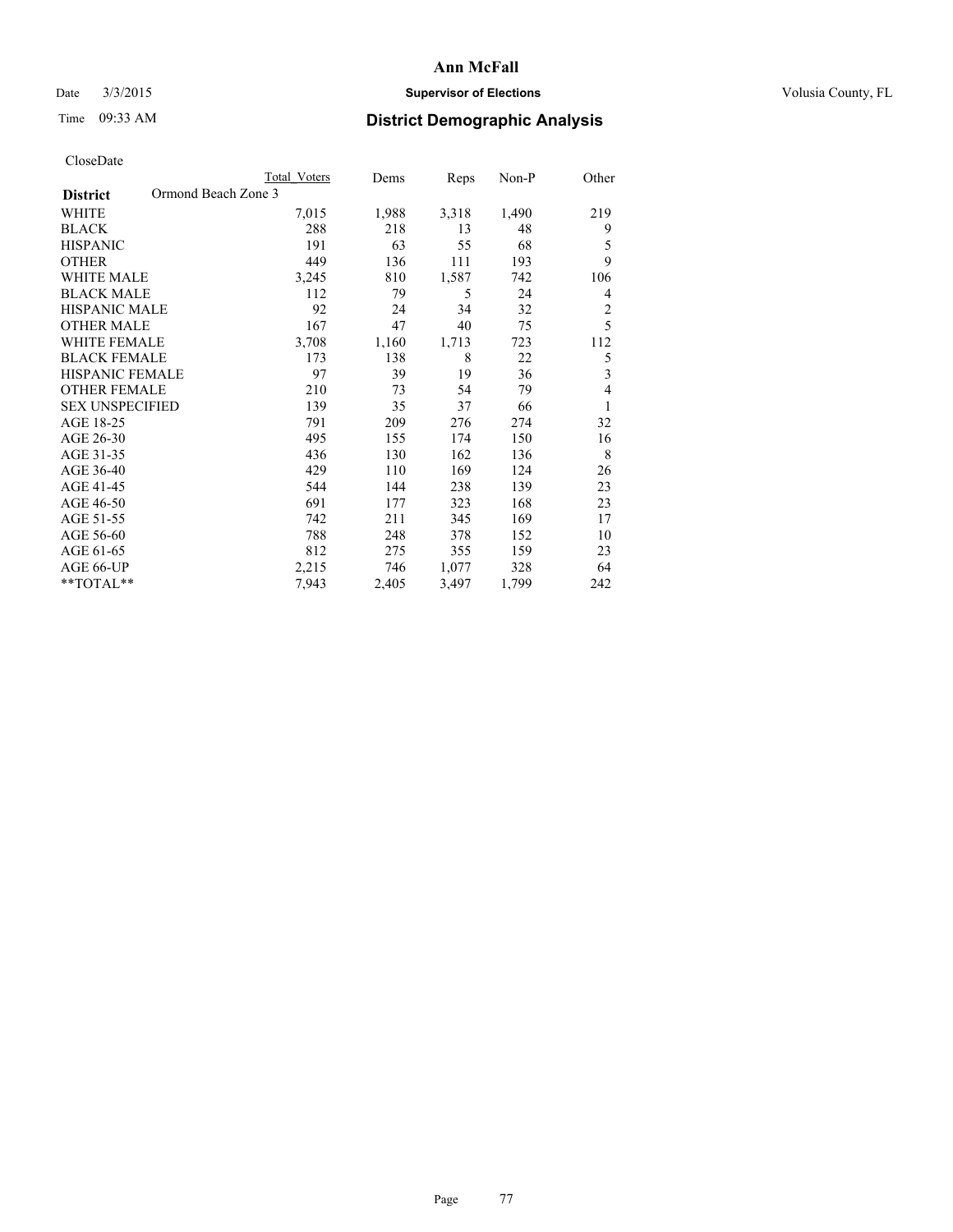## Date  $3/3/2015$  **Supervisor of Elections Supervisor of Elections** Volusia County, FL

# Time 09:33 AM **District Demographic Analysis**

|                                        | <b>Total Voters</b> | Dems  | Reps  | Non-P | Other          |
|----------------------------------------|---------------------|-------|-------|-------|----------------|
| Ormond Beach Zone 3<br><b>District</b> |                     |       |       |       |                |
| WHITE                                  | 7,015               | 1,988 | 3,318 | 1,490 | 219            |
| <b>BLACK</b>                           | 288                 | 218   | 13    | 48    | 9              |
| <b>HISPANIC</b>                        | 191                 | 63    | 55    | 68    | 5              |
| <b>OTHER</b>                           | 449                 | 136   | 111   | 193   | 9              |
| <b>WHITE MALE</b>                      | 3,245               | 810   | 1,587 | 742   | 106            |
| <b>BLACK MALE</b>                      | 112                 | 79    | 5     | 24    | 4              |
| <b>HISPANIC MALE</b>                   | 92                  | 24    | 34    | 32    | $\overline{c}$ |
| <b>OTHER MALE</b>                      | 167                 | 47    | 40    | 75    | 5              |
| <b>WHITE FEMALE</b>                    | 3,708               | 1,160 | 1,713 | 723   | 112            |
| <b>BLACK FEMALE</b>                    | 173                 | 138   | 8     | 22    | 5              |
| <b>HISPANIC FEMALE</b>                 | 97                  | 39    | 19    | 36    | 3              |
| <b>OTHER FEMALE</b>                    | 210                 | 73    | 54    | 79    | 4              |
| <b>SEX UNSPECIFIED</b>                 | 139                 | 35    | 37    | 66    | 1              |
| AGE 18-25                              | 791                 | 209   | 276   | 274   | 32             |
| AGE 26-30                              | 495                 | 155   | 174   | 150   | 16             |
| AGE 31-35                              | 436                 | 130   | 162   | 136   | 8              |
| AGE 36-40                              | 429                 | 110   | 169   | 124   | 26             |
| AGE 41-45                              | 544                 | 144   | 238   | 139   | 23             |
| AGE 46-50                              | 691                 | 177   | 323   | 168   | 23             |
| AGE 51-55                              | 742                 | 211   | 345   | 169   | 17             |
| AGE 56-60                              | 788                 | 248   | 378   | 152   | 10             |
| AGE 61-65                              | 812                 | 275   | 355   | 159   | 23             |
| AGE 66-UP                              | 2,215               | 746   | 1,077 | 328   | 64             |
| **TOTAL**                              | 7,943               | 2,405 | 3,497 | 1,799 | 242            |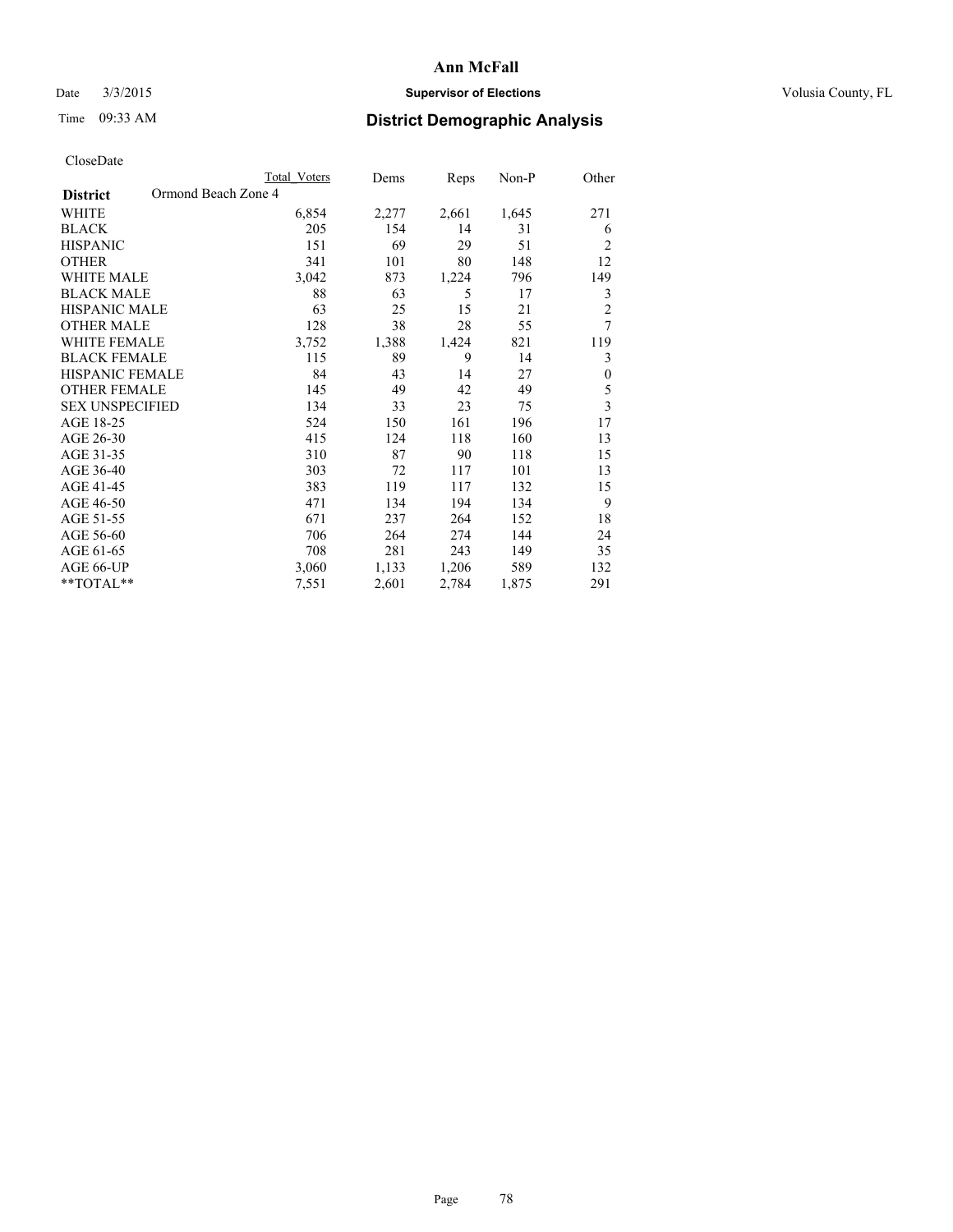## Date  $3/3/2015$  **Supervisor of Elections Supervisor of Elections** Volusia County, FL

# Time 09:33 AM **District Demographic Analysis**

| <b>Total Voters</b> | Dems                | Reps  | Non-P | Other            |
|---------------------|---------------------|-------|-------|------------------|
|                     |                     |       |       |                  |
| 6,854               | 2,277               | 2,661 | 1,645 | 271              |
| 205                 | 154                 | 14    | 31    | 6                |
| 151                 | 69                  | 29    | 51    | $\overline{2}$   |
| 341                 | 101                 | 80    | 148   | 12               |
| 3,042               | 873                 | 1,224 | 796   | 149              |
| 88                  | 63                  | 5     | 17    | 3                |
| 63                  | 25                  | 15    | 21    | $\overline{c}$   |
| 128                 | 38                  | 28    | 55    | 7                |
| 3,752               | 1,388               | 1,424 | 821   | 119              |
| 115                 | 89                  | 9     | 14    | 3                |
| 84                  | 43                  | 14    | 27    | $\boldsymbol{0}$ |
| 145                 | 49                  | 42    | 49    | 5                |
| 134                 | 33                  | 23    | 75    | $\overline{3}$   |
| 524                 | 150                 | 161   | 196   | 17               |
| 415                 | 124                 | 118   | 160   | 13               |
| 310                 | 87                  | 90    | 118   | 15               |
| 303                 | 72                  | 117   | 101   | 13               |
| 383                 | 119                 | 117   | 132   | 15               |
| 471                 | 134                 | 194   | 134   | 9                |
| 671                 | 237                 | 264   | 152   | 18               |
| 706                 | 264                 | 274   | 144   | 24               |
| 708                 | 281                 | 243   | 149   | 35               |
| 3,060               | 1,133               | 1,206 | 589   | 132              |
| 7,551               | 2,601               | 2,784 | 1,875 | 291              |
|                     | Ormond Beach Zone 4 |       |       |                  |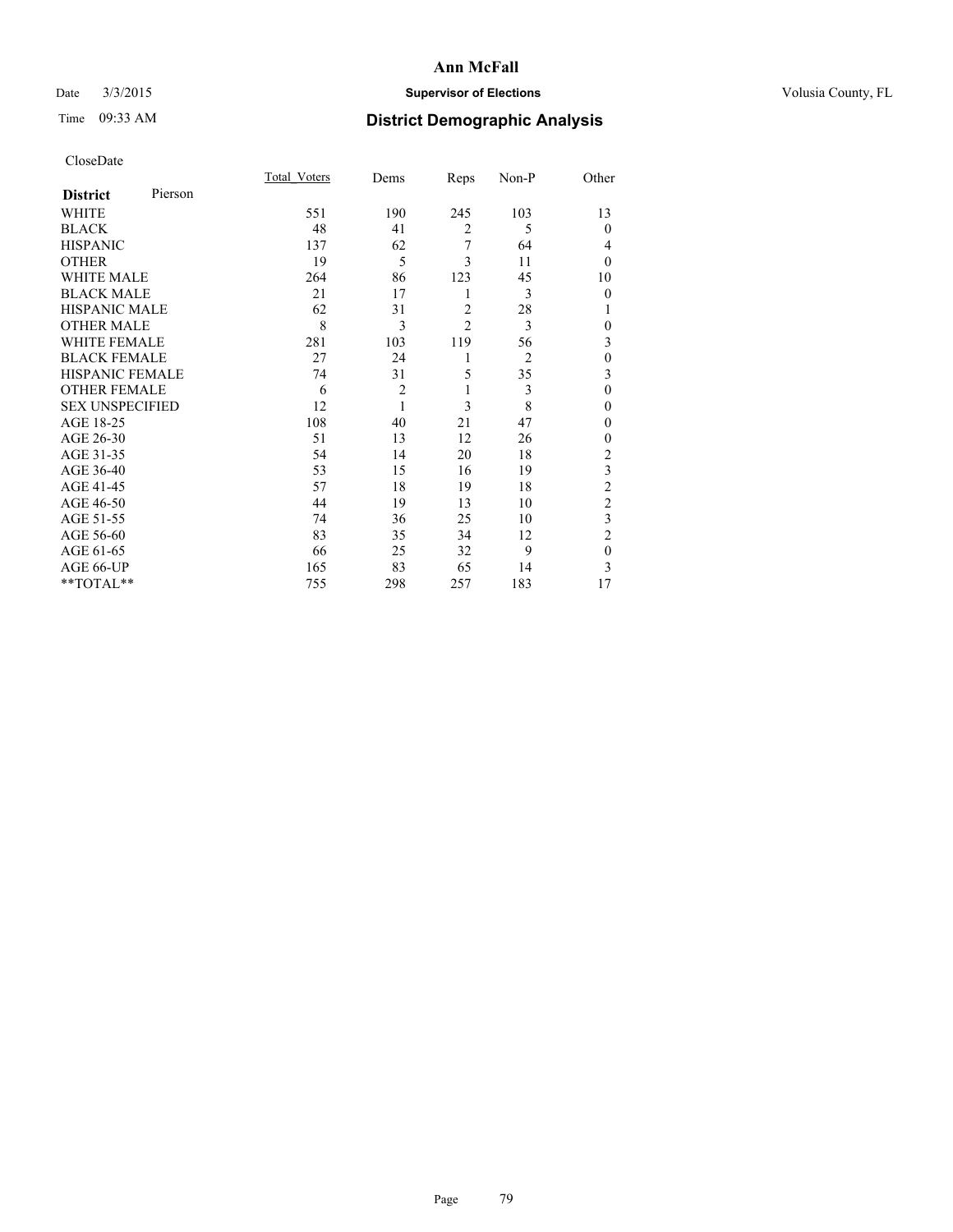## Date  $3/3/2015$  **Supervisor of Elections Supervisor of Elections** Volusia County, FL

# Time 09:33 AM **District Demographic Analysis**

| CloseDate |
|-----------|
|-----------|

|                        |         | Total Voters | Dems           | Reps           | Non-P          | Other          |
|------------------------|---------|--------------|----------------|----------------|----------------|----------------|
| <b>District</b>        | Pierson |              |                |                |                |                |
| <b>WHITE</b>           |         | 551          | 190            | 245            | 103            | 13             |
| <b>BLACK</b>           |         | 48           | 41             | $\overline{2}$ | 5              | $\theta$       |
| <b>HISPANIC</b>        |         | 137          | 62             | 7              | 64             | 4              |
| <b>OTHER</b>           |         | 19           | 5              | 3              | 11             | $\theta$       |
| WHITE MALE             |         | 264          | 86             | 123            | 45             | 10             |
| <b>BLACK MALE</b>      |         | 21           | 17             | 1              | 3              | $\theta$       |
| <b>HISPANIC MALE</b>   |         | 62           | 31             | $\overline{c}$ | 28             | 1              |
| <b>OTHER MALE</b>      |         | 8            | 3              | $\overline{c}$ | 3              | $\theta$       |
| <b>WHITE FEMALE</b>    |         | 281          | 103            | 119            | 56             | 3              |
| <b>BLACK FEMALE</b>    |         | 27           | 24             | 1              | $\overline{2}$ | $\mathbf{0}$   |
| <b>HISPANIC FEMALE</b> |         | 74           | 31             | 5              | 35             | 3              |
| <b>OTHER FEMALE</b>    |         | 6            | $\overline{c}$ | 1              | 3              | $\theta$       |
| <b>SEX UNSPECIFIED</b> |         | 12           | 1              | 3              | 8              | $\mathbf{0}$   |
| AGE 18-25              |         | 108          | 40             | 21             | 47             | 0              |
| AGE 26-30              |         | 51           | 13             | 12             | 26             | $\mathbf{0}$   |
| AGE 31-35              |         | 54           | 14             | 20             | 18             | $\overline{c}$ |
| AGE 36-40              |         | 53           | 15             | 16             | 19             | 3              |
| AGE 41-45              |         | 57           | 18             | 19             | 18             | $\overline{c}$ |
| AGE 46-50              |         | 44           | 19             | 13             | 10             | $\overline{2}$ |
| AGE 51-55              |         | 74           | 36             | 25             | 10             | 3              |
| AGE 56-60              |         | 83           | 35             | 34             | 12             | $\overline{2}$ |
| AGE 61-65              |         | 66           | 25             | 32             | 9              | $\mathbf{0}$   |
| AGE 66-UP              |         | 165          | 83             | 65             | 14             | 3              |
| **TOTAL**              |         | 755          | 298            | 257            | 183            | 17             |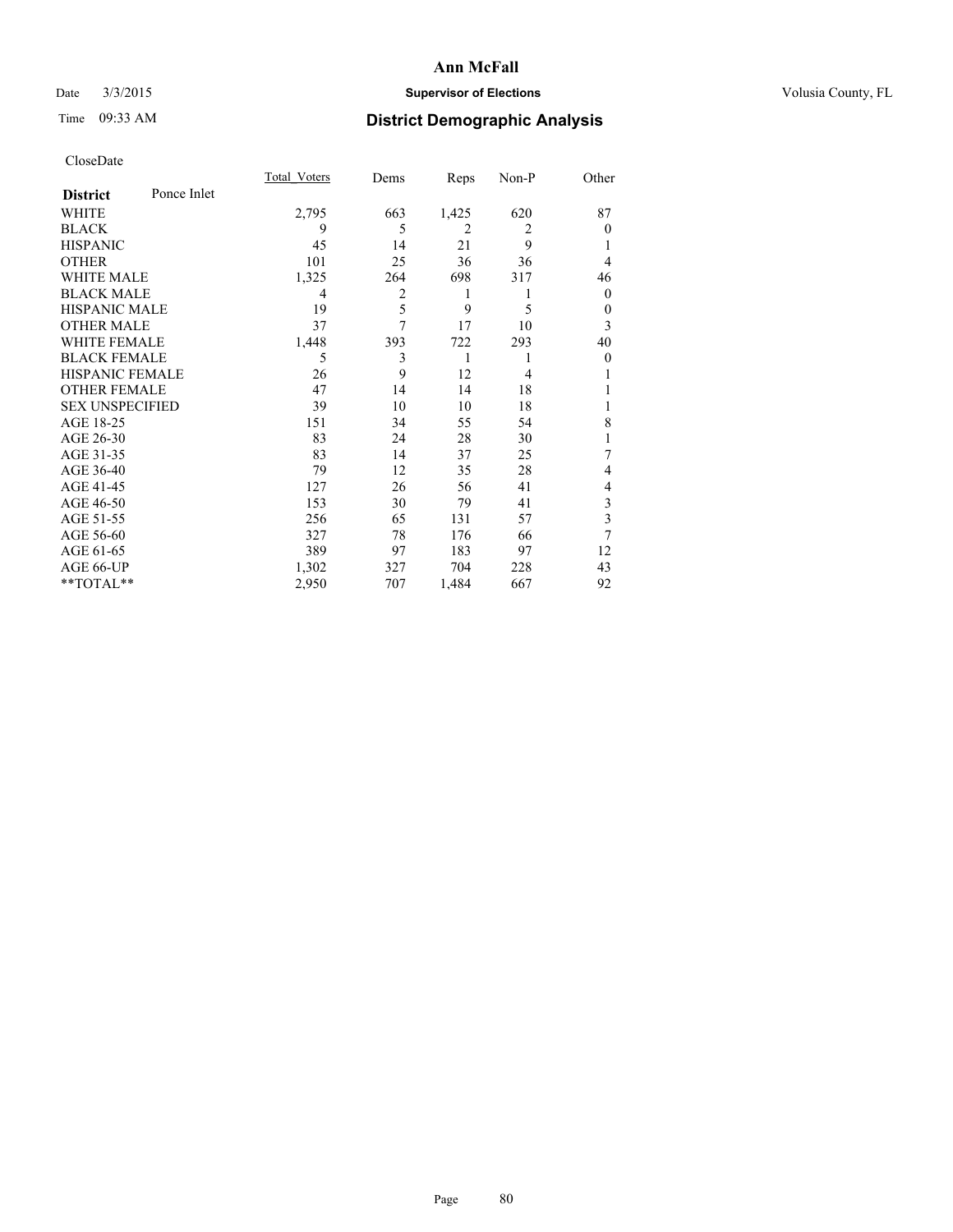## Date  $3/3/2015$  **Supervisor of Elections Supervisor of Elections** Volusia County, FL

# Time 09:33 AM **District Demographic Analysis**

|                        |             | <b>Total Voters</b> | Dems | Reps           | Non-P          | Other        |
|------------------------|-------------|---------------------|------|----------------|----------------|--------------|
| <b>District</b>        | Ponce Inlet |                     |      |                |                |              |
| WHITE                  |             | 2,795               | 663  | 1,425          | 620            | 87           |
| <b>BLACK</b>           |             | 9                   | 5    | $\overline{2}$ | $\overline{2}$ | $\Omega$     |
| <b>HISPANIC</b>        |             | 45                  | 14   | 21             | 9              |              |
| <b>OTHER</b>           |             | 101                 | 25   | 36             | 36             | 4            |
| WHITE MALE             |             | 1,325               | 264  | 698            | 317            | 46           |
| <b>BLACK MALE</b>      |             | 4                   | 2    | 1              | 1              | $\mathbf{0}$ |
| <b>HISPANIC MALE</b>   |             | 19                  | 5    | 9              | 5              | $\theta$     |
| <b>OTHER MALE</b>      |             | 37                  | 7    | 17             | 10             | 3            |
| <b>WHITE FEMALE</b>    |             | 1,448               | 393  | 722            | 293            | 40           |
| <b>BLACK FEMALE</b>    |             | 5                   | 3    | 1              |                | $\theta$     |
| <b>HISPANIC FEMALE</b> |             | 26                  | 9    | 12             | $\overline{4}$ |              |
| <b>OTHER FEMALE</b>    |             | 47                  | 14   | 14             | 18             |              |
| <b>SEX UNSPECIFIED</b> |             | 39                  | 10   | 10             | 18             |              |
| AGE 18-25              |             | 151                 | 34   | 55             | 54             | 8            |
| AGE 26-30              |             | 83                  | 24   | 28             | 30             | 1            |
| AGE 31-35              |             | 83                  | 14   | 37             | 25             | 7            |
| AGE 36-40              |             | 79                  | 12   | 35             | 28             | 4            |
| AGE 41-45              |             | 127                 | 26   | 56             | 41             | 4            |
| AGE 46-50              |             | 153                 | 30   | 79             | 41             | 3            |
| AGE 51-55              |             | 256                 | 65   | 131            | 57             | 3            |
| AGE 56-60              |             | 327                 | 78   | 176            | 66             | 7            |
| AGE 61-65              |             | 389                 | 97   | 183            | 97             | 12           |
| AGE 66-UP              |             | 1,302               | 327  | 704            | 228            | 43           |
| **TOTAL**              |             | 2,950               | 707  | 1,484          | 667            | 92           |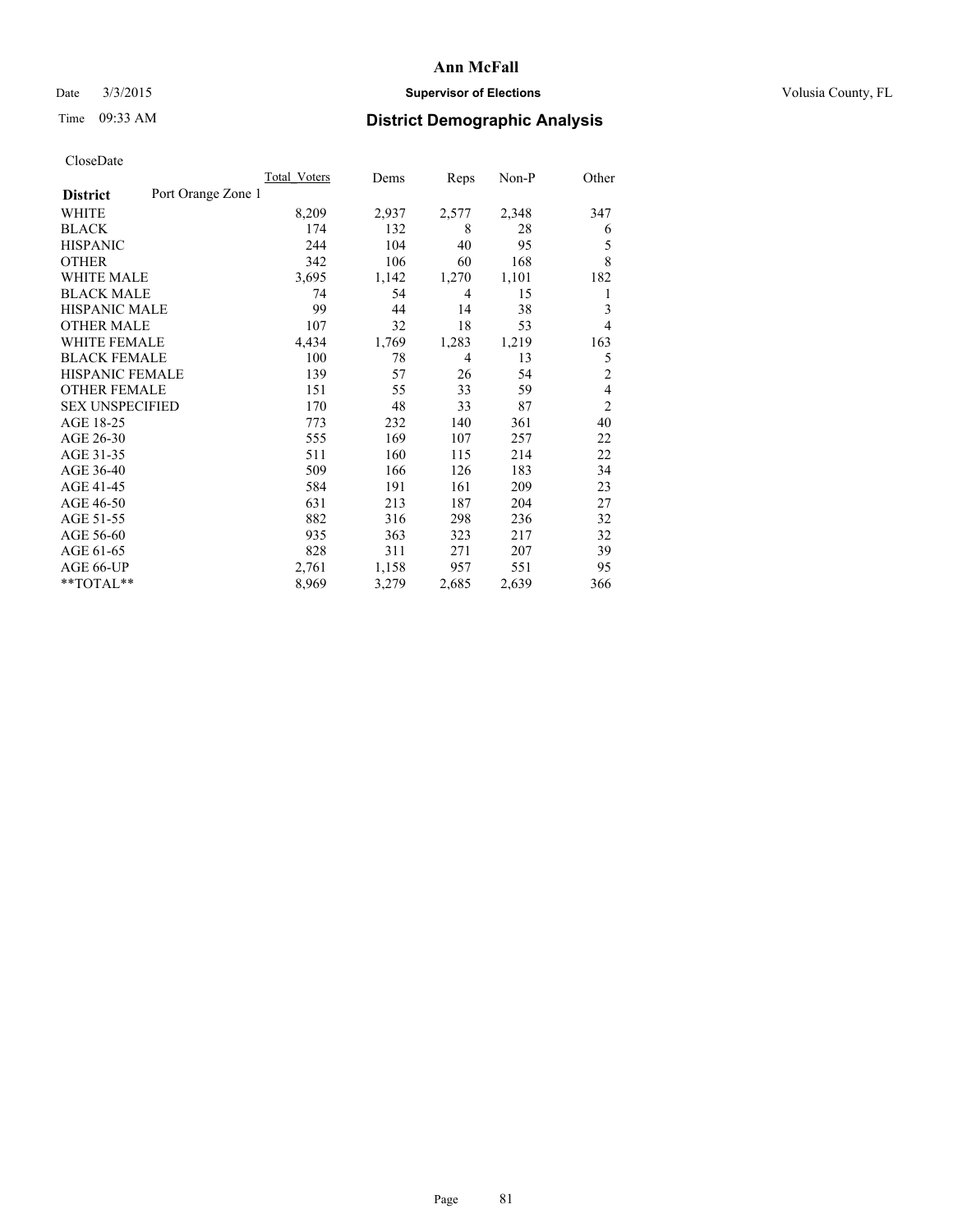## Date  $3/3/2015$  **Supervisor of Elections Supervisor of Elections** Volusia County, FL

# Time 09:33 AM **District Demographic Analysis**

|                        |                    | Total Voters | Dems  | Reps           | Non-P | Other          |
|------------------------|--------------------|--------------|-------|----------------|-------|----------------|
| <b>District</b>        | Port Orange Zone 1 |              |       |                |       |                |
| WHITE                  |                    | 8,209        | 2,937 | 2,577          | 2,348 | 347            |
| <b>BLACK</b>           |                    | 174          | 132   | 8              | 28    | 6              |
| <b>HISPANIC</b>        |                    | 244          | 104   | 40             | 95    | 5              |
| <b>OTHER</b>           |                    | 342          | 106   | 60             | 168   | 8              |
| WHITE MALE             |                    | 3,695        | 1,142 | 1,270          | 1,101 | 182            |
| <b>BLACK MALE</b>      |                    | 74           | 54    | $\overline{4}$ | 15    | 1              |
| <b>HISPANIC MALE</b>   |                    | 99           | 44    | 14             | 38    | 3              |
| <b>OTHER MALE</b>      |                    | 107          | 32    | 18             | 53    | 4              |
| WHITE FEMALE           |                    | 4,434        | 1,769 | 1,283          | 1,219 | 163            |
| <b>BLACK FEMALE</b>    |                    | 100          | 78    | $\overline{4}$ | 13    | 5              |
| HISPANIC FEMALE        |                    | 139          | 57    | 26             | 54    | $\overline{2}$ |
| <b>OTHER FEMALE</b>    |                    | 151          | 55    | 33             | 59    | 4              |
| <b>SEX UNSPECIFIED</b> |                    | 170          | 48    | 33             | 87    | $\overline{2}$ |
| AGE 18-25              |                    | 773          | 232   | 140            | 361   | 40             |
| AGE 26-30              |                    | 555          | 169   | 107            | 257   | 22             |
| AGE 31-35              |                    | 511          | 160   | 115            | 214   | 22             |
| AGE 36-40              |                    | 509          | 166   | 126            | 183   | 34             |
| AGE 41-45              |                    | 584          | 191   | 161            | 209   | 23             |
| AGE 46-50              |                    | 631          | 213   | 187            | 204   | 27             |
| AGE 51-55              |                    | 882          | 316   | 298            | 236   | 32             |
| AGE 56-60              |                    | 935          | 363   | 323            | 217   | 32             |
| AGE 61-65              |                    | 828          | 311   | 271            | 207   | 39             |
| AGE 66-UP              |                    | 2,761        | 1,158 | 957            | 551   | 95             |
| **TOTAL**              |                    | 8,969        | 3,279 | 2,685          | 2,639 | 366            |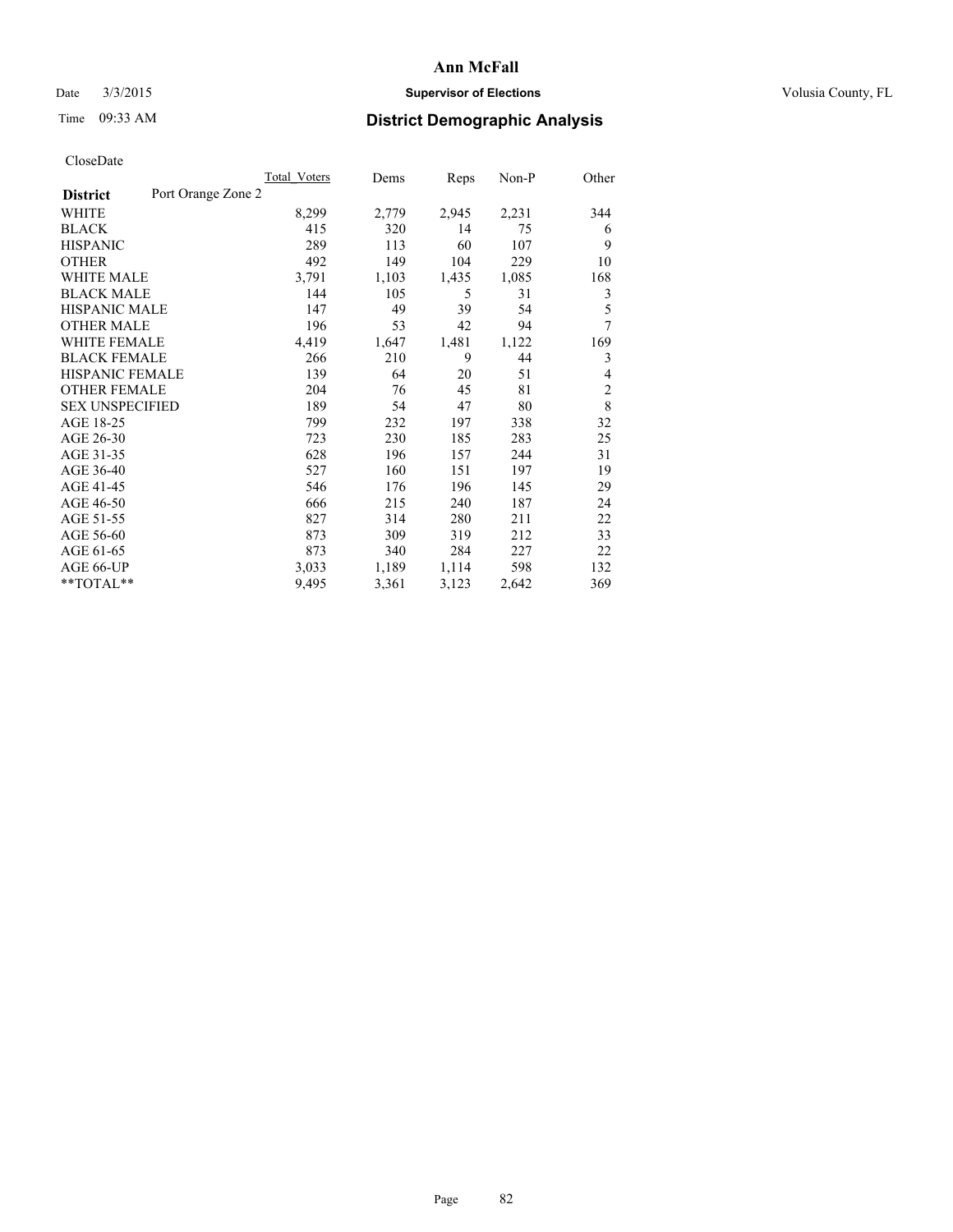## Date  $3/3/2015$  **Supervisor of Elections Supervisor of Elections** Volusia County, FL

# Time 09:33 AM **District Demographic Analysis**

|                        |                    | Total Voters | Dems  | Reps  | Non-P | Other          |
|------------------------|--------------------|--------------|-------|-------|-------|----------------|
| <b>District</b>        | Port Orange Zone 2 |              |       |       |       |                |
| WHITE                  |                    | 8,299        | 2,779 | 2,945 | 2,231 | 344            |
| <b>BLACK</b>           |                    | 415          | 320   | 14    | 75    | 6              |
| <b>HISPANIC</b>        |                    | 289          | 113   | 60    | 107   | 9              |
| <b>OTHER</b>           |                    | 492          | 149   | 104   | 229   | 10             |
| <b>WHITE MALE</b>      |                    | 3,791        | 1,103 | 1,435 | 1,085 | 168            |
| <b>BLACK MALE</b>      |                    | 144          | 105   | 5     | 31    | 3              |
| <b>HISPANIC MALE</b>   |                    | 147          | 49    | 39    | 54    | 5              |
| <b>OTHER MALE</b>      |                    | 196          | 53    | 42    | 94    | 7              |
| <b>WHITE FEMALE</b>    |                    | 4,419        | 1,647 | 1,481 | 1,122 | 169            |
| <b>BLACK FEMALE</b>    |                    | 266          | 210   | 9     | 44    | 3              |
| <b>HISPANIC FEMALE</b> |                    | 139          | 64    | 20    | 51    | 4              |
| <b>OTHER FEMALE</b>    |                    | 204          | 76    | 45    | 81    | $\overline{c}$ |
| <b>SEX UNSPECIFIED</b> |                    | 189          | 54    | 47    | 80    | 8              |
| AGE 18-25              |                    | 799          | 232   | 197   | 338   | 32             |
| AGE 26-30              |                    | 723          | 230   | 185   | 283   | 25             |
| AGE 31-35              |                    | 628          | 196   | 157   | 244   | 31             |
| AGE 36-40              |                    | 527          | 160   | 151   | 197   | 19             |
| AGE 41-45              |                    | 546          | 176   | 196   | 145   | 29             |
| AGE 46-50              |                    | 666          | 215   | 240   | 187   | 24             |
| AGE 51-55              |                    | 827          | 314   | 280   | 211   | 22             |
| AGE 56-60              |                    | 873          | 309   | 319   | 212   | 33             |
| AGE 61-65              |                    | 873          | 340   | 284   | 227   | 22             |
| AGE 66-UP              |                    | 3,033        | 1,189 | 1,114 | 598   | 132            |
| **TOTAL**              |                    | 9,495        | 3,361 | 3,123 | 2,642 | 369            |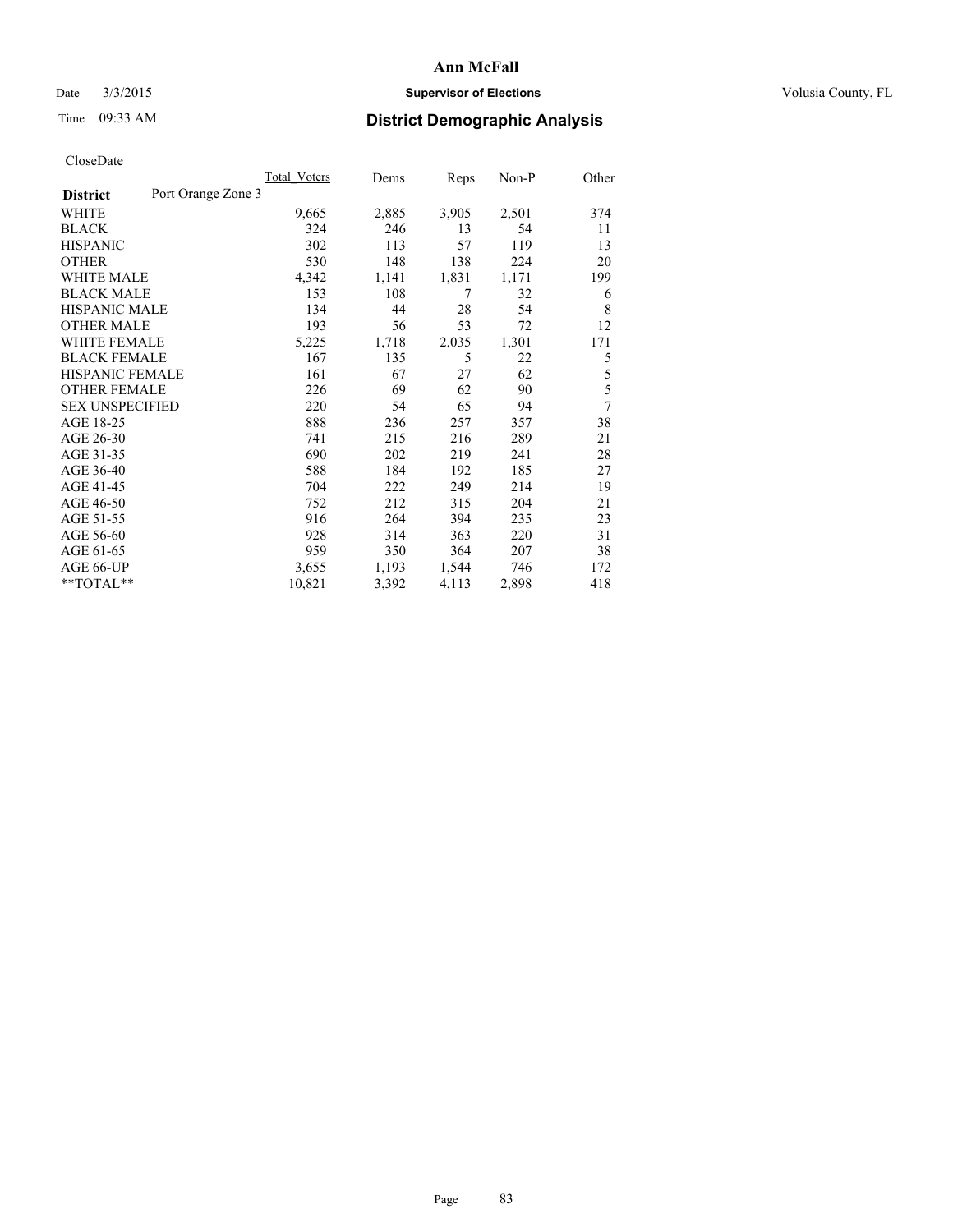## Date  $3/3/2015$  **Supervisor of Elections Supervisor of Elections** Volusia County, FL

# Time 09:33 AM **District Demographic Analysis**

|                        |                    | <b>Total Voters</b> | Dems  | Reps  | Non-P | Other |
|------------------------|--------------------|---------------------|-------|-------|-------|-------|
| <b>District</b>        | Port Orange Zone 3 |                     |       |       |       |       |
| WHITE                  |                    | 9,665               | 2,885 | 3,905 | 2,501 | 374   |
| <b>BLACK</b>           |                    | 324                 | 246   | 13    | 54    | 11    |
| <b>HISPANIC</b>        |                    | 302                 | 113   | 57    | 119   | 13    |
| <b>OTHER</b>           |                    | 530                 | 148   | 138   | 224   | 20    |
| WHITE MALE             |                    | 4,342               | 1,141 | 1,831 | 1,171 | 199   |
| <b>BLACK MALE</b>      |                    | 153                 | 108   | 7     | 32    | 6     |
| <b>HISPANIC MALE</b>   |                    | 134                 | 44    | 28    | 54    | 8     |
| <b>OTHER MALE</b>      |                    | 193                 | 56    | 53    | 72    | 12    |
| <b>WHITE FEMALE</b>    |                    | 5,225               | 1,718 | 2,035 | 1,301 | 171   |
| <b>BLACK FEMALE</b>    |                    | 167                 | 135   | 5     | 22    | 5     |
| HISPANIC FEMALE        |                    | 161                 | 67    | 27    | 62    | 5     |
| <b>OTHER FEMALE</b>    |                    | 226                 | 69    | 62    | 90    | 5     |
| <b>SEX UNSPECIFIED</b> |                    | 220                 | 54    | 65    | 94    | 7     |
| AGE 18-25              |                    | 888                 | 236   | 257   | 357   | 38    |
| AGE 26-30              |                    | 741                 | 215   | 216   | 289   | 21    |
| AGE 31-35              |                    | 690                 | 202   | 219   | 241   | 28    |
| AGE 36-40              |                    | 588                 | 184   | 192   | 185   | 27    |
| AGE 41-45              |                    | 704                 | 222   | 249   | 214   | 19    |
| AGE 46-50              |                    | 752                 | 212   | 315   | 204   | 21    |
| AGE 51-55              |                    | 916                 | 264   | 394   | 235   | 23    |
| AGE 56-60              |                    | 928                 | 314   | 363   | 220   | 31    |
| AGE 61-65              |                    | 959                 | 350   | 364   | 207   | 38    |
| AGE 66-UP              |                    | 3,655               | 1,193 | 1,544 | 746   | 172   |
| **TOTAL**              |                    | 10,821              | 3,392 | 4,113 | 2,898 | 418   |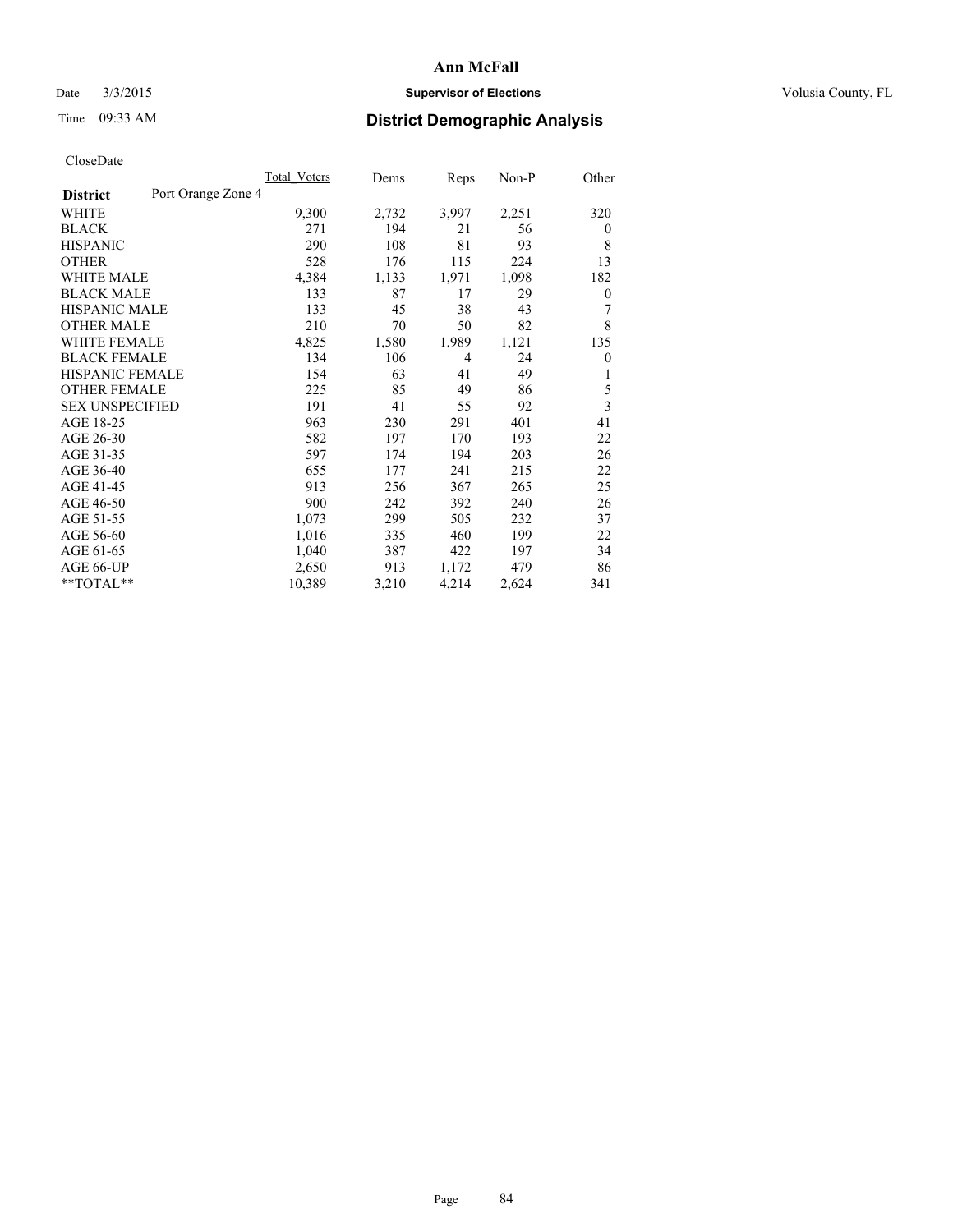## Date  $3/3/2015$  **Supervisor of Elections Supervisor of Elections** Volusia County, FL

# Time 09:33 AM **District Demographic Analysis**

|                        |                    | <b>Total Voters</b> | Dems  | Reps  | Non-P | Other        |
|------------------------|--------------------|---------------------|-------|-------|-------|--------------|
| <b>District</b>        | Port Orange Zone 4 |                     |       |       |       |              |
| WHITE                  |                    | 9,300               | 2,732 | 3,997 | 2,251 | 320          |
| <b>BLACK</b>           |                    | 271                 | 194   | 21    | 56    | $\mathbf{0}$ |
| <b>HISPANIC</b>        |                    | 290                 | 108   | 81    | 93    | 8            |
| <b>OTHER</b>           |                    | 528                 | 176   | 115   | 224   | 13           |
| WHITE MALE             |                    | 4,384               | 1,133 | 1,971 | 1,098 | 182          |
| <b>BLACK MALE</b>      |                    | 133                 | 87    | 17    | 29    | 0            |
| <b>HISPANIC MALE</b>   |                    | 133                 | 45    | 38    | 43    | 7            |
| <b>OTHER MALE</b>      |                    | 210                 | 70    | 50    | 82    | 8            |
| <b>WHITE FEMALE</b>    |                    | 4,825               | 1,580 | 1,989 | 1,121 | 135          |
| <b>BLACK FEMALE</b>    |                    | 134                 | 106   | 4     | 24    | $\theta$     |
| <b>HISPANIC FEMALE</b> |                    | 154                 | 63    | 41    | 49    | 1            |
| <b>OTHER FEMALE</b>    |                    | 225                 | 85    | 49    | 86    | 5            |
| <b>SEX UNSPECIFIED</b> |                    | 191                 | 41    | 55    | 92    | 3            |
| AGE 18-25              |                    | 963                 | 230   | 291   | 401   | 41           |
| AGE 26-30              |                    | 582                 | 197   | 170   | 193   | 22           |
| AGE 31-35              |                    | 597                 | 174   | 194   | 203   | 26           |
| AGE 36-40              |                    | 655                 | 177   | 241   | 215   | 22           |
| AGE 41-45              |                    | 913                 | 256   | 367   | 265   | 25           |
| AGE 46-50              |                    | 900                 | 242   | 392   | 240   | 26           |
| AGE 51-55              |                    | 1,073               | 299   | 505   | 232   | 37           |
| AGE 56-60              |                    | 1,016               | 335   | 460   | 199   | 22           |
| AGE 61-65              |                    | 1,040               | 387   | 422   | 197   | 34           |
| AGE 66-UP              |                    | 2,650               | 913   | 1,172 | 479   | 86           |
| **TOTAL**              |                    | 10,389              | 3,210 | 4,214 | 2,624 | 341          |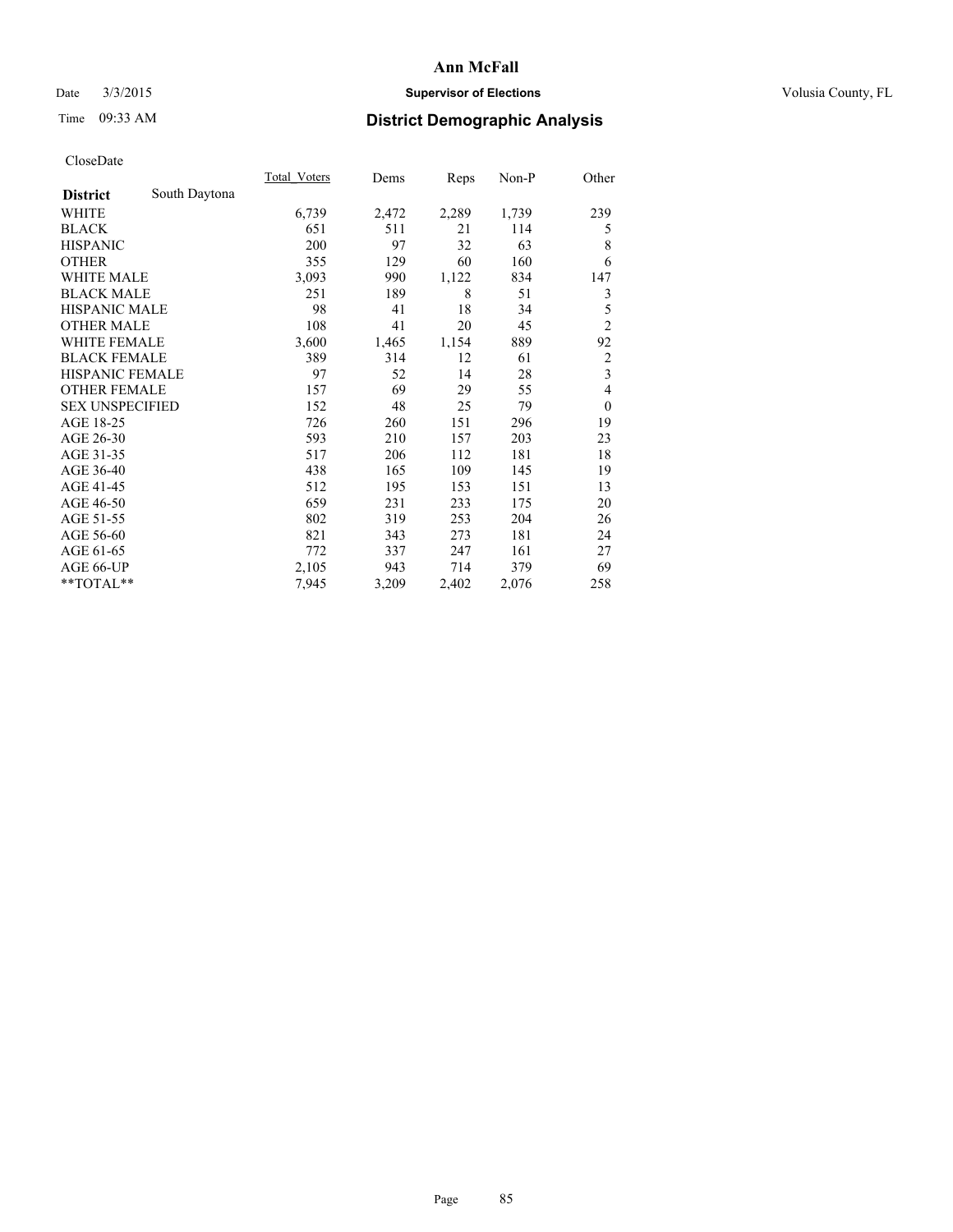## Date  $3/3/2015$  **Supervisor of Elections Supervisor of Elections** Volusia County, FL

# Time 09:33 AM **District Demographic Analysis**

|                        |               | Total Voters | Dems  | Reps  | Non-P | Other                   |
|------------------------|---------------|--------------|-------|-------|-------|-------------------------|
| <b>District</b>        | South Daytona |              |       |       |       |                         |
| WHITE                  |               | 6,739        | 2,472 | 2,289 | 1,739 | 239                     |
| <b>BLACK</b>           |               | 651          | 511   | 21    | 114   | 5                       |
| <b>HISPANIC</b>        |               | 200          | 97    | 32    | 63    | 8                       |
| <b>OTHER</b>           |               | 355          | 129   | 60    | 160   | 6                       |
| <b>WHITE MALE</b>      |               | 3,093        | 990   | 1,122 | 834   | 147                     |
| <b>BLACK MALE</b>      |               | 251          | 189   | 8     | 51    | 3                       |
| <b>HISPANIC MALE</b>   |               | 98           | 41    | 18    | 34    | 5                       |
| <b>OTHER MALE</b>      |               | 108          | 41    | 20    | 45    | $\overline{c}$          |
| <b>WHITE FEMALE</b>    |               | 3,600        | 1,465 | 1,154 | 889   | 92                      |
| <b>BLACK FEMALE</b>    |               | 389          | 314   | 12    | 61    | 2                       |
| <b>HISPANIC FEMALE</b> |               | 97           | 52    | 14    | 28    | $\overline{\mathbf{3}}$ |
| <b>OTHER FEMALE</b>    |               | 157          | 69    | 29    | 55    | 4                       |
| <b>SEX UNSPECIFIED</b> |               | 152          | 48    | 25    | 79    | $\theta$                |
| AGE 18-25              |               | 726          | 260   | 151   | 296   | 19                      |
| AGE 26-30              |               | 593          | 210   | 157   | 203   | 23                      |
| AGE 31-35              |               | 517          | 206   | 112   | 181   | 18                      |
| AGE 36-40              |               | 438          | 165   | 109   | 145   | 19                      |
| AGE 41-45              |               | 512          | 195   | 153   | 151   | 13                      |
| AGE 46-50              |               | 659          | 231   | 233   | 175   | 20                      |
| AGE 51-55              |               | 802          | 319   | 253   | 204   | 26                      |
| AGE 56-60              |               | 821          | 343   | 273   | 181   | 24                      |
| AGE 61-65              |               | 772          | 337   | 247   | 161   | 27                      |
| AGE 66-UP              |               | 2,105        | 943   | 714   | 379   | 69                      |
| **TOTAL**              |               | 7,945        | 3,209 | 2,402 | 2,076 | 258                     |